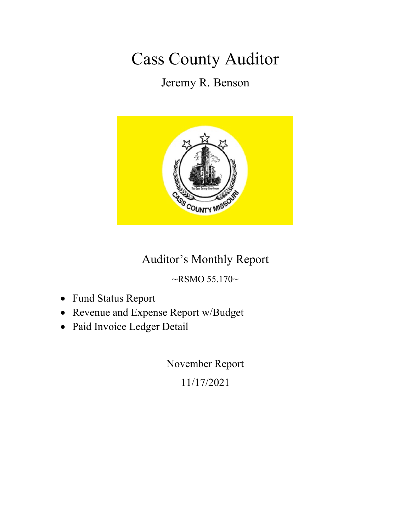# Cass County Auditor

Jeremy R. Benson



### Auditor's Monthly Report

 $~\sim$ RSMO 55.170 $\sim$ 

- Fund Status Report
- Revenue and Expense Report w/Budget
- Paid Invoice Ledger Detail

November Report 11/17/2021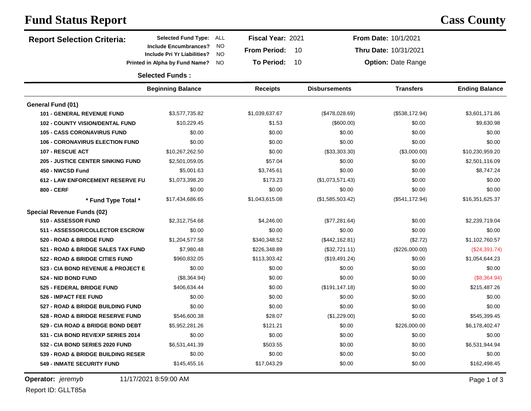## **Fund Status Report Cass County**

| <b>Report Selection Criteria:</b>        | Selected Fund Type: ALL                                     |                 | <b>Fiscal Year: 2021</b> |    |                      | From Date: 10/1/2021      |                       |
|------------------------------------------|-------------------------------------------------------------|-----------------|--------------------------|----|----------------------|---------------------------|-----------------------|
|                                          | <b>Include Encumbrances?</b><br>Include Pri Yr Liabilities? | <b>NO</b><br>NO | <b>From Period:</b>      | 10 |                      | Thru Date: 10/31/2021     |                       |
|                                          | Printed in Alpha by Fund Name?                              | <b>NO</b>       | <b>To Period:</b>        | 10 |                      | <b>Option: Date Range</b> |                       |
|                                          | <b>Selected Funds:</b>                                      |                 |                          |    |                      |                           |                       |
|                                          | <b>Beginning Balance</b>                                    |                 | <b>Receipts</b>          |    | <b>Disbursements</b> | <b>Transfers</b>          | <b>Ending Balance</b> |
| General Fund (01)                        |                                                             |                 |                          |    |                      |                           |                       |
| 101 - GENERAL REVENUE FUND               | \$3,577,735.82                                              |                 | \$1,039,637.67           |    | (\$478,028.69)       | (\$538,172.94)            | \$3,601,171.86        |
| <b>102 - COUNTY VISION/DENTAL FUND</b>   | \$10,229.45                                                 |                 | \$1.53                   |    | (\$600.00)           | \$0.00                    | \$9,630.98            |
| <b>105 - CASS CORONAVIRUS FUND</b>       | \$0.00                                                      |                 | \$0.00                   |    | \$0.00               | \$0.00                    | \$0.00                |
| <b>106 - CORONAVIRUS ELECTION FUND</b>   | \$0.00                                                      |                 | \$0.00                   |    | \$0.00               | \$0.00                    | \$0.00                |
| 107 - RESCUE ACT                         | \$10,267,262.50                                             |                 | \$0.00                   |    | (\$33,303.30)        | (\$3,000.00)              | \$10,230,959.20       |
| <b>205 - JUSTICE CENTER SINKING FUND</b> | \$2,501,059.05                                              |                 | \$57.04                  |    | \$0.00               | \$0.00                    | \$2,501,116.09        |
| 450 - NWCSD Fund                         | \$5,001.63                                                  |                 | \$3,745.61               |    | \$0.00               | \$0.00                    | \$8,747.24            |
| <b>612 - LAW ENFORCEMENT RESERVE FU</b>  | \$1,073,398.20                                              |                 | \$173.23                 |    | (\$1,073,571.43)     | \$0.00                    | \$0.00                |
| 800 - CERF                               | \$0.00                                                      |                 | \$0.00                   |    | \$0.00               | \$0.00                    | \$0.00                |
| * Fund Type Total *                      | \$17,434,686.65                                             |                 | \$1,043,615.08           |    | (\$1,585,503.42)     | (\$541, 172.94)           | \$16,351,625.37       |
| <b>Special Revenue Funds (02)</b>        |                                                             |                 |                          |    |                      |                           |                       |
| 510 - ASSESSOR FUND                      | \$2,312,754.68                                              |                 | \$4,246.00               |    | (\$77,281.64)        | \$0.00                    | \$2,239,719.04        |
| 511 - ASSESSOR/COLLECTOR ESCROW          | \$0.00                                                      |                 | \$0.00                   |    | \$0.00               | \$0.00                    | \$0.00                |
| 520 - ROAD & BRIDGE FUND                 | \$1,204,577.58                                              |                 | \$340,348.52             |    | (\$442, 162.81)      | (\$2.72)                  | \$1,102,760.57        |
| 521 - ROAD & BRIDGE SALES TAX FUND       | \$7,980.48                                                  |                 | \$226,348.89             |    | (\$32,721.11)        | (\$226,000.00)            | (\$24,391.74)         |
| 522 - ROAD & BRIDGE CITIES FUND          | \$960,832.05                                                |                 | \$113,303.42             |    | (\$19,491.24)        | \$0.00                    | \$1,054,644.23        |
| 523 - CIA BOND REVENUE & PROJECT E       | \$0.00                                                      |                 | \$0.00                   |    | \$0.00               | \$0.00                    | \$0.00                |
| 524 - NID BOND FUND                      | (\$8,364.94)                                                |                 | \$0.00                   |    | \$0.00               | \$0.00                    | (\$8,364.94)          |
| 525 - FEDERAL BRIDGE FUND                | \$406,634.44                                                |                 | \$0.00                   |    | (\$191, 147.18)      | \$0.00                    | \$215,487.26          |
| <b>526 - IMPACT FEE FUND</b>             | \$0.00                                                      |                 | \$0.00                   |    | \$0.00               | \$0.00                    | \$0.00                |
| 527 - ROAD & BRIDGE BUILDING FUND        | \$0.00                                                      |                 | \$0.00                   |    | \$0.00               | \$0.00                    | \$0.00                |
| 528 - ROAD & BRIDGE RESERVE FUND         | \$546,600.38                                                |                 | \$28.07                  |    | (\$1,229.00)         | \$0.00                    | \$545,399.45          |
| 529 - CIA ROAD & BRIDGE BOND DEBT        | \$5,952,281.26                                              |                 | \$121.21                 |    | \$0.00               | \$226,000.00              | \$6,178,402.47        |
| 531 - CIA BOND REV/EXP SERIES 2014       | \$0.00                                                      |                 | \$0.00                   |    | \$0.00               | \$0.00                    | \$0.00                |
| 532 - CIA BOND SERIES 2020 FUND          | \$6,531,441.39                                              |                 | \$503.55                 |    | \$0.00               | \$0.00                    | \$6,531,944.94        |
| 539 - ROAD & BRIDGE BUILDING RESER       | \$0.00                                                      |                 | \$0.00                   |    | \$0.00               | \$0.00                    | \$0.00                |
| <b>549 - INMATE SECURITY FUND</b>        | \$145,455.16                                                |                 | \$17,043.29              |    | \$0.00               | \$0.00                    | \$162,498.45          |
|                                          |                                                             |                 |                          |    |                      |                           |                       |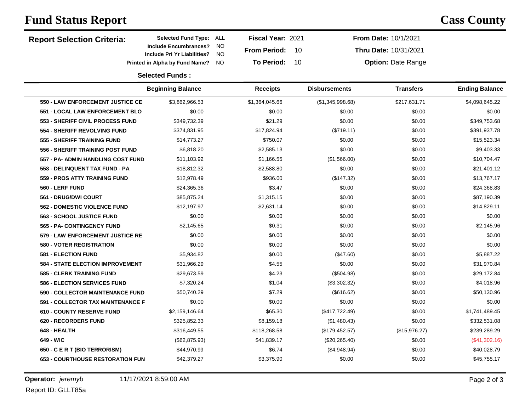# **Fund Status Report Cass County**

| <b>Report Selection Criteria:</b>       | <b>Selected Fund Type:</b>                                         | ALL             | Fiscal Year: 2021   |    |                      | From Date: 10/1/2021      |                       |
|-----------------------------------------|--------------------------------------------------------------------|-----------------|---------------------|----|----------------------|---------------------------|-----------------------|
|                                         | <b>Include Encumbrances?</b><br><b>Include Pri Yr Liabilities?</b> | NO<br><b>NO</b> | <b>From Period:</b> | 10 |                      | Thru Date: 10/31/2021     |                       |
|                                         | Printed in Alpha by Fund Name?                                     | NO              | <b>To Period:</b>   | 10 |                      | <b>Option: Date Range</b> |                       |
|                                         | <b>Selected Funds:</b>                                             |                 |                     |    |                      |                           |                       |
|                                         | <b>Beginning Balance</b>                                           |                 | <b>Receipts</b>     |    | <b>Disbursements</b> | <b>Transfers</b>          | <b>Ending Balance</b> |
| <b>550 - LAW ENFORCEMENT JUSTICE CE</b> | \$3,862,966.53                                                     |                 | \$1,364,045.66      |    | (\$1,345,998.68)     | \$217,631.71              | \$4,098,645.22        |
| 551 - LOCAL LAW ENFORCEMENT BLO         | \$0.00                                                             |                 | \$0.00              |    | \$0.00               | \$0.00                    | \$0.00                |
| 553 - SHERIFF CIVIL PROCESS FUND        | \$349,732.39                                                       |                 | \$21.29             |    | \$0.00               | \$0.00                    | \$349,753.68          |
| 554 - SHERIFF REVOLVING FUND            | \$374,831.95                                                       |                 | \$17,824.94         |    | (\$719.11)           | \$0.00                    | \$391,937.78          |
| 555 - SHERIFF TRAINING FUND             | \$14,773.27                                                        |                 | \$750.07            |    | \$0.00               | \$0.00                    | \$15,523.34           |
| 556 - SHERIFF TRAINING POST FUND        | \$6,818.20                                                         |                 | \$2,585.13          |    | \$0.00               | \$0.00                    | \$9,403.33            |
| 557 - PA- ADMIN HANDLING COST FUND      | \$11,103.92                                                        |                 | \$1,166.55          |    | (\$1,566.00)         | \$0.00                    | \$10,704.47           |
| 558 - DELINQUENT TAX FUND - PA          | \$18,812.32                                                        |                 | \$2,588.80          |    | \$0.00               | \$0.00                    | \$21,401.12           |
| 559 - PROS ATTY TRAINING FUND           | \$12,978.49                                                        |                 | \$936.00            |    | (\$147.32)           | \$0.00                    | \$13,767.17           |
| 560 - LERF FUND                         | \$24,365.36                                                        |                 | \$3.47              |    | \$0.00               | \$0.00                    | \$24,368.83           |
| 561 - DRUG/DWI COURT                    | \$85,875.24                                                        |                 | \$1,315.15          |    | \$0.00               | \$0.00                    | \$87,190.39           |
| <b>562 - DOMESTIC VIOLENCE FUND</b>     | \$12,197.97                                                        |                 | \$2,631.14          |    | \$0.00               | \$0.00                    | \$14,829.11           |
| 563 - SCHOOL JUSTICE FUND               | \$0.00                                                             |                 | \$0.00              |    | \$0.00               | \$0.00                    | \$0.00                |
| 565 - PA- CONTINGENCY FUND              | \$2,145.65                                                         |                 | \$0.31              |    | \$0.00               | \$0.00                    | \$2,145.96            |
| 579 - LAW ENFORCEMENT JUSTICE RE        | \$0.00                                                             |                 | \$0.00              |    | \$0.00               | \$0.00                    | \$0.00                |
| <b>580 - VOTER REGISTRATION</b>         | \$0.00                                                             |                 | \$0.00              |    | \$0.00               | \$0.00                    | \$0.00                |
| <b>581 - ELECTION FUND</b>              | \$5,934.82                                                         |                 | \$0.00              |    | $(\$47.60)$          | \$0.00                    | \$5,887.22            |
| <b>584 - STATE ELECTION IMPROVEMENT</b> | \$31,966.29                                                        |                 | \$4.55              |    | \$0.00               | \$0.00                    | \$31,970.84           |
| <b>585 - CLERK TRAINING FUND</b>        | \$29,673.59                                                        |                 | \$4.23              |    | (\$504.98)           | \$0.00                    | \$29,172.84           |
| <b>586 - ELECTION SERVICES FUND</b>     | \$7,320.24                                                         |                 | \$1.04              |    | (\$3,302.32)         | \$0.00                    | \$4,018.96            |
| 590 - COLLECTOR MAINTENANCE FUND        | \$50,740.29                                                        |                 | \$7.29              |    | (\$616.62)           | \$0.00                    | \$50,130.96           |
| 591 - COLLECTOR TAX MAINTENANCE F       | \$0.00                                                             |                 | \$0.00              |    | \$0.00               | \$0.00                    | \$0.00                |
| <b>610 - COUNTY RESERVE FUND</b>        | \$2,159,146.64                                                     |                 | \$65.30             |    | (\$417,722.49)       | \$0.00                    | \$1,741,489.45        |
| <b>620 - RECORDERS FUND</b>             | \$325,852.33                                                       |                 | \$8,159.18          |    | (\$1,480.43)         | \$0.00                    | \$332,531.08          |
| 648 - HEALTH                            | \$316,449.55                                                       |                 | \$118,268.58        |    | (\$179,452.57)       | (\$15,976.27)             | \$239,289.29          |
| 649 - WIC                               | (\$62,875.93)                                                      |                 | \$41,839.17         |    | (\$20,265.40)        | \$0.00                    | (\$41,302.16)         |
| 650 - C E R T (BIO TERRORISM)           | \$44,970.99                                                        |                 | \$6.74              |    | (\$4,948.94)         | \$0.00                    | \$40,028.79           |
| <b>653 - COURTHOUSE RESTORATION FUN</b> | \$42,379.27                                                        |                 | \$3,375.90          |    | \$0.00               | \$0.00                    | \$45,755.17           |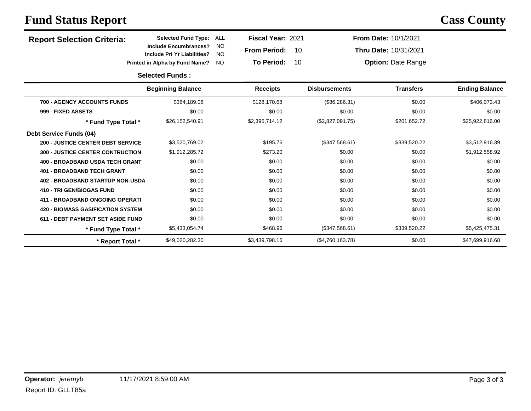## **Fund Status Report Cass County**

| <b>Report Selection Criteria:</b>        | <b>Selected Fund Type:</b><br>ALL                                                            | Fiscal Year: 2021   |                      | From Date: 10/1/2021      |                       |
|------------------------------------------|----------------------------------------------------------------------------------------------|---------------------|----------------------|---------------------------|-----------------------|
|                                          | <b>Include Encumbrances?</b><br><b>NO</b><br><b>Include Pri Yr Liabilities?</b><br><b>NO</b> | <b>From Period:</b> | 10                   | Thru Date: 10/31/2021     |                       |
|                                          | Printed in Alpha by Fund Name?<br>NO.                                                        | <b>To Period:</b>   | 10                   | <b>Option: Date Range</b> |                       |
|                                          | <b>Selected Funds:</b>                                                                       |                     |                      |                           |                       |
|                                          | <b>Beginning Balance</b>                                                                     | <b>Receipts</b>     | <b>Disbursements</b> | <b>Transfers</b>          | <b>Ending Balance</b> |
| 700 - AGENCY ACCOUNTS FUNDS              | \$364,189.06                                                                                 | \$128,170.68        | (\$86, 286.31)       | \$0.00                    | \$406,073.43          |
| 999 - FIXED ASSETS                       | \$0.00                                                                                       | \$0.00              | \$0.00               | \$0.00                    | \$0.00                |
| * Fund Type Total *                      | \$26,152,540.91                                                                              | \$2,395,714.12      | (\$2,827,091.75)     | \$201,652.72              | \$25,922,816.00       |
| <b>Debt Service Funds (04)</b>           |                                                                                              |                     |                      |                           |                       |
| <b>200 - JUSTICE CENTER DEBT SERVICE</b> | \$3,520,769.02                                                                               | \$195.76            | (\$347,568.61)       | \$339,520.22              | \$3,512,916.39        |
| <b>300 - JUSTICE CENTER CONTRUCTION</b>  | \$1,912,285.72                                                                               | \$273.20            | \$0.00               | \$0.00                    | \$1,912,558.92        |
| <b>400 - BROADBAND USDA TECH GRANT</b>   | \$0.00                                                                                       | \$0.00              | \$0.00               | \$0.00                    | \$0.00                |
| <b>401 - BROADBAND TECH GRANT</b>        | \$0.00                                                                                       | \$0.00              | \$0.00               | \$0.00                    | \$0.00                |
| <b>402 - BROADBAND STARTUP NON-USDA</b>  | \$0.00                                                                                       | \$0.00              | \$0.00               | \$0.00                    | \$0.00                |
| <b>410 - TRI GEN/BIOGAS FUND</b>         | \$0.00                                                                                       | \$0.00              | \$0.00               | \$0.00                    | \$0.00                |
| <b>411 - BROADBAND ONGOING OPERATI</b>   | \$0.00                                                                                       | \$0.00              | \$0.00               | \$0.00                    | \$0.00                |
| <b>420 - BIOMASS GASIFICATION SYSTEM</b> | \$0.00                                                                                       | \$0.00              | \$0.00               | \$0.00                    | \$0.00                |
| <b>611 - DEBT PAYMENT SET ASIDE FUND</b> | \$0.00                                                                                       | \$0.00              | \$0.00               | \$0.00                    | \$0.00                |
| * Fund Type Total *                      | \$5,433,054.74                                                                               | \$468.96            | (\$347,568.61)       | \$339,520.22              | \$5,425,475.31        |
| * Report Total *                         | \$49,020,282.30                                                                              | \$3,439,798.16      | (\$4,760,163.78)     | \$0.00                    | \$47,699,916.68       |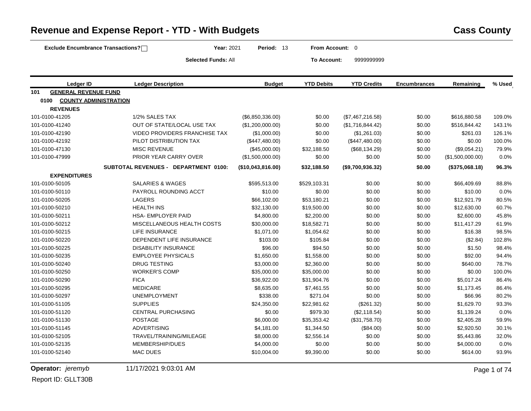| Exclude Encumbrance Transactions?    | Year: 2021                           | Period: 13        | From Account: 0   |                    |                     |                  |        |
|--------------------------------------|--------------------------------------|-------------------|-------------------|--------------------|---------------------|------------------|--------|
|                                      | <b>Selected Funds: All</b>           |                   | To Account:       | 9999999999         |                     |                  |        |
| <b>Ledger ID</b>                     | <b>Ledger Description</b>            | <b>Budget</b>     | <b>YTD Debits</b> | <b>YTD Credits</b> | <b>Encumbrances</b> | Remaining        | % Used |
| <b>GENERAL REVENUE FUND</b><br>101   |                                      |                   |                   |                    |                     |                  |        |
| 0100<br><b>COUNTY ADMINISTRATION</b> |                                      |                   |                   |                    |                     |                  |        |
| <b>REVENUES</b>                      |                                      |                   |                   |                    |                     |                  |        |
| 101-0100-41205                       | 1/2% SALES TAX                       | (\$6,850,336.00)  | \$0.00            | (\$7,467,216.58)   | \$0.00              | \$616,880.58     | 109.0% |
| 101-0100-41240                       | OUT OF STATE/LOCAL USE TAX           | (\$1,200,000.00)  | \$0.00            | (\$1,716,844.42)   | \$0.00              | \$516,844.42     | 143.1% |
| 101-0100-42190                       | <b>VIDEO PROVIDERS FRANCHISE TAX</b> | (\$1,000.00)      | \$0.00            | (\$1,261.03)       | \$0.00              | \$261.03         | 126.1% |
| 101-0100-42192                       | PILOT DISTRIBUTION TAX               | (\$447,480.00)    | \$0.00            | (\$447,480.00)     | \$0.00              | \$0.00           | 100.0% |
| 101-0100-47130                       | <b>MISC REVENUE</b>                  | (\$45,000.00)     | \$32,188.50       | (\$68,134.29)      | \$0.00              | (\$9,054.21)     | 79.9%  |
| 101-0100-47999                       | PRIOR YEAR CARRY OVER                | (\$1,500,000.00)  | \$0.00            | \$0.00             | \$0.00              | (\$1,500,000.00) | 0.0%   |
|                                      | SUBTOTAL REVENUES - DEPARTMENT 0100: | (\$10,043,816.00) | \$32,188.50       | (\$9,700,936.32)   | \$0.00              | (\$375,068.18)   | 96.3%  |
| <b>EXPENDITURES</b>                  |                                      |                   |                   |                    |                     |                  |        |
| 101-0100-50105                       | <b>SALARIES &amp; WAGES</b>          | \$595,513.00      | \$529,103.31      | \$0.00             | \$0.00              | \$66,409.69      | 88.8%  |
| 101-0100-50110                       | PAYROLL ROUNDING ACCT                | \$10.00           | \$0.00            | \$0.00             | \$0.00              | \$10.00          | 0.0%   |
| 101-0100-50205                       | <b>LAGERS</b>                        | \$66,102.00       | \$53,180.21       | \$0.00             | \$0.00              | \$12,921.79      | 80.5%  |
| 101-0100-50210                       | <b>HEALTH INS</b>                    | \$32,130.00       | \$19,500.00       | \$0.00             | \$0.00              | \$12,630.00      | 60.7%  |
| 101-0100-50211                       | <b>HSA- EMPLOYER PAID</b>            | \$4,800.00        | \$2,200.00        | \$0.00             | \$0.00              | \$2,600.00       | 45.8%  |
| 101-0100-50212                       | MISCELLANEOUS HEALTH COSTS           | \$30,000.00       | \$18,582.71       | \$0.00             | \$0.00              | \$11,417.29      | 61.9%  |
| 101-0100-50215                       | <b>LIFE INSURANCE</b>                | \$1,071.00        | \$1,054.62        | \$0.00             | \$0.00              | \$16.38          | 98.5%  |
| 101-0100-50220                       | DEPENDENT LIFE INSURANCE             | \$103.00          | \$105.84          | \$0.00             | \$0.00              | (\$2.84)         | 102.8% |
| 101-0100-50225                       | <b>DISABILITY INSURANCE</b>          | \$96.00           | \$94.50           | \$0.00             | \$0.00              | \$1.50           | 98.4%  |
| 101-0100-50235                       | <b>EMPLOYEE PHYSICALS</b>            | \$1,650.00        | \$1,558.00        | \$0.00             | \$0.00              | \$92.00          | 94.4%  |
| 101-0100-50240                       | <b>DRUG TESTING</b>                  | \$3,000.00        | \$2,360.00        | \$0.00             | \$0.00              | \$640.00         | 78.7%  |
| 101-0100-50250                       | <b>WORKER'S COMP</b>                 | \$35,000.00       | \$35,000.00       | \$0.00             | \$0.00              | \$0.00           | 100.0% |
| 101-0100-50290                       | <b>FICA</b>                          | \$36,922.00       | \$31,904.76       | \$0.00             | \$0.00              | \$5,017.24       | 86.4%  |
| 101-0100-50295                       | <b>MEDICARE</b>                      | \$8,635.00        | \$7,461.55        | \$0.00             | \$0.00              | \$1,173.45       | 86.4%  |
| 101-0100-50297                       | <b>UNEMPLOYMENT</b>                  | \$338.00          | \$271.04          | \$0.00             | \$0.00              | \$66.96          | 80.2%  |
| 101-0100-51105                       | <b>SUPPLIES</b>                      | \$24,350.00       | \$22,981.62       | (\$261.32)         | \$0.00              | \$1,629.70       | 93.3%  |
| 101-0100-51120                       | <b>CENTRAL PURCHASING</b>            | \$0.00            | \$979.30          | (\$2,118.54)       | \$0.00              | \$1,139.24       | 0.0%   |
| 101-0100-51130                       | POSTAGE                              | \$6,000.00        | \$35,353.42       | (\$31,758.70)      | \$0.00              | \$2,405.28       | 59.9%  |
| 101-0100-51145                       | <b>ADVERTISING</b>                   | \$4,181.00        | \$1,344.50        | (\$84.00)          | \$0.00              | \$2,920.50       | 30.1%  |
| 101-0100-52105                       | TRAVEL/TRAINING/MILEAGE              | \$8,000.00        | \$2,556.14        | \$0.00             | \$0.00              | \$5,443.86       | 32.0%  |
| 101-0100-52135                       | MEMBERSHIP/DUES                      | \$4,000.00        | \$0.00            | \$0.00             | \$0.00              | \$4,000.00       | 0.0%   |
| 101-0100-52140                       | <b>MAC DUES</b>                      | \$10,004.00       | \$9,390.00        | \$0.00             | \$0.00              | \$614.00         | 93.9%  |

### **Revenue and Expense Report - YTD - With Budgets <b>Cass County Cass County**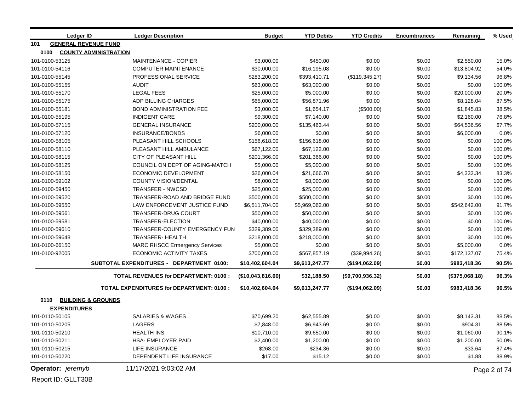|     | Ledger <sub>ID</sub>        | <b>Ledger Description</b>                       | <b>Budget</b>     | <b>YTD Debits</b> | <b>YTD Credits</b> | <b>Encumbrances</b> | Remaining      | % Used       |
|-----|-----------------------------|-------------------------------------------------|-------------------|-------------------|--------------------|---------------------|----------------|--------------|
| 101 | <b>GENERAL REVENUE FUND</b> |                                                 |                   |                   |                    |                     |                |              |
|     | 0100                        | <b>COUNTY ADMINISTRATION</b>                    |                   |                   |                    |                     |                |              |
|     | 101-0100-53125              | MAINTENANCE - COPIER                            | \$3,000.00        | \$450.00          | \$0.00             | \$0.00              | \$2,550.00     | 15.0%        |
|     | 101-0100-54116              | <b>COMPUTER MAINTENANCE</b>                     | \$30,000.00       | \$16,195.08       | \$0.00             | \$0.00              | \$13,804.92    | 54.0%        |
|     | 101-0100-55145              | PROFESSIONAL SERVICE                            | \$283,200.00      | \$393,410.71      | (\$119,345.27)     | \$0.00              | \$9,134.56     | 96.8%        |
|     | 101-0100-55155              | <b>AUDIT</b>                                    | \$63,000.00       | \$63,000.00       | \$0.00             | \$0.00              | \$0.00         | 100.0%       |
|     | 101-0100-55170              | <b>LEGAL FEES</b>                               | \$25,000.00       | \$5,000.00        | \$0.00             | \$0.00              | \$20,000.00    | 20.0%        |
|     | 101-0100-55175              | ADP BILLING CHARGES                             | \$65,000.00       | \$56,871.96       | \$0.00             | \$0.00              | \$8,128.04     | 87.5%        |
|     | 101-0100-55181              | <b>BOND ADMINISTRATION FEE</b>                  | \$3,000.00        | \$1,654.17        | (\$500.00)         | \$0.00              | \$1,845.83     | 38.5%        |
|     | 101-0100-55195              | <b>INDIGENT CARE</b>                            | \$9,300.00        | \$7,140.00        | \$0.00             | \$0.00              | \$2,160.00     | 76.8%        |
|     | 101-0100-57115              | <b>GENERAL INSURANCE</b>                        | \$200,000.00      | \$135,463.44      | \$0.00             | \$0.00              | \$64,536.56    | 67.7%        |
|     | 101-0100-57120              | INSURANCE/BONDS                                 | \$6,000.00        | \$0.00            | \$0.00             | \$0.00              | \$6,000.00     | 0.0%         |
|     | 101-0100-58105              | PLEASANT HILL SCHOOLS                           | \$156,618.00      | \$156,618.00      | \$0.00             | \$0.00              | \$0.00         | 100.0%       |
|     | 101-0100-58110              | PLEASANT HILL AMBULANCE                         | \$67,122.00       | \$67,122.00       | \$0.00             | \$0.00              | \$0.00         | 100.0%       |
|     | 101-0100-58115              | CITY OF PLEASANT HILL                           | \$201,366.00      | \$201,366.00      | \$0.00             | \$0.00              | \$0.00         | 100.0%       |
|     | 101-0100-58125              | COUNCIL ON DEPT OF AGING-MATCH                  | \$5,000.00        | \$5,000.00        | \$0.00             | \$0.00              | \$0.00         | 100.0%       |
|     | 101-0100-58150              | <b>ECONOMIC DEVELOPMENT</b>                     | \$26,000.04       | \$21,666.70       | \$0.00             | \$0.00              | \$4,333.34     | 83.3%        |
|     | 101-0100-59102              | <b>COUNTY VISION/DENTAL</b>                     | \$8,000.00        | \$8,000.00        | \$0.00             | \$0.00              | \$0.00         | 100.0%       |
|     | 101-0100-59450              | <b>TRANSFER - NWCSD</b>                         | \$25,000.00       | \$25,000.00       | \$0.00             | \$0.00              | \$0.00         | 100.0%       |
|     | 101-0100-59520              | TRANSFER-ROAD AND BRIDGE FUND                   | \$500,000.00      | \$500,000.00      | \$0.00             | \$0.00              | \$0.00         | 100.0%       |
|     | 101-0100-59550              | LAW ENFORCEMENT JUSTICE FUND                    | \$6,511,704.00    | \$5,969,062.00    | \$0.00             | \$0.00              | \$542,642.00   | 91.7%        |
|     | 101-0100-59561              | TRANSFER-DRUG COURT                             | \$50,000.00       | \$50,000.00       | \$0.00             | \$0.00              | \$0.00         | 100.0%       |
|     | 101-0100-59581              | TRANSFER-ELECTION                               | \$40,000.00       | \$40,000.00       | \$0.00             | \$0.00              | \$0.00         | 100.0%       |
|     | 101-0100-59610              | TRANSFER-COUNTY EMERGENCY FUN                   | \$329,389.00      | \$329,389.00      | \$0.00             | \$0.00              | \$0.00         | 100.0%       |
|     | 101-0100-59648              | <b>TRANSFER- HEALTH</b>                         | \$218,000.00      | \$218,000.00      | \$0.00             | \$0.00              | \$0.00         | 100.0%       |
|     | 101-0100-66150              | <b>MARC RHSCC Ermergency Services</b>           | \$5,000.00        | \$0.00            | \$0.00             | \$0.00              | \$5,000.00     | 0.0%         |
|     | 101-0100-92005              | <b>ECONOMIC ACTIVITY TAXES</b>                  | \$700,000.00      | \$567,857.19      | (\$39,994.26)      | \$0.00              | \$172,137.07   | 75.4%        |
|     |                             | SUBTOTAL EXPENDITURES - DEPARTMENT 0100:        | \$10,402,604.04   | \$9,613,247.77    | (\$194,062.09)     | \$0.00              | \$983,418.36   | 90.5%        |
|     |                             | <b>TOTAL REVENUES for DEPARTMENT: 0100:</b>     | (\$10,043,816.00) | \$32,188.50       | (\$9,700,936.32)   | \$0.00              | (\$375,068.18) | 96.3%        |
|     |                             | <b>TOTAL EXPENDITURES for DEPARTMENT: 0100:</b> | \$10,402,604.04   | \$9,613,247.77    | $($ \$194,062.09)  | \$0.00              | \$983,418.36   | 90.5%        |
|     | 0110<br><b>EXPENDITURES</b> | <b>BUILDING &amp; GROUNDS</b>                   |                   |                   |                    |                     |                |              |
|     | 101-0110-50105              | <b>SALARIES &amp; WAGES</b>                     | \$70,699.20       | \$62,555.89       | \$0.00             | \$0.00              | \$8,143.31     | 88.5%        |
|     | 101-0110-50205              | <b>LAGERS</b>                                   | \$7,848.00        | \$6,943.69        | \$0.00             | \$0.00              | \$904.31       | 88.5%        |
|     | 101-0110-50210              | <b>HEALTH INS</b>                               | \$10,710.00       | \$9,650.00        | \$0.00             | \$0.00              | \$1,060.00     | 90.1%        |
|     | 101-0110-50211              | <b>HSA- EMPLOYER PAID</b>                       | \$2,400.00        | \$1,200.00        | \$0.00             | \$0.00              | \$1,200.00     | 50.0%        |
|     | 101-0110-50215              | LIFE INSURANCE                                  | \$268.00          | \$234.36          | \$0.00             | \$0.00              | \$33.64        | 87.4%        |
|     | 101-0110-50220              | DEPENDENT LIFE INSURANCE                        | \$17.00           | \$15.12           | \$0.00             | \$0.00              | \$1.88         | 88.9%        |
|     | Operator: jeremyb           | 11/17/2021 9:03:02 AM                           |                   |                   |                    |                     |                | Page 2 of 74 |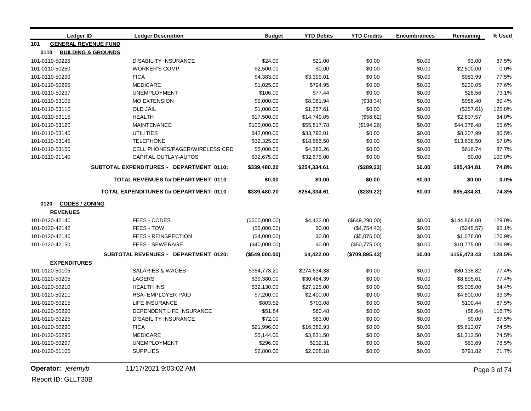| <b>GENERAL REVENUE FUND</b><br>101<br>0110<br><b>BUILDING &amp; GROUNDS</b><br>\$24.00<br>\$0.00<br>\$0.00<br>101-0110-50225<br><b>DISABILITY INSURANCE</b><br>\$21.00<br>\$3.00<br><b>WORKER'S COMP</b><br>\$0.00<br>\$0.00<br>\$0.00<br>101-0110-50250<br>\$2,500.00<br>\$2,500.00<br><b>FICA</b><br>\$3,399.01<br>\$0.00<br>\$0.00<br>\$983.99<br>101-0110-50290<br>\$4,383.00<br><b>MEDICARE</b><br>\$794.95<br>\$0.00<br>\$0.00<br>\$230.05<br>101-0110-50295<br>\$1,025.00<br><b>UNEMPLOYMENT</b><br>\$77.44<br>\$0.00<br>\$28.56<br>101-0110-50297<br>\$106.00<br>\$0.00<br><b>MO EXTENSION</b><br>\$8,081.94<br>\$0.00<br>\$956.40<br>101-0110-53105<br>\$9,000.00<br>(\$38.34)<br><b>OLD JAIL</b><br>\$0.00<br>\$0.00<br>101-0110-53110<br>\$1,000.00<br>\$1,257.61<br>(\$257.61)<br><b>HEALTH</b><br>\$0.00<br>\$17,500.00<br>\$14,749.05<br>(\$56.62)<br>\$2,807.57<br>101-0110-53115<br><b>MAINTENANCE</b><br>\$0.00<br>101-0110-53120<br>\$100,000.00<br>\$55,817.78<br>(\$194.26)<br>\$44,376.48<br><b>UTILITIES</b><br>101-0110-53140<br>\$42,000.00<br>\$33,792.01<br>\$0.00<br>\$0.00<br>\$8,207.99 | Ledger ID      | <b>Ledger Description</b> | <b>Budget</b> | <b>YTD Debits</b> | <b>YTD Credits</b> | <b>Encumbrances</b> | Remaining   | % Used |
|----------------------------------------------------------------------------------------------------------------------------------------------------------------------------------------------------------------------------------------------------------------------------------------------------------------------------------------------------------------------------------------------------------------------------------------------------------------------------------------------------------------------------------------------------------------------------------------------------------------------------------------------------------------------------------------------------------------------------------------------------------------------------------------------------------------------------------------------------------------------------------------------------------------------------------------------------------------------------------------------------------------------------------------------------------------------------------------------------------------------|----------------|---------------------------|---------------|-------------------|--------------------|---------------------|-------------|--------|
|                                                                                                                                                                                                                                                                                                                                                                                                                                                                                                                                                                                                                                                                                                                                                                                                                                                                                                                                                                                                                                                                                                                      |                |                           |               |                   |                    |                     |             |        |
|                                                                                                                                                                                                                                                                                                                                                                                                                                                                                                                                                                                                                                                                                                                                                                                                                                                                                                                                                                                                                                                                                                                      |                |                           |               |                   |                    |                     |             |        |
|                                                                                                                                                                                                                                                                                                                                                                                                                                                                                                                                                                                                                                                                                                                                                                                                                                                                                                                                                                                                                                                                                                                      |                |                           |               |                   |                    |                     |             | 87.5%  |
|                                                                                                                                                                                                                                                                                                                                                                                                                                                                                                                                                                                                                                                                                                                                                                                                                                                                                                                                                                                                                                                                                                                      |                |                           |               |                   |                    |                     |             | 0.0%   |
|                                                                                                                                                                                                                                                                                                                                                                                                                                                                                                                                                                                                                                                                                                                                                                                                                                                                                                                                                                                                                                                                                                                      |                |                           |               |                   |                    |                     |             | 77.5%  |
|                                                                                                                                                                                                                                                                                                                                                                                                                                                                                                                                                                                                                                                                                                                                                                                                                                                                                                                                                                                                                                                                                                                      |                |                           |               |                   |                    |                     |             | 77.6%  |
|                                                                                                                                                                                                                                                                                                                                                                                                                                                                                                                                                                                                                                                                                                                                                                                                                                                                                                                                                                                                                                                                                                                      |                |                           |               |                   |                    |                     |             | 73.1%  |
|                                                                                                                                                                                                                                                                                                                                                                                                                                                                                                                                                                                                                                                                                                                                                                                                                                                                                                                                                                                                                                                                                                                      |                |                           |               |                   |                    |                     |             | 89.4%  |
|                                                                                                                                                                                                                                                                                                                                                                                                                                                                                                                                                                                                                                                                                                                                                                                                                                                                                                                                                                                                                                                                                                                      |                |                           |               |                   |                    |                     |             | 125.8% |
|                                                                                                                                                                                                                                                                                                                                                                                                                                                                                                                                                                                                                                                                                                                                                                                                                                                                                                                                                                                                                                                                                                                      |                |                           |               |                   |                    |                     |             | 84.0%  |
|                                                                                                                                                                                                                                                                                                                                                                                                                                                                                                                                                                                                                                                                                                                                                                                                                                                                                                                                                                                                                                                                                                                      |                |                           |               |                   |                    |                     |             | 55.6%  |
|                                                                                                                                                                                                                                                                                                                                                                                                                                                                                                                                                                                                                                                                                                                                                                                                                                                                                                                                                                                                                                                                                                                      |                |                           |               |                   |                    |                     |             | 80.5%  |
|                                                                                                                                                                                                                                                                                                                                                                                                                                                                                                                                                                                                                                                                                                                                                                                                                                                                                                                                                                                                                                                                                                                      | 101-0110-53145 | <b>TELEPHONE</b>          | \$32,325.00   | \$18,686.50       | \$0.00             | \$0.00              | \$13,638.50 | 57.8%  |
| 101-0110-53150<br>CELL PHONES/PAGER/WIRELESS CRD<br>\$5,000.00<br>\$4,383.26<br>\$0.00<br>\$0.00<br>\$616.74                                                                                                                                                                                                                                                                                                                                                                                                                                                                                                                                                                                                                                                                                                                                                                                                                                                                                                                                                                                                         |                |                           |               |                   |                    |                     |             | 87.7%  |
| \$0.00<br>\$0.00<br>101-0110-91140<br>CAPITAL OUTLAY-AUTOS<br>\$32,675.00<br>\$32,675.00<br>\$0.00                                                                                                                                                                                                                                                                                                                                                                                                                                                                                                                                                                                                                                                                                                                                                                                                                                                                                                                                                                                                                   |                |                           |               |                   |                    |                     |             | 100.0% |
| SUBTOTAL EXPENDITURES - DEPARTMENT 0110:<br>\$339,480.20<br>\$254,334.61<br>(\$289.22)<br>\$0.00<br>\$85,434.81                                                                                                                                                                                                                                                                                                                                                                                                                                                                                                                                                                                                                                                                                                                                                                                                                                                                                                                                                                                                      |                |                           |               |                   |                    |                     |             | 74.8%  |
| \$0.00<br>\$0.00<br><b>TOTAL REVENUES for DEPARTMENT: 0110:</b><br>\$0.00<br>\$0.00<br>\$0.00                                                                                                                                                                                                                                                                                                                                                                                                                                                                                                                                                                                                                                                                                                                                                                                                                                                                                                                                                                                                                        |                |                           |               |                   |                    |                     |             | 0.0%   |
| <b>TOTAL EXPENDITURES for DEPARTMENT: 0110:</b><br>\$339,480.20<br>\$254,334.61<br>\$0.00<br>(\$289.22)<br>\$85,434.81                                                                                                                                                                                                                                                                                                                                                                                                                                                                                                                                                                                                                                                                                                                                                                                                                                                                                                                                                                                               |                |                           |               |                   |                    |                     |             | 74.8%  |
| <b>CODES / ZONING</b><br>0120                                                                                                                                                                                                                                                                                                                                                                                                                                                                                                                                                                                                                                                                                                                                                                                                                                                                                                                                                                                                                                                                                        |                |                           |               |                   |                    |                     |             |        |
| <b>REVENUES</b>                                                                                                                                                                                                                                                                                                                                                                                                                                                                                                                                                                                                                                                                                                                                                                                                                                                                                                                                                                                                                                                                                                      |                |                           |               |                   |                    |                     |             |        |
| FEES - CODES<br>101-0120-42140<br>(\$500,000.00)<br>\$4,422.00<br>$(\$649,290.00)$<br>\$0.00<br>\$144,868.00                                                                                                                                                                                                                                                                                                                                                                                                                                                                                                                                                                                                                                                                                                                                                                                                                                                                                                                                                                                                         |                |                           |               |                   |                    |                     |             | 129.0% |
| FEES - TOW<br>\$0.00<br>101-0120-42142<br>\$0.00<br>(\$4,754.43)<br>$(\$245.57)$<br>(\$5,000.00)                                                                                                                                                                                                                                                                                                                                                                                                                                                                                                                                                                                                                                                                                                                                                                                                                                                                                                                                                                                                                     |                |                           |               |                   |                    |                     |             | 95.1%  |
| 101-0120-42146<br><b>FEES - REINSPECTION</b><br>\$0.00<br>(\$5,076.00)<br>\$0.00<br>\$1,076.00<br>(\$4,000.00)                                                                                                                                                                                                                                                                                                                                                                                                                                                                                                                                                                                                                                                                                                                                                                                                                                                                                                                                                                                                       |                |                           |               |                   |                    |                     |             | 126.9% |
| 101-0120-42150<br><b>FEES - SEWERAGE</b><br>\$0.00<br>(\$50,775.00)<br>\$0.00<br>\$10,775.00<br>(\$40,000.00)                                                                                                                                                                                                                                                                                                                                                                                                                                                                                                                                                                                                                                                                                                                                                                                                                                                                                                                                                                                                        |                |                           |               |                   |                    |                     |             | 126.9% |
| SUBTOTAL REVENUES - DEPARTMENT 0120:<br>\$4,422.00<br>(\$709, 895.43)<br>\$0.00<br>\$156,473.43<br>(\$549,000.00)                                                                                                                                                                                                                                                                                                                                                                                                                                                                                                                                                                                                                                                                                                                                                                                                                                                                                                                                                                                                    |                |                           |               |                   |                    |                     |             | 128.5% |
| <b>EXPENDITURES</b>                                                                                                                                                                                                                                                                                                                                                                                                                                                                                                                                                                                                                                                                                                                                                                                                                                                                                                                                                                                                                                                                                                  |                |                           |               |                   |                    |                     |             |        |
| 101-0120-50105<br><b>SALARIES &amp; WAGES</b><br>\$354,773.20<br>\$274,634.38<br>\$0.00<br>\$0.00<br>\$80,138.82                                                                                                                                                                                                                                                                                                                                                                                                                                                                                                                                                                                                                                                                                                                                                                                                                                                                                                                                                                                                     |                |                           |               |                   |                    |                     |             | 77.4%  |
| \$0.00<br>101-0120-50205<br>LAGERS<br>\$39,380.00<br>\$30,484.39<br>\$0.00<br>\$8,895.61                                                                                                                                                                                                                                                                                                                                                                                                                                                                                                                                                                                                                                                                                                                                                                                                                                                                                                                                                                                                                             |                |                           |               |                   |                    |                     |             | 77.4%  |
| 101-0120-50210<br><b>HEALTH INS</b><br>\$32,130.00<br>\$27,125.00<br>\$0.00<br>\$0.00<br>\$5,005.00                                                                                                                                                                                                                                                                                                                                                                                                                                                                                                                                                                                                                                                                                                                                                                                                                                                                                                                                                                                                                  |                |                           |               |                   |                    |                     |             | 84.4%  |
| \$0.00<br>\$0.00<br><b>HSA- EMPLOYER PAID</b><br>\$7,200.00<br>\$2,400.00<br>\$4,800.00<br>101-0120-50211                                                                                                                                                                                                                                                                                                                                                                                                                                                                                                                                                                                                                                                                                                                                                                                                                                                                                                                                                                                                            |                |                           |               |                   |                    |                     |             | 33.3%  |
| 101-0120-50215<br><b>LIFE INSURANCE</b><br>\$803.52<br>\$703.08<br>\$0.00<br>\$0.00<br>\$100.44                                                                                                                                                                                                                                                                                                                                                                                                                                                                                                                                                                                                                                                                                                                                                                                                                                                                                                                                                                                                                      |                |                           |               |                   |                    |                     |             | 87.5%  |
| 101-0120-50220<br>DEPENDENT LIFE INSURANCE<br>\$51.84<br>\$60.48<br>\$0.00<br>\$0.00<br>(\$8.64)                                                                                                                                                                                                                                                                                                                                                                                                                                                                                                                                                                                                                                                                                                                                                                                                                                                                                                                                                                                                                     |                |                           |               |                   |                    |                     |             | 116.7% |
| <b>DISABILITY INSURANCE</b><br>\$72.00<br>\$63.00<br>\$0.00<br>101-0120-50225<br>\$0.00<br>\$9.00                                                                                                                                                                                                                                                                                                                                                                                                                                                                                                                                                                                                                                                                                                                                                                                                                                                                                                                                                                                                                    |                |                           |               |                   |                    |                     |             | 87.5%  |
| <b>FICA</b><br>\$0.00<br>\$0.00<br>101-0120-50290<br>\$21,996.00<br>\$16,382.93<br>\$5,613.07                                                                                                                                                                                                                                                                                                                                                                                                                                                                                                                                                                                                                                                                                                                                                                                                                                                                                                                                                                                                                        |                |                           |               |                   |                    |                     |             | 74.5%  |
| <b>MEDICARE</b><br>\$3,831.50<br>\$0.00<br>\$0.00<br>\$1,312.50<br>101-0120-50295<br>\$5,144.00                                                                                                                                                                                                                                                                                                                                                                                                                                                                                                                                                                                                                                                                                                                                                                                                                                                                                                                                                                                                                      |                |                           |               |                   |                    |                     |             | 74.5%  |
| 101-0120-50297<br><b>UNEMPLOYMENT</b><br>\$296.00<br>\$232.31<br>\$0.00<br>\$0.00<br>\$63.69                                                                                                                                                                                                                                                                                                                                                                                                                                                                                                                                                                                                                                                                                                                                                                                                                                                                                                                                                                                                                         |                |                           |               |                   |                    |                     |             | 78.5%  |
| 101-0120-51105<br><b>SUPPLIES</b><br>\$2,800.00<br>\$2,008.18<br>\$0.00<br>\$0.00<br>\$791.82                                                                                                                                                                                                                                                                                                                                                                                                                                                                                                                                                                                                                                                                                                                                                                                                                                                                                                                                                                                                                        |                |                           |               |                   |                    |                     |             | 71.7%  |

**Operator:** *jeremyb* 11/17/2021 9:03:02 AM Page 3 of 74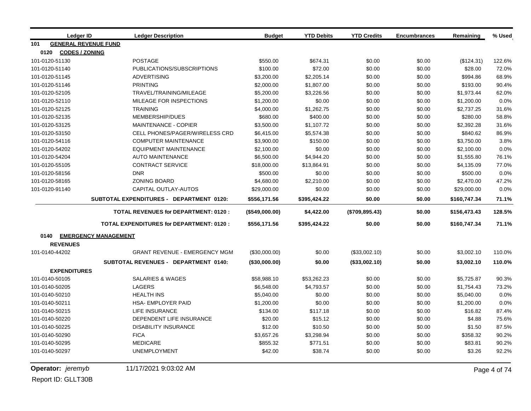| Ledger ID                     | <b>Ledger Description</b>                       | <b>Budget</b>  | <b>YTD Debits</b> | <b>YTD Credits</b> | <b>Encumbrances</b> | Remaining         | % Used         |
|-------------------------------|-------------------------------------------------|----------------|-------------------|--------------------|---------------------|-------------------|----------------|
| 101                           | <b>GENERAL REVENUE FUND</b>                     |                |                   |                    |                     |                   |                |
| 0120<br><b>CODES / ZONING</b> |                                                 |                |                   |                    |                     |                   |                |
| 101-0120-51130                | <b>POSTAGE</b>                                  | \$550.00       | \$674.31          | \$0.00             | \$0.00              | (\$124.31)        | 122.6%         |
| 101-0120-51140                | PUBLICATIONS/SUBSCRIPTIONS                      | \$100.00       | \$72.00           | \$0.00             | \$0.00              | \$28.00           | 72.0%          |
| 101-0120-51145                | <b>ADVERTISING</b>                              | \$3,200.00     | \$2,205.14        | \$0.00             | \$0.00              | \$994.86          | 68.9%          |
| 101-0120-51146                | <b>PRINTING</b>                                 | \$2,000.00     | \$1,807.00        | \$0.00             | \$0.00              | \$193.00          | 90.4%          |
| 101-0120-52105                | TRAVEL/TRAINING/MILEAGE                         | \$5,200.00     | \$3,226.56        | \$0.00             | \$0.00              | \$1,973.44        | 62.0%          |
| 101-0120-52110                | MILEAGE FOR INSPECTIONS                         | \$1,200.00     | \$0.00            | \$0.00             | \$0.00              | \$1,200.00        | 0.0%           |
| 101-0120-52125                | <b>TRAINING</b>                                 | \$4,000.00     | \$1,262.75        | \$0.00             | \$0.00              | \$2,737.25        | 31.6%          |
| 101-0120-52135                | MEMBERSHIP/DUES                                 | \$680.00       | \$400.00          | \$0.00             | \$0.00              | \$280.00          | 58.8%          |
| 101-0120-53125                | <b>MAINTENANCE - COPIER</b>                     | \$3,500.00     | \$1,107.72        | \$0.00             | \$0.00              | \$2,392.28        | 31.6%          |
| 101-0120-53150                | CELL PHONES/PAGER/WIRELESS CRD                  | \$6,415.00     | \$5,574.38        | \$0.00             | \$0.00              | \$840.62          | 86.9%          |
| 101-0120-54116                | <b>COMPUTER MAINTENANCE</b>                     | \$3,900.00     | \$150.00          | \$0.00             | \$0.00              | \$3,750.00        | 3.8%           |
| 101-0120-54202                | <b>EQUIPMENT MAINTENANCE</b>                    | \$2,100.00     | \$0.00            | \$0.00             | \$0.00              | \$2,100.00        | 0.0%           |
| 101-0120-54204                | <b>AUTO MAINTENANCE</b>                         | \$6,500.00     | \$4,944.20        | \$0.00             | \$0.00              | \$1,555.80        | 76.1%          |
| 101-0120-55105                | <b>CONTRACT SERVICE</b>                         | \$18,000.00    | \$13,864.91       | \$0.00             | \$0.00              | \$4,135.09        | 77.0%          |
| 101-0120-58156                | <b>DNR</b>                                      | \$500.00       | \$0.00            | \$0.00             | \$0.00              | \$500.00          | 0.0%           |
| 101-0120-58165                | <b>ZONING BOARD</b>                             | \$4,680.00     | \$2,210.00        | \$0.00             | \$0.00              | \$2,470.00        | 47.2%          |
| 101-0120-91140                | CAPITAL OUTLAY-AUTOS                            | \$29,000.00    | \$0.00            | \$0.00             | \$0.00              | \$29,000.00       | 0.0%           |
|                               | SUBTOTAL EXPENDITURES - DEPARTMENT 0120:        | \$556,171.56   | \$395,424.22      | \$0.00             | \$0.00              | \$160,747.34      | 71.1%          |
|                               | <b>TOTAL REVENUES for DEPARTMENT: 0120:</b>     | (\$549,000.00) | \$4,422.00        | (\$709, 895.43)    | \$0.00              | \$156,473.43      | 128.5%         |
|                               | <b>TOTAL EXPENDITURES for DEPARTMENT: 0120:</b> | \$556,171.56   | \$395,424.22      | \$0.00             | \$0.00              | \$160,747.34      | 71.1%          |
| 0140                          | <u>EMERGENCY MANAGEMENT</u>                     |                |                   |                    |                     |                   |                |
| <b>REVENUES</b>               |                                                 |                |                   |                    |                     |                   |                |
| 101-0140-44202                | <b>GRANT REVENUE - EMERGENCY MGM</b>            | (\$30,000.00)  | \$0.00            | (\$33,002.10)      | \$0.00              | \$3,002.10        | 110.0%         |
|                               | SUBTOTAL REVENUES - DEPARTMENT 0140:            | (\$30,000.00)  | \$0.00            | (\$33,002.10)      | \$0.00              | \$3,002.10        | 110.0%         |
| <b>EXPENDITURES</b>           |                                                 |                |                   |                    |                     |                   |                |
| 101-0140-50105                | <b>SALARIES &amp; WAGES</b>                     | \$58,988.10    | \$53,262.23       | \$0.00             | \$0.00              | \$5,725.87        | 90.3%          |
| 101-0140-50205                | <b>LAGERS</b>                                   | \$6,548.00     | \$4,793.57        | \$0.00             | \$0.00              | \$1,754.43        | 73.2%          |
| 101-0140-50210                | <b>HEALTH INS</b>                               | \$5,040.00     | \$0.00            | \$0.00             | \$0.00              | \$5,040.00        | 0.0%           |
| 101-0140-50211                | <b>HSA- EMPLOYER PAID</b>                       | \$1,200.00     | \$0.00            | \$0.00             | \$0.00              | \$1,200.00        | 0.0%           |
| 101-0140-50215                | LIFE INSURANCE                                  | \$134.00       | \$117.18          | \$0.00             | \$0.00              | \$16.82           | 87.4%          |
| 101-0140-50220                | DEPENDENT LIFE INSURANCE                        | \$20.00        | \$15.12           | \$0.00             | \$0.00              |                   | 75.6%          |
| 101-0140-50225                | <b>DISABILITY INSURANCE</b>                     |                |                   | \$0.00             |                     | \$4.88            | 87.5%          |
|                               |                                                 | \$12.00        | \$10.50           |                    | \$0.00              | \$1.50            |                |
| 101-0140-50290                | <b>FICA</b><br><b>MEDICARE</b>                  | \$3,657.26     | \$3,298.94        | \$0.00             | \$0.00              | \$358.32          | 90.2%          |
| 101-0140-50295                | UNEMPLOYMENT                                    | \$855.32       | \$771.51          | \$0.00             | \$0.00              | \$83.81<br>\$3.26 | 90.2%<br>92.2% |
| 101-0140-50297                |                                                 | \$42.00        | \$38.74           | \$0.00             | \$0.00              |                   |                |

**Operator:** *jeremyb* 11/17/2021 9:03:02 AM Page 4 of 74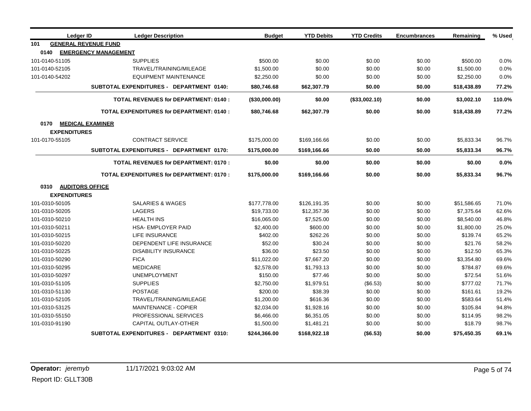| Ledger ID                        | <b>Ledger Description</b>                       | <b>Budget</b>          | <b>YTD Debits</b>      | <b>YTD Credits</b> | <b>Encumbrances</b> | Remaining                | % Used         |
|----------------------------------|-------------------------------------------------|------------------------|------------------------|--------------------|---------------------|--------------------------|----------------|
| 101                              | <b>GENERAL REVENUE FUND</b>                     |                        |                        |                    |                     |                          |                |
| 0140                             | <b>EMERGENCY MANAGEMENT</b>                     |                        |                        |                    |                     |                          |                |
| 101-0140-51105                   | <b>SUPPLIES</b>                                 | \$500.00               | \$0.00                 | \$0.00             | \$0.00              | \$500.00                 | 0.0%           |
| 101-0140-52105                   | TRAVEL/TRAINING/MILEAGE                         | \$1,500.00             | \$0.00                 | \$0.00             | \$0.00              | \$1,500.00               | 0.0%           |
| 101-0140-54202                   | <b>EQUIPMENT MAINTENANCE</b>                    | \$2,250.00             | \$0.00                 | \$0.00             | \$0.00              | \$2,250.00               | 0.0%           |
|                                  | SUBTOTAL EXPENDITURES - DEPARTMENT 0140:        | \$80,746.68            | \$62,307.79            | \$0.00             | \$0.00              | \$18,438.89              | 77.2%          |
|                                  | <b>TOTAL REVENUES for DEPARTMENT: 0140:</b>     | (\$30,000.00)          | \$0.00                 | (\$33,002.10)      | \$0.00              | \$3,002.10               | 110.0%         |
|                                  | <b>TOTAL EXPENDITURES for DEPARTMENT: 0140:</b> | \$80,746.68            | \$62,307.79            | \$0.00             | \$0.00              | \$18,438.89              | 77.2%          |
| 0170                             | <b>MEDICAL EXAMINER</b>                         |                        |                        |                    |                     |                          |                |
| <b>EXPENDITURES</b>              |                                                 |                        |                        |                    |                     |                          |                |
| 101-0170-55105                   | <b>CONTRACT SERVICE</b>                         | \$175,000.00           | \$169,166.66           | \$0.00             | \$0.00              | \$5,833.34               | 96.7%          |
|                                  | SUBTOTAL EXPENDITURES - DEPARTMENT 0170:        | \$175,000.00           | \$169,166.66           | \$0.00             | \$0.00              | \$5,833.34               | 96.7%          |
|                                  | <b>TOTAL REVENUES for DEPARTMENT: 0170:</b>     | \$0.00                 | \$0.00                 | \$0.00             | \$0.00              | \$0.00                   | 0.0%           |
|                                  | <b>TOTAL EXPENDITURES for DEPARTMENT: 0170:</b> | \$175,000.00           | \$169,166.66           | \$0.00             | \$0.00              | \$5,833.34               | 96.7%          |
| 0310                             | <b>AUDITORS OFFICE</b>                          |                        |                        |                    |                     |                          |                |
| <b>EXPENDITURES</b>              |                                                 |                        |                        |                    |                     |                          |                |
| 101-0310-50105                   | <b>SALARIES &amp; WAGES</b>                     | \$177,778.00           | \$126,191.35           | \$0.00             | \$0.00              | \$51,586.65              | 71.0%          |
| 101-0310-50205                   | LAGERS                                          | \$19,733.00            | \$12,357.36            | \$0.00             | \$0.00              | \$7,375.64               | 62.6%          |
| 101-0310-50210<br>101-0310-50211 | <b>HEALTH INS</b><br><b>HSA-EMPLOYER PAID</b>   | \$16,065.00            | \$7,525.00<br>\$600.00 | \$0.00<br>\$0.00   | \$0.00<br>\$0.00    | \$8,540.00<br>\$1,800.00 | 46.8%<br>25.0% |
| 101-0310-50215                   | <b>LIFE INSURANCE</b>                           | \$2,400.00<br>\$402.00 | \$262.26               | \$0.00             | \$0.00              | \$139.74                 | 65.2%          |
| 101-0310-50220                   | DEPENDENT LIFE INSURANCE                        | \$52.00                | \$30.24                | \$0.00             | \$0.00              | \$21.76                  | 58.2%          |
| 101-0310-50225                   | <b>DISABILITY INSURANCE</b>                     | \$36.00                | \$23.50                | \$0.00             | \$0.00              | \$12.50                  | 65.3%          |
| 101-0310-50290                   | <b>FICA</b>                                     | \$11,022.00            | \$7,667.20             | \$0.00             | \$0.00              | \$3,354.80               | 69.6%          |
| 101-0310-50295                   | <b>MEDICARE</b>                                 | \$2,578.00             | \$1,793.13             | \$0.00             | \$0.00              | \$784.87                 | 69.6%          |
| 101-0310-50297                   | <b>UNEMPLOYMENT</b>                             | \$150.00               | \$77.46                | \$0.00             | \$0.00              | \$72.54                  | 51.6%          |
| 101-0310-51105                   | <b>SUPPLIES</b>                                 | \$2,750.00             | \$1,979.51             | (\$6.53)           | \$0.00              | \$777.02                 | 71.7%          |
| 101-0310-51130                   | <b>POSTAGE</b>                                  | \$200.00               | \$38.39                | \$0.00             | \$0.00              | \$161.61                 | 19.2%          |
| 101-0310-52105                   | TRAVEL/TRAINING/MILEAGE                         | \$1,200.00             | \$616.36               | \$0.00             | \$0.00              | \$583.64                 | 51.4%          |
| 101-0310-53125                   | MAINTENANCE - COPIER                            | \$2,034.00             | \$1,928.16             | \$0.00             | \$0.00              | \$105.84                 | 94.8%          |
| 101-0310-55150                   | PROFESSIONAL SERVICES                           | \$6,466.00             | \$6,351.05             | \$0.00             | \$0.00              | \$114.95                 | 98.2%          |
| 101-0310-91190                   | CAPITAL OUTLAY-OTHER                            | \$1,500.00             | \$1,481.21             | \$0.00             | \$0.00              | \$18.79                  | 98.7%          |
|                                  | SUBTOTAL EXPENDITURES - DEPARTMENT 0310:        | \$244,366.00           | \$168.922.18           | ( \$6.53)          | \$0.00              | \$75,450.35              | 69.1%          |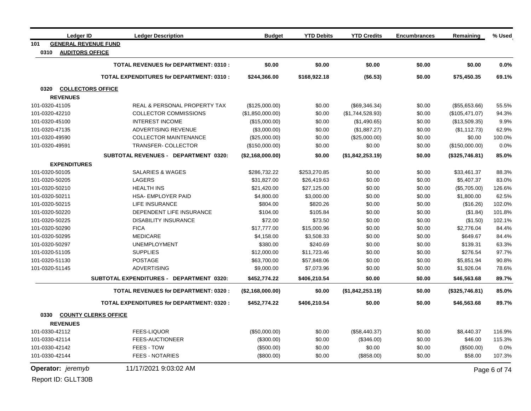| <b>Ledger ID</b>                   | <b>Ledger Description</b>                       | <b>Budget</b>    | <b>YTD Debits</b> | <b>YTD Credits</b> | <b>Encumbrances</b> | Remaining      | % Used       |
|------------------------------------|-------------------------------------------------|------------------|-------------------|--------------------|---------------------|----------------|--------------|
| <b>GENERAL REVENUE FUND</b><br>101 |                                                 |                  |                   |                    |                     |                |              |
| 0310<br><b>AUDITORS OFFICE</b>     |                                                 |                  |                   |                    |                     |                |              |
|                                    | <b>TOTAL REVENUES for DEPARTMENT: 0310:</b>     | \$0.00           | \$0.00            | \$0.00             | \$0.00              | \$0.00         | 0.0%         |
|                                    | <b>TOTAL EXPENDITURES for DEPARTMENT: 0310:</b> | \$244,366.00     | \$168,922.18      | ( \$6.53)          | \$0.00              | \$75,450.35    | 69.1%        |
| 0320<br><b>COLLECTORS OFFICE</b>   |                                                 |                  |                   |                    |                     |                |              |
| <b>REVENUES</b>                    |                                                 |                  |                   |                    |                     |                |              |
| 101-0320-41105                     | REAL & PERSONAL PROPERTY TAX                    | (\$125,000.00)   | \$0.00            | (\$69,346.34)      | \$0.00              | (\$55,653.66)  | 55.5%        |
| 101-0320-42210                     | <b>COLLECTOR COMMISSIONS</b>                    | (\$1,850,000.00) | \$0.00            | (\$1,744,528.93)   | \$0.00              | (\$105,471.07) | 94.3%        |
| 101-0320-45100                     | <b>INTEREST INCOME</b>                          | (\$15,000.00)    | \$0.00            | (\$1,490.65)       | \$0.00              | (\$13,509.35)  | 9.9%         |
| 101-0320-47135                     | ADVERTISING REVENUE                             | (\$3,000.00)     | \$0.00            | (\$1,887.27)       | \$0.00              | (\$1,112.73)   | 62.9%        |
| 101-0320-49590                     | <b>COLLECTOR MAINTENANCE</b>                    | (\$25,000.00)    | \$0.00            | (\$25,000.00)      | \$0.00              | \$0.00         | 100.0%       |
| 101-0320-49591                     | TRANSFER-COLLECTOR                              | (\$150,000.00)   | \$0.00            | \$0.00             | \$0.00              | (\$150,000.00) | 0.0%         |
|                                    | SUBTOTAL REVENUES - DEPARTMENT 0320:            | (\$2,168,000.00) | \$0.00            | (\$1,842,253.19)   | \$0.00              | (\$325,746.81) | 85.0%        |
| <b>EXPENDITURES</b>                |                                                 |                  |                   |                    |                     |                |              |
| 101-0320-50105                     | <b>SALARIES &amp; WAGES</b>                     | \$286,732.22     | \$253,270.85      | \$0.00             | \$0.00              | \$33,461.37    | 88.3%        |
| 101-0320-50205                     | <b>LAGERS</b>                                   | \$31,827.00      | \$26,419.63       | \$0.00             | \$0.00              | \$5,407.37     | 83.0%        |
| 101-0320-50210                     | <b>HEALTH INS</b>                               | \$21,420.00      | \$27,125.00       | \$0.00             | \$0.00              | (\$5,705.00)   | 126.6%       |
| 101-0320-50211                     | HSA- EMPLOYER PAID                              | \$4,800.00       | \$3,000.00        | \$0.00             | \$0.00              | \$1,800.00     | 62.5%        |
| 101-0320-50215                     | <b>LIFE INSURANCE</b>                           | \$804.00         | \$820.26          | \$0.00             | \$0.00              | (\$16.26)      | 102.0%       |
| 101-0320-50220                     | DEPENDENT LIFE INSURANCE                        | \$104.00         | \$105.84          | \$0.00             | \$0.00              | (\$1.84)       | 101.8%       |
| 101-0320-50225                     | <b>DISABILITY INSURANCE</b>                     | \$72.00          | \$73.50           | \$0.00             | \$0.00              | (\$1.50)       | 102.1%       |
| 101-0320-50290                     | <b>FICA</b>                                     | \$17,777.00      | \$15,000.96       | \$0.00             | \$0.00              | \$2,776.04     | 84.4%        |
| 101-0320-50295                     | <b>MEDICARE</b>                                 | \$4,158.00       | \$3,508.33        | \$0.00             | \$0.00              | \$649.67       | 84.4%        |
| 101-0320-50297                     | <b>UNEMPLOYMENT</b>                             | \$380.00         | \$240.69          | \$0.00             | \$0.00              | \$139.31       | 63.3%        |
| 101-0320-51105                     | <b>SUPPLIES</b>                                 | \$12,000.00      | \$11,723.46       | \$0.00             | \$0.00              | \$276.54       | 97.7%        |
| 101-0320-51130                     | POSTAGE                                         | \$63,700.00      | \$57,848.06       | \$0.00             | \$0.00              | \$5,851.94     | 90.8%        |
| 101-0320-51145                     | <b>ADVERTISING</b>                              | \$9,000.00       | \$7,073.96        | \$0.00             | \$0.00              | \$1,926.04     | 78.6%        |
|                                    | SUBTOTAL EXPENDITURES - DEPARTMENT 0320:        | \$452,774.22     | \$406,210.54      | \$0.00             | \$0.00              | \$46,563.68    | 89.7%        |
|                                    | TOTAL REVENUES for DEPARTMENT: 0320:            | (\$2,168,000.00) | \$0.00            | (\$1,842,253.19)   | \$0.00              | (\$325,746.81) | 85.0%        |
|                                    | <b>TOTAL EXPENDITURES for DEPARTMENT: 0320:</b> | \$452,774.22     | \$406,210.54      | \$0.00             | \$0.00              | \$46,563.68    | 89.7%        |
| 0330                               | <b>COUNTY CLERKS OFFICE</b>                     |                  |                   |                    |                     |                |              |
| <b>REVENUES</b>                    |                                                 |                  |                   |                    |                     |                |              |
| 101-0330-42112                     | <b>FEES-LIQUOR</b>                              | (\$50,000.00)    | \$0.00            | (\$58,440.37)      | \$0.00              | \$8,440.37     | 116.9%       |
| 101-0330-42114                     | FEES-AUCTIONEER                                 | (\$300.00)       | \$0.00            | (\$346.00)         | \$0.00              | \$46.00        | 115.3%       |
| 101-0330-42142                     | FEES - TOW                                      | (\$500.00)       | \$0.00            | \$0.00             | \$0.00              | (\$500.00)     | 0.0%         |
| 101-0330-42144                     | <b>FEES - NOTARIES</b>                          | $(\$800.00)$     | \$0.00            | (\$858.00)         | \$0.00              | \$58.00        | 107.3%       |
| Operator: jeremyb                  | 11/17/2021 9:03:02 AM                           |                  |                   |                    |                     |                | Page 6 of 74 |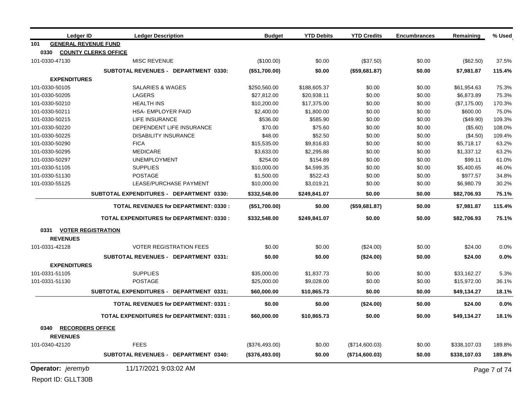| Ledger ID                          | <b>Ledger Description</b>                       | <b>Budget</b>  | <b>YTD Debits</b> | <b>YTD Credits</b> | <b>Encumbrances</b> | Remaining    | % Used       |
|------------------------------------|-------------------------------------------------|----------------|-------------------|--------------------|---------------------|--------------|--------------|
| <b>GENERAL REVENUE FUND</b><br>101 |                                                 |                |                   |                    |                     |              |              |
| 0330                               | <b>COUNTY CLERKS OFFICE</b>                     |                |                   |                    |                     |              |              |
| 101-0330-47130                     | <b>MISC REVENUE</b>                             | (\$100.00)     | \$0.00            | (\$37.50)          | \$0.00              | (\$62.50)    | 37.5%        |
|                                    | <b>SUBTOTAL REVENUES - DEPARTMENT 0330:</b>     | (\$51,700.00)  | \$0.00            | (\$59,681.87)      | \$0.00              | \$7,981.87   | 115.4%       |
| <b>EXPENDITURES</b>                |                                                 |                |                   |                    |                     |              |              |
| 101-0330-50105                     | SALARIES & WAGES                                | \$250,560.00   | \$188,605.37      | \$0.00             | \$0.00              | \$61,954.63  | 75.3%        |
| 101-0330-50205                     | LAGERS                                          | \$27,812.00    | \$20,938.11       | \$0.00             | \$0.00              | \$6,873.89   | 75.3%        |
| 101-0330-50210                     | <b>HEALTH INS</b>                               | \$10,200.00    | \$17,375.00       | \$0.00             | \$0.00              | (\$7,175.00) | 170.3%       |
| 101-0330-50211                     | HSA- EMPLOYER PAID                              | \$2,400.00     | \$1,800.00        | \$0.00             | \$0.00              | \$600.00     | 75.0%        |
| 101-0330-50215                     | LIFE INSURANCE                                  | \$536.00       | \$585.90          | \$0.00             | \$0.00              | $(\$49.90)$  | 109.3%       |
| 101-0330-50220                     | DEPENDENT LIFE INSURANCE                        | \$70.00        | \$75.60           | \$0.00             | \$0.00              | (\$5.60)     | 108.0%       |
| 101-0330-50225                     | <b>DISABILITY INSURANCE</b>                     | \$48.00        | \$52.50           | \$0.00             | \$0.00              | (\$4.50)     | 109.4%       |
| 101-0330-50290                     | <b>FICA</b>                                     | \$15,535.00    | \$9,816.83        | \$0.00             | \$0.00              | \$5,718.17   | 63.2%        |
| 101-0330-50295                     | <b>MEDICARE</b>                                 | \$3,633.00     | \$2,295.88        | \$0.00             | \$0.00              | \$1,337.12   | 63.2%        |
| 101-0330-50297                     | <b>UNEMPLOYMENT</b>                             | \$254.00       | \$154.89          | \$0.00             | \$0.00              | \$99.11      | 61.0%        |
| 101-0330-51105                     | <b>SUPPLIES</b>                                 | \$10,000.00    | \$4,599.35        | \$0.00             | \$0.00              | \$5,400.65   | 46.0%        |
| 101-0330-51130                     | <b>POSTAGE</b>                                  | \$1,500.00     | \$522.43          | \$0.00             | \$0.00              | \$977.57     | 34.8%        |
| 101-0330-55125                     | LEASE/PURCHASE PAYMENT                          | \$10,000.00    | \$3,019.21        | \$0.00             | \$0.00              | \$6,980.79   | 30.2%        |
|                                    | SUBTOTAL EXPENDITURES - DEPARTMENT 0330:        | \$332,548.00   | \$249,841.07      | \$0.00             | \$0.00              | \$82,706.93  | 75.1%        |
|                                    | <b>TOTAL REVENUES for DEPARTMENT: 0330:</b>     | (\$51,700.00)  | \$0.00            | (\$59,681.87)      | \$0.00              | \$7,981.87   | 115.4%       |
|                                    | <b>TOTAL EXPENDITURES for DEPARTMENT: 0330:</b> | \$332,548.00   | \$249,841.07      | \$0.00             | \$0.00              | \$82,706.93  | 75.1%        |
| <b>VOTER REGISTRATION</b><br>0331  |                                                 |                |                   |                    |                     |              |              |
| <b>REVENUES</b>                    |                                                 |                |                   |                    |                     |              |              |
| 101-0331-42128                     | <b>VOTER REGISTRATION FEES</b>                  | \$0.00         | \$0.00            | (\$24.00)          | \$0.00              | \$24.00      | 0.0%         |
|                                    | SUBTOTAL REVENUES - DEPARTMENT 0331:            | \$0.00         | \$0.00            | (\$24.00)          | \$0.00              | \$24.00      | 0.0%         |
| <b>EXPENDITURES</b>                |                                                 |                |                   |                    |                     |              |              |
| 101-0331-51105                     | <b>SUPPLIES</b>                                 | \$35,000.00    | \$1,837.73        | \$0.00             | \$0.00              | \$33,162.27  | 5.3%         |
| 101-0331-51130                     | <b>POSTAGE</b>                                  | \$25,000.00    | \$9,028.00        | \$0.00             | \$0.00              | \$15,972.00  | 36.1%        |
|                                    | SUBTOTAL EXPENDITURES - DEPARTMENT 0331:        | \$60,000,00    | \$10.865.73       | \$0.00             | \$0.00              | \$49,134.27  | 18.1%        |
|                                    | <b>TOTAL REVENUES for DEPARTMENT: 0331:</b>     | \$0.00         | \$0.00            | (\$24.00)          | \$0.00              | \$24.00      | 0.0%         |
|                                    | <b>TOTAL EXPENDITURES for DEPARTMENT: 0331:</b> | \$60,000.00    | \$10,865.73       | \$0.00             | \$0.00              | \$49,134.27  | 18.1%        |
|                                    |                                                 |                |                   |                    |                     |              |              |
| 0340<br><b>RECORDERS OFFICE</b>    |                                                 |                |                   |                    |                     |              |              |
| <b>REVENUES</b>                    |                                                 |                |                   |                    |                     |              |              |
| 101-0340-42120                     | <b>FEES</b>                                     | (\$376,493.00) | \$0.00            | (\$714,600.03)     | \$0.00              | \$338,107.03 | 189.8%       |
|                                    | SUBTOTAL REVENUES - DEPARTMENT 0340:            | (\$376,493.00) | \$0.00            | (\$714,600.03)     | \$0.00              | \$338,107.03 | 189.8%       |
| Operator: jeremyb                  | 11/17/2021 9:03:02 AM                           |                |                   |                    |                     |              | Page 7 of 74 |
| Report ID: GLLT30B                 |                                                 |                |                   |                    |                     |              |              |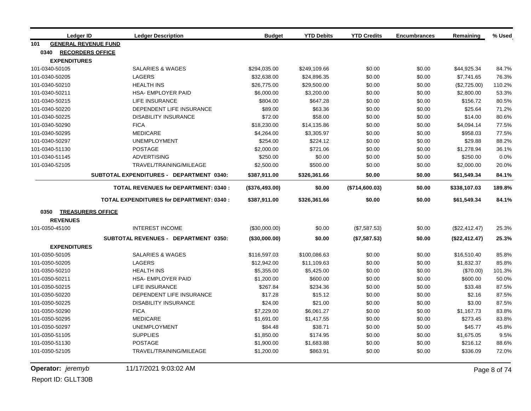| <b>Ledger ID</b>                   | <b>Ledger Description</b>                       | <b>Budget</b>  | <b>YTD Debits</b> | <b>YTD Credits</b> | <b>Encumbrances</b> | Remaining     | % Used |
|------------------------------------|-------------------------------------------------|----------------|-------------------|--------------------|---------------------|---------------|--------|
| <b>GENERAL REVENUE FUND</b><br>101 |                                                 |                |                   |                    |                     |               |        |
| <b>RECORDERS OFFICE</b><br>0340    |                                                 |                |                   |                    |                     |               |        |
| <b>EXPENDITURES</b>                |                                                 |                |                   |                    |                     |               |        |
| 101-0340-50105                     | <b>SALARIES &amp; WAGES</b>                     | \$294,035.00   | \$249,109.66      | \$0.00             | \$0.00              | \$44,925.34   | 84.7%  |
| 101-0340-50205                     | <b>LAGERS</b>                                   | \$32,638.00    | \$24,896.35       | \$0.00             | \$0.00              | \$7,741.65    | 76.3%  |
| 101-0340-50210                     | <b>HEALTH INS</b>                               | \$26,775.00    | \$29,500.00       | \$0.00             | \$0.00              | (\$2,725.00)  | 110.2% |
| 101-0340-50211                     | <b>HSA- EMPLOYER PAID</b>                       | \$6,000.00     | \$3,200.00        | \$0.00             | \$0.00              | \$2,800.00    | 53.3%  |
| 101-0340-50215                     | <b>LIFE INSURANCE</b>                           | \$804.00       | \$647.28          | \$0.00             | \$0.00              | \$156.72      | 80.5%  |
| 101-0340-50220                     | DEPENDENT LIFE INSURANCE                        | \$89.00        | \$63.36           | \$0.00             | \$0.00              | \$25.64       | 71.2%  |
| 101-0340-50225                     | <b>DISABILITY INSURANCE</b>                     | \$72.00        | \$58.00           | \$0.00             | \$0.00              | \$14.00       | 80.6%  |
| 101-0340-50290                     | <b>FICA</b>                                     | \$18,230.00    | \$14,135.86       | \$0.00             | \$0.00              | \$4,094.14    | 77.5%  |
| 101-0340-50295                     | <b>MEDICARE</b>                                 | \$4,264.00     | \$3,305.97        | \$0.00             | \$0.00              | \$958.03      | 77.5%  |
| 101-0340-50297                     | <b>UNEMPLOYMENT</b>                             | \$254.00       | \$224.12          | \$0.00             | \$0.00              | \$29.88       | 88.2%  |
| 101-0340-51130                     | <b>POSTAGE</b>                                  | \$2,000.00     | \$721.06          | \$0.00             | \$0.00              | \$1,278.94    | 36.1%  |
| 101-0340-51145                     | <b>ADVERTISING</b>                              | \$250.00       | \$0.00            | \$0.00             | \$0.00              | \$250.00      | 0.0%   |
| 101-0340-52105                     | TRAVEL/TRAINING/MILEAGE                         | \$2,500.00     | \$500.00          | \$0.00             | \$0.00              | \$2,000.00    | 20.0%  |
|                                    | SUBTOTAL EXPENDITURES - DEPARTMENT 0340:        | \$387,911.00   | \$326,361.66      | \$0.00             | \$0.00              | \$61,549.34   | 84.1%  |
|                                    | <b>TOTAL REVENUES for DEPARTMENT: 0340:</b>     | (\$376,493.00) | \$0.00            | (\$714,600.03)     | \$0.00              | \$338,107.03  | 189.8% |
|                                    | <b>TOTAL EXPENDITURES for DEPARTMENT: 0340:</b> | \$387,911.00   | \$326,361.66      | \$0.00             | \$0.00              | \$61,549.34   | 84.1%  |
| 0350<br><b>TREASURERS OFFICE</b>   |                                                 |                |                   |                    |                     |               |        |
| <b>REVENUES</b>                    |                                                 |                |                   |                    |                     |               |        |
| 101-0350-45100                     | <b>INTEREST INCOME</b>                          | (\$30,000.00)  | \$0.00            | (\$7,587.53)       | \$0.00              | (\$22,412.47) | 25.3%  |
|                                    | SUBTOTAL REVENUES - DEPARTMENT 0350:            | (\$30,000.00)  | \$0.00            | (\$7,587.53)       | \$0.00              | (\$22,412.47) | 25.3%  |
| <b>EXPENDITURES</b>                |                                                 |                |                   |                    |                     |               |        |
| 101-0350-50105                     | <b>SALARIES &amp; WAGES</b>                     | \$116,597.03   | \$100,086.63      | \$0.00             | \$0.00              | \$16,510.40   | 85.8%  |
| 101-0350-50205                     | <b>LAGERS</b>                                   | \$12,942.00    | \$11,109.63       | \$0.00             | \$0.00              | \$1,832.37    | 85.8%  |
| 101-0350-50210                     | <b>HEALTH INS</b>                               | \$5,355.00     | \$5,425.00        | \$0.00             | \$0.00              | (\$70.00)     | 101.3% |
| 101-0350-50211                     | HSA- EMPLOYER PAID                              | \$1,200.00     | \$600.00          | \$0.00             | \$0.00              | \$600.00      | 50.0%  |
| 101-0350-50215                     | <b>LIFE INSURANCE</b>                           | \$267.84       | \$234.36          | \$0.00             | \$0.00              | \$33.48       | 87.5%  |
| 101-0350-50220                     | DEPENDENT LIFE INSURANCE                        | \$17.28        | \$15.12           | \$0.00             | \$0.00              | \$2.16        | 87.5%  |
| 101-0350-50225                     | <b>DISABILITY INSURANCE</b>                     | \$24.00        | \$21.00           | \$0.00             | \$0.00              | \$3.00        | 87.5%  |
| 101-0350-50290                     | <b>FICA</b>                                     | \$7,229.00     | \$6,061.27        | \$0.00             | \$0.00              | \$1,167.73    | 83.8%  |
| 101-0350-50295                     | <b>MEDICARE</b>                                 | \$1,691.00     | \$1,417.55        | \$0.00             | \$0.00              | \$273.45      | 83.8%  |
| 101-0350-50297                     | <b>UNEMPLOYMENT</b>                             | \$84.48        | \$38.71           | \$0.00             | \$0.00              | \$45.77       | 45.8%  |
| 101-0350-51105                     | <b>SUPPLIES</b>                                 | \$1,850.00     | \$174.95          | \$0.00             | \$0.00              | \$1,675.05    | 9.5%   |
| 101-0350-51130                     | <b>POSTAGE</b>                                  | \$1,900.00     | \$1,683.88        | \$0.00             | \$0.00              | \$216.12      | 88.6%  |
| 101-0350-52105                     | TRAVEL/TRAINING/MILEAGE                         | \$1,200.00     | \$863.91          | \$0.00             | \$0.00              | \$336.09      | 72.0%  |

**Operator:** *jeremyb* 11/17/2021 9:03:02 AM Page 8 of 74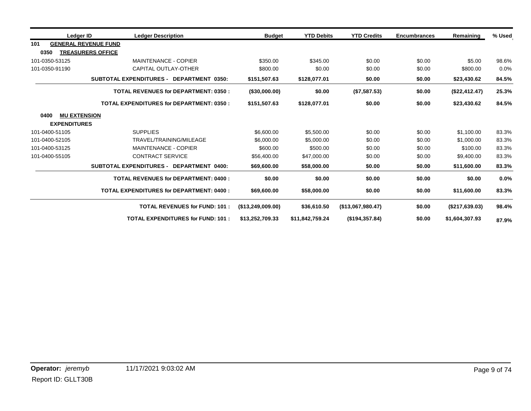| Ledger ID                   | <b>Ledger Description</b>                       | <b>Budget</b>        | <b>YTD Debits</b> | <b>YTD Credits</b> | <b>Encumbrances</b> | Remaining      | % Used |
|-----------------------------|-------------------------------------------------|----------------------|-------------------|--------------------|---------------------|----------------|--------|
| 101                         | <b>GENERAL REVENUE FUND</b>                     |                      |                   |                    |                     |                |        |
| 0350                        | <b>TREASURERS OFFICE</b>                        |                      |                   |                    |                     |                |        |
| 101-0350-53125              | <b>MAINTENANCE - COPIER</b>                     | \$350.00             | \$345.00          | \$0.00             | \$0.00              | \$5.00         | 98.6%  |
| 101-0350-91190              | CAPITAL OUTLAY-OTHER                            | \$800.00             | \$0.00            | \$0.00             | \$0.00              | \$800.00       | 0.0%   |
|                             | SUBTOTAL EXPENDITURES - DEPARTMENT 0350:        | \$151,507.63         | \$128,077.01      | \$0.00             | \$0.00              | \$23,430.62    | 84.5%  |
|                             | <b>TOTAL REVENUES for DEPARTMENT: 0350:</b>     | $($ \$30,000.00)     | \$0.00            | (\$7,587.53)       | \$0.00              | (\$22,412.47)  | 25.3%  |
|                             | <b>TOTAL EXPENDITURES for DEPARTMENT: 0350:</b> | \$151,507.63         | \$128,077.01      | \$0.00             | \$0.00              | \$23,430.62    | 84.5%  |
| <b>MU EXTENSION</b><br>0400 |                                                 |                      |                   |                    |                     |                |        |
| <b>EXPENDITURES</b>         |                                                 |                      |                   |                    |                     |                |        |
| 101-0400-51105              | <b>SUPPLIES</b>                                 | \$6,600.00           | \$5,500.00        | \$0.00             | \$0.00              | \$1,100.00     | 83.3%  |
| 101-0400-52105              | TRAVEL/TRAINING/MILEAGE                         | \$6,000.00           | \$5,000.00        | \$0.00             | \$0.00              | \$1,000.00     | 83.3%  |
| 101-0400-53125              | <b>MAINTENANCE - COPIER</b>                     | \$600.00             | \$500.00          | \$0.00             | \$0.00              | \$100.00       | 83.3%  |
| 101-0400-55105              | <b>CONTRACT SERVICE</b>                         | \$56,400.00          | \$47,000.00       | \$0.00             | \$0.00              | \$9,400.00     | 83.3%  |
|                             | SUBTOTAL EXPENDITURES - DEPARTMENT 0400:        | \$69,600.00          | \$58,000.00       | \$0.00             | \$0.00              | \$11,600.00    | 83.3%  |
|                             | <b>TOTAL REVENUES for DEPARTMENT: 0400:</b>     | \$0.00               | \$0.00            | \$0.00             | \$0.00              | \$0.00         | 0.0%   |
|                             | <b>TOTAL EXPENDITURES for DEPARTMENT: 0400:</b> | \$69,600.00          | \$58,000.00       | \$0.00             | \$0.00              | \$11,600.00    | 83.3%  |
|                             | <b>TOTAL REVENUES for FUND: 101:</b>            | $($ \$13,249,009.00) | \$36,610.50       | (\$13,067,980.47)  | \$0.00              | (\$217,639.03) | 98.4%  |
|                             | <b>TOTAL EXPENDITURES for FUND: 101:</b>        | \$13,252,709.33      | \$11,842,759.24   | (\$194,357.84)     | \$0.00              | \$1,604,307.93 | 87.9%  |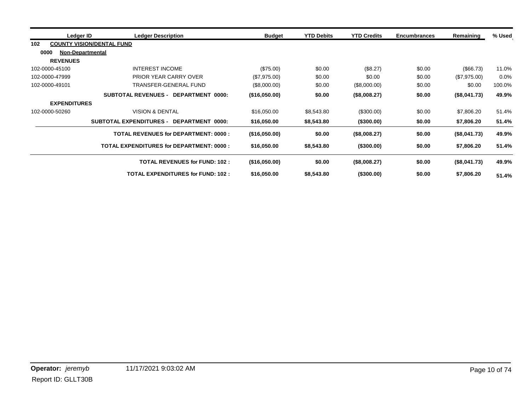| Ledger ID                       | <b>Ledger Description</b>                          | <b>Budget</b> | <b>YTD Debits</b> | <b>YTD Credits</b> | <b>Encumbrances</b> | Remaining    | % Used |
|---------------------------------|----------------------------------------------------|---------------|-------------------|--------------------|---------------------|--------------|--------|
| 102                             | <b>COUNTY VISION/DENTAL FUND</b>                   |               |                   |                    |                     |              |        |
| 0000<br><b>Non-Departmental</b> |                                                    |               |                   |                    |                     |              |        |
| <b>REVENUES</b>                 |                                                    |               |                   |                    |                     |              |        |
| 102-0000-45100                  | <b>INTEREST INCOME</b>                             | (\$75.00)     | \$0.00            | (\$8.27)           | \$0.00              | (\$66.73)    | 11.0%  |
| 102-0000-47999                  | PRIOR YEAR CARRY OVER                              | (\$7,975.00)  | \$0.00            | \$0.00             | \$0.00              | (\$7,975.00) | 0.0%   |
| 102-0000-49101                  | TRANSFER-GENERAL FUND                              | (\$8,000.00)  | \$0.00            | (\$8,000.00)       | \$0.00              | \$0.00       | 100.0% |
|                                 | <b>SUBTOTAL REVENUES -</b><br>DEPARTMENT 0000:     | (\$16,050.00) | \$0.00            | (\$8,008.27)       | \$0.00              | (\$8,041.73) | 49.9%  |
| <b>EXPENDITURES</b>             |                                                    |               |                   |                    |                     |              |        |
| 102-0000-50260                  | <b>VISION &amp; DENTAL</b>                         | \$16,050.00   | \$8,543.80        | $(\$300.00)$       | \$0.00              | \$7,806.20   | 51.4%  |
|                                 | <b>SUBTOTAL EXPENDITURES -</b><br>DEPARTMENT 0000: | \$16,050.00   | \$8,543.80        | (\$300.00)         | \$0.00              | \$7,806.20   | 51.4%  |
|                                 | <b>TOTAL REVENUES for DEPARTMENT: 0000:</b>        | (\$16,050.00) | \$0.00            | (\$8,008.27)       | \$0.00              | (\$8,041.73) | 49.9%  |
|                                 | <b>TOTAL EXPENDITURES for DEPARTMENT: 0000:</b>    | \$16,050.00   | \$8,543.80        | $($ \$300.00)      | \$0.00              | \$7,806.20   | 51.4%  |
|                                 | <b>TOTAL REVENUES for FUND: 102:</b>               | (\$16,050.00) | \$0.00            | (\$8,008.27)       | \$0.00              | (\$8,041.73) | 49.9%  |
|                                 | <b>TOTAL EXPENDITURES for FUND: 102:</b>           | \$16,050.00   | \$8,543.80        | (\$300.00)         | \$0.00              | \$7,806.20   | 51.4%  |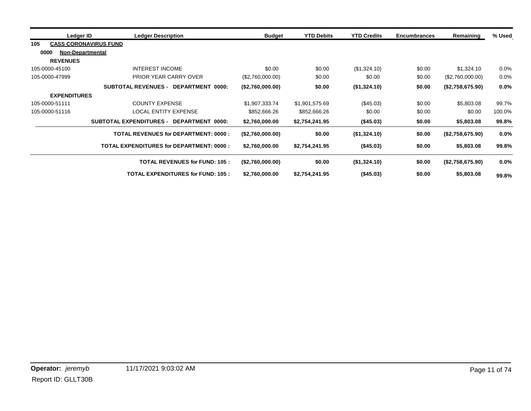| Ledger ID                       | <b>Ledger Description</b>                          | <b>Budget</b>    | <b>YTD Debits</b> | <b>YTD Credits</b> | <b>Encumbrances</b> | Remaining        | % Used  |
|---------------------------------|----------------------------------------------------|------------------|-------------------|--------------------|---------------------|------------------|---------|
| 105                             | <b>CASS CORONAVIRUS FUND</b>                       |                  |                   |                    |                     |                  |         |
| 0000<br><b>Non-Departmental</b> |                                                    |                  |                   |                    |                     |                  |         |
| <b>REVENUES</b>                 |                                                    |                  |                   |                    |                     |                  |         |
| 105-0000-45100                  | <b>INTEREST INCOME</b>                             | \$0.00           | \$0.00            | (\$1,324.10)       | \$0.00              | \$1,324.10       | 0.0%    |
| 105-0000-47999                  | <b>PRIOR YEAR CARRY OVER</b>                       | (\$2,760,000.00) | \$0.00            | \$0.00             | \$0.00              | (\$2,760,000.00) | 0.0%    |
|                                 | <b>SUBTOTAL REVENUES - DEPARTMENT 0000:</b>        | (\$2,760,000.00) | \$0.00            | (\$1,324.10)       | \$0.00              | (\$2,758,675.90) | $0.0\%$ |
| <b>EXPENDITURES</b>             |                                                    |                  |                   |                    |                     |                  |         |
| 105-0000-51111                  | <b>COUNTY EXPENSE</b>                              | \$1,907,333.74   | \$1,901,575.69    | $(\$45.03)$        | \$0.00              | \$5,803.08       | 99.7%   |
| 105-0000-51116                  | <b>LOCAL ENTITY EXPENSE</b>                        | \$852,666.26     | \$852,666.26      | \$0.00             | \$0.00              | \$0.00           | 100.0%  |
|                                 | <b>SUBTOTAL EXPENDITURES -</b><br>DEPARTMENT 0000: | \$2,760,000.00   | \$2,754,241.95    | (\$45.03)          | \$0.00              | \$5,803.08       | 99.8%   |
|                                 | <b>TOTAL REVENUES for DEPARTMENT: 0000:</b>        | (\$2,760,000.00) | \$0.00            | (\$1,324.10)       | \$0.00              | (\$2,758,675.90) | $0.0\%$ |
|                                 | <b>TOTAL EXPENDITURES for DEPARTMENT: 0000:</b>    | \$2,760,000.00   | \$2,754,241.95    | (\$45.03)          | \$0.00              | \$5,803.08       | 99.8%   |
|                                 | <b>TOTAL REVENUES for FUND: 105:</b>               | (\$2,760,000.00) | \$0.00            | (\$1,324.10)       | \$0.00              | (\$2,758,675.90) | $0.0\%$ |
|                                 | <b>TOTAL EXPENDITURES for FUND: 105:</b>           | \$2,760,000.00   | \$2,754,241.95    | $($ \$45.03)       | \$0.00              | \$5,803.08       | 99.8%   |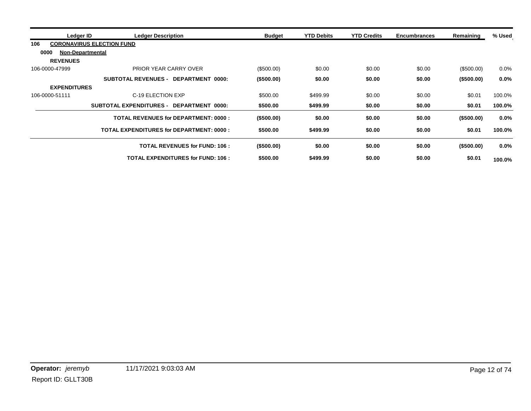|                     | Ledger ID<br><b>Ledger Description</b>          | <b>Budget</b> | <b>YTD Debits</b> | <b>YTD Credits</b> | <b>Encumbrances</b> | Remaining     | % Used  |
|---------------------|-------------------------------------------------|---------------|-------------------|--------------------|---------------------|---------------|---------|
| 106                 | <b>CORONAVIRUS ELECTION FUND</b>                |               |                   |                    |                     |               |         |
| 0000                | <b>Non-Departmental</b>                         |               |                   |                    |                     |               |         |
| <b>REVENUES</b>     |                                                 |               |                   |                    |                     |               |         |
| 106-0000-47999      | PRIOR YEAR CARRY OVER                           | (\$500.00)    | \$0.00            | \$0.00             | \$0.00              | (\$500.00)    | 0.0%    |
|                     | SUBTOTAL REVENUES - DEPARTMENT<br>0000:         | (\$500.00)    | \$0.00            | \$0.00             | \$0.00              | $($ \$500.00) | 0.0%    |
| <b>EXPENDITURES</b> |                                                 |               |                   |                    |                     |               |         |
| 106-0000-51111      | C-19 ELECTION EXP                               | \$500.00      | \$499.99          | \$0.00             | \$0.00              | \$0.01        | 100.0%  |
|                     | SUBTOTAL EXPENDITURES - DEPARTMENT 0000:        | \$500.00      | \$499.99          | \$0.00             | \$0.00              | \$0.01        | 100.0%  |
|                     | <b>TOTAL REVENUES for DEPARTMENT: 0000:</b>     | $($ \$500.00) | \$0.00            | \$0.00             | \$0.00              | (\$500.00)    | 0.0%    |
|                     | <b>TOTAL EXPENDITURES for DEPARTMENT: 0000:</b> | \$500.00      | \$499.99          | \$0.00             | \$0.00              | \$0.01        | 100.0%  |
|                     | <b>TOTAL REVENUES for FUND: 106:</b>            | $($ \$500.00) | \$0.00            | \$0.00             | \$0.00              | $($ \$500.00) | $0.0\%$ |
|                     | <b>TOTAL EXPENDITURES for FUND: 106:</b>        | \$500.00      | \$499.99          | \$0.00             | \$0.00              | \$0.01        | 100.0%  |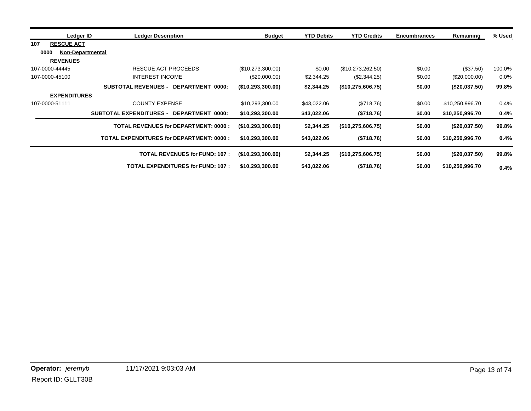|      | Ledger ID               | <b>Ledger Description</b>                       | <b>Budget</b>        | <b>YTD Debits</b> | <b>YTD Credits</b> | <b>Encumbrances</b> | Remaining       | % Used  |
|------|-------------------------|-------------------------------------------------|----------------------|-------------------|--------------------|---------------------|-----------------|---------|
| 107  | <b>RESCUE ACT</b>       |                                                 |                      |                   |                    |                     |                 |         |
| 0000 | <b>Non-Departmental</b> |                                                 |                      |                   |                    |                     |                 |         |
|      | <b>REVENUES</b>         |                                                 |                      |                   |                    |                     |                 |         |
|      | 107-0000-44445          | RESCUE ACT PROCEEDS                             | (\$10,273,300.00)    | \$0.00            | (\$10,273,262.50)  | \$0.00              | (\$37.50)       | 100.0%  |
|      | 107-0000-45100          | <b>INTEREST INCOME</b>                          | (S20,000.00)         | \$2,344.25        | (\$2,344.25)       | \$0.00              | (\$20,000.00)   | $0.0\%$ |
|      |                         | SUBTOTAL REVENUES - DEPARTMENT<br>0000:         | $($ \$10,293,300.00) | \$2,344.25        | (\$10,275,606.75)  | \$0.00              | (\$20,037.50)   | 99.8%   |
|      | <b>EXPENDITURES</b>     |                                                 |                      |                   |                    |                     |                 |         |
|      | 107-0000-51111          | <b>COUNTY EXPENSE</b>                           | \$10,293,300.00      | \$43,022.06       | (\$718.76)         | \$0.00              | \$10,250,996.70 | $0.4\%$ |
|      |                         | SUBTOTAL EXPENDITURES - DEPARTMENT<br>0000:     | \$10,293,300.00      | \$43,022.06       | (\$718.76)         | \$0.00              | \$10,250,996.70 | 0.4%    |
|      |                         | <b>TOTAL REVENUES for DEPARTMENT: 0000:</b>     | $($ \$10,293,300.00) | \$2,344.25        | (\$10,275,606.75)  | \$0.00              | (\$20,037.50)   | 99.8%   |
|      |                         | <b>TOTAL EXPENDITURES for DEPARTMENT: 0000:</b> | \$10,293,300.00      | \$43,022.06       | (\$718.76)         | \$0.00              | \$10,250,996.70 | 0.4%    |
|      |                         | <b>TOTAL REVENUES for FUND: 107:</b>            | $($ \$10,293,300.00) | \$2,344.25        | (\$10,275,606.75)  | \$0.00              | (S20, 037.50)   | 99.8%   |
|      |                         | <b>TOTAL EXPENDITURES for FUND: 107:</b>        | \$10,293,300.00      | \$43,022.06       | (\$718.76)         | \$0.00              | \$10,250,996.70 | 0.4%    |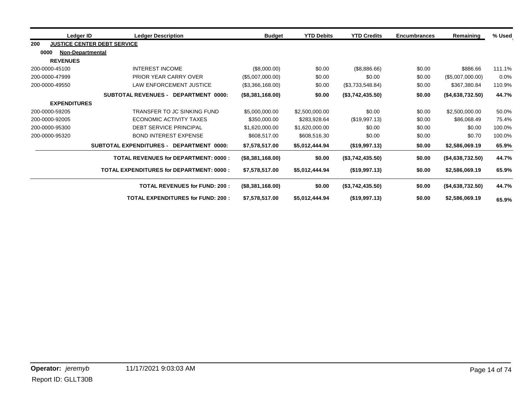| Ledger ID                       | <b>Ledger Description</b>                          | <b>Budget</b>    | <b>YTD Debits</b> | <b>YTD Credits</b> | <b>Encumbrances</b> | Remaining        | % Used  |
|---------------------------------|----------------------------------------------------|------------------|-------------------|--------------------|---------------------|------------------|---------|
| 200                             | <b>JUSTICE CENTER DEBT SERVICE</b>                 |                  |                   |                    |                     |                  |         |
| 0000<br><b>Non-Departmental</b> |                                                    |                  |                   |                    |                     |                  |         |
| <b>REVENUES</b>                 |                                                    |                  |                   |                    |                     |                  |         |
| 200-0000-45100                  | <b>INTEREST INCOME</b>                             | (\$8,000.00)     | \$0.00            | (\$8,886.66)       | \$0.00              | \$886.66         | 111.1%  |
| 200-0000-47999                  | <b>PRIOR YEAR CARRY OVER</b>                       | (\$5,007,000.00) | \$0.00            | \$0.00             | \$0.00              | (\$5,007,000.00) | $0.0\%$ |
| 200-0000-49550                  | <b>LAW ENFORCEMENT JUSTICE</b>                     | (\$3,366,168.00) | \$0.00            | (\$3,733,548.84)   | \$0.00              | \$367,380.84     | 110.9%  |
|                                 | <b>SUBTOTAL REVENUES -</b><br>DEPARTMENT 0000:     | (\$8,381,168.00) | \$0.00            | (\$3,742,435.50)   | \$0.00              | (\$4,638,732.50) | 44.7%   |
| <b>EXPENDITURES</b>             |                                                    |                  |                   |                    |                     |                  |         |
| 200-0000-59205                  | TRANSFER TO JC SINKING FUND                        | \$5,000,000.00   | \$2,500,000.00    | \$0.00             | \$0.00              | \$2,500,000.00   | 50.0%   |
| 200-0000-92005                  | ECONOMIC ACTIVITY TAXES                            | \$350,000.00     | \$283,928.64      | (\$19,997.13)      | \$0.00              | \$86,068.49      | 75.4%   |
| 200-0000-95300                  | <b>DEBT SERVICE PRINCIPAL</b>                      | \$1,620,000.00   | \$1,620,000.00    | \$0.00             | \$0.00              | \$0.00           | 100.0%  |
| 200-0000-95320                  | <b>BOND INTEREST EXPENSE</b>                       | \$608,517.00     | \$608,516,30      | \$0.00             | \$0.00              | \$0.70           | 100.0%  |
|                                 | <b>SUBTOTAL EXPENDITURES -</b><br>DEPARTMENT 0000: | \$7,578,517.00   | \$5,012,444.94    | (\$19,997.13)      | \$0.00              | \$2,586,069.19   | 65.9%   |
|                                 | <b>TOTAL REVENUES for DEPARTMENT: 0000:</b>        | (\$8,381,168.00) | \$0.00            | (\$3,742,435.50)   | \$0.00              | (\$4,638,732.50) | 44.7%   |
|                                 | <b>TOTAL EXPENDITURES for DEPARTMENT: 0000:</b>    | \$7,578,517.00   | \$5,012,444.94    | (\$19,997.13)      | \$0.00              | \$2,586,069.19   | 65.9%   |
|                                 | <b>TOTAL REVENUES for FUND: 200:</b>               | (\$8,381,168.00) | \$0.00            | (\$3,742,435.50)   | \$0.00              | (\$4,638,732.50) | 44.7%   |
|                                 | <b>TOTAL EXPENDITURES for FUND: 200:</b>           | \$7,578,517.00   | \$5,012,444.94    | (\$19,997.13)      | \$0.00              | \$2,586,069.19   | 65.9%   |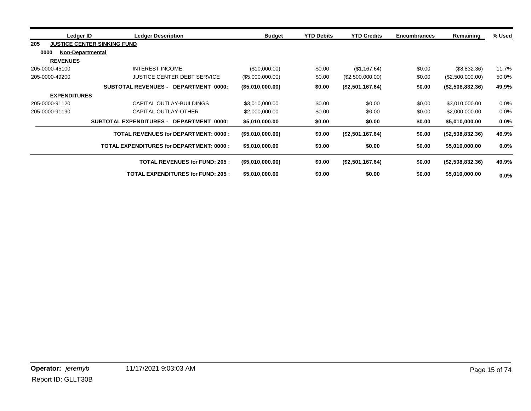| Ledger ID                | <b>Ledger Description</b>                       |                                             | <b>Budget</b>       | <b>YTD Debits</b> | <b>YTD Credits</b> | <b>Encumbrances</b> | Remaining        | % Used  |
|--------------------------|-------------------------------------------------|---------------------------------------------|---------------------|-------------------|--------------------|---------------------|------------------|---------|
| 205                      | <b>JUSTICE CENTER SINKING FUND</b>              |                                             |                     |                   |                    |                     |                  |         |
| 0000<br>Non-Departmental |                                                 |                                             |                     |                   |                    |                     |                  |         |
| <b>REVENUES</b>          |                                                 |                                             |                     |                   |                    |                     |                  |         |
| 205-0000-45100           | <b>INTEREST INCOME</b>                          |                                             | (\$10,000.00)       | \$0.00            | (\$1,167.64)       | \$0.00              | (\$8,832.36)     | 11.7%   |
| 205-0000-49200           |                                                 | <b>JUSTICE CENTER DEBT SERVICE</b>          | (\$5,000,000.00)    | \$0.00            | (\$2,500,000.00)   | \$0.00              | (\$2,500,000.00) | 50.0%   |
|                          | <b>SUBTOTAL REVENUES -</b>                      | DEPARTMENT 0000:                            | (\$5,010,000.00)    | \$0.00            | (\$2,501,167.64)   | \$0.00              | (\$2,508,832.36) | 49.9%   |
| <b>EXPENDITURES</b>      |                                                 |                                             |                     |                   |                    |                     |                  |         |
| 205-0000-91120           |                                                 | CAPITAL OUTLAY-BUILDINGS                    | \$3,010,000.00      | \$0.00            | \$0.00             | \$0.00              | \$3,010,000.00   | 0.0%    |
| 205-0000-91190           | CAPITAL OUTLAY-OTHER                            |                                             | \$2,000,000.00      | \$0.00            | \$0.00             | \$0.00              | \$2,000,000.00   | $0.0\%$ |
|                          | <b>SUBTOTAL EXPENDITURES -</b>                  | DEPARTMENT 0000:                            | \$5,010,000.00      | \$0.00            | \$0.00             | \$0.00              | \$5,010,000.00   | 0.0%    |
|                          |                                                 | <b>TOTAL REVENUES for DEPARTMENT: 0000:</b> | $($ \$5,010,000.00) | \$0.00            | (\$2,501,167.64)   | \$0.00              | (\$2,508,832.36) | 49.9%   |
|                          | <b>TOTAL EXPENDITURES for DEPARTMENT: 0000:</b> |                                             | \$5,010,000.00      | \$0.00            | \$0.00             | \$0.00              | \$5,010,000.00   | $0.0\%$ |
|                          |                                                 | <b>TOTAL REVENUES for FUND: 205:</b>        | (\$5,010,000.00)    | \$0.00            | (\$2,501,167.64)   | \$0.00              | (\$2,508,832.36) | 49.9%   |
|                          |                                                 | <b>TOTAL EXPENDITURES for FUND: 205:</b>    | \$5,010,000.00      | \$0.00            | \$0.00             | \$0.00              | \$5,010,000.00   | 0.0%    |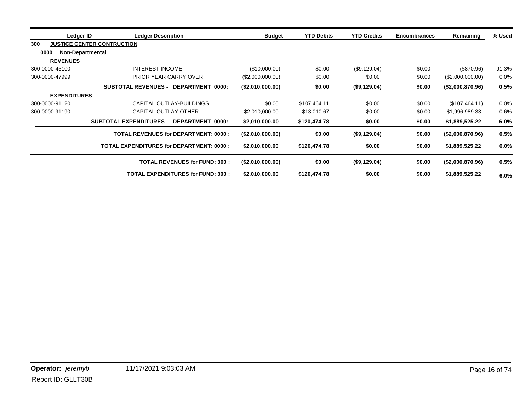|                | Ledger ID               | <b>Ledger Description</b>                       |                                          | <b>Budget</b>    | <b>YTD Debits</b> | <b>YTD Credits</b> | <b>Encumbrances</b> | Remaining        | % Used  |
|----------------|-------------------------|-------------------------------------------------|------------------------------------------|------------------|-------------------|--------------------|---------------------|------------------|---------|
| 300            |                         | <b>JUSTICE CENTER CONTRUCTION</b>               |                                          |                  |                   |                    |                     |                  |         |
| 0000           | <b>Non-Departmental</b> |                                                 |                                          |                  |                   |                    |                     |                  |         |
|                | <b>REVENUES</b>         |                                                 |                                          |                  |                   |                    |                     |                  |         |
| 300-0000-45100 |                         | INTEREST INCOME                                 |                                          | (\$10,000.00)    | \$0.00            | (\$9,129.04)       | \$0.00              | (\$870.96)       | 91.3%   |
| 300-0000-47999 |                         | PRIOR YEAR CARRY OVER                           |                                          | (\$2,000,000.00) | \$0.00            | \$0.00             | \$0.00              | (\$2,000,000.00) | 0.0%    |
|                |                         | <b>SUBTOTAL REVENUES - DEPARTMENT 0000:</b>     |                                          | (\$2,010,000.00) | \$0.00            | (\$9,129.04)       | \$0.00              | (\$2,000,870.96) | 0.5%    |
|                | <b>EXPENDITURES</b>     |                                                 |                                          |                  |                   |                    |                     |                  |         |
| 300-0000-91120 |                         | CAPITAL OUTLAY-BUILDINGS                        |                                          | \$0.00           | \$107,464.11      | \$0.00             | \$0.00              | (\$107,464.11)   | 0.0%    |
| 300-0000-91190 |                         | CAPITAL OUTLAY-OTHER                            |                                          | \$2,010,000.00   | \$13,010.67       | \$0.00             | \$0.00              | \$1,996,989.33   | 0.6%    |
|                |                         | SUBTOTAL EXPENDITURES - DEPARTMENT 0000:        |                                          | \$2,010,000.00   | \$120,474.78      | \$0.00             | \$0.00              | \$1,889,525.22   | $6.0\%$ |
|                |                         | <b>TOTAL REVENUES for DEPARTMENT: 0000:</b>     |                                          | (\$2,010,000.00) | \$0.00            | (\$9,129.04)       | \$0.00              | (\$2,000,870.96) | 0.5%    |
|                |                         | <b>TOTAL EXPENDITURES for DEPARTMENT: 0000:</b> |                                          | \$2,010,000.00   | \$120,474.78      | \$0.00             | \$0.00              | \$1,889,525.22   | 6.0%    |
|                |                         |                                                 | <b>TOTAL REVENUES for FUND: 300:</b>     | (S2,010,000.00)  | \$0.00            | (\$9,129.04)       | \$0.00              | (\$2,000,870.96) | 0.5%    |
|                |                         |                                                 | <b>TOTAL EXPENDITURES for FUND: 300:</b> | \$2,010,000.00   | \$120,474.78      | \$0.00             | \$0.00              | \$1,889,525.22   | 6.0%    |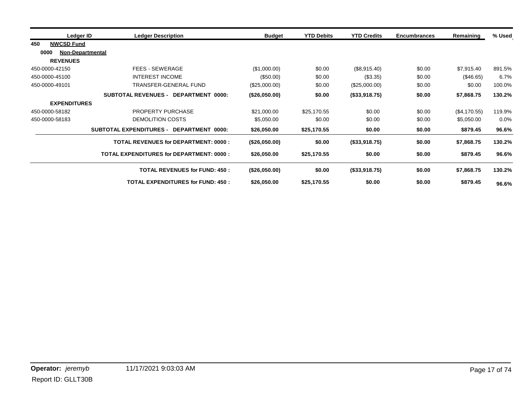| Ledger ID                       | <b>Ledger Description</b>                       | <b>Budget</b> | <b>YTD Debits</b> | <b>YTD Credits</b> | <b>Encumbrances</b> | Remaining    | % Used |
|---------------------------------|-------------------------------------------------|---------------|-------------------|--------------------|---------------------|--------------|--------|
| <b>NWCSD Fund</b><br>450        |                                                 |               |                   |                    |                     |              |        |
| 0000<br><b>Non-Departmental</b> |                                                 |               |                   |                    |                     |              |        |
| <b>REVENUES</b>                 |                                                 |               |                   |                    |                     |              |        |
| 450-0000-42150                  | FEES - SEWERAGE                                 | (\$1,000.00)  | \$0.00            | (\$8,915.40)       | \$0.00              | \$7,915.40   | 891.5% |
| 450-0000-45100                  | <b>INTEREST INCOME</b>                          | $(\$50.00)$   | \$0.00            | (\$3.35)           | \$0.00              | (\$46.65)    | 6.7%   |
| 450-0000-49101                  | TRANSFER-GENERAL FUND                           | (\$25,000.00) | \$0.00            | (\$25,000.00)      | \$0.00              | \$0.00       | 100.0% |
|                                 | <b>SUBTOTAL REVENUES - DEPARTMENT 0000:</b>     | (\$26,050.00) | \$0.00            | (\$33,918.75)      | \$0.00              | \$7,868.75   | 130.2% |
| <b>EXPENDITURES</b>             |                                                 |               |                   |                    |                     |              |        |
| 450-0000-58182                  | PROPERTY PURCHASE                               | \$21,000.00   | \$25,170.55       | \$0.00             | \$0.00              | (\$4,170.55) | 119.9% |
| 450-0000-58183                  | DEMOLITION COSTS                                | \$5,050.00    | \$0.00            | \$0.00             | \$0.00              | \$5,050.00   | 0.0%   |
|                                 | SUBTOTAL EXPENDITURES - DEPARTMENT 0000:        | \$26,050.00   | \$25,170.55       | \$0.00             | \$0.00              | \$879.45     | 96.6%  |
|                                 | <b>TOTAL REVENUES for DEPARTMENT: 0000:</b>     | (\$26,050.00) | \$0.00            | (\$33,918.75)      | \$0.00              | \$7,868.75   | 130.2% |
|                                 | <b>TOTAL EXPENDITURES for DEPARTMENT: 0000:</b> | \$26,050.00   | \$25,170.55       | \$0.00             | \$0.00              | \$879.45     | 96.6%  |
|                                 | <b>TOTAL REVENUES for FUND: 450:</b>            | (\$26,050.00) | \$0.00            | (\$33,918.75)      | \$0.00              | \$7,868.75   | 130.2% |
|                                 | <b>TOTAL EXPENDITURES for FUND: 450:</b>        | \$26,050.00   | \$25,170.55       | \$0.00             | \$0.00              | \$879.45     | 96.6%  |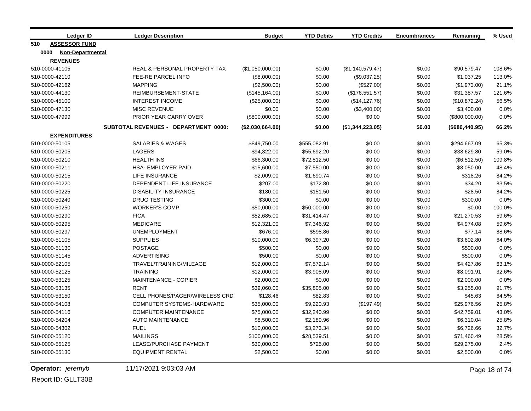|                | <b>Ledger ID</b>        | <b>Ledger Description</b>            | <b>Budget</b>    | <b>YTD Debits</b> | <b>YTD Credits</b> | <b>Encumbrances</b> | Remaining        | % Used |
|----------------|-------------------------|--------------------------------------|------------------|-------------------|--------------------|---------------------|------------------|--------|
| 510            | <b>ASSESSOR FUND</b>    |                                      |                  |                   |                    |                     |                  |        |
| 0000           | <b>Non-Departmental</b> |                                      |                  |                   |                    |                     |                  |        |
|                | <b>REVENUES</b>         |                                      |                  |                   |                    |                     |                  |        |
| 510-0000-41105 |                         | REAL & PERSONAL PROPERTY TAX         | (\$1,050,000.00) | \$0.00            | (\$1,140,579.47)   | \$0.00              | \$90,579.47      | 108.6% |
| 510-0000-42110 |                         | FEE-RE PARCEL INFO                   | (\$8,000.00)     | \$0.00            | (\$9,037.25)       | \$0.00              | \$1,037.25       | 113.0% |
| 510-0000-42162 |                         | <b>MAPPING</b>                       | (\$2,500.00)     | \$0.00            | (\$527.00)         | \$0.00              | (\$1,973.00)     | 21.1%  |
| 510-0000-44130 |                         | REIMBURSEMENT-STATE                  | (\$145, 164.00)  | \$0.00            | (\$176,551.57)     | \$0.00              | \$31,387.57      | 121.6% |
| 510-0000-45100 |                         | <b>INTEREST INCOME</b>               | (\$25,000.00)    | \$0.00            | (\$14, 127.76)     | \$0.00              | (\$10,872.24)    | 56.5%  |
| 510-0000-47130 |                         | <b>MISC REVENUE</b>                  | \$0.00           | \$0.00            | (\$3,400.00)       | \$0.00              | \$3,400.00       | 0.0%   |
| 510-0000-47999 |                         | PRIOR YEAR CARRY OVER                | $(\$800,000.00)$ | \$0.00            | \$0.00             | \$0.00              | (\$800,000.00)   | 0.0%   |
|                |                         | SUBTOTAL REVENUES - DEPARTMENT 0000: | (\$2,030,664.00) | \$0.00            | (\$1,344,223.05)   | \$0.00              | ( \$686, 440.95) | 66.2%  |
|                | <b>EXPENDITURES</b>     |                                      |                  |                   |                    |                     |                  |        |
| 510-0000-50105 |                         | <b>SALARIES &amp; WAGES</b>          | \$849,750.00     | \$555,082.91      | \$0.00             | \$0.00              | \$294,667.09     | 65.3%  |
| 510-0000-50205 |                         | <b>LAGERS</b>                        | \$94,322.00      | \$55,692.20       | \$0.00             | \$0.00              | \$38,629.80      | 59.0%  |
| 510-0000-50210 |                         | <b>HEALTH INS</b>                    | \$66,300.00      | \$72,812.50       | \$0.00             | \$0.00              | (\$6,512.50)     | 109.8% |
| 510-0000-50211 |                         | <b>HSA- EMPLOYER PAID</b>            | \$15,600.00      | \$7,550.00        | \$0.00             | \$0.00              | \$8,050.00       | 48.4%  |
| 510-0000-50215 |                         | <b>LIFE INSURANCE</b>                | \$2,009.00       | \$1,690.74        | \$0.00             | \$0.00              | \$318.26         | 84.2%  |
| 510-0000-50220 |                         | DEPENDENT LIFE INSURANCE             | \$207.00         | \$172.80          | \$0.00             | \$0.00              | \$34.20          | 83.5%  |
| 510-0000-50225 |                         | <b>DISABILITY INSURANCE</b>          | \$180.00         | \$151.50          | \$0.00             | \$0.00              | \$28.50          | 84.2%  |
| 510-0000-50240 |                         | <b>DRUG TESTING</b>                  | \$300.00         | \$0.00            | \$0.00             | \$0.00              | \$300.00         | 0.0%   |
| 510-0000-50250 |                         | <b>WORKER'S COMP</b>                 | \$50,000.00      | \$50,000.00       | \$0.00             | \$0.00              | \$0.00           | 100.0% |
| 510-0000-50290 |                         | <b>FICA</b>                          | \$52,685.00      | \$31,414.47       | \$0.00             | \$0.00              | \$21,270.53      | 59.6%  |
| 510-0000-50295 |                         | <b>MEDICARE</b>                      | \$12,321.00      | \$7,346.92        | \$0.00             | \$0.00              | \$4,974.08       | 59.6%  |
| 510-0000-50297 |                         | <b>UNEMPLOYMENT</b>                  | \$676.00         | \$598.86          | \$0.00             | \$0.00              | \$77.14          | 88.6%  |
| 510-0000-51105 |                         | <b>SUPPLIES</b>                      | \$10,000.00      | \$6,397.20        | \$0.00             | \$0.00              | \$3,602.80       | 64.0%  |
| 510-0000-51130 |                         | <b>POSTAGE</b>                       | \$500.00         | \$0.00            | \$0.00             | \$0.00              | \$500.00         | 0.0%   |
| 510-0000-51145 |                         | <b>ADVERTISING</b>                   | \$500.00         | \$0.00            | \$0.00             | \$0.00              | \$500.00         | 0.0%   |
| 510-0000-52105 |                         | TRAVEL/TRAINING/MILEAGE              | \$12,000.00      | \$7,572.14        | \$0.00             | \$0.00              | \$4,427.86       | 63.1%  |
| 510-0000-52125 |                         | <b>TRAINING</b>                      | \$12,000.00      | \$3,908.09        | \$0.00             | \$0.00              | \$8,091.91       | 32.6%  |
| 510-0000-53125 |                         | <b>MAINTENANCE - COPIER</b>          | \$2,000.00       | \$0.00            | \$0.00             | \$0.00              | \$2,000.00       | 0.0%   |
| 510-0000-53135 |                         | <b>RENT</b>                          | \$39,060.00      | \$35,805.00       | \$0.00             | \$0.00              | \$3,255.00       | 91.7%  |
| 510-0000-53150 |                         | CELL PHONES/PAGER/WIRELESS CRD       | \$128.46         | \$82.83           | \$0.00             | \$0.00              | \$45.63          | 64.5%  |
| 510-0000-54108 |                         | COMPUTER SYSTEMS-HARDWARE            | \$35,000.00      | \$9,220.93        | (\$197.49)         | \$0.00              | \$25,976.56      | 25.8%  |
| 510-0000-54116 |                         | <b>COMPUTER MAINTENANCE</b>          | \$75,000.00      | \$32,240.99       | \$0.00             | \$0.00              | \$42,759.01      | 43.0%  |
| 510-0000-54204 |                         | <b>AUTO MAINTENANCE</b>              | \$8,500.00       | \$2,189.96        | \$0.00             | \$0.00              | \$6,310.04       | 25.8%  |
| 510-0000-54302 |                         | <b>FUEL</b>                          | \$10,000.00      | \$3,273.34        | \$0.00             | \$0.00              | \$6,726.66       | 32.7%  |
| 510-0000-55120 |                         | <b>MAILINGS</b>                      | \$100,000.00     | \$28,539.51       | \$0.00             | \$0.00              | \$71,460.49      | 28.5%  |
| 510-0000-55125 |                         | LEASE/PURCHASE PAYMENT               | \$30,000.00      | \$725.00          | \$0.00             | \$0.00              | \$29,275.00      | 2.4%   |
| 510-0000-55130 |                         | <b>EQUIPMENT RENTAL</b>              | \$2,500.00       | \$0.00            | \$0.00             | \$0.00              | \$2,500.00       | 0.0%   |

**Operator:** *jeremyb* 11/17/2021 9:03:03 AM Page 18 of 74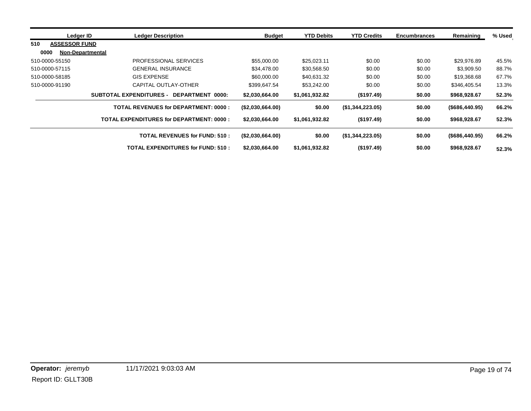| Ledger ID                       | <b>Ledger Description</b>                          | <b>Budget</b>    | <b>YTD Debits</b> | <b>YTD Credits</b>  | <b>Encumbrances</b> | Remaining      | % Used |
|---------------------------------|----------------------------------------------------|------------------|-------------------|---------------------|---------------------|----------------|--------|
| 510<br><b>ASSESSOR FUND</b>     |                                                    |                  |                   |                     |                     |                |        |
| 0000<br><b>Non-Departmental</b> |                                                    |                  |                   |                     |                     |                |        |
| 510-0000-55150                  | PROFESSIONAL SERVICES                              | \$55,000.00      | \$25.023.11       | \$0.00              | \$0.00              | \$29,976.89    | 45.5%  |
| 510-0000-57115                  | <b>GENERAL INSURANCE</b>                           | \$34,478.00      | \$30,568.50       | \$0.00              | \$0.00              | \$3,909.50     | 88.7%  |
| 510-0000-58185                  | <b>GIS EXPENSE</b>                                 | \$60,000.00      | \$40,631.32       | \$0.00              | \$0.00              | \$19,368.68    | 67.7%  |
| 510-0000-91190                  | CAPITAL OUTLAY-OTHER                               | \$399,647.54     | \$53,242.00       | \$0.00              | \$0.00              | \$346,405.54   | 13.3%  |
|                                 | <b>SUBTOTAL EXPENDITURES -</b><br>DEPARTMENT 0000: | \$2,030,664.00   | \$1,061,932.82    | (\$197.49)          | \$0.00              | \$968,928.67   | 52.3%  |
|                                 | <b>TOTAL REVENUES for DEPARTMENT: 0000:</b>        | (\$2,030,664.00) | \$0.00            | $($ \$1,344,223.05) | \$0.00              | (\$686,440.95) | 66.2%  |
|                                 | TOTAL EXPENDITURES for DEPARTMENT: 0000 :          | \$2,030,664.00   | \$1,061,932.82    | (\$197.49)          | \$0.00              | \$968,928.67   | 52.3%  |
|                                 | <b>TOTAL REVENUES for FUND: 510:</b>               | (\$2,030,664.00) | \$0.00            | (\$1,344,223.05)    | \$0.00              | (\$686,440.95) | 66.2%  |
|                                 | TOTAL EXPENDITURES for FUND: 510 :                 | \$2,030,664,00   | \$1,061,932.82    | (\$197.49)          | \$0.00              | \$968,928.67   | 52.3%  |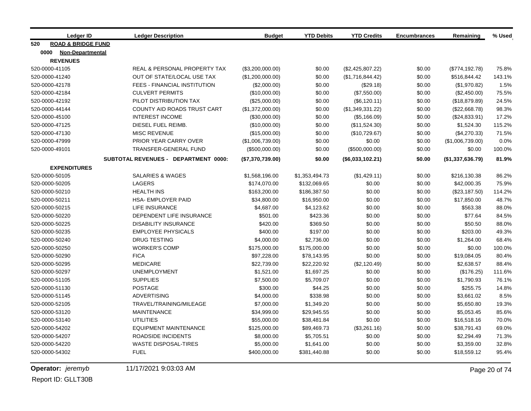| <b>Ledger ID</b>                     | <b>Ledger Description</b>               | <b>Budget</b>    | <b>YTD Debits</b> | <b>YTD Credits</b> | <b>Encumbrances</b> | Remaining        | % Used |
|--------------------------------------|-----------------------------------------|------------------|-------------------|--------------------|---------------------|------------------|--------|
| <b>ROAD &amp; BRIDGE FUND</b><br>520 |                                         |                  |                   |                    |                     |                  |        |
| 0000<br><b>Non-Departmental</b>      |                                         |                  |                   |                    |                     |                  |        |
| <b>REVENUES</b>                      |                                         |                  |                   |                    |                     |                  |        |
| 520-0000-41105                       | <b>REAL &amp; PERSONAL PROPERTY TAX</b> | (\$3,200,000.00) | \$0.00            | (\$2,425,807.22)   | \$0.00              | (\$774, 192.78)  | 75.8%  |
| 520-0000-41240                       | OUT OF STATE/LOCAL USE TAX              | (\$1,200,000.00) | \$0.00            | (\$1,716,844.42)   | \$0.00              | \$516,844.42     | 143.1% |
| 520-0000-42178                       | <b>FEES - FINANCIAL INSTITUTION</b>     | (\$2,000.00)     | \$0.00            | (\$29.18)          | \$0.00              | (\$1,970.82)     | 1.5%   |
| 520-0000-42184                       | <b>CULVERT PERMITS</b>                  | (\$10,000.00)    | \$0.00            | (\$7,550.00)       | \$0.00              | (\$2,450.00)     | 75.5%  |
| 520-0000-42192                       | PILOT DISTRIBUTION TAX                  | (\$25,000.00)    | \$0.00            | (\$6,120.11)       | \$0.00              | (\$18,879.89)    | 24.5%  |
| 520-0000-44144                       | COUNTY AID ROADS TRUST CART             | (\$1,372,000.00) | \$0.00            | (\$1,349,331.22)   | \$0.00              | (\$22,668.78)    | 98.3%  |
| 520-0000-45100                       | <b>INTEREST INCOME</b>                  | (\$30,000.00)    | \$0.00            | (\$5,166.09)       | \$0.00              | (\$24,833.91)    | 17.2%  |
| 520-0000-47125                       | DIESEL FUEL REIMB.                      | (\$10,000.00)    | \$0.00            | (\$11,524.30)      | \$0.00              | \$1,524.30       | 115.2% |
| 520-0000-47130                       | <b>MISC REVENUE</b>                     | (\$15,000.00)    | \$0.00            | (\$10,729.67)      | \$0.00              | (\$4,270.33)     | 71.5%  |
| 520-0000-47999                       | PRIOR YEAR CARRY OVER                   | (\$1,006,739.00) | \$0.00            | \$0.00             | \$0.00              | (\$1,006,739.00) | 0.0%   |
| 520-0000-49101                       | TRANSFER-GENERAL FUND                   | (\$500,000.00)   | \$0.00            | (\$500,000.00)     | \$0.00              | \$0.00           | 100.0% |
|                                      | SUBTOTAL REVENUES - DEPARTMENT 0000:    | (\$7,370,739.00) | \$0.00            | (\$6,033,102.21)   | \$0.00              | (\$1,337,636.79) | 81.9%  |
| <b>EXPENDITURES</b>                  |                                         |                  |                   |                    |                     |                  |        |
| 520-0000-50105                       | <b>SALARIES &amp; WAGES</b>             | \$1,568,196.00   | \$1,353,494.73    | (\$1,429.11)       | \$0.00              | \$216,130.38     | 86.2%  |
| 520-0000-50205                       | LAGERS                                  | \$174,070.00     | \$132,069.65      | \$0.00             | \$0.00              | \$42,000.35      | 75.9%  |
| 520-0000-50210                       | <b>HEALTH INS</b>                       | \$163,200.00     | \$186,387.50      | \$0.00             | \$0.00              | (\$23,187.50)    | 114.2% |
| 520-0000-50211                       | <b>HSA- EMPLOYER PAID</b>               | \$34,800.00      | \$16,950.00       | \$0.00             | \$0.00              | \$17,850.00      | 48.7%  |
| 520-0000-50215                       | <b>LIFE INSURANCE</b>                   | \$4,687.00       | \$4,123.62        | \$0.00             | \$0.00              | \$563.38         | 88.0%  |
| 520-0000-50220                       | DEPENDENT LIFE INSURANCE                | \$501.00         | \$423.36          | \$0.00             | \$0.00              | \$77.64          | 84.5%  |
| 520-0000-50225                       | <b>DISABILITY INSURANCE</b>             | \$420.00         | \$369.50          | \$0.00             | \$0.00              | \$50.50          | 88.0%  |
| 520-0000-50235                       | <b>EMPLOYEE PHYSICALS</b>               | \$400.00         | \$197.00          | \$0.00             | \$0.00              | \$203.00         | 49.3%  |
| 520-0000-50240                       | <b>DRUG TESTING</b>                     | \$4,000.00       | \$2,736.00        | \$0.00             | \$0.00              | \$1,264.00       | 68.4%  |
| 520-0000-50250                       | <b>WORKER'S COMP</b>                    | \$175,000.00     | \$175,000.00      | \$0.00             | \$0.00              | \$0.00           | 100.0% |
| 520-0000-50290                       | <b>FICA</b>                             | \$97,228.00      | \$78,143.95       | \$0.00             | \$0.00              | \$19,084.05      | 80.4%  |
| 520-0000-50295                       | <b>MEDICARE</b>                         | \$22,739.00      | \$22,220.92       | (\$2,120.49)       | \$0.00              | \$2,638.57       | 88.4%  |
| 520-0000-50297                       | <b>UNEMPLOYMENT</b>                     | \$1,521.00       | \$1,697.25        | \$0.00             | \$0.00              | (\$176.25)       | 111.6% |
| 520-0000-51105                       | <b>SUPPLIES</b>                         | \$7,500.00       | \$5,709.07        | \$0.00             | \$0.00              | \$1,790.93       | 76.1%  |
| 520-0000-51130                       | <b>POSTAGE</b>                          | \$300.00         | \$44.25           | \$0.00             | \$0.00              | \$255.75         | 14.8%  |
| 520-0000-51145                       | <b>ADVERTISING</b>                      | \$4,000.00       | \$338.98          | \$0.00             | \$0.00              | \$3,661.02       | 8.5%   |
| 520-0000-52105                       | TRAVEL/TRAINING/MILEAGE                 | \$7,000.00       | \$1,349.20        | \$0.00             | \$0.00              | \$5,650.80       | 19.3%  |
| 520-0000-53120                       | <b>MAINTENANCE</b>                      | \$34,999.00      | \$29,945.55       | \$0.00             | \$0.00              | \$5,053.45       | 85.6%  |
| 520-0000-53140                       | <b>UTILITIES</b>                        | \$55,000.00      | \$38,481.84       | \$0.00             | \$0.00              | \$16,518.16      | 70.0%  |
| 520-0000-54202                       | <b>EQUIPMENT MAINTENANCE</b>            | \$125,000.00     | \$89,469.73       | (\$3,261.16)       | \$0.00              | \$38,791.43      | 69.0%  |
| 520-0000-54207                       | <b>ROADSIDE INCIDENTS</b>               | \$8,000.00       | \$5,705.51        | \$0.00             | \$0.00              | \$2,294.49       | 71.3%  |
| 520-0000-54220                       | <b>WASTE DISPOSAL-TIRES</b>             | \$5,000.00       | \$1,641.00        | \$0.00             | \$0.00              | \$3,359.00       | 32.8%  |
| 520-0000-54302                       | <b>FUEL</b>                             | \$400,000.00     | \$381,440.88      | \$0.00             | \$0.00              | \$18,559.12      | 95.4%  |

**Operator:** *jeremyb* 11/17/2021 9:03:03 AM Page 20 of 74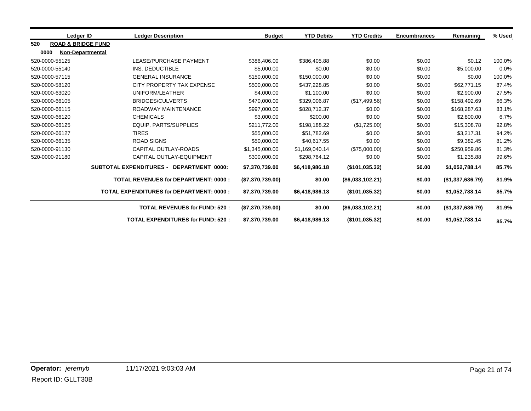|                | Ledger ID                     | <b>Ledger Description</b>                   | <b>Budget</b>    | <b>YTD Debits</b> | <b>YTD Credits</b> | <b>Encumbrances</b> | Remaining        | % Used |
|----------------|-------------------------------|---------------------------------------------|------------------|-------------------|--------------------|---------------------|------------------|--------|
| 520            | <b>ROAD &amp; BRIDGE FUND</b> |                                             |                  |                   |                    |                     |                  |        |
| 0000           | Non-Departmental              |                                             |                  |                   |                    |                     |                  |        |
| 520-0000-55125 |                               | <b>LEASE/PURCHASE PAYMENT</b>               | \$386,406.00     | \$386,405.88      | \$0.00             | \$0.00              | \$0.12           | 100.0% |
| 520-0000-55140 |                               | INS. DEDUCTIBLE                             | \$5,000.00       | \$0.00            | \$0.00             | \$0.00              | \$5,000.00       | 0.0%   |
| 520-0000-57115 |                               | <b>GENERAL INSURANCE</b>                    | \$150,000.00     | \$150,000.00      | \$0.00             | \$0.00              | \$0.00           | 100.0% |
| 520-0000-58120 |                               | CITY PROPERTY TAX EXPENSE                   | \$500,000.00     | \$437,228.85      | \$0.00             | \$0.00              | \$62,771.15      | 87.4%  |
| 520-0000-63020 |                               | UNIFORM/LEATHER                             | \$4,000.00       | \$1,100.00        | \$0.00             | \$0.00              | \$2,900.00       | 27.5%  |
| 520-0000-66105 |                               | <b>BRIDGES/CULVERTS</b>                     | \$470,000.00     | \$329,006.87      | (\$17,499.56)      | \$0.00              | \$158,492.69     | 66.3%  |
| 520-0000-66115 |                               | ROADWAY MAINTENANCE                         | \$997,000.00     | \$828,712,37      | \$0.00             | \$0.00              | \$168,287.63     | 83.1%  |
| 520-0000-66120 |                               | <b>CHEMICALS</b>                            | \$3,000.00       | \$200.00          | \$0.00             | \$0.00              | \$2,800.00       | 6.7%   |
| 520-0000-66125 |                               | <b>EQUIP. PARTS/SUPPLIES</b>                | \$211,772.00     | \$198,188.22      | (\$1,725.00)       | \$0.00              | \$15,308.78      | 92.8%  |
| 520-0000-66127 |                               | <b>TIRES</b>                                | \$55,000.00      | \$51,782.69       | \$0.00             | \$0.00              | \$3.217.31       | 94.2%  |
| 520-0000-66135 |                               | <b>ROAD SIGNS</b>                           | \$50,000.00      | \$40.617.55       | \$0.00             | \$0.00              | \$9,382.45       | 81.2%  |
| 520-0000-91130 |                               | CAPITAL OUTLAY-ROADS                        | \$1,345,000.00   | \$1,169,040.14    | (\$75,000.00)      | \$0.00              | \$250,959.86     | 81.3%  |
| 520-0000-91180 |                               | CAPITAL OUTLAY-EQUIPMENT                    | \$300,000.00     | \$298,764.12      | \$0.00             | \$0.00              | \$1,235.88       | 99.6%  |
|                |                               | SUBTOTAL EXPENDITURES - DEPARTMENT 0000:    | \$7,370,739.00   | \$6,418,986.18    | (\$101,035.32)     | \$0.00              | \$1,052,788.14   | 85.7%  |
|                |                               | <b>TOTAL REVENUES for DEPARTMENT: 0000:</b> | (\$7,370,739.00) | \$0.00            | (\$6,033,102.21)   | \$0.00              | (\$1,337,636.79) | 81.9%  |
|                |                               | TOTAL EXPENDITURES for DEPARTMENT: 0000:    | \$7,370,739.00   | \$6,418,986.18    | (\$101,035.32)     | \$0.00              | \$1,052,788.14   | 85.7%  |
|                |                               | <b>TOTAL REVENUES for FUND: 520:</b>        | (\$7,370,739.00) | \$0.00            | (\$6,033,102.21)   | \$0.00              | (\$1,337,636.79) | 81.9%  |
|                |                               | <b>TOTAL EXPENDITURES for FUND: 520:</b>    | \$7,370,739.00   | \$6,418,986.18    | (\$101,035.32)     | \$0.00              | \$1,052,788.14   | 85.7%  |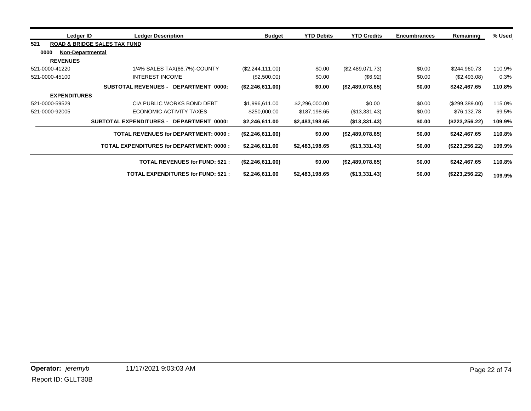| Ledger ID                       | <b>Ledger Description</b>                          | <b>Budget</b>    | <b>YTD Debits</b> | <b>YTD Credits</b> | <b>Encumbrances</b> | Remaining       | % Used |
|---------------------------------|----------------------------------------------------|------------------|-------------------|--------------------|---------------------|-----------------|--------|
| 521                             | <b>ROAD &amp; BRIDGE SALES TAX FUND</b>            |                  |                   |                    |                     |                 |        |
| 0000<br><b>Non-Departmental</b> |                                                    |                  |                   |                    |                     |                 |        |
| <b>REVENUES</b>                 |                                                    |                  |                   |                    |                     |                 |        |
| 521-0000-41220                  | 1/4% SALES TAX(66.7%)-COUNTY                       | (\$2,244,111.00) | \$0.00            | (\$2,489,071.73)   | \$0.00              | \$244,960.73    | 110.9% |
| 521-0000-45100                  | <b>INTEREST INCOME</b>                             | (\$2,500.00)     | \$0.00            | (\$6.92)           | \$0.00              | (\$2,493.08)    | 0.3%   |
|                                 | <b>SUBTOTAL REVENUES -</b><br>DEPARTMENT 0000:     | (\$2,246,611.00) | \$0.00            | (\$2,489,078.65)   | \$0.00              | \$242,467.65    | 110.8% |
| <b>EXPENDITURES</b>             |                                                    |                  |                   |                    |                     |                 |        |
| 521-0000-59529                  | CIA PUBLIC WORKS BOND DEBT                         | \$1,996,611.00   | \$2,296,000.00    | \$0.00             | \$0.00              | (\$299,389.00)  | 115.0% |
| 521-0000-92005                  | ECONOMIC ACTIVITY TAXES                            | \$250,000.00     | \$187,198.65      | (\$13,331.43)      | \$0.00              | \$76,132.78     | 69.5%  |
|                                 | <b>SUBTOTAL EXPENDITURES -</b><br>DEPARTMENT 0000: | \$2,246,611.00   | \$2,483,198.65    | (\$13,331.43)      | \$0.00              | (\$223, 256.22) | 109.9% |
|                                 | <b>TOTAL REVENUES for DEPARTMENT: 0000:</b>        | (\$2,246,611.00) | \$0.00            | ( \$2,489,078.65)  | \$0.00              | \$242,467.65    | 110.8% |
|                                 | <b>TOTAL EXPENDITURES for DEPARTMENT: 0000:</b>    | \$2,246,611.00   | \$2,483,198.65    | (\$13,331.43)      | \$0.00              | (\$223, 256.22) | 109.9% |
|                                 | <b>TOTAL REVENUES for FUND: 521:</b>               | (\$2,246,611.00) | \$0.00            | (\$2,489,078.65)   | \$0.00              | \$242,467.65    | 110.8% |
|                                 | <b>TOTAL EXPENDITURES for FUND: 521:</b>           | \$2,246,611.00   | \$2,483,198.65    | (\$13,331.43)      | \$0.00              | (\$223, 256.22) | 109.9% |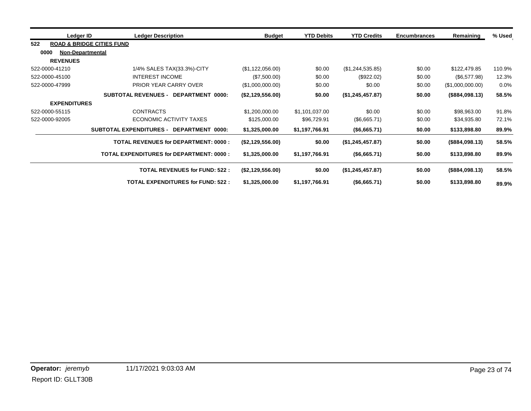| Ledger ID                       | <b>Ledger Description</b>                          | <b>Budget</b>    | <b>YTD Debits</b> | <b>YTD Credits</b> | <b>Encumbrances</b> | Remaining        | % Used |
|---------------------------------|----------------------------------------------------|------------------|-------------------|--------------------|---------------------|------------------|--------|
| 522                             | <b>ROAD &amp; BRIDGE CITIES FUND</b>               |                  |                   |                    |                     |                  |        |
| 0000<br><b>Non-Departmental</b> |                                                    |                  |                   |                    |                     |                  |        |
| <b>REVENUES</b>                 |                                                    |                  |                   |                    |                     |                  |        |
| 522-0000-41210                  | 1/4% SALES TAX(33.3%)-CITY                         | (\$1,122,056.00) | \$0.00            | (\$1,244,535.85)   | \$0.00              | \$122,479.85     | 110.9% |
| 522-0000-45100                  | INTEREST INCOME                                    | (\$7,500.00)     | \$0.00            | $(\$922.02)$       | \$0.00              | (\$6,577.98)     | 12.3%  |
| 522-0000-47999                  | PRIOR YEAR CARRY OVER                              | (\$1,000,000.00) | \$0.00            | \$0.00             | \$0.00              | (\$1,000,000.00) | 0.0%   |
|                                 | <b>SUBTOTAL REVENUES - DEPARTMENT 0000:</b>        | (\$2,129,556.00) | \$0.00            | (\$1,245,457.87)   | \$0.00              | (\$884,098.13)   | 58.5%  |
| <b>EXPENDITURES</b>             |                                                    |                  |                   |                    |                     |                  |        |
| 522-0000-55115                  | <b>CONTRACTS</b>                                   | \$1,200,000.00   | \$1,101,037.00    | \$0.00             | \$0.00              | \$98,963.00      | 91.8%  |
| 522-0000-92005                  | ECONOMIC ACTIVITY TAXES                            | \$125,000.00     | \$96,729.91       | (\$6,665.71)       | \$0.00              | \$34,935.80      | 72.1%  |
|                                 | <b>SUBTOTAL EXPENDITURES -</b><br>DEPARTMENT 0000: | \$1,325,000.00   | \$1,197,766.91    | (\$6,665.71)       | \$0.00              | \$133,898.80     | 89.9%  |
|                                 | <b>TOTAL REVENUES for DEPARTMENT: 0000:</b>        | (\$2,129,556.00) | \$0.00            | (\$1,245,457.87)   | \$0.00              | (\$884,098.13)   | 58.5%  |
|                                 | <b>TOTAL EXPENDITURES for DEPARTMENT: 0000:</b>    | \$1,325,000.00   | \$1,197,766.91    | (\$6,665.71)       | \$0.00              | \$133,898.80     | 89.9%  |
|                                 | <b>TOTAL REVENUES for FUND: 522:</b>               | (\$2,129,556.00) | \$0.00            | (\$1,245,457.87)   | \$0.00              | (\$884,098.13)   | 58.5%  |
|                                 | <b>TOTAL EXPENDITURES for FUND: 522:</b>           | \$1,325,000.00   | \$1,197,766.91    | (\$6,665.71)       | \$0.00              | \$133,898.80     | 89.9%  |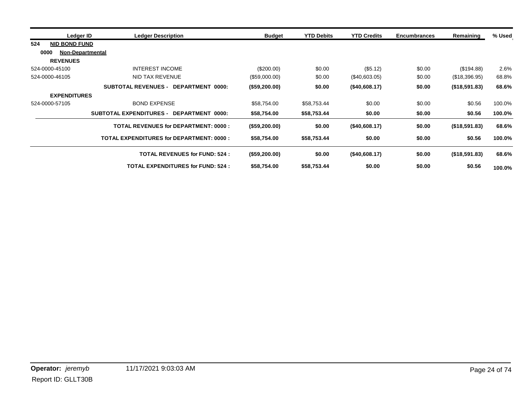| Ledger ID                       | <b>Ledger Description</b>                       | <b>Budget</b> | <b>YTD Debits</b> | <b>YTD Credits</b> | <b>Encumbrances</b> | Remaining     | % Used |
|---------------------------------|-------------------------------------------------|---------------|-------------------|--------------------|---------------------|---------------|--------|
| 524<br><b>NID BOND FUND</b>     |                                                 |               |                   |                    |                     |               |        |
| 0000<br><b>Non-Departmental</b> |                                                 |               |                   |                    |                     |               |        |
| <b>REVENUES</b>                 |                                                 |               |                   |                    |                     |               |        |
| 524-0000-45100                  | <b>INTEREST INCOME</b>                          | (\$200.00)    | \$0.00            | (\$5.12)           | \$0.00              | (\$194.88)    | 2.6%   |
| 524-0000-46105                  | NID TAX REVENUE                                 | (\$59,000.00) | \$0.00            | (\$40,603.05)      | \$0.00              | (\$18,396.95) | 68.8%  |
|                                 | <b>SUBTOTAL REVENUES - DEPARTMENT 0000:</b>     | (\$59,200.00) | \$0.00            | (\$40,608.17)      | \$0.00              | (\$18,591.83) | 68.6%  |
| <b>EXPENDITURES</b>             |                                                 |               |                   |                    |                     |               |        |
| 524-0000-57105                  | <b>BOND EXPENSE</b>                             | \$58,754.00   | \$58,753.44       | \$0.00             | \$0.00              | \$0.56        | 100.0% |
|                                 | SUBTOTAL EXPENDITURES - DEPARTMENT 0000:        | \$58,754.00   | \$58,753.44       | \$0.00             | \$0.00              | \$0.56        | 100.0% |
|                                 | <b>TOTAL REVENUES for DEPARTMENT: 0000:</b>     | (\$59,200.00) | \$0.00            | (\$40,608.17)      | \$0.00              | (\$18,591.83) | 68.6%  |
|                                 | <b>TOTAL EXPENDITURES for DEPARTMENT: 0000:</b> | \$58,754.00   | \$58,753.44       | \$0.00             | \$0.00              | \$0.56        | 100.0% |
|                                 | <b>TOTAL REVENUES for FUND: 524:</b>            | (\$59,200.00) | \$0.00            | (\$40,608.17)      | \$0.00              | (\$18,591.83) | 68.6%  |
|                                 | <b>TOTAL EXPENDITURES for FUND: 524:</b>        | \$58,754.00   | \$58,753.44       | \$0.00             | \$0.00              | \$0.56        | 100.0% |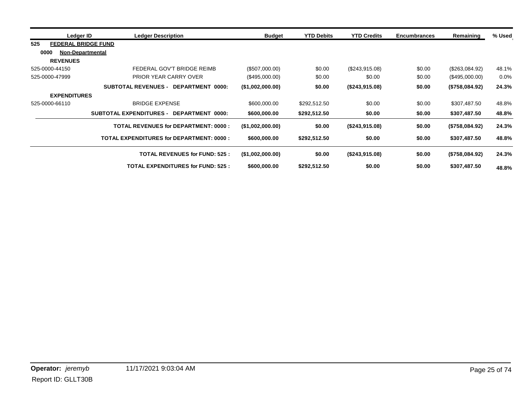| Ledger ID                         | <b>Ledger Description</b>                       | <b>Budget</b>       | <b>YTD Debits</b> | <b>YTD Credits</b> | <b>Encumbrances</b> | Remaining      | % Used  |
|-----------------------------------|-------------------------------------------------|---------------------|-------------------|--------------------|---------------------|----------------|---------|
| 525<br><b>FEDERAL BRIDGE FUND</b> |                                                 |                     |                   |                    |                     |                |         |
| 0000<br><b>Non-Departmental</b>   |                                                 |                     |                   |                    |                     |                |         |
| <b>REVENUES</b>                   |                                                 |                     |                   |                    |                     |                |         |
| 525-0000-44150                    | FEDERAL GOV'T BRIDGE REIMB                      | (\$507,000.00)      | \$0.00            | (\$243,915.08)     | \$0.00              | (\$263,084.92) | 48.1%   |
| 525-0000-47999                    | PRIOR YEAR CARRY OVER                           | (\$495,000.00)      | \$0.00            | \$0.00             | \$0.00              | (\$495,000.00) | $0.0\%$ |
|                                   | <b>SUBTOTAL REVENUES -</b><br>DEPARTMENT 0000:  | (\$1,002,000.00)    | \$0.00            | (\$243,915.08)     | \$0.00              | (\$758,084.92) | 24.3%   |
| <b>EXPENDITURES</b>               |                                                 |                     |                   |                    |                     |                |         |
| 525-0000-66110                    | <b>BRIDGE EXPENSE</b>                           | \$600,000.00        | \$292,512.50      | \$0.00             | \$0.00              | \$307,487.50   | 48.8%   |
|                                   | SUBTOTAL EXPENDITURES - DEPARTMENT 0000:        | \$600,000.00        | \$292,512.50      | \$0.00             | \$0.00              | \$307,487.50   | 48.8%   |
|                                   | <b>TOTAL REVENUES for DEPARTMENT: 0000:</b>     | $($ \$1,002,000.00) | \$0.00            | (\$243,915.08)     | \$0.00              | (\$758,084.92) | 24.3%   |
|                                   | <b>TOTAL EXPENDITURES for DEPARTMENT: 0000:</b> | \$600,000.00        | \$292,512.50      | \$0.00             | \$0.00              | \$307,487.50   | 48.8%   |
|                                   | <b>TOTAL REVENUES for FUND: 525:</b>            | (\$1,002,000.00)    | \$0.00            | (\$243,915.08)     | \$0.00              | (\$758,084.92) | 24.3%   |
|                                   | <b>TOTAL EXPENDITURES for FUND: 525:</b>        | \$600,000.00        | \$292,512.50      | \$0.00             | \$0.00              | \$307,487.50   | 48.8%   |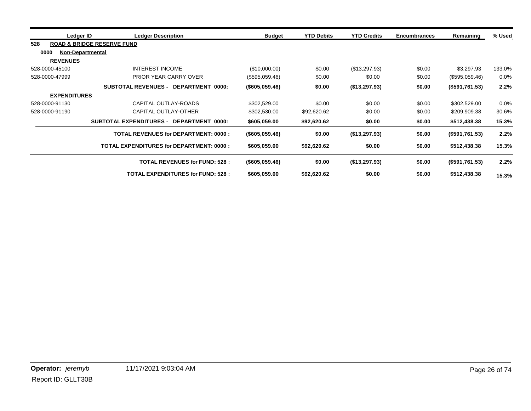| Ledger ID                       | <b>Ledger Description</b>                          | <b>Budget</b>     | <b>YTD Debits</b> | <b>YTD Credits</b> | <b>Encumbrances</b> | Remaining      | % Used |
|---------------------------------|----------------------------------------------------|-------------------|-------------------|--------------------|---------------------|----------------|--------|
| 528                             | <b>ROAD &amp; BRIDGE RESERVE FUND</b>              |                   |                   |                    |                     |                |        |
| 0000<br><b>Non-Departmental</b> |                                                    |                   |                   |                    |                     |                |        |
| <b>REVENUES</b>                 |                                                    |                   |                   |                    |                     |                |        |
| 528-0000-45100                  | INTEREST INCOME                                    | (\$10,000.00)     | \$0.00            | (\$13,297.93)      | \$0.00              | \$3,297.93     | 133.0% |
| 528-0000-47999                  | <b>PRIOR YEAR CARRY OVER</b>                       | (\$595,059.46)    | \$0.00            | \$0.00             | \$0.00              | (\$595,059.46) | 0.0%   |
|                                 | <b>SUBTOTAL REVENUES -</b><br>DEPARTMENT 0000:     | (\$605,059.46)    | \$0.00            | (\$13,297.93)      | \$0.00              | (\$591,761.53) | 2.2%   |
| <b>EXPENDITURES</b>             |                                                    |                   |                   |                    |                     |                |        |
| 528-0000-91130                  | CAPITAL OUTLAY-ROADS                               | \$302,529.00      | \$0.00            | \$0.00             | \$0.00              | \$302,529.00   | 0.0%   |
| 528-0000-91190                  | CAPITAL OUTLAY-OTHER                               | \$302,530.00      | \$92,620.62       | \$0.00             | \$0.00              | \$209,909.38   | 30.6%  |
|                                 | <b>SUBTOTAL EXPENDITURES -</b><br>DEPARTMENT 0000: | \$605,059.00      | \$92,620.62       | \$0.00             | \$0.00              | \$512,438.38   | 15.3%  |
|                                 | <b>TOTAL REVENUES for DEPARTMENT: 0000:</b>        | (\$605,059.46)    | \$0.00            | (\$13,297.93)      | \$0.00              | (\$591,761.53) | 2.2%   |
|                                 | <b>TOTAL EXPENDITURES for DEPARTMENT: 0000:</b>    | \$605,059.00      | \$92,620.62       | \$0.00             | \$0.00              | \$512,438.38   | 15.3%  |
|                                 | <b>TOTAL REVENUES for FUND: 528:</b>               | $($ \$605,059.46) | \$0.00            | (\$13,297.93)      | \$0.00              | (\$591,761.53) | 2.2%   |
|                                 | <b>TOTAL EXPENDITURES for FUND: 528:</b>           | \$605,059.00      | \$92,620.62       | \$0.00             | \$0.00              | \$512,438.38   | 15.3%  |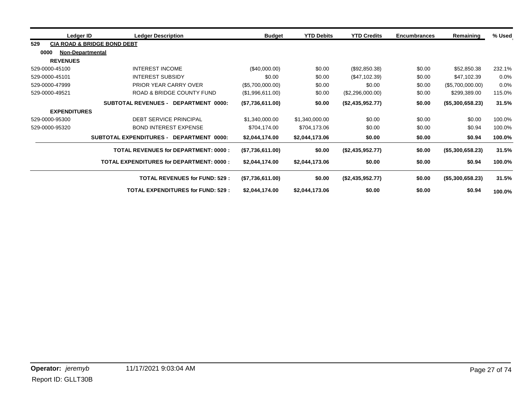| Ledger ID                       | <b>Ledger Description</b>                       | <b>Budget</b>    | <b>YTD Debits</b> | <b>YTD Credits</b> | <b>Encumbrances</b> | Remaining        | % Used |
|---------------------------------|-------------------------------------------------|------------------|-------------------|--------------------|---------------------|------------------|--------|
| 529                             | <b>CIA ROAD &amp; BRIDGE BOND DEBT</b>          |                  |                   |                    |                     |                  |        |
| 0000<br><b>Non-Departmental</b> |                                                 |                  |                   |                    |                     |                  |        |
| <b>REVENUES</b>                 |                                                 |                  |                   |                    |                     |                  |        |
| 529-0000-45100                  | <b>INTEREST INCOME</b>                          | (\$40,000.00)    | \$0.00            | (\$92,850.38)      | \$0.00              | \$52,850.38      | 232.1% |
| 529-0000-45101                  | <b>INTEREST SUBSIDY</b>                         | \$0.00           | \$0.00            | (\$47,102.39)      | \$0.00              | \$47,102.39      | 0.0%   |
| 529-0000-47999                  | <b>PRIOR YEAR CARRY OVER</b>                    | (\$5,700,000.00) | \$0.00            | \$0.00             | \$0.00              | (\$5,700,000.00) | 0.0%   |
| 529-0000-49521                  | ROAD & BRIDGE COUNTY FUND                       | (\$1,996,611.00) | \$0.00            | (\$2,296,000.00)   | \$0.00              | \$299,389.00     | 115.0% |
|                                 | <b>SUBTOTAL REVENUES - DEPARTMENT 0000:</b>     | (\$7,736,611.00) | \$0.00            | (\$2,435,952.77)   | \$0.00              | (\$5,300,658.23) | 31.5%  |
| <b>EXPENDITURES</b>             |                                                 |                  |                   |                    |                     |                  |        |
| 529-0000-95300                  | <b>DEBT SERVICE PRINCIPAL</b>                   | \$1,340,000.00   | \$1,340,000.00    | \$0.00             | \$0.00              | \$0.00           | 100.0% |
| 529-0000-95320                  | <b>BOND INTEREST EXPENSE</b>                    | \$704,174.00     | \$704,173.06      | \$0.00             | \$0.00              | \$0.94           | 100.0% |
|                                 | SUBTOTAL EXPENDITURES - DEPARTMENT 0000:        | \$2,044,174.00   | \$2,044,173.06    | \$0.00             | \$0.00              | \$0.94           | 100.0% |
|                                 | <b>TOTAL REVENUES for DEPARTMENT: 0000:</b>     | (\$7,736,611.00) | \$0.00            | (\$2,435,952.77)   | \$0.00              | (\$5,300,658.23) | 31.5%  |
|                                 | <b>TOTAL EXPENDITURES for DEPARTMENT: 0000:</b> | \$2,044,174.00   | \$2,044,173.06    | \$0.00             | \$0.00              | \$0.94           | 100.0% |
|                                 | <b>TOTAL REVENUES for FUND: 529:</b>            | (\$7,736,611.00) | \$0.00            | (\$2,435,952.77)   | \$0.00              | (\$5,300,658.23) | 31.5%  |
|                                 | <b>TOTAL EXPENDITURES for FUND: 529:</b>        | \$2,044,174.00   | \$2,044,173.06    | \$0.00             | \$0.00              | \$0.94           | 100.0% |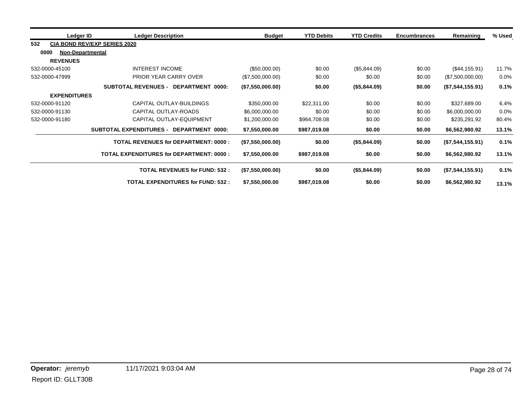| Ledger ID                       | <b>Ledger Description</b>                       | <b>Budget</b>     | <b>YTD Debits</b> | <b>YTD Credits</b> | <b>Encumbrances</b> | Remaining        | % Used  |
|---------------------------------|-------------------------------------------------|-------------------|-------------------|--------------------|---------------------|------------------|---------|
| 532                             | <b>CIA BOND REV/EXP SERIES 2020</b>             |                   |                   |                    |                     |                  |         |
| 0000<br><b>Non-Departmental</b> |                                                 |                   |                   |                    |                     |                  |         |
| <b>REVENUES</b>                 |                                                 |                   |                   |                    |                     |                  |         |
| 532-0000-45100                  | <b>INTEREST INCOME</b>                          | (\$50,000.00)     | \$0.00            | (\$5,844.09)       | \$0.00              | $(\$44,155.91)$  | 11.7%   |
| 532-0000-47999                  | PRIOR YEAR CARRY OVER                           | (\$7,500,000.00)  | \$0.00            | \$0.00             | \$0.00              | (\$7,500,000.00) | $0.0\%$ |
|                                 | <b>SUBTOTAL REVENUES - DEPARTMENT 0000:</b>     | (\$7,550,000.00)  | \$0.00            | (\$5,844.09)       | \$0.00              | (\$7,544,155.91) | 0.1%    |
| <b>EXPENDITURES</b>             |                                                 |                   |                   |                    |                     |                  |         |
| 532-0000-91120                  | CAPITAL OUTLAY-BUILDINGS                        | \$350,000.00      | \$22,311.00       | \$0.00             | \$0.00              | \$327,689.00     | 6.4%    |
| 532-0000-91130                  | CAPITAL OUTLAY-ROADS                            | \$6,000,000.00    | \$0.00            | \$0.00             | \$0.00              | \$6,000,000.00   | 0.0%    |
| 532-0000-91180                  | CAPITAL OUTLAY-EQUIPMENT                        | \$1,200,000.00    | \$964,708.08      | \$0.00             | \$0.00              | \$235,291.92     | 80.4%   |
|                                 | SUBTOTAL EXPENDITURES - DEPARTMENT 0000:        | \$7,550,000.00    | \$987,019.08      | \$0.00             | \$0.00              | \$6,562,980.92   | 13.1%   |
|                                 | <b>TOTAL REVENUES for DEPARTMENT: 0000:</b>     | (S7, 550, 000.00) | \$0.00            | (\$5,844.09)       | \$0.00              | (\$7,544,155.91) | 0.1%    |
|                                 | <b>TOTAL EXPENDITURES for DEPARTMENT: 0000:</b> | \$7,550,000.00    | \$987,019.08      | \$0.00             | \$0.00              | \$6,562,980.92   | 13.1%   |
|                                 | <b>TOTAL REVENUES for FUND: 532:</b>            | (\$7,550,000.00)  | \$0.00            | (\$5,844.09)       | \$0.00              | (\$7,544,155.91) | 0.1%    |
|                                 | <b>TOTAL EXPENDITURES for FUND: 532:</b>        | \$7,550,000.00    | \$987,019.08      | \$0.00             | \$0.00              | \$6,562,980.92   | 13.1%   |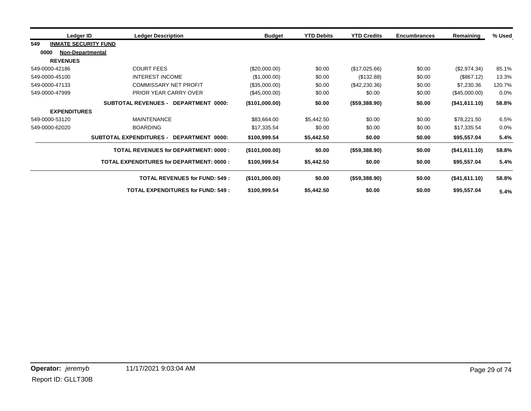| Ledger ID                          | <b>Ledger Description</b>                          | <b>Budget</b>  | <b>YTD Debits</b> | <b>YTD Credits</b> | <b>Encumbrances</b> | Remaining     | % Used |
|------------------------------------|----------------------------------------------------|----------------|-------------------|--------------------|---------------------|---------------|--------|
| 549<br><b>INMATE SECURITY FUND</b> |                                                    |                |                   |                    |                     |               |        |
| 0000<br>Non-Departmental           |                                                    |                |                   |                    |                     |               |        |
| <b>REVENUES</b>                    |                                                    |                |                   |                    |                     |               |        |
| 549-0000-42186                     | <b>COURT FEES</b>                                  | (\$20,000.00)  | \$0.00            | (\$17,025.66)      | \$0.00              | (\$2,974.34)  | 85.1%  |
| 549-0000-45100                     | <b>INTEREST INCOME</b>                             | (\$1,000.00)   | \$0.00            | (\$132.88)         | \$0.00              | (\$867.12)    | 13.3%  |
| 549-0000-47133                     | <b>COMMISSARY NET PROFIT</b>                       | (\$35,000.00)  | \$0.00            | (\$42,230.36)      | \$0.00              | \$7,230.36    | 120.7% |
| 549-0000-47999                     | <b>PRIOR YEAR CARRY OVER</b>                       | (\$45,000.00)  | \$0.00            | \$0.00             | \$0.00              | (\$45,000.00) | 0.0%   |
|                                    | SUBTOTAL REVENUES - DEPARTMENT 0000:               | (\$101,000.00) | \$0.00            | (\$59,388.90)      | \$0.00              | (\$41,611.10) | 58.8%  |
| <b>EXPENDITURES</b>                |                                                    |                |                   |                    |                     |               |        |
| 549-0000-53120                     | <b>MAINTENANCE</b>                                 | \$83,664.00    | \$5,442.50        | \$0.00             | \$0.00              | \$78,221.50   | 6.5%   |
| 549-0000-62020                     | <b>BOARDING</b>                                    | \$17,335.54    | \$0.00            | \$0.00             | \$0.00              | \$17,335.54   | 0.0%   |
|                                    | <b>SUBTOTAL EXPENDITURES -</b><br>DEPARTMENT 0000: | \$100,999.54   | \$5,442.50        | \$0.00             | \$0.00              | \$95,557.04   | 5.4%   |
|                                    | <b>TOTAL REVENUES for DEPARTMENT: 0000:</b>        | (\$101,000.00) | \$0.00            | (\$59,388.90)      | \$0.00              | (\$41,611.10) | 58.8%  |
|                                    | <b>TOTAL EXPENDITURES for DEPARTMENT: 0000:</b>    | \$100,999.54   | \$5,442.50        | \$0.00             | \$0.00              | \$95,557.04   | 5.4%   |
|                                    | <b>TOTAL REVENUES for FUND: 549:</b>               | (\$101,000.00) | \$0.00            | (\$59,388.90)      | \$0.00              | (\$41,611.10) | 58.8%  |
|                                    | <b>TOTAL EXPENDITURES for FUND: 549:</b>           | \$100,999.54   | \$5,442.50        | \$0.00             | \$0.00              | \$95,557.04   | 5.4%   |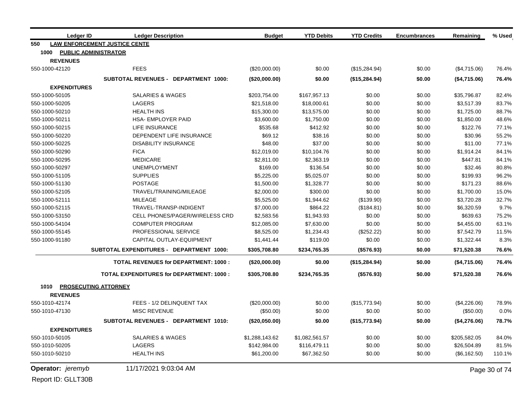| <b>Ledger ID</b>    | <b>Ledger Description</b>                       | <b>Budget</b>  | <b>YTD Debits</b> | <b>YTD Credits</b> | <b>Encumbrances</b> | Remaining    | % Used        |
|---------------------|-------------------------------------------------|----------------|-------------------|--------------------|---------------------|--------------|---------------|
| 550                 | <b>LAW ENFORCEMENT JUSTICE CENTE</b>            |                |                   |                    |                     |              |               |
| 1000                | <b>PUBLIC ADMINISTRATOR</b>                     |                |                   |                    |                     |              |               |
| <b>REVENUES</b>     |                                                 |                |                   |                    |                     |              |               |
| 550-1000-42120      | <b>FEES</b>                                     | (\$20,000.00)  | \$0.00            | (\$15,284.94)      | \$0.00              | (\$4,715.06) | 76.4%         |
|                     | <b>SUBTOTAL REVENUES - DEPARTMENT 1000:</b>     | (\$20,000.00)  | \$0.00            | (\$15,284.94)      | \$0.00              | (\$4,715.06) | 76.4%         |
| <b>EXPENDITURES</b> |                                                 |                |                   |                    |                     |              |               |
| 550-1000-50105      | <b>SALARIES &amp; WAGES</b>                     | \$203,754.00   | \$167,957.13      | \$0.00             | \$0.00              | \$35,796.87  | 82.4%         |
| 550-1000-50205      | LAGERS                                          | \$21,518.00    | \$18,000.61       | \$0.00             | \$0.00              | \$3,517.39   | 83.7%         |
| 550-1000-50210      | <b>HEALTH INS</b>                               | \$15,300.00    | \$13,575.00       | \$0.00             | \$0.00              | \$1,725.00   | 88.7%         |
| 550-1000-50211      | <b>HSA- EMPLOYER PAID</b>                       | \$3,600.00     | \$1,750.00        | \$0.00             | \$0.00              | \$1,850.00   | 48.6%         |
| 550-1000-50215      | <b>LIFE INSURANCE</b>                           | \$535.68       | \$412.92          | \$0.00             | \$0.00              | \$122.76     | 77.1%         |
| 550-1000-50220      | DEPENDENT LIFE INSURANCE                        | \$69.12        | \$38.16           | \$0.00             | \$0.00              | \$30.96      | 55.2%         |
| 550-1000-50225      | <b>DISABILITY INSURANCE</b>                     | \$48.00        | \$37.00           | \$0.00             | \$0.00              | \$11.00      | 77.1%         |
| 550-1000-50290      | <b>FICA</b>                                     | \$12,019.00    | \$10,104.76       | \$0.00             | \$0.00              | \$1,914.24   | 84.1%         |
| 550-1000-50295      | <b>MEDICARE</b>                                 | \$2,811.00     | \$2,363.19        | \$0.00             | \$0.00              | \$447.81     | 84.1%         |
| 550-1000-50297      | <b>UNEMPLOYMENT</b>                             | \$169.00       | \$136.54          | \$0.00             | \$0.00              | \$32.46      | 80.8%         |
| 550-1000-51105      | <b>SUPPLIES</b>                                 | \$5,225.00     | \$5,025.07        | \$0.00             | \$0.00              | \$199.93     | 96.2%         |
| 550-1000-51130      | <b>POSTAGE</b>                                  | \$1,500.00     | \$1,328.77        | \$0.00             | \$0.00              | \$171.23     | 88.6%         |
| 550-1000-52105      | TRAVEL/TRAINING/MILEAGE                         | \$2,000.00     | \$300.00          | \$0.00             | \$0.00              | \$1,700.00   | 15.0%         |
| 550-1000-52111      | <b>MILEAGE</b>                                  | \$5,525.00     | \$1,944.62        | (\$139.90)         | \$0.00              | \$3,720.28   | 32.7%         |
| 550-1000-52115      | TRAVEL-TRANSP-INDIGENT                          | \$7,000.00     | \$864.22          | (\$184.81)         | \$0.00              | \$6,320.59   | 9.7%          |
| 550-1000-53150      | CELL PHONES/PAGER/WIRELESS CRD                  | \$2,583.56     | \$1,943.93        | \$0.00             | \$0.00              | \$639.63     | 75.2%         |
| 550-1000-54104      | <b>COMPUTER PROGRAM</b>                         | \$12,085.00    | \$7,630.00        | \$0.00             | \$0.00              | \$4,455.00   | 63.1%         |
| 550-1000-55145      | PROFESSIONAL SERVICE                            | \$8,525.00     | \$1,234.43        | (\$252.22)         | \$0.00              | \$7,542.79   | 11.5%         |
| 550-1000-91180      | CAPITAL OUTLAY-EQUIPMENT                        | \$1,441.44     | \$119.00          | \$0.00             | \$0.00              | \$1,322.44   | 8.3%          |
|                     | SUBTOTAL EXPENDITURES - DEPARTMENT 1000:        | \$305,708.80   | \$234,765.35      | (\$576.93)         | \$0.00              | \$71,520.38  | 76.6%         |
|                     | <b>TOTAL REVENUES for DEPARTMENT: 1000:</b>     | (\$20,000.00)  | \$0.00            | (\$15,284.94)      | \$0.00              | (\$4,715.06) | 76.4%         |
|                     | <b>TOTAL EXPENDITURES for DEPARTMENT: 1000:</b> | \$305,708.80   | \$234,765.35      | (\$576.93)         | \$0.00              | \$71,520.38  | 76.6%         |
| 1010                | <b>PROSECUTING ATTORNEY</b>                     |                |                   |                    |                     |              |               |
| <b>REVENUES</b>     |                                                 |                |                   |                    |                     |              |               |
| 550-1010-42174      | FEES - 1/2 DELINQUENT TAX                       | (\$20,000.00)  | \$0.00            | (\$15,773.94)      | \$0.00              | (\$4,226.06) | 78.9%         |
| 550-1010-47130      | <b>MISC REVENUE</b>                             | (\$50.00)      | \$0.00            | \$0.00             | \$0.00              | (\$50.00)    | 0.0%          |
|                     | SUBTOTAL REVENUES - DEPARTMENT 1010:            | (\$20,050.00)  | \$0.00            | (\$15,773.94)      | \$0.00              | (\$4,276.06) | 78.7%         |
| <b>EXPENDITURES</b> |                                                 |                |                   |                    |                     |              |               |
| 550-1010-50105      | <b>SALARIES &amp; WAGES</b>                     | \$1,288,143.62 | \$1,082,561.57    | \$0.00             | \$0.00              | \$205,582.05 | 84.0%         |
| 550-1010-50205      | <b>LAGERS</b>                                   | \$142,984.00   | \$116,479.11      | \$0.00             | \$0.00              | \$26,504.89  | 81.5%         |
| 550-1010-50210      | <b>HEALTH INS</b>                               | \$61,200.00    | \$67,362.50       | \$0.00             | \$0.00              | (\$6,162.50) | 110.1%        |
| Operator: jeremyb   | 11/17/2021 9:03:04 AM                           |                |                   |                    |                     |              | Page 30 of 74 |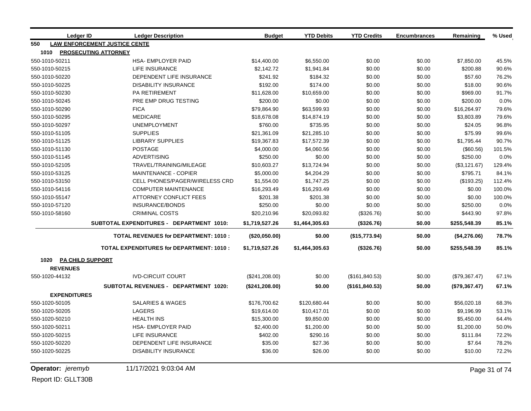| <b>Ledger ID</b>      | <b>Ledger Description</b>                       | <b>Budget</b>   | <b>YTD Debits</b> | <b>YTD Credits</b> | <b>Encumbrances</b> | Remaining     | % Used |
|-----------------------|-------------------------------------------------|-----------------|-------------------|--------------------|---------------------|---------------|--------|
| 550                   | <b>LAW ENFORCEMENT JUSTICE CENTE</b>            |                 |                   |                    |                     |               |        |
| 1010                  | <b>PROSECUTING ATTORNEY</b>                     |                 |                   |                    |                     |               |        |
| 550-1010-50211        | <b>HSA- EMPLOYER PAID</b>                       | \$14,400.00     | \$6,550.00        | \$0.00             | \$0.00              | \$7,850.00    | 45.5%  |
| 550-1010-50215        | <b>LIFE INSURANCE</b>                           | \$2,142.72      | \$1,941.84        | \$0.00             | \$0.00              | \$200.88      | 90.6%  |
| 550-1010-50220        | DEPENDENT LIFE INSURANCE                        | \$241.92        | \$184.32          | \$0.00             | \$0.00              | \$57.60       | 76.2%  |
| 550-1010-50225        | <b>DISABILITY INSURANCE</b>                     | \$192.00        | \$174.00          | \$0.00             | \$0.00              | \$18.00       | 90.6%  |
| 550-1010-50230        | <b>PA RETIREMENT</b>                            | \$11,628.00     | \$10,659.00       | \$0.00             | \$0.00              | \$969.00      | 91.7%  |
| 550-1010-50245        | PRE EMP DRUG TESTING                            | \$200.00        | \$0.00            | \$0.00             | \$0.00              | \$200.00      | 0.0%   |
| 550-1010-50290        | <b>FICA</b>                                     | \$79,864.90     | \$63,599.93       | \$0.00             | \$0.00              | \$16,264.97   | 79.6%  |
| 550-1010-50295        | <b>MEDICARE</b>                                 | \$18,678.08     | \$14,874.19       | \$0.00             | \$0.00              | \$3,803.89    | 79.6%  |
| 550-1010-50297        | <b>UNEMPLOYMENT</b>                             | \$760.00        | \$735.95          | \$0.00             | \$0.00              | \$24.05       | 96.8%  |
| 550-1010-51105        | <b>SUPPLIES</b>                                 | \$21,361.09     | \$21,285.10       | \$0.00             | \$0.00              | \$75.99       | 99.6%  |
| 550-1010-51125        | <b>LIBRARY SUPPLIES</b>                         | \$19,367.83     | \$17,572.39       | \$0.00             | \$0.00              | \$1,795.44    | 90.7%  |
| 550-1010-51130        | <b>POSTAGE</b>                                  | \$4,000.00      | \$4,060.56        | \$0.00             | \$0.00              | (\$60.56)     | 101.5% |
| 550-1010-51145        | <b>ADVERTISING</b>                              | \$250.00        | \$0.00            | \$0.00             | \$0.00              | \$250.00      | 0.0%   |
| 550-1010-52105        | TRAVEL/TRAINING/MILEAGE                         | \$10,603.27     | \$13,724.94       | \$0.00             | \$0.00              | (\$3,121.67)  | 129.4% |
| 550-1010-53125        | <b>MAINTENANCE - COPIER</b>                     | \$5,000.00      | \$4,204.29        | \$0.00             | \$0.00              | \$795.71      | 84.1%  |
| 550-1010-53150        | CELL PHONES/PAGER/WIRELESS CRD                  | \$1,554.00      | \$1,747.25        | \$0.00             | \$0.00              | (\$193.25)    | 112.4% |
| 550-1010-54116        | <b>COMPUTER MAINTENANCE</b>                     | \$16,293.49     | \$16,293.49       | \$0.00             | \$0.00              | \$0.00        | 100.0% |
| 550-1010-55147        | <b>ATTORNEY CONFLICT FEES</b>                   | \$201.38        | \$201.38          | \$0.00             | \$0.00              | \$0.00        | 100.0% |
| 550-1010-57120        | <b>INSURANCE/BONDS</b>                          | \$250.00        | \$0.00            | \$0.00             | \$0.00              | \$250.00      | 0.0%   |
| 550-1010-58160        | <b>CRIMINAL COSTS</b>                           | \$20,210.96     | \$20,093.82       | (\$326.76)         | \$0.00              | \$443.90      | 97.8%  |
|                       | SUBTOTAL EXPENDITURES - DEPARTMENT 1010:        | \$1,719,527.26  | \$1,464,305.63    | (\$326.76)         | \$0.00              | \$255,548.39  | 85.1%  |
|                       | <b>TOTAL REVENUES for DEPARTMENT: 1010:</b>     | (\$20,050.00)   | \$0.00            | (\$15,773.94)      | \$0.00              | (\$4,276.06)  | 78.7%  |
|                       | <b>TOTAL EXPENDITURES for DEPARTMENT: 1010:</b> | \$1,719,527.26  | \$1,464,305.63    | (\$326.76)         | \$0.00              | \$255,548.39  | 85.1%  |
| 1020 PA CHILD SUPPORT |                                                 |                 |                   |                    |                     |               |        |
| <b>REVENUES</b>       |                                                 |                 |                   |                    |                     |               |        |
| 550-1020-44132        | <b>IVD-CIRCUIT COURT</b>                        | (\$241, 208.00) | \$0.00            | (\$161, 840.53)    | \$0.00              | (\$79,367.47) | 67.1%  |
|                       | SUBTOTAL REVENUES - DEPARTMENT 1020:            | (\$241, 208.00) | \$0.00            | (\$161, 840.53)    | \$0.00              | (\$79,367.47) | 67.1%  |
| <b>EXPENDITURES</b>   |                                                 |                 |                   |                    |                     |               |        |
| 550-1020-50105        | <b>SALARIES &amp; WAGES</b>                     | \$176,700.62    | \$120,680.44      | \$0.00             | \$0.00              | \$56,020.18   | 68.3%  |
| 550-1020-50205        | LAGERS                                          | \$19,614.00     | \$10,417.01       | \$0.00             | \$0.00              | \$9,196.99    | 53.1%  |
| 550-1020-50210        | <b>HEALTH INS</b>                               | \$15,300.00     | \$9,850.00        | \$0.00             | \$0.00              | \$5,450.00    | 64.4%  |
| 550-1020-50211        | <b>HSA- EMPLOYER PAID</b>                       | \$2,400.00      | \$1,200.00        | \$0.00             | \$0.00              | \$1,200.00    | 50.0%  |
| 550-1020-50215        | <b>LIFE INSURANCE</b>                           | \$402.00        | \$290.16          | \$0.00             | \$0.00              | \$111.84      | 72.2%  |
| 550-1020-50220        | DEPENDENT LIFE INSURANCE                        | \$35.00         | \$27.36           | \$0.00             | \$0.00              | \$7.64        | 78.2%  |
| 550-1020-50225        | <b>DISABILITY INSURANCE</b>                     | \$36.00         | \$26.00           | \$0.00             | \$0.00              | \$10.00       | 72.2%  |

**Operator:** *jeremyb* 11/17/2021 9:03:04 AM Page 31 of 74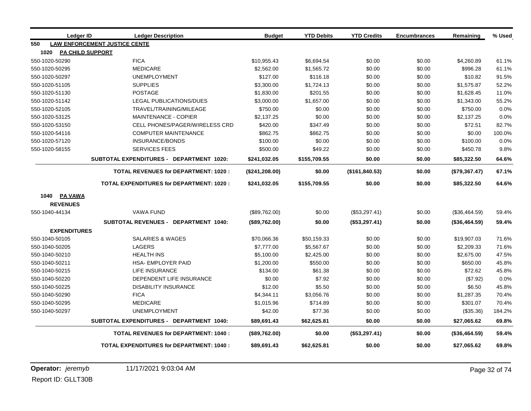| Ledger ID                       | <b>Ledger Description</b>                       | <b>Budget</b>   | <b>YTD Debits</b> | <b>YTD Credits</b> | <b>Encumbrances</b> | Remaining     | % Used |
|---------------------------------|-------------------------------------------------|-----------------|-------------------|--------------------|---------------------|---------------|--------|
| 550                             | <b>LAW ENFORCEMENT JUSTICE CENTE</b>            |                 |                   |                    |                     |               |        |
| 1020<br><b>PA CHILD SUPPORT</b> |                                                 |                 |                   |                    |                     |               |        |
| 550-1020-50290                  | <b>FICA</b>                                     | \$10,955.43     | \$6,694.54        | \$0.00             | \$0.00              | \$4,260.89    | 61.1%  |
| 550-1020-50295                  | <b>MEDICARE</b>                                 | \$2,562.00      | \$1,565.72        | \$0.00             | \$0.00              | \$996.28      | 61.1%  |
| 550-1020-50297                  | <b>UNEMPLOYMENT</b>                             | \$127.00        | \$116.18          | \$0.00             | \$0.00              | \$10.82       | 91.5%  |
| 550-1020-51105                  | <b>SUPPLIES</b>                                 | \$3,300.00      | \$1,724.13        | \$0.00             | \$0.00              | \$1,575.87    | 52.2%  |
| 550-1020-51130                  | <b>POSTAGE</b>                                  | \$1,830.00      | \$201.55          | \$0.00             | \$0.00              | \$1,628.45    | 11.0%  |
| 550-1020-51142                  | <b>LEGAL PUBLICATIONS/DUES</b>                  | \$3,000.00      | \$1,657.00        | \$0.00             | \$0.00              | \$1,343.00    | 55.2%  |
| 550-1020-52105                  | TRAVEL/TRAINING/MILEAGE                         | \$750.00        | \$0.00            | \$0.00             | \$0.00              | \$750.00      | 0.0%   |
| 550-1020-53125                  | <b>MAINTENANCE - COPIER</b>                     | \$2,137.25      | \$0.00            | \$0.00             | \$0.00              | \$2,137.25    | 0.0%   |
| 550-1020-53150                  | CELL PHONES/PAGER/WIRELESS CRD                  | \$420.00        | \$347.49          | \$0.00             | \$0.00              | \$72.51       | 82.7%  |
| 550-1020-54116                  | <b>COMPUTER MAINTENANCE</b>                     | \$862.75        | \$862.75          | \$0.00             | \$0.00              | \$0.00        | 100.0% |
| 550-1020-57120                  | <b>INSURANCE/BONDS</b>                          | \$100.00        | \$0.00            | \$0.00             | \$0.00              | \$100.00      | 0.0%   |
| 550-1020-58155                  | <b>SERVICES FEES</b>                            | \$500.00        | \$49.22           | \$0.00             | \$0.00              | \$450.78      | 9.8%   |
|                                 | SUBTOTAL EXPENDITURES - DEPARTMENT 1020:        | \$241,032.05    | \$155,709.55      | \$0.00             | \$0.00              | \$85,322.50   | 64.6%  |
|                                 | <b>TOTAL REVENUES for DEPARTMENT: 1020:</b>     | (\$241, 208.00) | \$0.00            | (\$161, 840.53)    | \$0.00              | (\$79,367.47) | 67.1%  |
|                                 | <b>TOTAL EXPENDITURES for DEPARTMENT: 1020:</b> | \$241,032.05    | \$155,709.55      | \$0.00             | \$0.00              | \$85,322.50   | 64.6%  |
| <b>PA VAWA</b><br>1040          |                                                 |                 |                   |                    |                     |               |        |
| <b>REVENUES</b>                 |                                                 |                 |                   |                    |                     |               |        |
| 550-1040-44134                  | <b>VAWA FUND</b>                                | (\$89,762.00)   | \$0.00            | (\$53,297.41)      | \$0.00              | (\$36,464.59) | 59.4%  |
|                                 | <b>SUBTOTAL REVENUES - DEPARTMENT 1040:</b>     | (\$89,762.00)   | \$0.00            | (\$53,297.41)      | \$0.00              | (\$36,464.59) | 59.4%  |
| <b>EXPENDITURES</b>             |                                                 |                 |                   |                    |                     |               |        |
| 550-1040-50105                  | <b>SALARIES &amp; WAGES</b>                     | \$70,066.36     | \$50,159.33       | \$0.00             | \$0.00              | \$19,907.03   | 71.6%  |
| 550-1040-50205                  | <b>LAGERS</b>                                   | \$7,777.00      | \$5,567.67        | \$0.00             | \$0.00              | \$2,209.33    | 71.6%  |
| 550-1040-50210                  | <b>HEALTH INS</b>                               | \$5,100.00      | \$2,425.00        | \$0.00             | \$0.00              | \$2,675.00    | 47.5%  |
| 550-1040-50211                  | HSA- EMPLOYER PAID                              | \$1,200.00      | \$550.00          | \$0.00             | \$0.00              | \$650.00      | 45.8%  |
| 550-1040-50215                  | LIFE INSURANCE                                  | \$134.00        | \$61.38           | \$0.00             | \$0.00              | \$72.62       | 45.8%  |
| 550-1040-50220                  | DEPENDENT LIFE INSURANCE                        | \$0.00          | \$7.92            | \$0.00             | \$0.00              | (\$7.92)      | 0.0%   |
| 550-1040-50225                  | <b>DISABILITY INSURANCE</b>                     | \$12.00         | \$5.50            | \$0.00             | \$0.00              | \$6.50        | 45.8%  |
| 550-1040-50290                  | <b>FICA</b>                                     | \$4,344.11      | \$3,056.76        | \$0.00             | \$0.00              | \$1,287.35    | 70.4%  |
| 550-1040-50295                  | <b>MEDICARE</b>                                 | \$1,015.96      | \$714.89          | \$0.00             | \$0.00              | \$301.07      | 70.4%  |
| 550-1040-50297                  | <b>UNEMPLOYMENT</b>                             | \$42.00         | \$77.36           | \$0.00             | \$0.00              | (\$35.36)     | 184.2% |
|                                 | SUBTOTAL EXPENDITURES - DEPARTMENT 1040:        | \$89,691.43     | \$62,625.81       | \$0.00             | \$0.00              | \$27,065.62   | 69.8%  |
|                                 | <b>TOTAL REVENUES for DEPARTMENT: 1040:</b>     | (\$89,762.00)   | \$0.00            | (\$53,297.41)      | \$0.00              | (\$36,464.59) | 59.4%  |
|                                 | TOTAL EXPENDITURES for DEPARTMENT: 1040 :       | \$89,691.43     | \$62,625.81       | \$0.00             | \$0.00              | \$27,065.62   | 69.8%  |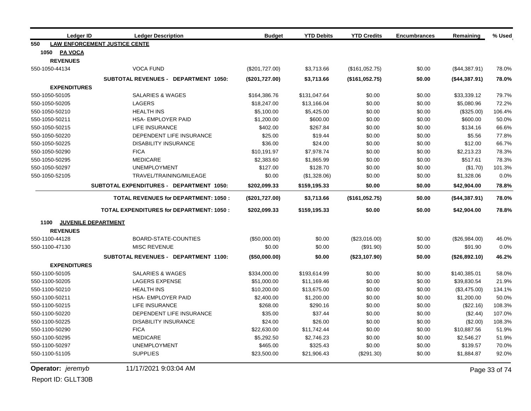| <b>Ledger ID</b>                   | <b>Ledger Description</b>                       | <b>Budget</b>  | <b>YTD Debits</b> | <b>YTD Credits</b> | <b>Encumbrances</b> | Remaining     | % Used        |
|------------------------------------|-------------------------------------------------|----------------|-------------------|--------------------|---------------------|---------------|---------------|
| 550                                | <b>LAW ENFORCEMENT JUSTICE CENTE</b>            |                |                   |                    |                     |               |               |
| 1050 PA VOCA                       |                                                 |                |                   |                    |                     |               |               |
| <b>REVENUES</b>                    |                                                 |                |                   |                    |                     |               |               |
| 550-1050-44134                     | <b>VOCA FUND</b>                                | (\$201,727.00) | \$3,713.66        | (\$161,052.75)     | \$0.00              | (\$44,387.91) | 78.0%         |
|                                    | SUBTOTAL REVENUES - DEPARTMENT 1050:            | (\$201,727.00) | \$3,713.66        | (\$161,052.75)     | \$0.00              | (\$44,387.91) | 78.0%         |
| <b>EXPENDITURES</b>                |                                                 |                |                   |                    |                     |               |               |
| 550-1050-50105                     | <b>SALARIES &amp; WAGES</b>                     | \$164,386.76   | \$131,047.64      | \$0.00             | \$0.00              | \$33,339.12   | 79.7%         |
| 550-1050-50205                     | <b>LAGERS</b>                                   | \$18,247.00    | \$13,166.04       | \$0.00             | \$0.00              | \$5,080.96    | 72.2%         |
| 550-1050-50210                     | <b>HEALTH INS</b>                               | \$5,100.00     | \$5,425.00        | \$0.00             | \$0.00              | (\$325.00)    | 106.4%        |
| 550-1050-50211                     | <b>HSA- EMPLOYER PAID</b>                       | \$1,200.00     | \$600.00          | \$0.00             | \$0.00              | \$600.00      | 50.0%         |
| 550-1050-50215                     | <b>LIFE INSURANCE</b>                           | \$402.00       | \$267.84          | \$0.00             | \$0.00              | \$134.16      | 66.6%         |
| 550-1050-50220                     | DEPENDENT LIFE INSURANCE                        | \$25.00        | \$19.44           | \$0.00             | \$0.00              | \$5.56        | 77.8%         |
| 550-1050-50225                     | <b>DISABILITY INSURANCE</b>                     | \$36.00        | \$24.00           | \$0.00             | \$0.00              | \$12.00       | 66.7%         |
| 550-1050-50290                     | <b>FICA</b>                                     | \$10,191.97    | \$7,978.74        | \$0.00             | \$0.00              | \$2,213.23    | 78.3%         |
| 550-1050-50295                     | <b>MEDICARE</b>                                 | \$2,383.60     | \$1,865.99        | \$0.00             | \$0.00              | \$517.61      | 78.3%         |
| 550-1050-50297                     | <b>UNEMPLOYMENT</b>                             | \$127.00       | \$128.70          | \$0.00             | \$0.00              | (\$1.70)      | 101.3%        |
| 550-1050-52105                     | TRAVEL/TRAINING/MILEAGE                         | \$0.00         | (\$1,328.06)      | \$0.00             | \$0.00              | \$1,328.06    | 0.0%          |
|                                    | <b>SUBTOTAL EXPENDITURES - DEPARTMENT 1050:</b> | \$202,099.33   | \$159,195.33      | \$0.00             | \$0.00              | \$42,904.00   | 78.8%         |
|                                    | <b>TOTAL REVENUES for DEPARTMENT: 1050:</b>     | (\$201,727.00) | \$3,713.66        | (\$161,052.75)     | \$0.00              | (\$44,387.91) | 78.0%         |
|                                    | <b>TOTAL EXPENDITURES for DEPARTMENT: 1050:</b> | \$202,099.33   | \$159,195.33      | \$0.00             | \$0.00              | \$42,904.00   | 78.8%         |
| <b>JUVENILE DEPARTMENT</b><br>1100 |                                                 |                |                   |                    |                     |               |               |
| <b>REVENUES</b>                    |                                                 |                |                   |                    |                     |               |               |
| 550-1100-44128                     | BOARD-STATE-COUNTIES                            | (\$50,000.00)  | \$0.00            | (\$23,016.00)      | \$0.00              | (\$26,984.00) | 46.0%         |
| 550-1100-47130                     | <b>MISC REVENUE</b>                             | \$0.00         | \$0.00            | (\$91.90)          | \$0.00              | \$91.90       | 0.0%          |
|                                    | SUBTOTAL REVENUES - DEPARTMENT 1100:            | (\$50,000.00)  | \$0.00            | (\$23,107.90)      | \$0.00              | (\$26,892.10) | 46.2%         |
| <b>EXPENDITURES</b>                |                                                 |                |                   |                    |                     |               |               |
| 550-1100-50105                     | <b>SALARIES &amp; WAGES</b>                     | \$334,000.00   | \$193,614.99      | \$0.00             | \$0.00              | \$140,385.01  | 58.0%         |
| 550-1100-50205                     | <b>LAGERS EXPENSE</b>                           | \$51,000.00    | \$11,169.46       | \$0.00             | \$0.00              | \$39,830.54   | 21.9%         |
| 550-1100-50210                     | <b>HEALTH INS</b>                               | \$10,200.00    | \$13,675.00       | \$0.00             | \$0.00              | (\$3,475.00)  | 134.1%        |
| 550-1100-50211                     | HSA- EMPLOYER PAID                              | \$2,400.00     | \$1,200.00        | \$0.00             | \$0.00              | \$1,200.00    | 50.0%         |
| 550-1100-50215                     | <b>LIFE INSURANCE</b>                           | \$268.00       | \$290.16          | \$0.00             | \$0.00              | (\$22.16)     | 108.3%        |
| 550-1100-50220                     | DEPENDENT LIFE INSURANCE                        | \$35.00        | \$37.44           | \$0.00             | \$0.00              | (\$2.44)      | 107.0%        |
| 550-1100-50225                     | <b>DISABILITY INSURANCE</b>                     | \$24.00        | \$26.00           | \$0.00             | \$0.00              | (\$2.00)      | 108.3%        |
| 550-1100-50290                     | <b>FICA</b>                                     | \$22,630.00    | \$11,742.44       | \$0.00             | \$0.00              | \$10,887.56   | 51.9%         |
| 550-1100-50295                     | <b>MEDICARE</b>                                 | \$5,292.50     | \$2,746.23        | \$0.00             | \$0.00              | \$2,546.27    | 51.9%         |
| 550-1100-50297                     | <b>UNEMPLOYMENT</b>                             | \$465.00       | \$325.43          | \$0.00             | \$0.00              | \$139.57      | 70.0%         |
| 550-1100-51105                     | <b>SUPPLIES</b>                                 | \$23,500.00    | \$21,906.43       | $(\$291.30)$       | \$0.00              | \$1,884.87    | 92.0%         |
| Operator: jeremyb                  | 11/17/2021 9:03:04 AM                           |                |                   |                    |                     |               | Page 33 of 74 |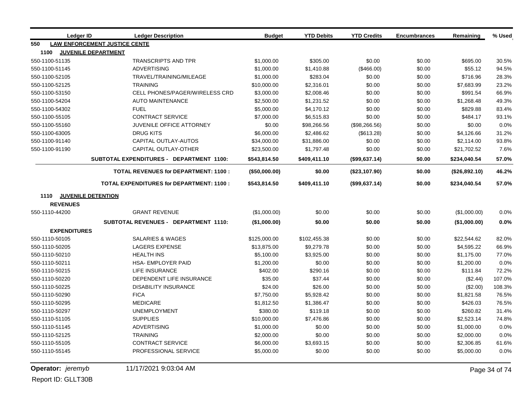|                | <b>Ledger ID</b>          | <b>Ledger Description</b>                       | <b>Budget</b> | <b>YTD Debits</b> | <b>YTD Credits</b> | <b>Encumbrances</b> | Remaining     | % Used |
|----------------|---------------------------|-------------------------------------------------|---------------|-------------------|--------------------|---------------------|---------------|--------|
| 550            |                           | <b>LAW ENFORCEMENT JUSTICE CENTE</b>            |               |                   |                    |                     |               |        |
| 1100           |                           | <b>JUVENILE DEPARTMENT</b>                      |               |                   |                    |                     |               |        |
| 550-1100-51135 |                           | <b>TRANSCRIPTS AND TPR</b>                      | \$1,000.00    | \$305.00          | \$0.00             | \$0.00              | \$695.00      | 30.5%  |
| 550-1100-51145 |                           | <b>ADVERTISING</b>                              | \$1,000.00    | \$1,410.88        | (\$466.00)         | \$0.00              | \$55.12       | 94.5%  |
| 550-1100-52105 |                           | TRAVEL/TRAINING/MILEAGE                         | \$1,000.00    | \$283.04          | \$0.00             | \$0.00              | \$716.96      | 28.3%  |
| 550-1100-52125 |                           | <b>TRAINING</b>                                 | \$10,000.00   | \$2,316.01        | \$0.00             | \$0.00              | \$7,683.99    | 23.2%  |
| 550-1100-53150 |                           | CELL PHONES/PAGER/WIRELESS CRD                  | \$3,000.00    | \$2,008.46        | \$0.00             | \$0.00              | \$991.54      | 66.9%  |
| 550-1100-54204 |                           | <b>AUTO MAINTENANCE</b>                         | \$2,500.00    | \$1,231.52        | \$0.00             | \$0.00              | \$1,268.48    | 49.3%  |
| 550-1100-54302 |                           | <b>FUEL</b>                                     | \$5,000.00    | \$4,170.12        | \$0.00             | \$0.00              | \$829.88      | 83.4%  |
| 550-1100-55105 |                           | <b>CONTRACT SERVICE</b>                         | \$7,000.00    | \$6,515.83        | \$0.00             | \$0.00              | \$484.17      | 93.1%  |
| 550-1100-55160 |                           | JUVENILE OFFICE ATTORNEY                        | \$0.00        | \$98,266.56       | (\$98,266.56)      | \$0.00              | \$0.00        | 0.0%   |
| 550-1100-63005 |                           | <b>DRUG KITS</b>                                | \$6,000.00    | \$2,486.62        | (\$613.28)         | \$0.00              | \$4,126.66    | 31.2%  |
| 550-1100-91140 |                           | CAPITAL OUTLAY-AUTOS                            | \$34,000.00   | \$31,886.00       | \$0.00             | \$0.00              | \$2,114.00    | 93.8%  |
| 550-1100-91190 |                           | CAPITAL OUTLAY-OTHER                            | \$23,500.00   | \$1,797.48        | \$0.00             | \$0.00              | \$21,702.52   | 7.6%   |
|                |                           | <b>SUBTOTAL EXPENDITURES - DEPARTMENT 1100:</b> | \$543,814.50  | \$409,411.10      | (\$99,637.14)      | \$0.00              | \$234,040.54  | 57.0%  |
|                |                           | <b>TOTAL REVENUES for DEPARTMENT: 1100:</b>     | (\$50,000.00) | \$0.00            | (\$23,107.90)      | \$0.00              | (\$26,892.10) | 46.2%  |
|                |                           | <b>TOTAL EXPENDITURES for DEPARTMENT: 1100:</b> | \$543,814.50  | \$409,411.10      | (\$99,637.14)      | \$0.00              | \$234,040.54  | 57.0%  |
| 1110           | <b>JUVENILE DETENTION</b> |                                                 |               |                   |                    |                     |               |        |
|                | <b>REVENUES</b>           |                                                 |               |                   |                    |                     |               |        |
| 550-1110-44200 |                           | <b>GRANT REVENUE</b>                            | (\$1,000.00)  | \$0.00            | \$0.00             | \$0.00              | (\$1,000.00)  | 0.0%   |
|                |                           | SUBTOTAL REVENUES - DEPARTMENT 1110:            | (\$1,000.00)  | \$0.00            | \$0.00             | \$0.00              | (\$1,000.00)  | 0.0%   |
|                | <b>EXPENDITURES</b>       |                                                 |               |                   |                    |                     |               |        |
| 550-1110-50105 |                           | <b>SALARIES &amp; WAGES</b>                     | \$125,000.00  | \$102,455.38      | \$0.00             | \$0.00              | \$22,544.62   | 82.0%  |
| 550-1110-50205 |                           | <b>LAGERS EXPENSE</b>                           | \$13,875.00   | \$9,279.78        | \$0.00             | \$0.00              | \$4,595.22    | 66.9%  |
| 550-1110-50210 |                           | <b>HEALTH INS</b>                               | \$5,100.00    | \$3,925.00        | \$0.00             | \$0.00              | \$1,175.00    | 77.0%  |
| 550-1110-50211 |                           | HSA- EMPLOYER PAID                              | \$1,200.00    | \$0.00            | \$0.00             | \$0.00              | \$1,200.00    | 0.0%   |
| 550-1110-50215 |                           | <b>LIFE INSURANCE</b>                           | \$402.00      | \$290.16          | \$0.00             | \$0.00              | \$111.84      | 72.2%  |
| 550-1110-50220 |                           | DEPENDENT LIFE INSURANCE                        | \$35.00       | \$37.44           | \$0.00             | \$0.00              | (\$2.44)      | 107.0% |
| 550-1110-50225 |                           | <b>DISABILITY INSURANCE</b>                     | \$24.00       | \$26.00           | \$0.00             | \$0.00              | (\$2.00)      | 108.3% |
| 550-1110-50290 |                           | <b>FICA</b>                                     | \$7,750.00    | \$5,928.42        | \$0.00             | \$0.00              | \$1,821.58    | 76.5%  |
| 550-1110-50295 |                           | <b>MEDICARE</b>                                 | \$1,812.50    | \$1,386.47        | \$0.00             | \$0.00              | \$426.03      | 76.5%  |
| 550-1110-50297 |                           | <b>UNEMPLOYMENT</b>                             | \$380.00      | \$119.18          | \$0.00             | \$0.00              | \$260.82      | 31.4%  |
| 550-1110-51105 |                           | <b>SUPPLIES</b>                                 | \$10,000.00   | \$7,476.86        | \$0.00             | \$0.00              | \$2,523.14    | 74.8%  |
| 550-1110-51145 |                           | <b>ADVERTISING</b>                              | \$1,000.00    | \$0.00            | \$0.00             | \$0.00              | \$1,000.00    | 0.0%   |
| 550-1110-52125 |                           | <b>TRAINING</b>                                 | \$2,000.00    | \$0.00            | \$0.00             | \$0.00              | \$2,000.00    | 0.0%   |
| 550-1110-55105 |                           | <b>CONTRACT SERVICE</b>                         | \$6,000.00    | \$3,693.15        | \$0.00             | \$0.00              | \$2,306.85    | 61.6%  |
| 550-1110-55145 |                           | <b>PROFESSIONAL SERVICE</b>                     | \$5,000.00    | \$0.00            | \$0.00             | \$0.00              | \$5,000.00    | 0.0%   |

**Operator:** *jeremyb* 11/17/2021 9:03:04 AM Page 34 of 74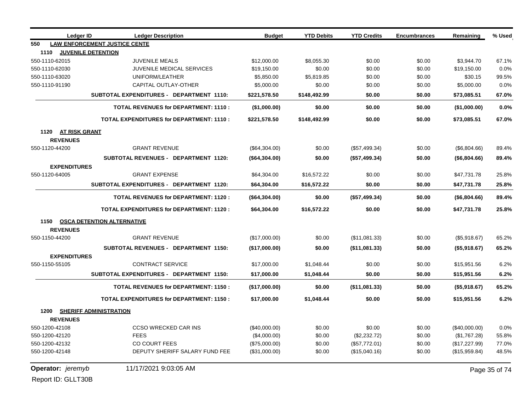| <b>Ledger ID</b>                  | <b>Ledger Description</b>                       | <b>Budget</b> | <b>YTD Debits</b> | <b>YTD Credits</b> | <b>Encumbrances</b> | Remaining     | % Used        |
|-----------------------------------|-------------------------------------------------|---------------|-------------------|--------------------|---------------------|---------------|---------------|
| 550                               | <b>LAW ENFORCEMENT JUSTICE CENTE</b>            |               |                   |                    |                     |               |               |
| 1110<br><b>JUVENILE DETENTION</b> |                                                 |               |                   |                    |                     |               |               |
| 550-1110-62015                    | <b>JUVENILE MEALS</b>                           | \$12,000.00   | \$8,055.30        | \$0.00             | \$0.00              | \$3,944.70    | 67.1%         |
| 550-1110-62030                    | <b>JUVENILE MEDICAL SERVICES</b>                | \$19,150.00   | \$0.00            | \$0.00             | \$0.00              | \$19,150.00   | 0.0%          |
| 550-1110-63020                    | UNIFORM/LEATHER                                 | \$5,850.00    | \$5,819.85        | \$0.00             | \$0.00              | \$30.15       | 99.5%         |
| 550-1110-91190                    | CAPITAL OUTLAY-OTHER                            | \$5,000.00    | \$0.00            | \$0.00             | \$0.00              | \$5,000.00    | 0.0%          |
|                                   | SUBTOTAL EXPENDITURES - DEPARTMENT 1110:        | \$221,578.50  | \$148,492.99      | \$0.00             | \$0.00              | \$73,085.51   | 67.0%         |
|                                   | <b>TOTAL REVENUES for DEPARTMENT: 1110:</b>     | (\$1,000.00)  | \$0.00            | \$0.00             | \$0.00              | (\$1,000.00)  | 0.0%          |
|                                   | <b>TOTAL EXPENDITURES for DEPARTMENT: 1110:</b> | \$221,578.50  | \$148,492.99      | \$0.00             | \$0.00              | \$73,085.51   | 67.0%         |
| 1120 AT RISK GRANT                |                                                 |               |                   |                    |                     |               |               |
| <b>REVENUES</b>                   |                                                 |               |                   |                    |                     |               |               |
| 550-1120-44200                    | <b>GRANT REVENUE</b>                            | (\$64,304.00) | \$0.00            | (\$57,499.34)      | \$0.00              | (\$6,804.66)  | 89.4%         |
|                                   | SUBTOTAL REVENUES - DEPARTMENT 1120:            | (\$64,304.00) | \$0.00            | (\$57,499.34)      | \$0.00              | (\$6,804.66)  | 89.4%         |
| <b>EXPENDITURES</b>               |                                                 |               |                   |                    |                     |               |               |
| 550-1120-64005                    | <b>GRANT EXPENSE</b>                            | \$64,304.00   | \$16,572.22       | \$0.00             | \$0.00              | \$47,731.78   | 25.8%         |
|                                   | <b>SUBTOTAL EXPENDITURES - DEPARTMENT 1120:</b> | \$64,304.00   | \$16,572.22       | \$0.00             | \$0.00              | \$47,731.78   | 25.8%         |
|                                   | <b>TOTAL REVENUES for DEPARTMENT: 1120:</b>     | (\$64,304.00) | \$0.00            | (\$57,499.34)      | \$0.00              | (\$6,804.66)  | 89.4%         |
|                                   | <b>TOTAL EXPENDITURES for DEPARTMENT: 1120:</b> | \$64,304.00   | \$16,572.22       | \$0.00             | \$0.00              | \$47,731.78   | 25.8%         |
|                                   | 1150 OSCA DETENTION ALTERNATIVE                 |               |                   |                    |                     |               |               |
| <b>REVENUES</b>                   |                                                 |               |                   |                    |                     |               |               |
| 550-1150-44200                    | <b>GRANT REVENUE</b>                            | (\$17,000.00) | \$0.00            | (\$11,081.33)      | \$0.00              | (\$5,918.67)  | 65.2%         |
|                                   | SUBTOTAL REVENUES - DEPARTMENT 1150:            | (\$17,000.00) | \$0.00            | (\$11,081.33)      | \$0.00              | (\$5,918.67)  | 65.2%         |
| <b>EXPENDITURES</b>               |                                                 |               |                   |                    |                     |               |               |
| 550-1150-55105                    | <b>CONTRACT SERVICE</b>                         | \$17,000.00   | \$1,048.44        | \$0.00             | \$0.00              | \$15,951.56   | 6.2%          |
|                                   | SUBTOTAL EXPENDITURES - DEPARTMENT 1150:        | \$17,000.00   | \$1,048.44        | \$0.00             | \$0.00              | \$15,951.56   | 6.2%          |
|                                   | <b>TOTAL REVENUES for DEPARTMENT: 1150:</b>     | (\$17,000.00) | \$0.00            | (\$11,081.33)      | \$0.00              | (\$5,918.67)  | 65.2%         |
|                                   | <b>TOTAL EXPENDITURES for DEPARTMENT: 1150:</b> | \$17,000.00   | \$1,048.44        | \$0.00             | \$0.00              | \$15,951.56   | 6.2%          |
| 1200 SHERIFF ADMINISTRATION       |                                                 |               |                   |                    |                     |               |               |
| <b>REVENUES</b>                   |                                                 |               |                   |                    |                     |               |               |
| 550-1200-42108                    | <b>CCSO WRECKED CAR INS</b>                     | (\$40,000.00) | \$0.00            | \$0.00             | \$0.00              | (\$40,000.00) | 0.0%          |
| 550-1200-42120                    | <b>FEES</b>                                     | (\$4,000.00)  | \$0.00            | (\$2,232.72)       | \$0.00              | (\$1,767.28)  | 55.8%         |
| 550-1200-42132                    | <b>CO COURT FEES</b>                            | (\$75,000.00) | \$0.00            | (\$57,772.01)      | \$0.00              | (\$17,227.99) | 77.0%         |
| 550-1200-42148                    | DEPUTY SHERIFF SALARY FUND FEE                  | (\$31,000.00) | \$0.00            | (\$15,040.16)      | \$0.00              | (\$15,959.84) | 48.5%         |
| <b>Operator:</b> jeremyb          | 11/17/2021 9:03:05 AM                           |               |                   |                    |                     |               | Page 35 of 74 |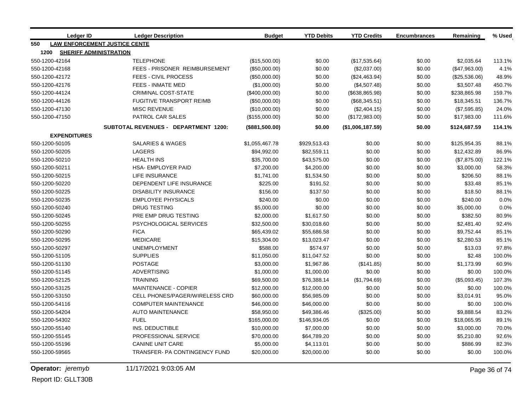|      | <b>Ledger ID</b>                     | <b>Ledger Description</b>                   | <b>Budget</b>  | <b>YTD Debits</b> | <b>YTD Credits</b> | <b>Encumbrances</b> | Remaining     | % Used |
|------|--------------------------------------|---------------------------------------------|----------------|-------------------|--------------------|---------------------|---------------|--------|
| 550  | <b>LAW ENFORCEMENT JUSTICE CENTE</b> |                                             |                |                   |                    |                     |               |        |
| 1200 | <b>SHERIFF ADMINISTRATION</b>        |                                             |                |                   |                    |                     |               |        |
|      | 550-1200-42164                       | <b>TELEPHONE</b>                            | (\$15,500.00)  | \$0.00            | (\$17,535.64)      | \$0.00              | \$2,035.64    | 113.1% |
|      | 550-1200-42168                       | <b>FEES - PRISONER REIMBURSEMENT</b>        | (\$50,000.00)  | \$0.00            | (\$2,037.00)       | \$0.00              | (\$47,963.00) | 4.1%   |
|      | 550-1200-42172                       | FEES - CIVIL PROCESS                        | (\$50,000.00)  | \$0.00            | (\$24,463.94)      | \$0.00              | (\$25,536.06) | 48.9%  |
|      | 550-1200-42176                       | <b>FEES - INMATE MED</b>                    | (\$1,000.00)   | \$0.00            | (\$4,507.48)       | \$0.00              | \$3,507.48    | 450.7% |
|      | 550-1200-44124                       | CRIMINAL COST-STATE                         | (\$400,000.00) | \$0.00            | (\$638, 865.98)    | \$0.00              | \$238,865.98  | 159.7% |
|      | 550-1200-44126                       | <b>FUGITIVE TRANSPORT REIMB</b>             | (\$50,000.00)  | \$0.00            | (\$68,345.51)      | \$0.00              | \$18,345.51   | 136.7% |
|      | 550-1200-47130                       | <b>MISC REVENUE</b>                         | (\$10,000.00)  | \$0.00            | (\$2,404.15)       | \$0.00              | (\$7,595.85)  | 24.0%  |
|      | 550-1200-47150                       | PATROL CAR SALES                            | (\$155,000.00) | \$0.00            | (\$172,983.00)     | \$0.00              | \$17,983.00   | 111.6% |
|      |                                      | <b>SUBTOTAL REVENUES - DEPARTMENT 1200:</b> | (\$881,500.00) | \$0.00            | (\$1,006,187.59)   | \$0.00              | \$124,687.59  | 114.1% |
|      | <b>EXPENDITURES</b>                  |                                             |                |                   |                    |                     |               |        |
|      | 550-1200-50105                       | <b>SALARIES &amp; WAGES</b>                 | \$1,055,467.78 | \$929,513.43      | \$0.00             | \$0.00              | \$125,954.35  | 88.1%  |
|      | 550-1200-50205                       | <b>LAGERS</b>                               | \$94,992.00    | \$82,559.11       | \$0.00             | \$0.00              | \$12,432.89   | 86.9%  |
|      | 550-1200-50210                       | <b>HEALTH INS</b>                           | \$35,700.00    | \$43,575.00       | \$0.00             | \$0.00              | (\$7,875.00)  | 122.1% |
|      | 550-1200-50211                       | <b>HSA- EMPLOYER PAID</b>                   | \$7,200.00     | \$4,200.00        | \$0.00             | \$0.00              | \$3,000.00    | 58.3%  |
|      | 550-1200-50215                       | <b>LIFE INSURANCE</b>                       | \$1,741.00     | \$1,534.50        | \$0.00             | \$0.00              | \$206.50      | 88.1%  |
|      | 550-1200-50220                       | DEPENDENT LIFE INSURANCE                    | \$225.00       | \$191.52          | \$0.00             | \$0.00              | \$33.48       | 85.1%  |
|      | 550-1200-50225                       | <b>DISABILITY INSURANCE</b>                 | \$156.00       | \$137.50          | \$0.00             | \$0.00              | \$18.50       | 88.1%  |
|      | 550-1200-50235                       | <b>EMPLOYEE PHYSICALS</b>                   | \$240.00       | \$0.00            | \$0.00             | \$0.00              | \$240.00      | 0.0%   |
|      | 550-1200-50240                       | <b>DRUG TESTING</b>                         | \$5,000.00     | \$0.00            | \$0.00             | \$0.00              | \$5,000.00    | 0.0%   |
|      | 550-1200-50245                       | PRE EMP DRUG TESTING                        | \$2,000.00     | \$1,617.50        | \$0.00             | \$0.00              | \$382.50      | 80.9%  |
|      | 550-1200-50255                       | PSYCHOLOGICAL SERVICES                      | \$32,500.00    | \$30,018.60       | \$0.00             | \$0.00              | \$2,481.40    | 92.4%  |
|      | 550-1200-50290                       | <b>FICA</b>                                 | \$65,439.02    | \$55,686.58       | \$0.00             | \$0.00              | \$9,752.44    | 85.1%  |
|      | 550-1200-50295                       | <b>MEDICARE</b>                             | \$15,304.00    | \$13,023.47       | \$0.00             | \$0.00              | \$2,280.53    | 85.1%  |
|      | 550-1200-50297                       | <b>UNEMPLOYMENT</b>                         | \$588.00       | \$574.97          | \$0.00             | \$0.00              | \$13.03       | 97.8%  |
|      | 550-1200-51105                       | <b>SUPPLIES</b>                             | \$11,050.00    | \$11,047.52       | \$0.00             | \$0.00              | \$2.48        | 100.0% |
|      | 550-1200-51130                       | <b>POSTAGE</b>                              | \$3,000.00     | \$1,967.86        | (\$141.85)         | \$0.00              | \$1,173.99    | 60.9%  |
|      | 550-1200-51145                       | <b>ADVERTISING</b>                          | \$1,000.00     | \$1,000.00        | \$0.00             | \$0.00              | \$0.00        | 100.0% |
|      | 550-1200-52125                       | <b>TRAINING</b>                             | \$69,500.00    | \$76,388.14       | (\$1,794.69)       | \$0.00              | (\$5,093.45)  | 107.3% |
|      | 550-1200-53125                       | <b>MAINTENANCE - COPIER</b>                 | \$12,000.00    | \$12,000.00       | \$0.00             | \$0.00              | \$0.00        | 100.0% |
|      | 550-1200-53150                       | CELL PHONES/PAGER/WIRELESS CRD              | \$60,000.00    | \$56,985.09       | \$0.00             | \$0.00              | \$3,014.91    | 95.0%  |
|      | 550-1200-54116                       | <b>COMPUTER MAINTENANCE</b>                 | \$46,000.00    | \$46,000.00       | \$0.00             | \$0.00              | \$0.00        | 100.0% |
|      | 550-1200-54204                       | <b>AUTO MAINTENANCE</b>                     | \$58,950.00    | \$49,386.46       | $(\$325.00)$       | \$0.00              | \$9,888.54    | 83.2%  |
|      | 550-1200-54302                       | <b>FUEL</b>                                 | \$165,000.00   | \$146,934.05      | \$0.00             | \$0.00              | \$18,065.95   | 89.1%  |
|      | 550-1200-55140                       | INS. DEDUCTIBLE                             | \$10,000.00    | \$7,000.00        | \$0.00             | \$0.00              | \$3,000.00    | 70.0%  |
|      | 550-1200-55145                       | PROFESSIONAL SERVICE                        | \$70,000.00    | \$64,789.20       | \$0.00             | \$0.00              | \$5,210.80    | 92.6%  |
|      | 550-1200-55196                       | <b>CANINE UNIT CARE</b>                     | \$5,000.00     | \$4,113.01        | \$0.00             | \$0.00              | \$886.99      | 82.3%  |
|      | 550-1200-59565                       | TRANSFER- PA CONTINGENCY FUND               | \$20,000.00    | \$20,000.00       | \$0.00             | \$0.00              | \$0.00        | 100.0% |

**Operator:** *jeremyb* 11/17/2021 9:03:05 AM Page 36 of 74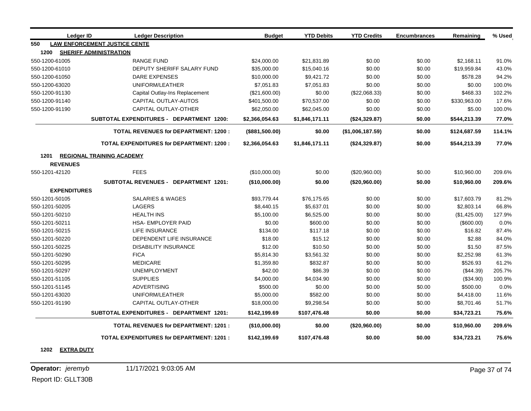| <b>Ledger ID</b>    | <b>Ledger Description</b>                       | <b>Budget</b>  | <b>YTD Debits</b> | <b>YTD Credits</b> | <b>Encumbrances</b> | Remaining    | % Used |
|---------------------|-------------------------------------------------|----------------|-------------------|--------------------|---------------------|--------------|--------|
| 550                 | <b>LAW ENFORCEMENT JUSTICE CENTE</b>            |                |                   |                    |                     |              |        |
| 1200                | <b>SHERIFF ADMINISTRATION</b>                   |                |                   |                    |                     |              |        |
| 550-1200-61005      | <b>RANGE FUND</b>                               | \$24,000.00    | \$21,831.89       | \$0.00             | \$0.00              | \$2,168.11   | 91.0%  |
| 550-1200-61010      | DEPUTY SHERIFF SALARY FUND                      | \$35,000.00    | \$15,040.16       | \$0.00             | \$0.00              | \$19,959.84  | 43.0%  |
| 550-1200-61050      | <b>DARE EXPENSES</b>                            | \$10,000.00    | \$9,421.72        | \$0.00             | \$0.00              | \$578.28     | 94.2%  |
| 550-1200-63020      | UNIFORM/LEATHER                                 | \$7,051.83     | \$7,051.83        | \$0.00             | \$0.00              | \$0.00       | 100.0% |
| 550-1200-91130      | Capital Outlay-Ins Replacement                  | (\$21,600.00)  | \$0.00            | (\$22,068.33)      | \$0.00              | \$468.33     | 102.2% |
| 550-1200-91140      | CAPITAL OUTLAY-AUTOS                            | \$401,500.00   | \$70,537.00       | \$0.00             | \$0.00              | \$330,963.00 | 17.6%  |
| 550-1200-91190      | CAPITAL OUTLAY-OTHER                            | \$62,050.00    | \$62,045.00       | \$0.00             | \$0.00              | \$5.00       | 100.0% |
|                     | <b>SUBTOTAL EXPENDITURES - DEPARTMENT 1200:</b> | \$2,366,054.63 | \$1,846,171.11    | (\$24,329.87)      | \$0.00              | \$544,213.39 | 77.0%  |
|                     | <b>TOTAL REVENUES for DEPARTMENT: 1200:</b>     | (\$881,500.00) | \$0.00            | (\$1,006,187.59)   | \$0.00              | \$124,687.59 | 114.1% |
|                     | <b>TOTAL EXPENDITURES for DEPARTMENT: 1200:</b> | \$2,366,054.63 | \$1,846,171.11    | (\$24,329.87)      | \$0.00              | \$544,213.39 | 77.0%  |
| 1201                | <b>REGIONAL TRAINING ACADEMY</b>                |                |                   |                    |                     |              |        |
| <b>REVENUES</b>     |                                                 |                |                   |                    |                     |              |        |
| 550-1201-42120      | <b>FEES</b>                                     | (\$10,000.00)  | \$0.00            | (\$20,960.00)      | \$0.00              | \$10,960.00  | 209.6% |
|                     | <b>SUBTOTAL REVENUES - DEPARTMENT 1201:</b>     | (\$10,000.00)  | \$0.00            | (\$20,960.00)      | \$0.00              | \$10,960.00  | 209.6% |
| <b>EXPENDITURES</b> |                                                 |                |                   |                    |                     |              |        |
| 550-1201-50105      | SALARIES & WAGES                                | \$93,779.44    | \$76,175.65       | \$0.00             | \$0.00              | \$17,603.79  | 81.2%  |
| 550-1201-50205      | LAGERS                                          | \$8,440.15     | \$5,637.01        | \$0.00             | \$0.00              | \$2,803.14   | 66.8%  |
| 550-1201-50210      | <b>HEALTH INS</b>                               | \$5,100.00     | \$6,525.00        | \$0.00             | \$0.00              | (\$1,425.00) | 127.9% |
| 550-1201-50211      | <b>HSA- EMPLOYER PAID</b>                       | \$0.00         | \$600.00          | \$0.00             | \$0.00              | (\$600.00)   | 0.0%   |
| 550-1201-50215      | <b>LIFE INSURANCE</b>                           | \$134.00       | \$117.18          | \$0.00             | \$0.00              | \$16.82      | 87.4%  |
| 550-1201-50220      | DEPENDENT LIFE INSURANCE                        | \$18.00        | \$15.12           | \$0.00             | \$0.00              | \$2.88       | 84.0%  |
| 550-1201-50225      | <b>DISABILITY INSURANCE</b>                     | \$12.00        | \$10.50           | \$0.00             | \$0.00              | \$1.50       | 87.5%  |
| 550-1201-50290      | <b>FICA</b>                                     | \$5,814.30     | \$3,561.32        | \$0.00             | \$0.00              | \$2,252.98   | 61.3%  |
| 550-1201-50295      | <b>MEDICARE</b>                                 | \$1,359.80     | \$832.87          | \$0.00             | \$0.00              | \$526.93     | 61.2%  |
| 550-1201-50297      | <b>UNEMPLOYMENT</b>                             | \$42.00        | \$86.39           | \$0.00             | \$0.00              | (\$44.39)    | 205.7% |
| 550-1201-51105      | <b>SUPPLIES</b>                                 | \$4,000.00     | \$4,034.90        | \$0.00             | \$0.00              | (\$34.90)    | 100.9% |
| 550-1201-51145      | <b>ADVERTISING</b>                              | \$500.00       | \$0.00            | \$0.00             | \$0.00              | \$500.00     | 0.0%   |
| 550-1201-63020      | UNIFORM/LEATHER                                 | \$5,000.00     | \$582.00          | \$0.00             | \$0.00              | \$4,418.00   | 11.6%  |
| 550-1201-91190      | <b>CAPITAL OUTLAY-OTHER</b>                     | \$18,000.00    | \$9,298.54        | \$0.00             | \$0.00              | \$8,701.46   | 51.7%  |
|                     | SUBTOTAL EXPENDITURES - DEPARTMENT 1201:        | \$142.199.69   | \$107,476.48      | \$0.00             | \$0.00              | \$34,723.21  | 75.6%  |
|                     | <b>TOTAL REVENUES for DEPARTMENT: 1201:</b>     | (\$10,000.00)  | \$0.00            | (\$20,960.00)      | \$0.00              | \$10,960.00  | 209.6% |
|                     | <b>TOTAL EXPENDITURES for DEPARTMENT: 1201:</b> | \$142,199.69   | \$107,476.48      | \$0.00             | \$0.00              | \$34,723.21  | 75.6%  |

**1202 EXTRA DUTY**

**Operator:** *jeremyb* 11/17/2021 9:03:05 AM Page 37 of 74 Report ID: GLLT30B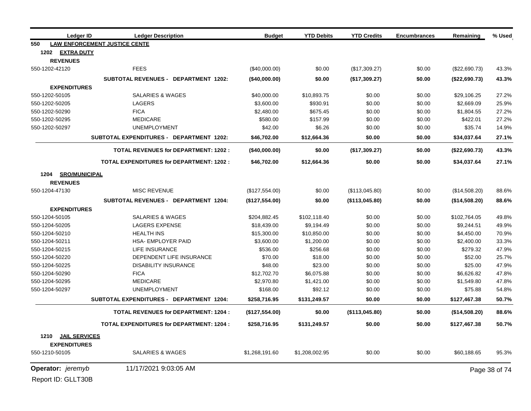| Ledger ID                    | <b>Ledger Description</b>                       | <b>Budget</b>  | <b>YTD Debits</b> | <b>YTD Credits</b> | <b>Encumbrances</b> | Remaining     | % Used        |
|------------------------------|-------------------------------------------------|----------------|-------------------|--------------------|---------------------|---------------|---------------|
| 550                          | <b>LAW ENFORCEMENT JUSTICE CENTE</b>            |                |                   |                    |                     |               |               |
| 1202 EXTRA DUTY              |                                                 |                |                   |                    |                     |               |               |
| <b>REVENUES</b>              |                                                 |                |                   |                    |                     |               |               |
| 550-1202-42120               | <b>FEES</b>                                     | (\$40,000.00)  | \$0.00            | (\$17,309.27)      | \$0.00              | (\$22,690.73) | 43.3%         |
|                              | SUBTOTAL REVENUES - DEPARTMENT 1202:            | (\$40,000.00)  | \$0.00            | (\$17,309.27)      | \$0.00              | (\$22,690.73) | 43.3%         |
| <b>EXPENDITURES</b>          |                                                 |                |                   |                    |                     |               |               |
| 550-1202-50105               | <b>SALARIES &amp; WAGES</b>                     | \$40,000.00    | \$10,893.75       | \$0.00             | \$0.00              | \$29,106.25   | 27.2%         |
| 550-1202-50205               | LAGERS                                          | \$3,600.00     | \$930.91          | \$0.00             | \$0.00              | \$2,669.09    | 25.9%         |
| 550-1202-50290               | <b>FICA</b>                                     | \$2,480.00     | \$675.45          | \$0.00             | \$0.00              | \$1,804.55    | 27.2%         |
| 550-1202-50295               | <b>MEDICARE</b>                                 | \$580.00       | \$157.99          | \$0.00             | \$0.00              | \$422.01      | 27.2%         |
| 550-1202-50297               | <b>UNEMPLOYMENT</b>                             | \$42.00        | \$6.26            | \$0.00             | \$0.00              | \$35.74       | 14.9%         |
|                              | SUBTOTAL EXPENDITURES - DEPARTMENT 1202:        | \$46,702.00    | \$12,664.36       | \$0.00             | \$0.00              | \$34,037.64   | 27.1%         |
|                              | <b>TOTAL REVENUES for DEPARTMENT: 1202:</b>     | (\$40,000.00)  | \$0.00            | (\$17,309.27)      | \$0.00              | (\$22,690.73) | 43.3%         |
|                              | <b>TOTAL EXPENDITURES for DEPARTMENT: 1202:</b> | \$46,702.00    | \$12,664.36       | \$0.00             | \$0.00              | \$34,037.64   | 27.1%         |
| <b>SRO/MUNICIPAL</b><br>1204 |                                                 |                |                   |                    |                     |               |               |
| <b>REVENUES</b>              |                                                 |                |                   |                    |                     |               |               |
| 550-1204-47130               | <b>MISC REVENUE</b>                             | (\$127,554.00) | \$0.00            | (\$113,045.80)     | \$0.00              | (\$14,508.20) | 88.6%         |
|                              | <b>SUBTOTAL REVENUES - DEPARTMENT 1204:</b>     | (\$127,554.00) | \$0.00            | (\$113,045.80)     | \$0.00              | (\$14,508.20) | 88.6%         |
| <b>EXPENDITURES</b>          |                                                 |                |                   |                    |                     |               |               |
| 550-1204-50105               | SALARIES & WAGES                                | \$204,882.45   | \$102,118.40      | \$0.00             | \$0.00              | \$102,764.05  | 49.8%         |
| 550-1204-50205               | <b>LAGERS EXPENSE</b>                           | \$18,439.00    | \$9,194.49        | \$0.00             | \$0.00              | \$9,244.51    | 49.9%         |
| 550-1204-50210               | <b>HEALTH INS</b>                               | \$15,300.00    | \$10,850.00       | \$0.00             | \$0.00              | \$4,450.00    | 70.9%         |
| 550-1204-50211               | <b>HSA- EMPLOYER PAID</b>                       | \$3,600.00     | \$1,200.00        | \$0.00             | \$0.00              | \$2,400.00    | 33.3%         |
| 550-1204-50215               | <b>LIFE INSURANCE</b>                           | \$536.00       | \$256.68          | \$0.00             | \$0.00              | \$279.32      | 47.9%         |
| 550-1204-50220               | DEPENDENT LIFE INSURANCE                        | \$70.00        | \$18.00           | \$0.00             | \$0.00              | \$52.00       | 25.7%         |
| 550-1204-50225               | <b>DISABILITY INSURANCE</b>                     | \$48.00        | \$23.00           | \$0.00             | \$0.00              | \$25.00       | 47.9%         |
| 550-1204-50290               | <b>FICA</b>                                     | \$12,702.70    | \$6,075.88        | \$0.00             | \$0.00              | \$6,626.82    | 47.8%         |
| 550-1204-50295               | <b>MEDICARE</b>                                 | \$2,970.80     | \$1,421.00        | \$0.00             | \$0.00              | \$1,549.80    | 47.8%         |
| 550-1204-50297               | <b>UNEMPLOYMENT</b>                             | \$168.00       | \$92.12           | \$0.00             | \$0.00              | \$75.88       | 54.8%         |
|                              | SUBTOTAL EXPENDITURES - DEPARTMENT 1204:        | \$258,716.95   | \$131,249.57      | \$0.00             | \$0.00              | \$127,467.38  | 50.7%         |
|                              | <b>TOTAL REVENUES for DEPARTMENT: 1204:</b>     | (\$127,554.00) | \$0.00            | (\$113,045.80)     | \$0.00              | (\$14,508.20) | 88.6%         |
|                              | <b>TOTAL EXPENDITURES for DEPARTMENT: 1204:</b> | \$258,716.95   | \$131,249.57      | \$0.00             | \$0.00              | \$127,467.38  | 50.7%         |
| <b>JAIL SERVICES</b><br>1210 |                                                 |                |                   |                    |                     |               |               |
| <b>EXPENDITURES</b>          |                                                 |                |                   |                    |                     |               |               |
| 550-1210-50105               | <b>SALARIES &amp; WAGES</b>                     | \$1,268,191.60 | \$1,208,002.95    | \$0.00             | \$0.00              | \$60,188.65   | 95.3%         |
| Operator: jeremyb            | 11/17/2021 9:03:05 AM                           |                |                   |                    |                     |               | Page 38 of 74 |
| Report ID: GLLT30B           |                                                 |                |                   |                    |                     |               |               |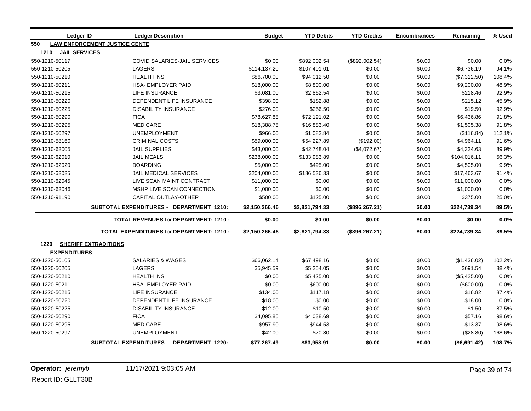| Ledger ID                    | <b>Ledger Description</b>                       | <b>Budget</b>  | <b>YTD Debits</b> | <b>YTD Credits</b> | <b>Encumbrances</b> | Remaining     | % Used |
|------------------------------|-------------------------------------------------|----------------|-------------------|--------------------|---------------------|---------------|--------|
| 550                          | <b>LAW ENFORCEMENT JUSTICE CENTE</b>            |                |                   |                    |                     |               |        |
| 1210<br><b>JAIL SERVICES</b> |                                                 |                |                   |                    |                     |               |        |
| 550-1210-50117               | COVID SALARIES-JAIL SERVICES                    | \$0.00         | \$892,002.54      | (\$892,002.54)     | \$0.00              | \$0.00        | 0.0%   |
| 550-1210-50205               | <b>LAGERS</b>                                   | \$114,137.20   | \$107,401.01      | \$0.00             | \$0.00              | \$6,736.19    | 94.1%  |
| 550-1210-50210               | <b>HEALTH INS</b>                               | \$86,700.00    | \$94,012.50       | \$0.00             | \$0.00              | (\$7,312.50)  | 108.4% |
| 550-1210-50211               | <b>HSA- EMPLOYER PAID</b>                       | \$18,000.00    | \$8,800.00        | \$0.00             | \$0.00              | \$9,200.00    | 48.9%  |
| 550-1210-50215               | LIFE INSURANCE                                  | \$3,081.00     | \$2,862.54        | \$0.00             | \$0.00              | \$218.46      | 92.9%  |
| 550-1210-50220               | DEPENDENT LIFE INSURANCE                        | \$398.00       | \$182.88          | \$0.00             | \$0.00              | \$215.12      | 45.9%  |
| 550-1210-50225               | <b>DISABILITY INSURANCE</b>                     | \$276.00       | \$256.50          | \$0.00             | \$0.00              | \$19.50       | 92.9%  |
| 550-1210-50290               | <b>FICA</b>                                     | \$78,627.88    | \$72,191.02       | \$0.00             | \$0.00              | \$6,436.86    | 91.8%  |
| 550-1210-50295               | <b>MEDICARE</b>                                 | \$18,388.78    | \$16,883.40       | \$0.00             | \$0.00              | \$1,505.38    | 91.8%  |
| 550-1210-50297               | <b>UNEMPLOYMENT</b>                             | \$966.00       | \$1,082.84        | \$0.00             | \$0.00              | (\$116.84)    | 112.1% |
| 550-1210-58160               | <b>CRIMINAL COSTS</b>                           | \$59,000.00    | \$54,227.89       | (\$192.00)         | \$0.00              | \$4,964.11    | 91.6%  |
| 550-1210-62005               | <b>JAIL SUPPLIES</b>                            | \$43,000.00    | \$42,748.04       | (\$4,072.67)       | \$0.00              | \$4,324.63    | 89.9%  |
| 550-1210-62010               | <b>JAIL MEALS</b>                               | \$238,000.00   | \$133,983.89      | \$0.00             | \$0.00              | \$104,016.11  | 56.3%  |
| 550-1210-62020               | <b>BOARDING</b>                                 | \$5,000.00     | \$495.00          | \$0.00             | \$0.00              | \$4,505.00    | 9.9%   |
| 550-1210-62025               | JAIL MEDICAL SERVICES                           | \$204,000.00   | \$186,536.33      | \$0.00             | \$0.00              | \$17,463.67   | 91.4%  |
| 550-1210-62045               | LIVE SCAN MAINT CONTRACT                        | \$11,000.00    | \$0.00            | \$0.00             | \$0.00              | \$11,000.00   | 0.0%   |
| 550-1210-62046               | MSHP LIVE SCAN CONNECTION                       | \$1,000.00     | \$0.00            | \$0.00             | \$0.00              | \$1,000.00    | 0.0%   |
| 550-1210-91190               | <b>CAPITAL OUTLAY-OTHER</b>                     | \$500.00       | \$125.00          | \$0.00             | \$0.00              | \$375.00      | 25.0%  |
|                              | SUBTOTAL EXPENDITURES - DEPARTMENT 1210:        | \$2,150,266.46 | \$2,821,794.33    | (\$896, 267.21)    | \$0.00              | \$224,739.34  | 89.5%  |
|                              | <b>TOTAL REVENUES for DEPARTMENT: 1210:</b>     | \$0.00         | \$0.00            | \$0.00             | \$0.00              | \$0.00        | 0.0%   |
|                              | <b>TOTAL EXPENDITURES for DEPARTMENT: 1210:</b> | \$2,150,266.46 | \$2,821,794.33    | (\$896, 267.21)    | \$0.00              | \$224,739.34  | 89.5%  |
| 1220                         | <b>SHERIFF EXTRADITIONS</b>                     |                |                   |                    |                     |               |        |
| <b>EXPENDITURES</b>          |                                                 |                |                   |                    |                     |               |        |
| 550-1220-50105               | <b>SALARIES &amp; WAGES</b>                     | \$66,062.14    | \$67,498.16       | \$0.00             | \$0.00              | (\$1,436.02)  | 102.2% |
| 550-1220-50205               | <b>LAGERS</b>                                   | \$5,945.59     | \$5,254.05        | \$0.00             | \$0.00              | \$691.54      | 88.4%  |
| 550-1220-50210               | <b>HEALTH INS</b>                               | \$0.00         | \$5,425.00        | \$0.00             | \$0.00              | (\$5,425.00)  | 0.0%   |
| 550-1220-50211               | <b>HSA- EMPLOYER PAID</b>                       | \$0.00         | \$600.00          | \$0.00             | \$0.00              | (\$600.00)    | 0.0%   |
| 550-1220-50215               | LIFE INSURANCE                                  | \$134.00       | \$117.18          | \$0.00             | \$0.00              | \$16.82       | 87.4%  |
| 550-1220-50220               | DEPENDENT LIFE INSURANCE                        | \$18.00        | \$0.00            | \$0.00             | \$0.00              | \$18.00       | 0.0%   |
| 550-1220-50225               | <b>DISABILITY INSURANCE</b>                     | \$12.00        | \$10.50           | \$0.00             | \$0.00              | \$1.50        | 87.5%  |
| 550-1220-50290               | <b>FICA</b>                                     | \$4,095.85     | \$4,038.69        | \$0.00             | \$0.00              | \$57.16       | 98.6%  |
| 550-1220-50295               | <b>MEDICARE</b>                                 | \$957.90       | \$944.53          | \$0.00             | \$0.00              | \$13.37       | 98.6%  |
| 550-1220-50297               | <b>UNEMPLOYMENT</b>                             | \$42.00        | \$70.80           | \$0.00             | \$0.00              | (\$28.80)     | 168.6% |
|                              | SUBTOTAL EXPENDITURES - DEPARTMENT 1220:        | \$77,267.49    | \$83,958.91       | \$0.00             | \$0.00              | ( \$6,691.42) | 108.7% |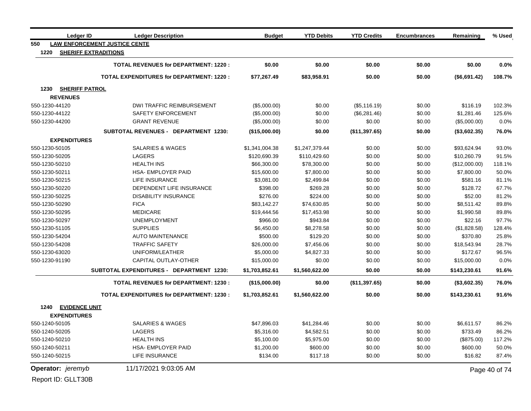| <b>Ledger ID</b>                                    | <b>Ledger Description</b>                       | <b>Budget</b>  | <b>YTD Debits</b> | <b>YTD Credits</b> | <b>Encumbrances</b> | Remaining     | % Used        |
|-----------------------------------------------------|-------------------------------------------------|----------------|-------------------|--------------------|---------------------|---------------|---------------|
| 550                                                 | <b>LAW ENFORCEMENT JUSTICE CENTE</b>            |                |                   |                    |                     |               |               |
| 1220                                                | <b>SHERIFF EXTRADITIONS</b>                     |                |                   |                    |                     |               |               |
|                                                     | <b>TOTAL REVENUES for DEPARTMENT: 1220:</b>     | \$0.00         | \$0.00            | \$0.00             | \$0.00              | \$0.00        | 0.0%          |
|                                                     | <b>TOTAL EXPENDITURES for DEPARTMENT: 1220:</b> | \$77,267.49    | \$83,958.91       | \$0.00             | \$0.00              | (\$6,691.42)  | 108.7%        |
| <b>SHERIFF PATROL</b><br>1230                       |                                                 |                |                   |                    |                     |               |               |
| <b>REVENUES</b>                                     |                                                 |                |                   |                    |                     |               |               |
| 550-1230-44120                                      | <b>DWI TRAFFIC REIMBURSEMENT</b>                | (\$5,000.00)   | \$0.00            | (\$5,116.19)       | \$0.00              | \$116.19      | 102.3%        |
| 550-1230-44122                                      | <b>SAFETY ENFORCEMENT</b>                       | (\$5,000.00)   | \$0.00            | (\$6,281.46)       | \$0.00              | \$1,281.46    | 125.6%        |
| 550-1230-44200                                      | <b>GRANT REVENUE</b>                            | (\$5,000.00)   | \$0.00            | \$0.00             | \$0.00              | (\$5,000.00)  | 0.0%          |
|                                                     | <b>SUBTOTAL REVENUES - DEPARTMENT 1230:</b>     | (\$15,000.00)  | \$0.00            | (\$11,397.65)      | \$0.00              | (\$3,602.35)  | 76.0%         |
| <b>EXPENDITURES</b>                                 |                                                 |                |                   |                    |                     |               |               |
| 550-1230-50105                                      | <b>SALARIES &amp; WAGES</b>                     | \$1,341,004.38 | \$1,247,379.44    | \$0.00             | \$0.00              | \$93,624.94   | 93.0%         |
| 550-1230-50205                                      | <b>LAGERS</b>                                   | \$120,690.39   | \$110,429.60      | \$0.00             | \$0.00              | \$10,260.79   | 91.5%         |
| 550-1230-50210                                      | <b>HEALTH INS</b>                               | \$66,300.00    | \$78,300.00       | \$0.00             | \$0.00              | (\$12,000.00) | 118.1%        |
| 550-1230-50211                                      | HSA- EMPLOYER PAID                              | \$15,600.00    | \$7,800.00        | \$0.00             | \$0.00              | \$7,800.00    | 50.0%         |
| 550-1230-50215                                      | <b>LIFE INSURANCE</b>                           | \$3,081.00     | \$2,499.84        | \$0.00             | \$0.00              | \$581.16      | 81.1%         |
| 550-1230-50220                                      | DEPENDENT LIFE INSURANCE                        | \$398.00       | \$269.28          | \$0.00             | \$0.00              | \$128.72      | 67.7%         |
| 550-1230-50225                                      | <b>DISABILITY INSURANCE</b>                     | \$276.00       | \$224.00          | \$0.00             | \$0.00              | \$52.00       | 81.2%         |
| 550-1230-50290                                      | <b>FICA</b>                                     | \$83,142.27    | \$74,630.85       | \$0.00             | \$0.00              | \$8,511.42    | 89.8%         |
| 550-1230-50295                                      | <b>MEDICARE</b>                                 | \$19,444.56    | \$17,453.98       | \$0.00             | \$0.00              | \$1,990.58    | 89.8%         |
| 550-1230-50297                                      | <b>UNEMPLOYMENT</b>                             | \$966.00       | \$943.84          | \$0.00             | \$0.00              | \$22.16       | 97.7%         |
| 550-1230-51105                                      | <b>SUPPLIES</b>                                 | \$6,450.00     | \$8,278.58        | \$0.00             | \$0.00              | (\$1,828.58)  | 128.4%        |
| 550-1230-54204                                      | <b>AUTO MAINTENANCE</b>                         | \$500.00       | \$129.20          | \$0.00             | \$0.00              | \$370.80      | 25.8%         |
| 550-1230-54208                                      | <b>TRAFFIC SAFETY</b>                           | \$26,000.00    | \$7,456.06        | \$0.00             | \$0.00              | \$18,543.94   | 28.7%         |
| 550-1230-63020                                      | UNIFORM/LEATHER                                 | \$5,000.00     | \$4,827.33        | \$0.00             | \$0.00              | \$172.67      | 96.5%         |
| 550-1230-91190                                      | CAPITAL OUTLAY-OTHER                            | \$15,000.00    | \$0.00            | \$0.00             | \$0.00              | \$15,000.00   | 0.0%          |
|                                                     | SUBTOTAL EXPENDITURES - DEPARTMENT 1230:        | \$1,703,852.61 | \$1,560,622.00    | \$0.00             | \$0.00              | \$143,230.61  | 91.6%         |
|                                                     | <b>TOTAL REVENUES for DEPARTMENT: 1230:</b>     | (\$15,000.00)  | \$0.00            | (\$11,397.65)      | \$0.00              | (\$3,602.35)  | 76.0%         |
|                                                     | <b>TOTAL EXPENDITURES for DEPARTMENT: 1230:</b> | \$1,703,852.61 | \$1,560,622.00    | \$0.00             | \$0.00              | \$143,230.61  | 91.6%         |
| <b>EVIDENCE UNIT</b><br>1240<br><b>EXPENDITURES</b> |                                                 |                |                   |                    |                     |               |               |
| 550-1240-50105                                      | <b>SALARIES &amp; WAGES</b>                     | \$47,896.03    | \$41,284.46       | \$0.00             | \$0.00              | \$6,611.57    | 86.2%         |
| 550-1240-50205                                      | <b>LAGERS</b>                                   | \$5,316.00     | \$4,582.51        | \$0.00             | \$0.00              | \$733.49      | 86.2%         |
| 550-1240-50210                                      | <b>HEALTH INS</b>                               | \$5,100.00     | \$5,975.00        | \$0.00             | \$0.00              | (\$875.00)    | 117.2%        |
| 550-1240-50211                                      | HSA- EMPLOYER PAID                              | \$1,200.00     | \$600.00          | \$0.00             | \$0.00              | \$600.00      | 50.0%         |
| 550-1240-50215                                      | <b>LIFE INSURANCE</b>                           | \$134.00       | \$117.18          | \$0.00             | \$0.00              | \$16.82       | 87.4%         |
| Operator: jeremyb                                   | 11/17/2021 9:03:05 AM                           |                |                   |                    |                     |               | Page 40 of 74 |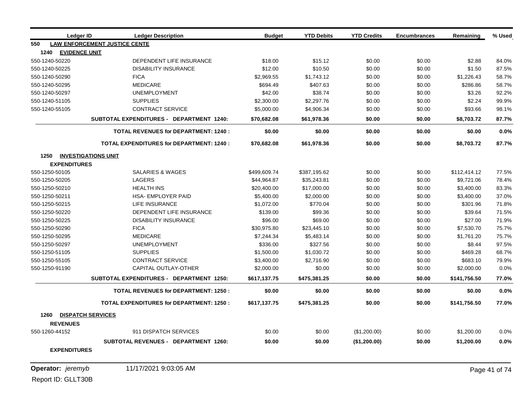| Ledger ID                          | <b>Ledger Description</b>                       | <b>Budget</b> | <b>YTD Debits</b> | <b>YTD Credits</b> | <b>Encumbrances</b> | Remaining    | % Used |
|------------------------------------|-------------------------------------------------|---------------|-------------------|--------------------|---------------------|--------------|--------|
| 550                                | <b>LAW ENFORCEMENT JUSTICE CENTE</b>            |               |                   |                    |                     |              |        |
| 1240<br><b>EVIDENCE UNIT</b>       |                                                 |               |                   |                    |                     |              |        |
| 550-1240-50220                     | DEPENDENT LIFE INSURANCE                        | \$18.00       | \$15.12           | \$0.00             | \$0.00              | \$2.88       | 84.0%  |
| 550-1240-50225                     | <b>DISABILITY INSURANCE</b>                     | \$12.00       | \$10.50           | \$0.00             | \$0.00              | \$1.50       | 87.5%  |
| 550-1240-50290                     | <b>FICA</b>                                     | \$2,969.55    | \$1,743.12        | \$0.00             | \$0.00              | \$1,226.43   | 58.7%  |
| 550-1240-50295                     | <b>MEDICARE</b>                                 | \$694.49      | \$407.63          | \$0.00             | \$0.00              | \$286.86     | 58.7%  |
| 550-1240-50297                     | <b>UNEMPLOYMENT</b>                             | \$42.00       | \$38.74           | \$0.00             | \$0.00              | \$3.26       | 92.2%  |
| 550-1240-51105                     | <b>SUPPLIES</b>                                 | \$2,300.00    | \$2,297.76        | \$0.00             | \$0.00              | \$2.24       | 99.9%  |
| 550-1240-55105                     | <b>CONTRACT SERVICE</b>                         | \$5,000.00    | \$4,906.34        | \$0.00             | \$0.00              | \$93.66      | 98.1%  |
|                                    | <b>SUBTOTAL EXPENDITURES - DEPARTMENT 1240:</b> | \$70,682.08   | \$61,978.36       | \$0.00             | \$0.00              | \$8,703.72   | 87.7%  |
|                                    | <b>TOTAL REVENUES for DEPARTMENT: 1240:</b>     | \$0.00        | \$0.00            | \$0.00             | \$0.00              | \$0.00       | 0.0%   |
|                                    | <b>TOTAL EXPENDITURES for DEPARTMENT: 1240:</b> | \$70,682.08   | \$61,978.36       | \$0.00             | \$0.00              | \$8,703.72   | 87.7%  |
| 1250<br><b>INVESTIGATIONS UNIT</b> |                                                 |               |                   |                    |                     |              |        |
| <b>EXPENDITURES</b>                |                                                 |               |                   |                    |                     |              |        |
| 550-1250-50105                     | <b>SALARIES &amp; WAGES</b>                     | \$499,609.74  | \$387,195.62      | \$0.00             | \$0.00              | \$112,414.12 | 77.5%  |
| 550-1250-50205                     | LAGERS                                          | \$44,964.87   | \$35,243.81       | \$0.00             | \$0.00              | \$9,721.06   | 78.4%  |
| 550-1250-50210                     | <b>HEALTH INS</b>                               | \$20,400.00   | \$17,000.00       | \$0.00             | \$0.00              | \$3,400.00   | 83.3%  |
| 550-1250-50211                     | <b>HSA- EMPLOYER PAID</b>                       | \$5,400.00    | \$2,000.00        | \$0.00             | \$0.00              | \$3,400.00   | 37.0%  |
| 550-1250-50215                     | <b>LIFE INSURANCE</b>                           | \$1,072.00    | \$770.04          | \$0.00             | \$0.00              | \$301.96     | 71.8%  |
| 550-1250-50220                     | DEPENDENT LIFE INSURANCE                        | \$139.00      | \$99.36           | \$0.00             | \$0.00              | \$39.64      | 71.5%  |
| 550-1250-50225                     | <b>DISABILITY INSURANCE</b>                     | \$96.00       | \$69.00           | \$0.00             | \$0.00              | \$27.00      | 71.9%  |
| 550-1250-50290                     | <b>FICA</b>                                     | \$30,975.80   | \$23,445.10       | \$0.00             | \$0.00              | \$7,530.70   | 75.7%  |
| 550-1250-50295                     | <b>MEDICARE</b>                                 | \$7,244.34    | \$5,483.14        | \$0.00             | \$0.00              | \$1,761.20   | 75.7%  |
| 550-1250-50297                     | <b>UNEMPLOYMENT</b>                             | \$336.00      | \$327.56          | \$0.00             | \$0.00              | \$8.44       | 97.5%  |
| 550-1250-51105                     | <b>SUPPLIES</b>                                 | \$1,500.00    | \$1,030.72        | \$0.00             | \$0.00              | \$469.28     | 68.7%  |
| 550-1250-55105                     | <b>CONTRACT SERVICE</b>                         | \$3,400.00    | \$2,716.90        | \$0.00             | \$0.00              | \$683.10     | 79.9%  |
| 550-1250-91190                     | CAPITAL OUTLAY-OTHER                            | \$2,000.00    | \$0.00            | \$0.00             | \$0.00              | \$2,000.00   | 0.0%   |
|                                    | SUBTOTAL EXPENDITURES - DEPARTMENT 1250:        | \$617,137.75  | \$475,381.25      | \$0.00             | \$0.00              | \$141,756.50 | 77.0%  |
|                                    | <b>TOTAL REVENUES for DEPARTMENT: 1250:</b>     | \$0.00        | \$0.00            | \$0.00             | \$0.00              | \$0.00       | 0.0%   |
|                                    | <b>TOTAL EXPENDITURES for DEPARTMENT: 1250:</b> | \$617,137.75  | \$475,381.25      | \$0.00             | \$0.00              | \$141,756.50 | 77.0%  |
| <b>DISPATCH SERVICES</b><br>1260   |                                                 |               |                   |                    |                     |              |        |
| <b>REVENUES</b>                    |                                                 |               |                   |                    |                     |              |        |
| 550-1260-44152                     | 911 DISPATCH SERVICES                           | \$0.00        | \$0.00            | (\$1,200.00)       | \$0.00              | \$1,200.00   | 0.0%   |
|                                    | <b>SUBTOTAL REVENUES - DEPARTMENT 1260:</b>     | \$0.00        | \$0.00            | (\$1,200.00)       | \$0.00              | \$1,200.00   | 0.0%   |
| <b>EXPENDITURES</b>                |                                                 |               |                   |                    |                     |              |        |

**Operator:** *jeremyb* 11/17/2021 9:03:05 AM Page 41 of 74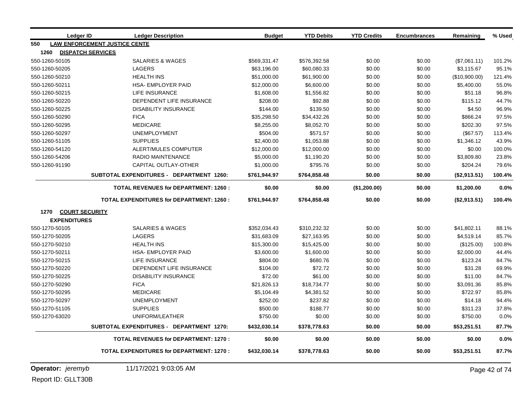|                | Ledger ID                | <b>Ledger Description</b>                       | <b>Budget</b> | <b>YTD Debits</b> | <b>YTD Credits</b> | <b>Encumbrances</b> | Remaining     | % Used |
|----------------|--------------------------|-------------------------------------------------|---------------|-------------------|--------------------|---------------------|---------------|--------|
| 550            |                          | <b>LAW ENFORCEMENT JUSTICE CENTE</b>            |               |                   |                    |                     |               |        |
| 1260           | <b>DISPATCH SERVICES</b> |                                                 |               |                   |                    |                     |               |        |
| 550-1260-50105 |                          | <b>SALARIES &amp; WAGES</b>                     | \$569,331.47  | \$576,392.58      | \$0.00             | \$0.00              | (\$7,061.11)  | 101.2% |
| 550-1260-50205 |                          | <b>LAGERS</b>                                   | \$63,196.00   | \$60,080.33       | \$0.00             | \$0.00              | \$3,115.67    | 95.1%  |
| 550-1260-50210 |                          | <b>HEALTH INS</b>                               | \$51,000.00   | \$61,900.00       | \$0.00             | \$0.00              | (\$10,900.00) | 121.4% |
| 550-1260-50211 |                          | <b>HSA- EMPLOYER PAID</b>                       | \$12,000.00   | \$6,600.00        | \$0.00             | \$0.00              | \$5,400.00    | 55.0%  |
| 550-1260-50215 |                          | <b>LIFE INSURANCE</b>                           | \$1,608.00    | \$1,556.82        | \$0.00             | \$0.00              | \$51.18       | 96.8%  |
| 550-1260-50220 |                          | DEPENDENT LIFE INSURANCE                        | \$208.00      | \$92.88           | \$0.00             | \$0.00              | \$115.12      | 44.7%  |
| 550-1260-50225 |                          | <b>DISABILITY INSURANCE</b>                     | \$144.00      | \$139.50          | \$0.00             | \$0.00              | \$4.50        | 96.9%  |
| 550-1260-50290 |                          | <b>FICA</b>                                     | \$35,298.50   | \$34,432.26       | \$0.00             | \$0.00              | \$866.24      | 97.5%  |
| 550-1260-50295 |                          | <b>MEDICARE</b>                                 | \$8,255.00    | \$8,052.70        | \$0.00             | \$0.00              | \$202.30      | 97.5%  |
| 550-1260-50297 |                          | <b>UNEMPLOYMENT</b>                             | \$504.00      | \$571.57          | \$0.00             | \$0.00              | (\$67.57)     | 113.4% |
| 550-1260-51105 |                          | <b>SUPPLIES</b>                                 | \$2,400.00    | \$1,053.88        | \$0.00             | \$0.00              | \$1,346.12    | 43.9%  |
| 550-1260-54120 |                          | ALERT/MULES COMPUTER                            | \$12,000.00   | \$12,000.00       | \$0.00             | \$0.00              | \$0.00        | 100.0% |
| 550-1260-54206 |                          | <b>RADIO MAINTENANCE</b>                        | \$5,000.00    | \$1,190.20        | \$0.00             | \$0.00              | \$3,809.80    | 23.8%  |
| 550-1260-91190 |                          | <b>CAPITAL OUTLAY-OTHER</b>                     | \$1,000.00    | \$795.76          | \$0.00             | \$0.00              | \$204.24      | 79.6%  |
|                |                          | SUBTOTAL EXPENDITURES - DEPARTMENT 1260:        | \$761,944.97  | \$764,858.48      | \$0.00             | \$0.00              | (\$2,913.51)  | 100.4% |
|                |                          | <b>TOTAL REVENUES for DEPARTMENT: 1260:</b>     | \$0.00        | \$0.00            | (\$1,200.00)       | \$0.00              | \$1,200.00    | 0.0%   |
|                |                          | <b>TOTAL EXPENDITURES for DEPARTMENT: 1260:</b> | \$761,944.97  | \$764,858.48      | \$0.00             | \$0.00              | (\$2,913.51)  | 100.4% |
| 1270           | <b>COURT SECURITY</b>    |                                                 |               |                   |                    |                     |               |        |
|                | <b>EXPENDITURES</b>      |                                                 |               |                   |                    |                     |               |        |
| 550-1270-50105 |                          | <b>SALARIES &amp; WAGES</b>                     | \$352,034.43  | \$310,232.32      | \$0.00             | \$0.00              | \$41,802.11   | 88.1%  |
| 550-1270-50205 |                          | LAGERS                                          | \$31,683.09   | \$27,163.95       | \$0.00             | \$0.00              | \$4,519.14    | 85.7%  |
| 550-1270-50210 |                          | <b>HEALTH INS</b>                               | \$15,300.00   | \$15,425.00       | \$0.00             | \$0.00              | (\$125.00)    | 100.8% |
| 550-1270-50211 |                          | <b>HSA- EMPLOYER PAID</b>                       | \$3,600.00    | \$1,600.00        | \$0.00             | \$0.00              | \$2,000.00    | 44.4%  |
| 550-1270-50215 |                          | <b>LIFE INSURANCE</b>                           | \$804.00      | \$680.76          | \$0.00             | \$0.00              | \$123.24      | 84.7%  |
| 550-1270-50220 |                          | DEPENDENT LIFE INSURANCE                        | \$104.00      | \$72.72           | \$0.00             | \$0.00              | \$31.28       | 69.9%  |
| 550-1270-50225 |                          | <b>DISABILITY INSURANCE</b>                     | \$72.00       | \$61.00           | \$0.00             | \$0.00              | \$11.00       | 84.7%  |
| 550-1270-50290 |                          | <b>FICA</b>                                     | \$21,826.13   | \$18,734.77       | \$0.00             | \$0.00              | \$3,091.36    | 85.8%  |
| 550-1270-50295 |                          | <b>MEDICARE</b>                                 | \$5,104.49    | \$4,381.52        | \$0.00             | \$0.00              | \$722.97      | 85.8%  |
| 550-1270-50297 |                          | <b>UNEMPLOYMENT</b>                             | \$252.00      | \$237.82          | \$0.00             | \$0.00              | \$14.18       | 94.4%  |
| 550-1270-51105 |                          | <b>SUPPLIES</b>                                 | \$500.00      | \$188.77          | \$0.00             | \$0.00              | \$311.23      | 37.8%  |
| 550-1270-63020 |                          | UNIFORM/LEATHER                                 | \$750.00      | \$0.00            | \$0.00             | \$0.00              | \$750.00      | 0.0%   |
|                |                          | SUBTOTAL EXPENDITURES - DEPARTMENT 1270:        | \$432,030.14  | \$378,778.63      | \$0.00             | \$0.00              | \$53,251.51   | 87.7%  |
|                |                          | <b>TOTAL REVENUES for DEPARTMENT: 1270:</b>     | \$0.00        | \$0.00            | \$0.00             | \$0.00              | \$0.00        | 0.0%   |
|                |                          | <b>TOTAL EXPENDITURES for DEPARTMENT: 1270:</b> | \$432,030.14  | \$378,778.63      | \$0.00             | \$0.00              | \$53,251.51   | 87.7%  |

**Operator:** *jeremyb* 11/17/2021 9:03:05 AM Page 42 of 74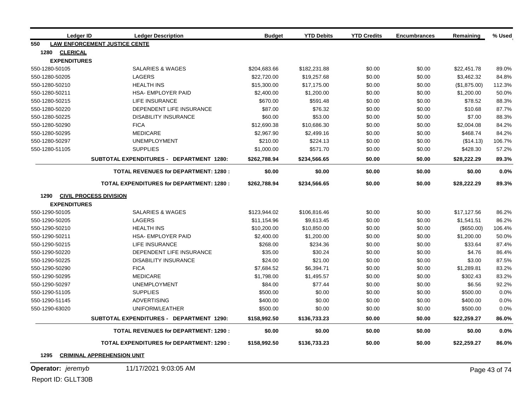| Ledger ID           | <b>Ledger Description</b>                        | <b>Budget</b> | <b>YTD Debits</b> | <b>YTD Credits</b> | <b>Encumbrances</b> | Remaining    | % Used |
|---------------------|--------------------------------------------------|---------------|-------------------|--------------------|---------------------|--------------|--------|
| 550                 | <b>LAW ENFORCEMENT JUSTICE CENTE</b>             |               |                   |                    |                     |              |        |
| 1280 CLERICAL       |                                                  |               |                   |                    |                     |              |        |
| <b>EXPENDITURES</b> |                                                  |               |                   |                    |                     |              |        |
| 550-1280-50105      | <b>SALARIES &amp; WAGES</b>                      | \$204,683.66  | \$182,231.88      | \$0.00             | \$0.00              | \$22,451.78  | 89.0%  |
| 550-1280-50205      | <b>LAGERS</b>                                    | \$22,720.00   | \$19,257.68       | \$0.00             | \$0.00              | \$3,462.32   | 84.8%  |
| 550-1280-50210      | <b>HEALTH INS</b>                                | \$15,300.00   | \$17,175.00       | \$0.00             | \$0.00              | (\$1,875.00) | 112.3% |
| 550-1280-50211      | <b>HSA- EMPLOYER PAID</b>                        | \$2,400.00    | \$1,200.00        | \$0.00             | \$0.00              | \$1,200.00   | 50.0%  |
| 550-1280-50215      | LIFE INSURANCE                                   | \$670.00      | \$591.48          | \$0.00             | \$0.00              | \$78.52      | 88.3%  |
| 550-1280-50220      | DEPENDENT LIFE INSURANCE                         | \$87.00       | \$76.32           | \$0.00             | \$0.00              | \$10.68      | 87.7%  |
| 550-1280-50225      | <b>DISABILITY INSURANCE</b>                      | \$60.00       | \$53.00           | \$0.00             | \$0.00              | \$7.00       | 88.3%  |
| 550-1280-50290      | <b>FICA</b>                                      | \$12,690.38   | \$10,686.30       | \$0.00             | \$0.00              | \$2,004.08   | 84.2%  |
| 550-1280-50295      | <b>MEDICARE</b>                                  | \$2,967.90    | \$2,499.16        | \$0.00             | \$0.00              | \$468.74     | 84.2%  |
| 550-1280-50297      | <b>UNEMPLOYMENT</b>                              | \$210.00      | \$224.13          | \$0.00             | \$0.00              | (\$14.13)    | 106.7% |
| 550-1280-51105      | <b>SUPPLIES</b>                                  | \$1,000.00    | \$571.70          | \$0.00             | \$0.00              | \$428.30     | 57.2%  |
|                     | SUBTOTAL EXPENDITURES - DEPARTMENT 1280:         | \$262,788.94  | \$234,566.65      | \$0.00             | \$0.00              | \$28,222.29  | 89.3%  |
|                     | <b>TOTAL REVENUES for DEPARTMENT: 1280:</b>      | \$0.00        | \$0.00            | \$0.00             | \$0.00              | \$0.00       | 0.0%   |
|                     | <b>TOTAL EXPENDITURES for DEPARTMENT: 1280:</b>  | \$262,788.94  | \$234,566.65      | \$0.00             | \$0.00              | \$28,222.29  | 89.3%  |
| 1290                | <b>CIVIL PROCESS DIVISION</b>                    |               |                   |                    |                     |              |        |
| <b>EXPENDITURES</b> |                                                  |               |                   |                    |                     |              |        |
| 550-1290-50105      | <b>SALARIES &amp; WAGES</b>                      | \$123,944.02  | \$106,816.46      | \$0.00             | \$0.00              | \$17,127.56  | 86.2%  |
| 550-1290-50205      | <b>LAGERS</b>                                    | \$11,154.96   | \$9,613.45        | \$0.00             | \$0.00              | \$1,541.51   | 86.2%  |
| 550-1290-50210      | <b>HEALTH INS</b>                                | \$10,200.00   | \$10,850.00       | \$0.00             | \$0.00              | (\$650.00)   | 106.4% |
| 550-1290-50211      | <b>HSA- EMPLOYER PAID</b>                        | \$2,400.00    | \$1,200.00        | \$0.00             | \$0.00              | \$1,200.00   | 50.0%  |
| 550-1290-50215      | <b>LIFE INSURANCE</b>                            | \$268.00      | \$234.36          | \$0.00             | \$0.00              | \$33.64      | 87.4%  |
| 550-1290-50220      | DEPENDENT LIFE INSURANCE                         | \$35.00       | \$30.24           | \$0.00             | \$0.00              | \$4.76       | 86.4%  |
| 550-1290-50225      | <b>DISABILITY INSURANCE</b>                      | \$24.00       | \$21.00           | \$0.00             | \$0.00              | \$3.00       | 87.5%  |
| 550-1290-50290      | <b>FICA</b>                                      | \$7,684.52    | \$6,394.71        | \$0.00             | \$0.00              | \$1,289.81   | 83.2%  |
| 550-1290-50295      | <b>MEDICARE</b>                                  | \$1,798.00    | \$1,495.57        | \$0.00             | \$0.00              | \$302.43     | 83.2%  |
| 550-1290-50297      | <b>UNEMPLOYMENT</b>                              | \$84.00       | \$77.44           | \$0.00             | \$0.00              | \$6.56       | 92.2%  |
| 550-1290-51105      | <b>SUPPLIES</b>                                  | \$500.00      | \$0.00            | \$0.00             | \$0.00              | \$500.00     | 0.0%   |
| 550-1290-51145      | <b>ADVERTISING</b>                               | \$400.00      | \$0.00            | \$0.00             | \$0.00              | \$400.00     | 0.0%   |
| 550-1290-63020      | UNIFORM/LEATHER                                  | \$500.00      | \$0.00            | \$0.00             | \$0.00              | \$500.00     | 0.0%   |
|                     | SUBTOTAL EXPENDITURES - DEPARTMENT 1290:         | \$158,992.50  | \$136,733.23      | \$0.00             | \$0.00              | \$22,259.27  | 86.0%  |
|                     | <b>TOTAL REVENUES for DEPARTMENT: 1290:</b>      | \$0.00        | \$0.00            | \$0.00             | \$0.00              | \$0.00       | 0.0%   |
|                     | <b>TOTAL EXPENDITURES for DEPARTMENT: 1290 :</b> | \$158,992.50  | \$136,733.23      | \$0.00             | \$0.00              | \$22,259.27  | 86.0%  |
|                     |                                                  |               |                   |                    |                     |              |        |

**1295 CRIMINAL APPREHENSION UNIT**

**Operator:** *jeremyb* 11/17/2021 9:03:05 AM Page 43 of 74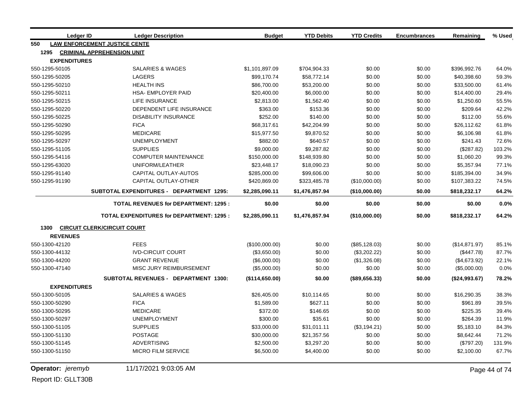| Ledger ID           | <b>Ledger Description</b>                       | <b>Budget</b>  | <b>YTD Debits</b> | <b>YTD Credits</b> | <b>Encumbrances</b> | Remaining     | % Used |
|---------------------|-------------------------------------------------|----------------|-------------------|--------------------|---------------------|---------------|--------|
| 550                 | <b>LAW ENFORCEMENT JUSTICE CENTE</b>            |                |                   |                    |                     |               |        |
| 1295                | <b>CRIMINAL APPREHENSION UNIT</b>               |                |                   |                    |                     |               |        |
| <b>EXPENDITURES</b> |                                                 |                |                   |                    |                     |               |        |
| 550-1295-50105      | <b>SALARIES &amp; WAGES</b>                     | \$1,101,897.09 | \$704,904.33      | \$0.00             | \$0.00              | \$396,992.76  | 64.0%  |
| 550-1295-50205      | <b>LAGERS</b>                                   | \$99,170.74    | \$58,772.14       | \$0.00             | \$0.00              | \$40,398.60   | 59.3%  |
| 550-1295-50210      | <b>HEALTH INS</b>                               | \$86,700.00    | \$53,200.00       | \$0.00             | \$0.00              | \$33,500.00   | 61.4%  |
| 550-1295-50211      | <b>HSA- EMPLOYER PAID</b>                       | \$20,400.00    | \$6,000.00        | \$0.00             | \$0.00              | \$14,400.00   | 29.4%  |
| 550-1295-50215      | <b>LIFE INSURANCE</b>                           | \$2,813.00     | \$1,562.40        | \$0.00             | \$0.00              | \$1,250.60    | 55.5%  |
| 550-1295-50220      | DEPENDENT LIFE INSURANCE                        | \$363.00       | \$153.36          | \$0.00             | \$0.00              | \$209.64      | 42.2%  |
| 550-1295-50225      | <b>DISABILITY INSURANCE</b>                     | \$252.00       | \$140.00          | \$0.00             | \$0.00              | \$112.00      | 55.6%  |
| 550-1295-50290      | <b>FICA</b>                                     | \$68,317.61    | \$42,204.99       | \$0.00             | \$0.00              | \$26,112.62   | 61.8%  |
| 550-1295-50295      | <b>MEDICARE</b>                                 | \$15,977.50    | \$9,870.52        | \$0.00             | \$0.00              | \$6,106.98    | 61.8%  |
| 550-1295-50297      | <b>UNEMPLOYMENT</b>                             | \$882.00       | \$640.57          | \$0.00             | \$0.00              | \$241.43      | 72.6%  |
| 550-1295-51105      | <b>SUPPLIES</b>                                 | \$9,000.00     | \$9,287.82        | \$0.00             | \$0.00              | (\$287.82)    | 103.2% |
| 550-1295-54116      | <b>COMPUTER MAINTENANCE</b>                     | \$150,000.00   | \$148,939.80      | \$0.00             | \$0.00              | \$1,060.20    | 99.3%  |
| 550-1295-63020      | UNIFORM/LEATHER                                 | \$23,448.17    | \$18,090.23       | \$0.00             | \$0.00              | \$5,357.94    | 77.1%  |
| 550-1295-91140      | CAPITAL OUTLAY-AUTOS                            | \$285,000.00   | \$99,606.00       | \$0.00             | \$0.00              | \$185,394.00  | 34.9%  |
| 550-1295-91190      | CAPITAL OUTLAY-OTHER                            | \$420,869.00   | \$323,485.78      | (\$10,000.00)      | \$0.00              | \$107,383.22  | 74.5%  |
|                     | SUBTOTAL EXPENDITURES - DEPARTMENT 1295:        | \$2,285,090.11 | \$1,476,857.94    | (\$10,000.00)      | \$0.00              | \$818,232.17  | 64.2%  |
|                     | <b>TOTAL REVENUES for DEPARTMENT: 1295:</b>     | \$0.00         | \$0.00            | \$0.00             | \$0.00              | \$0.00        | 0.0%   |
|                     | <b>TOTAL EXPENDITURES for DEPARTMENT: 1295:</b> | \$2,285,090.11 | \$1,476,857.94    | (\$10,000.00)      | \$0.00              | \$818,232.17  | 64.2%  |
| 1300                | <b>CIRCUIT CLERK/CIRCUIT COURT</b>              |                |                   |                    |                     |               |        |
| <b>REVENUES</b>     |                                                 |                |                   |                    |                     |               |        |
| 550-1300-42120      | <b>FEES</b>                                     | (\$100,000.00) | \$0.00            | (\$85, 128.03)     | \$0.00              | (\$14,871.97) | 85.1%  |
| 550-1300-44132      | <b>IVD-CIRCUIT COURT</b>                        | (\$3,650.00)   | \$0.00            | (\$3,202.22)       | \$0.00              | (\$447.78)    | 87.7%  |
| 550-1300-44200      | <b>GRANT REVENUE</b>                            | (\$6,000.00)   | \$0.00            | (\$1,326.08)       | \$0.00              | (\$4,673.92)  | 22.1%  |
| 550-1300-47140      | MISC JURY REIMBURSEMENT                         | (\$5,000.00)   | \$0.00            | \$0.00             | \$0.00              | (\$5,000.00)  | 0.0%   |
|                     | <b>SUBTOTAL REVENUES - DEPARTMENT 1300:</b>     | (\$114,650.00) | \$0.00            | (\$89,656.33)      | \$0.00              | (\$24,993.67) | 78.2%  |
| <b>EXPENDITURES</b> |                                                 |                |                   |                    |                     |               |        |
| 550-1300-50105      | <b>SALARIES &amp; WAGES</b>                     | \$26,405.00    | \$10,114.65       | \$0.00             | \$0.00              | \$16,290.35   | 38.3%  |
| 550-1300-50290      | <b>FICA</b>                                     | \$1,589.00     | \$627.11          | \$0.00             | \$0.00              | \$961.89      | 39.5%  |
| 550-1300-50295      | <b>MEDICARE</b>                                 | \$372.00       | \$146.65          | \$0.00             | \$0.00              | \$225.35      | 39.4%  |
| 550-1300-50297      | <b>UNEMPLOYMENT</b>                             | \$300.00       | \$35.61           | \$0.00             | \$0.00              | \$264.39      | 11.9%  |
| 550-1300-51105      | <b>SUPPLIES</b>                                 | \$33,000.00    | \$31,011.11       | (\$3,194.21)       | \$0.00              | \$5,183.10    | 84.3%  |
| 550-1300-51130      | <b>POSTAGE</b>                                  | \$30,000.00    | \$21,357.56       | \$0.00             | \$0.00              | \$8,642.44    | 71.2%  |
| 550-1300-51145      | <b>ADVERTISING</b>                              | \$2,500.00     | \$3,297.20        | \$0.00             | \$0.00              | (\$797.20)    | 131.9% |
| 550-1300-51150      | <b>MICRO FILM SERVICE</b>                       | \$6,500.00     | \$4,400.00        | \$0.00             | \$0.00              | \$2,100.00    | 67.7%  |

**Operator:** *jeremyb* 11/17/2021 9:03:05 AM Page 44 of 74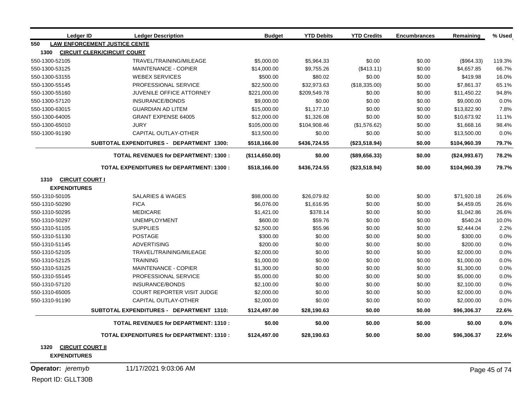| Ledger ID                   | <b>Ledger Description</b>                       | <b>Budget</b>  | <b>YTD Debits</b> | <b>YTD Credits</b> | <b>Encumbrances</b> | Remaining     | % Used |
|-----------------------------|-------------------------------------------------|----------------|-------------------|--------------------|---------------------|---------------|--------|
| 550                         | <b>LAW ENFORCEMENT JUSTICE CENTE</b>            |                |                   |                    |                     |               |        |
| 1300                        | <b>CIRCUIT CLERK/CIRCUIT COURT</b>              |                |                   |                    |                     |               |        |
| 550-1300-52105              | TRAVEL/TRAINING/MILEAGE                         | \$5,000.00     | \$5,964.33        | \$0.00             | \$0.00              | (\$964.33)    | 119.3% |
| 550-1300-53125              | <b>MAINTENANCE - COPIER</b>                     | \$14,000.00    | \$9,755.26        | (\$413.11)         | \$0.00              | \$4,657.85    | 66.7%  |
| 550-1300-53155              | <b>WEBEX SERVICES</b>                           | \$500.00       | \$80.02           | \$0.00             | \$0.00              | \$419.98      | 16.0%  |
| 550-1300-55145              | PROFESSIONAL SERVICE                            | \$22,500.00    | \$32,973.63       | (\$18,335.00)      | \$0.00              | \$7,861.37    | 65.1%  |
| 550-1300-55160              | <b>JUVENILE OFFICE ATTORNEY</b>                 | \$221,000.00   | \$209,549.78      | \$0.00             | \$0.00              | \$11,450.22   | 94.8%  |
| 550-1300-57120              | <b>INSURANCE/BONDS</b>                          | \$9,000.00     | \$0.00            | \$0.00             | \$0.00              | \$9,000.00    | 0.0%   |
| 550-1300-63015              | <b>GUARDIAN AD LITEM</b>                        | \$15,000.00    | \$1,177.10        | \$0.00             | \$0.00              | \$13,822.90   | 7.8%   |
| 550-1300-64005              | <b>GRANT EXPENSE 64005</b>                      | \$12,000.00    | \$1,326.08        | \$0.00             | \$0.00              | \$10,673.92   | 11.1%  |
| 550-1300-65010              | <b>JURY</b>                                     | \$105,000.00   | \$104,908.46      | (\$1,576.62)       | \$0.00              | \$1,668.16    | 98.4%  |
| 550-1300-91190              | CAPITAL OUTLAY-OTHER                            | \$13,500.00    | \$0.00            | \$0.00             | \$0.00              | \$13,500.00   | 0.0%   |
|                             | <b>SUBTOTAL EXPENDITURES - DEPARTMENT 1300:</b> | \$518,166.00   | \$436,724.55      | (\$23,518.94)      | \$0.00              | \$104,960.39  | 79.7%  |
|                             | <b>TOTAL REVENUES for DEPARTMENT: 1300:</b>     | (\$114,650.00) | \$0.00            | (\$89,656.33)      | \$0.00              | (\$24,993.67) | 78.2%  |
|                             | <b>TOTAL EXPENDITURES for DEPARTMENT: 1300:</b> | \$518,166.00   | \$436,724.55      | (\$23,518.94)      | \$0.00              | \$104,960.39  | 79.7%  |
| 1310<br><b>EXPENDITURES</b> | <b>CIRCUIT COURT I</b>                          |                |                   |                    |                     |               |        |
| 550-1310-50105              | <b>SALARIES &amp; WAGES</b>                     | \$98,000.00    | \$26,079.82       | \$0.00             | \$0.00              | \$71,920.18   | 26.6%  |
| 550-1310-50290              | <b>FICA</b>                                     | \$6,076.00     | \$1,616.95        | \$0.00             | \$0.00              | \$4,459.05    | 26.6%  |
| 550-1310-50295              | <b>MEDICARE</b>                                 | \$1,421.00     | \$378.14          | \$0.00             | \$0.00              | \$1,042.86    | 26.6%  |
| 550-1310-50297              | <b>UNEMPLOYMENT</b>                             | \$600.00       | \$59.76           | \$0.00             | \$0.00              | \$540.24      | 10.0%  |
| 550-1310-51105              | <b>SUPPLIES</b>                                 | \$2,500.00     | \$55.96           | \$0.00             | \$0.00              | \$2,444.04    | 2.2%   |
| 550-1310-51130              | <b>POSTAGE</b>                                  | \$300.00       | \$0.00            | \$0.00             | \$0.00              | \$300.00      | 0.0%   |
| 550-1310-51145              | <b>ADVERTISING</b>                              | \$200.00       | \$0.00            | \$0.00             | \$0.00              | \$200.00      | 0.0%   |
| 550-1310-52105              | TRAVEL/TRAINING/MILEAGE                         | \$2,000.00     | \$0.00            | \$0.00             | \$0.00              | \$2,000.00    | 0.0%   |
| 550-1310-52125              | <b>TRAINING</b>                                 | \$1,000.00     | \$0.00            | \$0.00             | \$0.00              | \$1,000.00    | 0.0%   |
| 550-1310-53125              | <b>MAINTENANCE - COPIER</b>                     | \$1,300.00     | \$0.00            | \$0.00             | \$0.00              | \$1,300.00    | 0.0%   |
| 550-1310-55145              | PROFESSIONAL SERVICE                            | \$5,000.00     | \$0.00            | \$0.00             | \$0.00              | \$5,000.00    | 0.0%   |
| 550-1310-57120              | <b>INSURANCE/BONDS</b>                          | \$2,100.00     | \$0.00            | \$0.00             | \$0.00              | \$2,100.00    | 0.0%   |
| 550-1310-65005              | COURT REPORTER VISIT JUDGE                      | \$2,000.00     | \$0.00            | \$0.00             | \$0.00              | \$2,000.00    | 0.0%   |
| 550-1310-91190              | CAPITAL OUTLAY-OTHER                            | \$2,000.00     | \$0.00            | \$0.00             | \$0.00              | \$2,000.00    | 0.0%   |
|                             | <b>SUBTOTAL EXPENDITURES - DEPARTMENT 1310:</b> | \$124,497.00   | \$28,190.63       | \$0.00             | \$0.00              | \$96,306.37   | 22.6%  |
|                             | <b>TOTAL REVENUES for DEPARTMENT: 1310:</b>     | \$0.00         | \$0.00            | \$0.00             | \$0.00              | \$0.00        | 0.0%   |
|                             | <b>TOTAL EXPENDITURES for DEPARTMENT: 1310:</b> | \$124,497.00   | \$28,190.63       | \$0.00             | \$0.00              | \$96,306.37   | 22.6%  |
| 1320                        | <b>CIRCUIT COURT II</b>                         |                |                   |                    |                     |               |        |

**EXPENDITURES**

**Operator:** *jeremyb* 11/17/2021 9:03:06 AM Page 45 of 74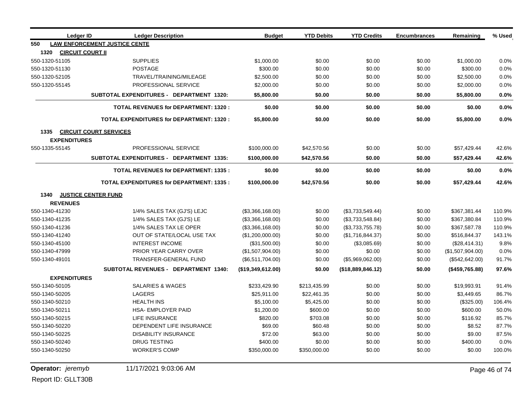|                | Ledger ID                | <b>Ledger Description</b>                       | <b>Budget</b>     | <b>YTD Debits</b> | <b>YTD Credits</b> | <b>Encumbrances</b> | Remaining         | % Used |
|----------------|--------------------------|-------------------------------------------------|-------------------|-------------------|--------------------|---------------------|-------------------|--------|
| 550            |                          | <b>LAW ENFORCEMENT JUSTICE CENTE</b>            |                   |                   |                    |                     |                   |        |
| 1320           | <b>CIRCUIT COURT II</b>  |                                                 |                   |                   |                    |                     |                   |        |
| 550-1320-51105 |                          | <b>SUPPLIES</b>                                 | \$1,000.00        | \$0.00            | \$0.00             | \$0.00              | \$1,000.00        | 0.0%   |
| 550-1320-51130 |                          | <b>POSTAGE</b>                                  | \$300.00          | \$0.00            | \$0.00             | \$0.00              | \$300.00          | 0.0%   |
| 550-1320-52105 |                          | TRAVEL/TRAINING/MILEAGE                         | \$2,500.00        | \$0.00            | \$0.00             | \$0.00              | \$2,500.00        | 0.0%   |
| 550-1320-55145 |                          | PROFESSIONAL SERVICE                            | \$2,000.00        | \$0.00            | \$0.00             | \$0.00              | \$2,000.00        | 0.0%   |
|                |                          | SUBTOTAL EXPENDITURES - DEPARTMENT 1320:        | \$5,800.00        | \$0.00            | \$0.00             | \$0.00              | \$5,800.00        | 0.0%   |
|                |                          | <b>TOTAL REVENUES for DEPARTMENT: 1320:</b>     | \$0.00            | \$0.00            | \$0.00             | \$0.00              | \$0.00            | 0.0%   |
|                |                          | <b>TOTAL EXPENDITURES for DEPARTMENT: 1320:</b> | \$5,800.00        | \$0.00            | \$0.00             | \$0.00              | \$5,800.00        | 0.0%   |
| 1335           |                          | <b>CIRCUIT COURT SERVICES</b>                   |                   |                   |                    |                     |                   |        |
|                | <b>EXPENDITURES</b>      |                                                 |                   |                   |                    |                     |                   |        |
| 550-1335-55145 |                          | PROFESSIONAL SERVICE                            | \$100,000.00      | \$42,570.56       | \$0.00             | \$0.00              | \$57,429.44       | 42.6%  |
|                |                          | <b>SUBTOTAL EXPENDITURES - DEPARTMENT 1335:</b> | \$100,000.00      | \$42,570.56       | \$0.00             | \$0.00              | \$57,429.44       | 42.6%  |
|                |                          | <b>TOTAL REVENUES for DEPARTMENT: 1335:</b>     | \$0.00            | \$0.00            | \$0.00             | \$0.00              | \$0.00            | 0.0%   |
|                |                          | <b>TOTAL EXPENDITURES for DEPARTMENT: 1335:</b> | \$100,000.00      | \$42,570.56       | \$0.00             | \$0.00              | \$57,429.44       | 42.6%  |
|                | 1340 JUSTICE CENTER FUND |                                                 |                   |                   |                    |                     |                   |        |
|                | <b>REVENUES</b>          |                                                 |                   |                   |                    |                     |                   |        |
| 550-1340-41230 |                          | 1/4% SALES TAX (GJ'S) LEJC                      | (\$3,366,168.00)  | \$0.00            | (\$3,733,549.44)   | \$0.00              | \$367,381.44      | 110.9% |
| 550-1340-41235 |                          | 1/4% SALES TAX (GJ'S) LE                        | (\$3,366,168.00)  | \$0.00            | (\$3,733,548.84)   | \$0.00              | \$367,380.84      | 110.9% |
| 550-1340-41236 |                          | 1/4% SALES TAX LE OPER                          | (\$3,366,168.00)  | \$0.00            | (\$3,733,755.78)   | \$0.00              | \$367,587.78      | 110.9% |
| 550-1340-41240 |                          | OUT OF STATE/LOCAL USE TAX                      | (\$1,200,000.00)  | \$0.00            | (\$1,716,844.37)   | \$0.00              | \$516,844.37      | 143.1% |
| 550-1340-45100 |                          | <b>INTEREST INCOME</b>                          | (\$31,500.00)     | \$0.00            | (\$3,085.69)       | \$0.00              | (\$28,414.31)     | 9.8%   |
| 550-1340-47999 |                          | <b>PRIOR YEAR CARRY OVER</b>                    | (\$1,507,904.00)  | \$0.00            | \$0.00             | \$0.00              | (\$1,507,904.00)  | 0.0%   |
| 550-1340-49101 |                          | <b>TRANSFER-GENERAL FUND</b>                    | (\$6,511,704.00)  | \$0.00            | (\$5,969,062.00)   | \$0.00              | (\$542,642.00)    | 91.7%  |
|                |                          | SUBTOTAL REVENUES - DEPARTMENT 1340:            | (\$19,349,612.00) | \$0.00            | (\$18,889,846.12)  | \$0.00              | $($ \$459,765.88) | 97.6%  |
|                | <b>EXPENDITURES</b>      |                                                 |                   |                   |                    |                     |                   |        |
| 550-1340-50105 |                          | <b>SALARIES &amp; WAGES</b>                     | \$233.429.90      | \$213.435.99      | \$0.00             | \$0.00              | \$19,993.91       | 91.4%  |
| 550-1340-50205 |                          | LAGERS                                          | \$25,911.00       | \$22,461.35       | \$0.00             | \$0.00              | \$3,449.65        | 86.7%  |
| 550-1340-50210 |                          | <b>HEALTH INS</b>                               | \$5,100.00        | \$5,425.00        | \$0.00             | \$0.00              | (\$325.00)        | 106.4% |
| 550-1340-50211 |                          | HSA- EMPLOYER PAID                              | \$1,200.00        | \$600.00          | \$0.00             | \$0.00              | \$600.00          | 50.0%  |
| 550-1340-50215 |                          | <b>LIFE INSURANCE</b>                           | \$820.00          | \$703.08          | \$0.00             | \$0.00              | \$116.92          | 85.7%  |
| 550-1340-50220 |                          | DEPENDENT LIFE INSURANCE                        | \$69.00           | \$60.48           | \$0.00             | \$0.00              | \$8.52            | 87.7%  |
| 550-1340-50225 |                          | <b>DISABILITY INSURANCE</b>                     | \$72.00           | \$63.00           | \$0.00             | \$0.00              | \$9.00            | 87.5%  |
| 550-1340-50240 |                          | <b>DRUG TESTING</b>                             | \$400.00          | \$0.00            | \$0.00             | \$0.00              | \$400.00          | 0.0%   |
| 550-1340-50250 |                          | <b>WORKER'S COMP</b>                            | \$350,000.00      | \$350,000.00      | \$0.00             | \$0.00              | \$0.00            | 100.0% |

**Operator:** *jeremyb* 11/17/2021 9:03:06 AM Page 46 of 74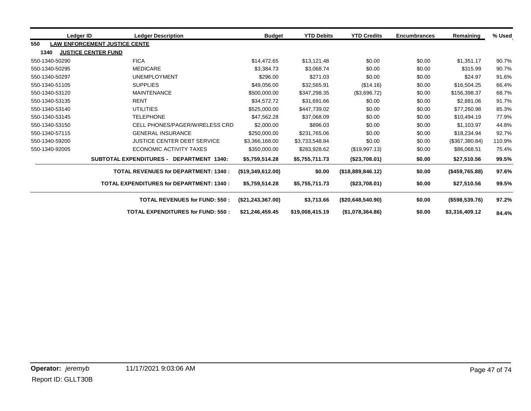| Ledger ID      | <b>Ledger Description</b>                          | <b>Budget</b>        | <b>YTD Debits</b> | <b>YTD Credits</b>   | <b>Encumbrances</b> | Remaining      | % Used |
|----------------|----------------------------------------------------|----------------------|-------------------|----------------------|---------------------|----------------|--------|
| 550            | <b>LAW ENFORCEMENT JUSTICE CENTE</b>               |                      |                   |                      |                     |                |        |
| 1340           | <b>JUSTICE CENTER FUND</b>                         |                      |                   |                      |                     |                |        |
| 550-1340-50290 | <b>FICA</b>                                        | \$14,472.65          | \$13,121.48       | \$0.00               | \$0.00              | \$1,351.17     | 90.7%  |
| 550-1340-50295 | <b>MEDICARE</b>                                    | \$3,384.73           | \$3,068.74        | \$0.00               | \$0.00              | \$315.99       | 90.7%  |
| 550-1340-50297 | <b>UNEMPLOYMENT</b>                                | \$296.00             | \$271.03          | \$0.00               | \$0.00              | \$24.97        | 91.6%  |
| 550-1340-51105 | <b>SUPPLIES</b>                                    | \$49,056.00          | \$32,565.91       | (\$14.16)            | \$0.00              | \$16,504.25    | 66.4%  |
| 550-1340-53120 | <b>MAINTENANCE</b>                                 | \$500,000.00         | \$347,298.35      | (\$3,696.72)         | \$0.00              | \$156,398.37   | 68.7%  |
| 550-1340-53135 | <b>RENT</b>                                        | \$34,572.72          | \$31,691.66       | \$0.00               | \$0.00              | \$2,881.06     | 91.7%  |
| 550-1340-53140 | <b>UTILITIES</b>                                   | \$525,000.00         | \$447,739.02      | \$0.00               | \$0.00              | \$77,260.98    | 85.3%  |
| 550-1340-53145 | <b>TELEPHONE</b>                                   | \$47,562.28          | \$37,068.09       | \$0.00               | \$0.00              | \$10,494.19    | 77.9%  |
| 550-1340-53150 | CELL PHONES/PAGER/WIRELESS CRD                     | \$2,000.00           | \$896.03          | \$0.00               | \$0.00              | \$1,103.97     | 44.8%  |
| 550-1340-57115 | <b>GENERAL INSURANCE</b>                           | \$250,000.00         | \$231,765.06      | \$0.00               | \$0.00              | \$18,234.94    | 92.7%  |
| 550-1340-59200 | <b>JUSTICE CENTER DEBT SERVICE</b>                 | \$3,366,168.00       | \$3,733,548.84    | \$0.00               | \$0.00              | (\$367,380.84) | 110.9% |
| 550-1340-92005 | <b>ECONOMIC ACTIVITY TAXES</b>                     | \$350,000.00         | \$283,928.62      | (\$19,997.13)        | \$0.00              | \$86,068.51    | 75.4%  |
|                | <b>SUBTOTAL EXPENDITURES -</b><br>DEPARTMENT 1340: | \$5,759,514.28       | \$5,755,711.73    | (\$23,708.01)        | \$0.00              | \$27,510.56    | 99.5%  |
|                | <b>TOTAL REVENUES for DEPARTMENT: 1340:</b>        | (\$19,349,612.00)    | \$0.00            | $($ \$18,889,846.12) | \$0.00              | (\$459,765.88) | 97.6%  |
|                | <b>TOTAL EXPENDITURES for DEPARTMENT: 1340:</b>    | \$5,759,514.28       | \$5,755,711.73    | (\$23,708.01)        | \$0.00              | \$27,510.56    | 99.5%  |
|                | <b>TOTAL REVENUES for FUND: 550:</b>               | $($ \$21,243,367.00) | \$3,713.66        | (S20, 648, 540.90)   | \$0.00              | (\$598,539.76) | 97.2%  |
|                | <b>TOTAL EXPENDITURES for FUND: 550:</b>           | \$21,246,459.45      | \$19,008,415.19   | (\$1,078,364.86)     | \$0.00              | \$3,316,409.12 | 84.4%  |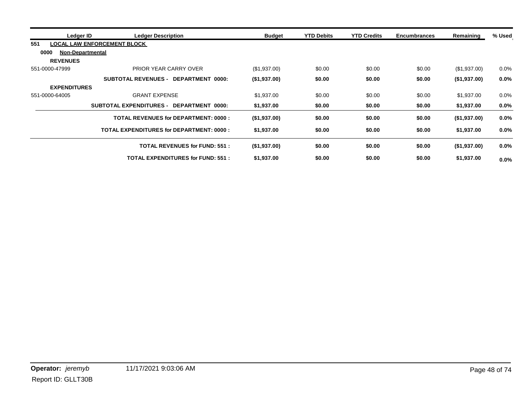| Ledger ID           | <b>Ledger Description</b>                       | <b>Budget</b> | <b>YTD Debits</b> | <b>YTD Credits</b> | <b>Encumbrances</b> | Remaining    | % Used  |
|---------------------|-------------------------------------------------|---------------|-------------------|--------------------|---------------------|--------------|---------|
| 551                 | LOCAL LAW ENFORCEMENT BLOCK                     |               |                   |                    |                     |              |         |
| 0000                | <b>Non-Departmental</b>                         |               |                   |                    |                     |              |         |
| <b>REVENUES</b>     |                                                 |               |                   |                    |                     |              |         |
| 551-0000-47999      | PRIOR YEAR CARRY OVER                           | (\$1,937.00)  | \$0.00            | \$0.00             | \$0.00              | (\$1,937.00) | $0.0\%$ |
|                     | SUBTOTAL REVENUES - DEPARTMENT<br>0000:         | (\$1,937.00)  | \$0.00            | \$0.00             | \$0.00              | (\$1,937.00) | $0.0\%$ |
| <b>EXPENDITURES</b> |                                                 |               |                   |                    |                     |              |         |
| 551-0000-64005      | <b>GRANT EXPENSE</b>                            | \$1,937.00    | \$0.00            | \$0.00             | \$0.00              | \$1,937.00   | $0.0\%$ |
|                     | SUBTOTAL EXPENDITURES - DEPARTMENT 0000:        | \$1,937.00    | \$0.00            | \$0.00             | \$0.00              | \$1,937.00   | $0.0\%$ |
|                     | <b>TOTAL REVENUES for DEPARTMENT: 0000:</b>     | (\$1,937.00)  | \$0.00            | \$0.00             | \$0.00              | (\$1,937.00) | $0.0\%$ |
|                     | <b>TOTAL EXPENDITURES for DEPARTMENT: 0000:</b> | \$1,937.00    | \$0.00            | \$0.00             | \$0.00              | \$1,937.00   | $0.0\%$ |
|                     | <b>TOTAL REVENUES for FUND: 551:</b>            | (\$1,937.00)  | \$0.00            | \$0.00             | \$0.00              | (\$1,937.00) | $0.0\%$ |
|                     | <b>TOTAL EXPENDITURES for FUND: 551:</b>        | \$1,937.00    | \$0.00            | \$0.00             | \$0.00              | \$1,937.00   | 0.0%    |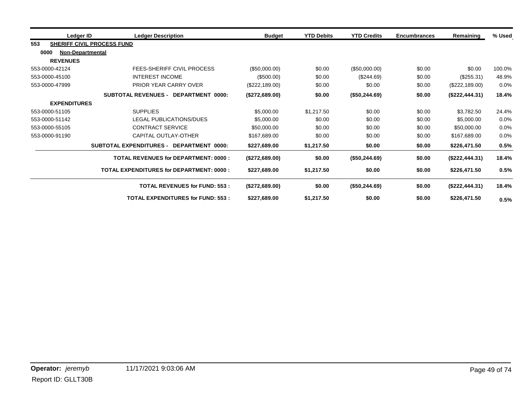| Ledger ID           | <b>Ledger Description</b>                       | <b>Budget</b>  | <b>YTD Debits</b> | <b>YTD Credits</b> | <b>Encumbrances</b> | Remaining      | % Used  |
|---------------------|-------------------------------------------------|----------------|-------------------|--------------------|---------------------|----------------|---------|
| 553                 | SHERIFF CIVIL PROCESS FUND                      |                |                   |                    |                     |                |         |
| 0000                | Non-Departmental                                |                |                   |                    |                     |                |         |
| <b>REVENUES</b>     |                                                 |                |                   |                    |                     |                |         |
| 553-0000-42124      | FEES-SHERIFF CIVIL PROCESS                      | (\$50,000.00)  | \$0.00            | (\$50,000.00)      | \$0.00              | \$0.00         | 100.0%  |
| 553-0000-45100      | <b>INTEREST INCOME</b>                          | $(\$500.00)$   | \$0.00            | (\$244.69)         | \$0.00              | (\$255.31)     | 48.9%   |
| 553-0000-47999      | PRIOR YEAR CARRY OVER                           | (\$222,189.00) | \$0.00            | \$0.00             | \$0.00              | (\$222,189.00) | $0.0\%$ |
|                     | <b>SUBTOTAL REVENUES -</b><br>DEPARTMENT 0000:  | (\$272,689.00) | \$0.00            | (\$50,244.69)      | \$0.00              | (\$222,444.31) | 18.4%   |
| <b>EXPENDITURES</b> |                                                 |                |                   |                    |                     |                |         |
| 553-0000-51105      | <b>SUPPLIES</b>                                 | \$5,000.00     | \$1,217.50        | \$0.00             | \$0.00              | \$3,782.50     | 24.4%   |
| 553-0000-51142      | LEGAL PUBLICATIONS/DUES                         | \$5,000.00     | \$0.00            | \$0.00             | \$0.00              | \$5,000.00     | 0.0%    |
| 553-0000-55105      | <b>CONTRACT SERVICE</b>                         | \$50,000.00    | \$0.00            | \$0.00             | \$0.00              | \$50,000.00    | 0.0%    |
| 553-0000-91190      | <b>CAPITAL OUTLAY-OTHER</b>                     | \$167,689.00   | \$0.00            | \$0.00             | \$0.00              | \$167,689.00   | 0.0%    |
|                     | SUBTOTAL EXPENDITURES - DEPARTMENT 0000:        | \$227,689.00   | \$1,217.50        | \$0.00             | \$0.00              | \$226,471.50   | 0.5%    |
|                     | <b>TOTAL REVENUES for DEPARTMENT: 0000:</b>     | (\$272,689.00) | \$0.00            | (\$50,244.69)      | \$0.00              | (\$222,444.31) | 18.4%   |
|                     | <b>TOTAL EXPENDITURES for DEPARTMENT: 0000:</b> | \$227,689.00   | \$1,217.50        | \$0.00             | \$0.00              | \$226,471.50   | 0.5%    |
|                     | <b>TOTAL REVENUES for FUND: 553:</b>            | (\$272,689.00) | \$0.00            | (\$50,244.69)      | \$0.00              | (\$222,444.31) | 18.4%   |
|                     | <b>TOTAL EXPENDITURES for FUND: 553:</b>        | \$227,689.00   | \$1,217.50        | \$0.00             | \$0.00              | \$226,471.50   | 0.5%    |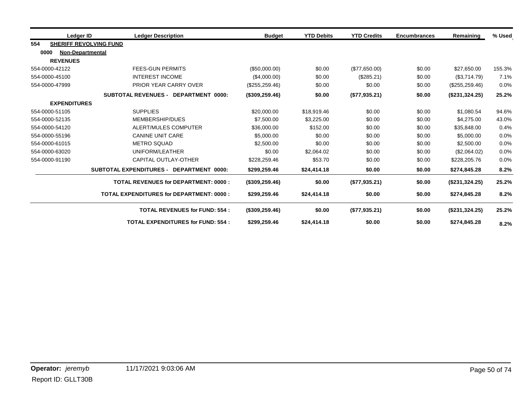|     | Ledger ID                       | <b>Ledger Description</b>                   | <b>Budget</b>     | <b>YTD Debits</b> | <b>YTD Credits</b> | <b>Encumbrances</b> | Remaining       | % Used |
|-----|---------------------------------|---------------------------------------------|-------------------|-------------------|--------------------|---------------------|-----------------|--------|
| 554 | <b>SHERIFF REVOLVING FUND</b>   |                                             |                   |                   |                    |                     |                 |        |
|     | 0000<br><b>Non-Departmental</b> |                                             |                   |                   |                    |                     |                 |        |
|     | <b>REVENUES</b>                 |                                             |                   |                   |                    |                     |                 |        |
|     | 554-0000-42122                  | <b>FEES-GUN PERMITS</b>                     | (\$50,000.00)     | \$0.00            | (\$77,650.00)      | \$0.00              | \$27,650.00     | 155.3% |
|     | 554-0000-45100                  | <b>INTEREST INCOME</b>                      | (\$4,000.00)      | \$0.00            | (\$285.21)         | \$0.00              | (\$3,714.79)    | 7.1%   |
|     | 554-0000-47999                  | <b>PRIOR YEAR CARRY OVER</b>                | (\$255, 259.46)   | \$0.00            | \$0.00             | \$0.00              | (\$255, 259.46) | 0.0%   |
|     |                                 | <b>SUBTOTAL REVENUES - DEPARTMENT 0000:</b> | (\$309,259.46)    | \$0.00            | (\$77,935.21)      | \$0.00              | (\$231,324.25)  | 25.2%  |
|     | <b>EXPENDITURES</b>             |                                             |                   |                   |                    |                     |                 |        |
|     | 554-0000-51105                  | <b>SUPPLIES</b>                             | \$20,000.00       | \$18,919.46       | \$0.00             | \$0.00              | \$1,080.54      | 94.6%  |
|     | 554-0000-52135                  | MEMBERSHIP/DUES                             | \$7,500.00        | \$3,225.00        | \$0.00             | \$0.00              | \$4,275.00      | 43.0%  |
|     | 554-0000-54120                  | ALERT/MULES COMPUTER                        | \$36,000.00       | \$152.00          | \$0.00             | \$0.00              | \$35,848.00     | 0.4%   |
|     | 554-0000-55196                  | <b>CANINE UNIT CARE</b>                     | \$5,000.00        | \$0.00            | \$0.00             | \$0.00              | \$5,000.00      | 0.0%   |
|     | 554-0000-61015                  | <b>METRO SQUAD</b>                          | \$2,500.00        | \$0.00            | \$0.00             | \$0.00              | \$2,500.00      | 0.0%   |
|     | 554-0000-63020                  | UNIFORM/LEATHER                             | \$0.00            | \$2,064.02        | \$0.00             | \$0.00              | (\$2,064.02)    | 0.0%   |
|     | 554-0000-91190                  | CAPITAL OUTLAY-OTHER                        | \$228,259.46      | \$53.70           | \$0.00             | \$0.00              | \$228,205.76    | 0.0%   |
|     |                                 | SUBTOTAL EXPENDITURES - DEPARTMENT 0000:    | \$299,259.46      | \$24,414.18       | \$0.00             | \$0.00              | \$274,845.28    | 8.2%   |
|     |                                 | <b>TOTAL REVENUES for DEPARTMENT: 0000:</b> | (\$309,259.46)    | \$0.00            | (\$77,935.21)      | \$0.00              | (\$231,324.25)  | 25.2%  |
|     |                                 | TOTAL EXPENDITURES for DEPARTMENT: 0000:    | \$299,259.46      | \$24,414.18       | \$0.00             | \$0.00              | \$274,845.28    | 8.2%   |
|     |                                 | <b>TOTAL REVENUES for FUND: 554:</b>        | $($ \$309,259.46) | \$0.00            | (\$77,935.21)      | \$0.00              | (\$231,324.25)  | 25.2%  |
|     |                                 | <b>TOTAL EXPENDITURES for FUND: 554:</b>    | \$299,259.46      | \$24,414.18       | \$0.00             | \$0.00              | \$274,845.28    | 8.2%   |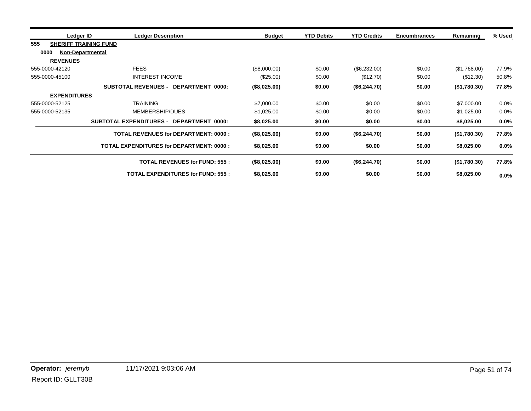|                     | Ledger ID<br><b>Ledger Description</b>             | <b>Budget</b> | <b>YTD Debits</b> | <b>YTD Credits</b> | <b>Encumbrances</b> | Remaining    | % Used |
|---------------------|----------------------------------------------------|---------------|-------------------|--------------------|---------------------|--------------|--------|
| 555                 | <b>SHERIFF TRAINING FUND</b>                       |               |                   |                    |                     |              |        |
| 0000                | <b>Non-Departmental</b>                            |               |                   |                    |                     |              |        |
| <b>REVENUES</b>     |                                                    |               |                   |                    |                     |              |        |
| 555-0000-42120      | <b>FEES</b>                                        | (\$8,000.00)  | \$0.00            | (\$6,232.00)       | \$0.00              | (\$1,768.00) | 77.9%  |
| 555-0000-45100      | <b>INTEREST INCOME</b>                             | $(\$25.00)$   | \$0.00            | (\$12.70)          | \$0.00              | (\$12.30)    | 50.8%  |
|                     | <b>SUBTOTAL REVENUES -</b><br>DEPARTMENT 0000:     | (\$8,025.00)  | \$0.00            | (\$6,244.70)       | \$0.00              | (\$1,780.30) | 77.8%  |
| <b>EXPENDITURES</b> |                                                    |               |                   |                    |                     |              |        |
| 555-0000-52125      | <b>TRAINING</b>                                    | \$7,000.00    | \$0.00            | \$0.00             | \$0.00              | \$7,000.00   | 0.0%   |
| 555-0000-52135      | MEMBERSHIP/DUES                                    | \$1,025.00    | \$0.00            | \$0.00             | \$0.00              | \$1,025.00   | 0.0%   |
|                     | <b>SUBTOTAL EXPENDITURES -</b><br>DEPARTMENT 0000: | \$8,025.00    | \$0.00            | \$0.00             | \$0.00              | \$8,025.00   | 0.0%   |
|                     | <b>TOTAL REVENUES for DEPARTMENT: 0000:</b>        | (\$8,025.00)  | \$0.00            | (\$6,244.70)       | \$0.00              | (\$1,780.30) | 77.8%  |
|                     | <b>TOTAL EXPENDITURES for DEPARTMENT: 0000:</b>    | \$8,025.00    | \$0.00            | \$0.00             | \$0.00              | \$8,025.00   | 0.0%   |
|                     | <b>TOTAL REVENUES for FUND: 555:</b>               | (\$8,025.00)  | \$0.00            | (\$6,244.70)       | \$0.00              | (\$1,780.30) | 77.8%  |
|                     | <b>TOTAL EXPENDITURES for FUND: 555:</b>           | \$8,025.00    | \$0.00            | \$0.00             | \$0.00              | \$8,025.00   | 0.0%   |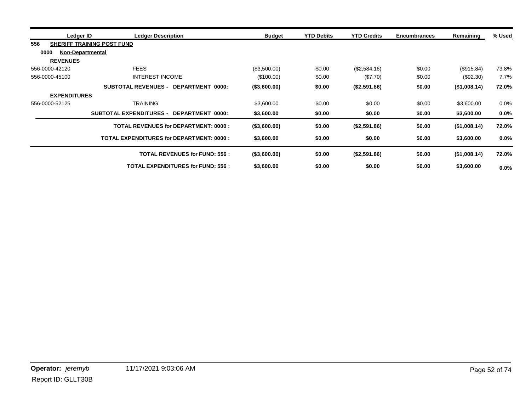|                     | <b>Ledger Description</b><br>Ledger ID          | <b>Budget</b> | <b>YTD Debits</b> | <b>YTD Credits</b> | <b>Encumbrances</b> | Remaining    | % Used  |
|---------------------|-------------------------------------------------|---------------|-------------------|--------------------|---------------------|--------------|---------|
| 556                 | <b>SHERIFF TRAINING POST FUND</b>               |               |                   |                    |                     |              |         |
| 0000                | <b>Non-Departmental</b>                         |               |                   |                    |                     |              |         |
| <b>REVENUES</b>     |                                                 |               |                   |                    |                     |              |         |
| 556-0000-42120      | <b>FEES</b>                                     | (\$3,500.00)  | \$0.00            | (\$2,584.16)       | \$0.00              | (\$915.84)   | 73.8%   |
| 556-0000-45100      | <b>INTEREST INCOME</b>                          | $(\$100.00)$  | \$0.00            | (\$7.70)           | \$0.00              | $(\$92.30)$  | 7.7%    |
|                     | <b>SUBTOTAL REVENUES -</b><br>DEPARTMENT 0000:  | (\$3,600.00)  | \$0.00            | (\$2,591.86)       | \$0.00              | (\$1,008.14) | 72.0%   |
| <b>EXPENDITURES</b> |                                                 |               |                   |                    |                     |              |         |
| 556-0000-52125      | <b>TRAINING</b>                                 | \$3,600.00    | \$0.00            | \$0.00             | \$0.00              | \$3,600.00   | $0.0\%$ |
|                     | SUBTOTAL EXPENDITURES - DEPARTMENT 0000:        | \$3,600.00    | \$0.00            | \$0.00             | \$0.00              | \$3,600.00   | $0.0\%$ |
|                     | <b>TOTAL REVENUES for DEPARTMENT: 0000:</b>     | (\$3,600.00)  | \$0.00            | (\$2,591.86)       | \$0.00              | (\$1,008.14) | 72.0%   |
|                     | <b>TOTAL EXPENDITURES for DEPARTMENT: 0000:</b> | \$3,600.00    | \$0.00            | \$0.00             | \$0.00              | \$3,600.00   | $0.0\%$ |
|                     | <b>TOTAL REVENUES for FUND: 556:</b>            | (\$3,600.00)  | \$0.00            | (\$2,591.86)       | \$0.00              | (\$1,008.14) | 72.0%   |
|                     | <b>TOTAL EXPENDITURES for FUND: 556:</b>        | \$3,600.00    | \$0.00            | \$0.00             | \$0.00              | \$3,600.00   | $0.0\%$ |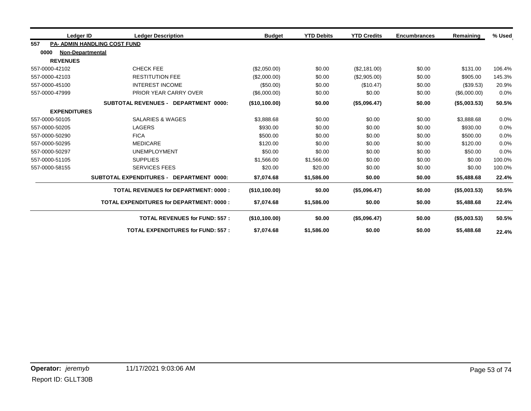|     | Ledger ID                       | <b>Ledger Description</b>                       | <b>Budget</b> | <b>YTD Debits</b> | <b>YTD Credits</b> | <b>Encumbrances</b> | Remaining       | % Used |
|-----|---------------------------------|-------------------------------------------------|---------------|-------------------|--------------------|---------------------|-----------------|--------|
| 557 |                                 | <b>PA- ADMIN HANDLING COST FUND</b>             |               |                   |                    |                     |                 |        |
|     | 0000<br><b>Non-Departmental</b> |                                                 |               |                   |                    |                     |                 |        |
|     | <b>REVENUES</b>                 |                                                 |               |                   |                    |                     |                 |        |
|     | 557-0000-42102                  | <b>CHECK FEE</b>                                | (\$2,050.00)  | \$0.00            | (\$2,181.00)       | \$0.00              | \$131.00        | 106.4% |
|     | 557-0000-42103                  | <b>RESTITUTION FEE</b>                          | (\$2,000.00)  | \$0.00            | (\$2,905.00)       | \$0.00              | \$905.00        | 145.3% |
|     | 557-0000-45100                  | <b>INTEREST INCOME</b>                          | (\$50.00)     | \$0.00            | (\$10.47)          | \$0.00              | (\$39.53)       | 20.9%  |
|     | 557-0000-47999                  | <b>PRIOR YEAR CARRY OVER</b>                    | (\$6,000.00)  | \$0.00            | \$0.00             | \$0.00              | (\$6,000.00)    | 0.0%   |
|     |                                 | <b>SUBTOTAL REVENUES - DEPARTMENT 0000:</b>     | (\$10,100.00) | \$0.00            | (\$5,096.47)       | \$0.00              | (\$5,003.53)    | 50.5%  |
|     | <b>EXPENDITURES</b>             |                                                 |               |                   |                    |                     |                 |        |
|     | 557-0000-50105                  | <b>SALARIES &amp; WAGES</b>                     | \$3,888.68    | \$0.00            | \$0.00             | \$0.00              | \$3,888.68      | 0.0%   |
|     | 557-0000-50205                  | <b>LAGERS</b>                                   | \$930.00      | \$0.00            | \$0.00             | \$0.00              | \$930.00        | 0.0%   |
|     | 557-0000-50290                  | <b>FICA</b>                                     | \$500.00      | \$0.00            | \$0.00             | \$0.00              | \$500.00        | 0.0%   |
|     | 557-0000-50295                  | <b>MEDICARE</b>                                 | \$120.00      | \$0.00            | \$0.00             | \$0.00              | \$120.00        | 0.0%   |
|     | 557-0000-50297                  | <b>UNEMPLOYMENT</b>                             | \$50.00       | \$0.00            | \$0.00             | \$0.00              | \$50.00         | 0.0%   |
|     | 557-0000-51105                  | <b>SUPPLIES</b>                                 | \$1,566.00    | \$1,566.00        | \$0.00             | \$0.00              | \$0.00          | 100.0% |
|     | 557-0000-58155                  | <b>SERVICES FEES</b>                            | \$20.00       | \$20.00           | \$0.00             | \$0.00              | \$0.00          | 100.0% |
|     |                                 | SUBTOTAL EXPENDITURES - DEPARTMENT 0000:        | \$7,074.68    | \$1,586.00        | \$0.00             | \$0.00              | \$5,488.68      | 22.4%  |
|     |                                 | <b>TOTAL REVENUES for DEPARTMENT: 0000:</b>     | (\$10,100.00) | \$0.00            | (\$5.096.47)       | \$0.00              | $($ \$5,003.53) | 50.5%  |
|     |                                 | <b>TOTAL EXPENDITURES for DEPARTMENT: 0000:</b> | \$7,074.68    | \$1,586.00        | \$0.00             | \$0.00              | \$5,488.68      | 22.4%  |
|     |                                 | <b>TOTAL REVENUES for FUND: 557:</b>            | (\$10,100.00) | \$0.00            | (\$5,096.47)       | \$0.00              | (\$5,003.53)    | 50.5%  |
|     |                                 | <b>TOTAL EXPENDITURES for FUND: 557:</b>        | \$7,074.68    | \$1,586.00        | \$0.00             | \$0.00              | \$5,488.68      | 22.4%  |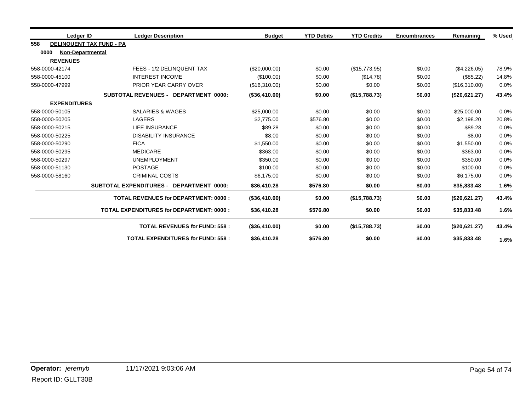|      | Ledger ID                       | <b>Ledger Description</b>                          | <b>Budget</b> | <b>YTD Debits</b> | <b>YTD Credits</b> | <b>Encumbrances</b> | Remaining     | % Used |
|------|---------------------------------|----------------------------------------------------|---------------|-------------------|--------------------|---------------------|---------------|--------|
| 558  | <b>DELINQUENT TAX FUND - PA</b> |                                                    |               |                   |                    |                     |               |        |
| 0000 | <b>Non-Departmental</b>         |                                                    |               |                   |                    |                     |               |        |
|      | <b>REVENUES</b>                 |                                                    |               |                   |                    |                     |               |        |
|      | 558-0000-42174                  | FEES - 1/2 DELINQUENT TAX                          | (\$20,000.00) | \$0.00            | (\$15,773.95)      | \$0.00              | (\$4,226.05)  | 78.9%  |
|      | 558-0000-45100                  | <b>INTEREST INCOME</b>                             | (\$100.00)    | \$0.00            | (\$14.78)          | \$0.00              | (\$85.22)     | 14.8%  |
|      | 558-0000-47999                  | PRIOR YEAR CARRY OVER                              | (\$16,310.00) | \$0.00            | \$0.00             | \$0.00              | (\$16,310.00) | 0.0%   |
|      |                                 | <b>SUBTOTAL REVENUES - DEPARTMENT 0000:</b>        | (\$36,410.00) | \$0.00            | (\$15,788.73)      | \$0.00              | (\$20,621.27) | 43.4%  |
|      | <b>EXPENDITURES</b>             |                                                    |               |                   |                    |                     |               |        |
|      | 558-0000-50105                  | <b>SALARIES &amp; WAGES</b>                        | \$25,000.00   | \$0.00            | \$0.00             | \$0.00              | \$25,000.00   | 0.0%   |
|      | 558-0000-50205                  | <b>LAGERS</b>                                      | \$2,775.00    | \$576.80          | \$0.00             | \$0.00              | \$2,198.20    | 20.8%  |
|      | 558-0000-50215                  | <b>LIFE INSURANCE</b>                              | \$89.28       | \$0.00            | \$0.00             | \$0.00              | \$89.28       | 0.0%   |
|      | 558-0000-50225                  | <b>DISABILITY INSURANCE</b>                        | \$8.00        | \$0.00            | \$0.00             | \$0.00              | \$8.00        | 0.0%   |
|      | 558-0000-50290                  | <b>FICA</b>                                        | \$1,550.00    | \$0.00            | \$0.00             | \$0.00              | \$1,550.00    | 0.0%   |
|      | 558-0000-50295                  | <b>MEDICARE</b>                                    | \$363.00      | \$0.00            | \$0.00             | \$0.00              | \$363.00      | 0.0%   |
|      | 558-0000-50297                  | <b>UNEMPLOYMENT</b>                                | \$350.00      | \$0.00            | \$0.00             | \$0.00              | \$350.00      | 0.0%   |
|      | 558-0000-51130                  | <b>POSTAGE</b>                                     | \$100.00      | \$0.00            | \$0.00             | \$0.00              | \$100.00      | 0.0%   |
|      | 558-0000-58160                  | <b>CRIMINAL COSTS</b>                              | \$6,175.00    | \$0.00            | \$0.00             | \$0.00              | \$6,175.00    | 0.0%   |
|      |                                 | <b>SUBTOTAL EXPENDITURES -</b><br>DEPARTMENT 0000: | \$36,410.28   | \$576.80          | \$0.00             | \$0.00              | \$35,833.48   | 1.6%   |
|      |                                 | <b>TOTAL REVENUES for DEPARTMENT: 0000:</b>        | (\$36,410.00) | \$0.00            | (\$15,788.73)      | \$0.00              | (\$20,621.27) | 43.4%  |
|      |                                 | <b>TOTAL EXPENDITURES for DEPARTMENT: 0000:</b>    | \$36,410.28   | \$576.80          | \$0.00             | \$0.00              | \$35,833.48   | 1.6%   |
|      |                                 | <b>TOTAL REVENUES for FUND: 558:</b>               | (\$36,410.00) | \$0.00            | (\$15,788.73)      | \$0.00              | (\$20,621.27) | 43.4%  |
|      |                                 | <b>TOTAL EXPENDITURES for FUND: 558:</b>           | \$36,410.28   | \$576.80          | \$0.00             | \$0.00              | \$35,833.48   | 1.6%   |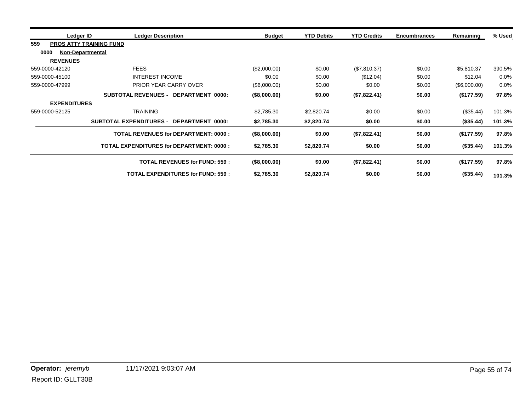|     | Ledger ID                      | <b>Ledger Description</b>                          | <b>Budget</b> | <b>YTD Debits</b> | <b>YTD Credits</b> | <b>Encumbrances</b> | Remaining    | % Used |
|-----|--------------------------------|----------------------------------------------------|---------------|-------------------|--------------------|---------------------|--------------|--------|
| 559 | <b>PROS ATTY TRAINING FUND</b> |                                                    |               |                   |                    |                     |              |        |
|     | 0000<br>Non-Departmental       |                                                    |               |                   |                    |                     |              |        |
|     | <b>REVENUES</b>                |                                                    |               |                   |                    |                     |              |        |
|     | 559-0000-42120                 | <b>FEES</b>                                        | (\$2,000.00)  | \$0.00            | (\$7,810.37)       | \$0.00              | \$5,810.37   | 390.5% |
|     | 559-0000-45100                 | <b>INTEREST INCOME</b>                             | \$0.00        | \$0.00            | (\$12.04)          | \$0.00              | \$12.04      | 0.0%   |
|     | 559-0000-47999                 | PRIOR YEAR CARRY OVER                              | (\$6,000.00)  | \$0.00            | \$0.00             | \$0.00              | (\$6,000.00) | 0.0%   |
|     |                                | SUBTOTAL REVENUES - DEPARTMENT 0000:               | (\$8,000.00)  | \$0.00            | (\$7,822.41)       | \$0.00              | (\$177.59)   | 97.8%  |
|     | <b>EXPENDITURES</b>            |                                                    |               |                   |                    |                     |              |        |
|     | 559-0000-52125                 | <b>TRAINING</b>                                    | \$2,785.30    | \$2,820.74        | \$0.00             | \$0.00              | (\$35.44)    | 101.3% |
|     |                                | <b>SUBTOTAL EXPENDITURES -</b><br>DEPARTMENT 0000: | \$2,785.30    | \$2,820.74        | \$0.00             | \$0.00              | (\$35.44)    | 101.3% |
|     |                                | <b>TOTAL REVENUES for DEPARTMENT: 0000:</b>        | (\$8,000.00)  | \$0.00            | (\$7,822.41)       | \$0.00              | (\$177.59)   | 97.8%  |
|     |                                | <b>TOTAL EXPENDITURES for DEPARTMENT: 0000:</b>    | \$2,785.30    | \$2,820.74        | \$0.00             | \$0.00              | (\$35.44)    | 101.3% |
|     |                                | <b>TOTAL REVENUES for FUND: 559:</b>               | (\$8,000.00)  | \$0.00            | (\$7,822.41)       | \$0.00              | (\$177.59)   | 97.8%  |
|     |                                | <b>TOTAL EXPENDITURES for FUND: 559:</b>           | \$2,785.30    | \$2,820.74        | \$0.00             | \$0.00              | (\$35.44)    | 101.3% |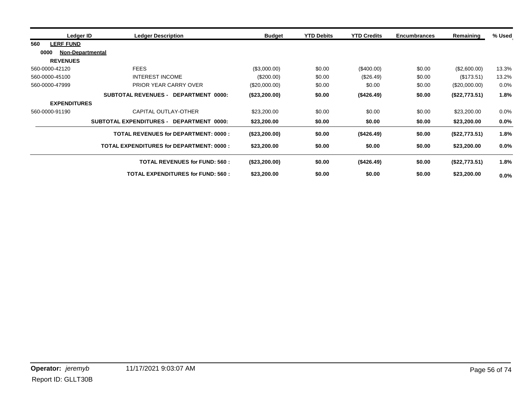| Ledger ID                       | <b>Ledger Description</b>                          | <b>Budget</b> | <b>YTD Debits</b> | <b>YTD Credits</b> | <b>Encumbrances</b> | Remaining     | % Used  |
|---------------------------------|----------------------------------------------------|---------------|-------------------|--------------------|---------------------|---------------|---------|
| 560<br><b>LERF FUND</b>         |                                                    |               |                   |                    |                     |               |         |
| 0000<br><b>Non-Departmental</b> |                                                    |               |                   |                    |                     |               |         |
| <b>REVENUES</b>                 |                                                    |               |                   |                    |                     |               |         |
| 560-0000-42120                  | <b>FEES</b>                                        | (\$3,000.00)  | \$0.00            | $(\$400.00)$       | \$0.00              | (\$2,600.00)  | 13.3%   |
| 560-0000-45100                  | <b>INTEREST INCOME</b>                             | (S200.00)     | \$0.00            | $(\$26.49)$        | \$0.00              | (\$173.51)    | 13.2%   |
| 560-0000-47999                  | <b>PRIOR YEAR CARRY OVER</b>                       | (\$20,000.00) | \$0.00            | \$0.00             | \$0.00              | (\$20,000.00) | 0.0%    |
|                                 | <b>SUBTOTAL REVENUES -</b><br>DEPARTMENT 0000:     | (\$23,200.00) | \$0.00            | (\$426.49)         | \$0.00              | (\$22,773.51) | 1.8%    |
| <b>EXPENDITURES</b>             |                                                    |               |                   |                    |                     |               |         |
| 560-0000-91190                  | CAPITAL OUTLAY-OTHER                               | \$23,200.00   | \$0.00            | \$0.00             | \$0.00              | \$23,200.00   | 0.0%    |
|                                 | <b>SUBTOTAL EXPENDITURES -</b><br>DEPARTMENT 0000: | \$23,200.00   | \$0.00            | \$0.00             | \$0.00              | \$23,200.00   | $0.0\%$ |
|                                 | <b>TOTAL REVENUES for DEPARTMENT: 0000:</b>        | (\$23,200.00) | \$0.00            | (\$426.49)         | \$0.00              | (\$22,773.51) | 1.8%    |
|                                 | <b>TOTAL EXPENDITURES for DEPARTMENT: 0000:</b>    | \$23,200.00   | \$0.00            | \$0.00             | \$0.00              | \$23,200.00   | 0.0%    |
|                                 | <b>TOTAL REVENUES for FUND: 560:</b>               | (\$23,200.00) | \$0.00            | (\$426.49)         | \$0.00              | (\$22,773.51) | 1.8%    |
|                                 | <b>TOTAL EXPENDITURES for FUND: 560:</b>           | \$23,200.00   | \$0.00            | \$0.00             | \$0.00              | \$23,200.00   | 0.0%    |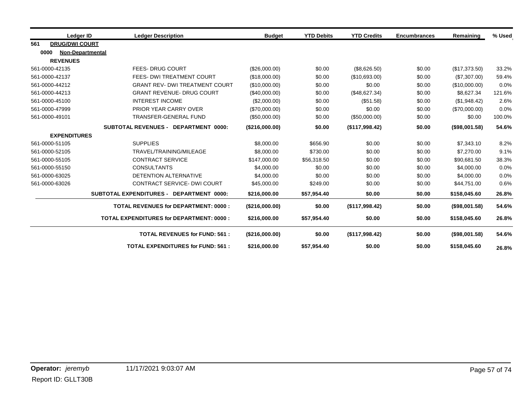|      | Ledger ID             | <b>Ledger Description</b>                       | <b>Budget</b>  | <b>YTD Debits</b> | <b>YTD Credits</b> | <b>Encumbrances</b> | Remaining     | % Used |
|------|-----------------------|-------------------------------------------------|----------------|-------------------|--------------------|---------------------|---------------|--------|
| 561  | <b>DRUG/DWI COURT</b> |                                                 |                |                   |                    |                     |               |        |
| 0000 | Non-Departmental      |                                                 |                |                   |                    |                     |               |        |
|      | <b>REVENUES</b>       |                                                 |                |                   |                    |                     |               |        |
|      | 561-0000-42135        | FEES- DRUG COURT                                | (\$26,000.00)  | \$0.00            | (\$8,626.50)       | \$0.00              | (\$17,373.50) | 33.2%  |
|      | 561-0000-42137        | FEES- DWI TREATMENT COURT                       | (\$18,000.00)  | \$0.00            | (\$10,693.00)      | \$0.00              | (\$7,307.00)  | 59.4%  |
|      | 561-0000-44212        | <b>GRANT REV- DWI TREATMENT COURT</b>           | (\$10,000.00)  | \$0.00            | \$0.00             | \$0.00              | (\$10,000.00) | 0.0%   |
|      | 561-0000-44213        | <b>GRANT REVENUE- DRUG COURT</b>                | (\$40,000.00)  | \$0.00            | (\$48,627.34)      | \$0.00              | \$8,627.34    | 121.6% |
|      | 561-0000-45100        | <b>INTEREST INCOME</b>                          | (\$2,000.00)   | \$0.00            | (\$51.58)          | \$0.00              | (\$1,948.42)  | 2.6%   |
|      | 561-0000-47999        | <b>PRIOR YEAR CARRY OVER</b>                    | (\$70,000.00)  | \$0.00            | \$0.00             | \$0.00              | (\$70,000.00) | 0.0%   |
|      | 561-0000-49101        | <b>TRANSFER-GENERAL FUND</b>                    | (\$50,000.00)  | \$0.00            | (\$50,000.00)      | \$0.00              | \$0.00        | 100.0% |
|      |                       | SUBTOTAL REVENUES - DEPARTMENT 0000:            | (\$216,000.00) | \$0.00            | (\$117,998.42)     | \$0.00              | (\$98,001.58) | 54.6%  |
|      | <b>EXPENDITURES</b>   |                                                 |                |                   |                    |                     |               |        |
|      | 561-0000-51105        | <b>SUPPLIES</b>                                 | \$8,000.00     | \$656.90          | \$0.00             | \$0.00              | \$7,343.10    | 8.2%   |
|      | 561-0000-52105        | TRAVEL/TRAINING/MILEAGE                         | \$8,000.00     | \$730.00          | \$0.00             | \$0.00              | \$7,270.00    | 9.1%   |
|      | 561-0000-55105        | <b>CONTRACT SERVICE</b>                         | \$147,000.00   | \$56,318.50       | \$0.00             | \$0.00              | \$90,681.50   | 38.3%  |
|      | 561-0000-55150        | <b>CONSULTANTS</b>                              | \$4,000.00     | \$0.00            | \$0.00             | \$0.00              | \$4,000.00    | 0.0%   |
|      | 561-0000-63025        | DETENTION ALTERNATIVE                           | \$4,000.00     | \$0.00            | \$0.00             | \$0.00              | \$4,000.00    | 0.0%   |
|      | 561-0000-63026        | <b>CONTRACT SERVICE- DWI COURT</b>              | \$45,000.00    | \$249.00          | \$0.00             | \$0.00              | \$44,751.00   | 0.6%   |
|      |                       | SUBTOTAL EXPENDITURES - DEPARTMENT 0000:        | \$216,000.00   | \$57,954.40       | \$0.00             | \$0.00              | \$158,045.60  | 26.8%  |
|      |                       | <b>TOTAL REVENUES for DEPARTMENT: 0000:</b>     | (\$216,000.00) | \$0.00            | (\$117,998.42)     | \$0.00              | (\$98,001.58) | 54.6%  |
|      |                       | <b>TOTAL EXPENDITURES for DEPARTMENT: 0000:</b> | \$216,000.00   | \$57,954.40       | \$0.00             | \$0.00              | \$158,045.60  | 26.8%  |
|      |                       | <b>TOTAL REVENUES for FUND: 561:</b>            | (\$216,000.00) | \$0.00            | (\$117,998.42)     | \$0.00              | (\$98,001.58) | 54.6%  |
|      |                       | <b>TOTAL EXPENDITURES for FUND: 561:</b>        | \$216,000.00   | \$57,954.40       | \$0.00             | \$0.00              | \$158,045.60  | 26.8%  |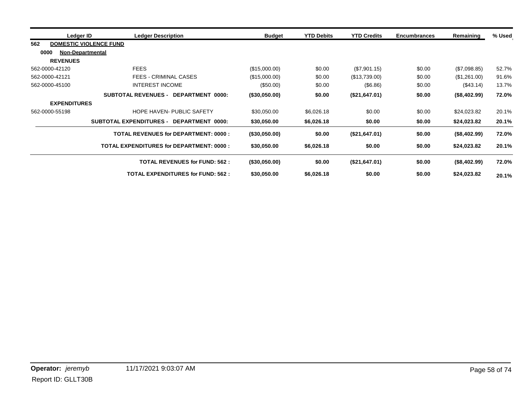| Ledger ID                       | <b>Ledger Description</b>                       |                                          | <b>Budget</b> | <b>YTD Debits</b> | <b>YTD Credits</b> | <b>Encumbrances</b> | Remaining    | % Used |
|---------------------------------|-------------------------------------------------|------------------------------------------|---------------|-------------------|--------------------|---------------------|--------------|--------|
| 562                             | <b>DOMESTIC VIOLENCE FUND</b>                   |                                          |               |                   |                    |                     |              |        |
| 0000<br><b>Non-Departmental</b> |                                                 |                                          |               |                   |                    |                     |              |        |
| <b>REVENUES</b>                 |                                                 |                                          |               |                   |                    |                     |              |        |
| 562-0000-42120                  | <b>FEES</b>                                     |                                          | (\$15,000.00) | \$0.00            | (\$7,901.15)       | \$0.00              | (S7,098.85)  | 52.7%  |
| 562-0000-42121                  | <b>FEES - CRIMINAL CASES</b>                    |                                          | (\$15,000.00) | \$0.00            | (S13,739.00)       | \$0.00              | (\$1,261.00) | 91.6%  |
| 562-0000-45100                  | <b>INTEREST INCOME</b>                          |                                          | (\$50.00)     | \$0.00            | (\$6.86)           | \$0.00              | (\$43.14)    | 13.7%  |
|                                 | <b>SUBTOTAL REVENUES -</b>                      | DEPARTMENT 0000:                         | (\$30,050.00) | \$0.00            | (\$21,647.01)      | \$0.00              | (\$8,402.99) | 72.0%  |
| <b>EXPENDITURES</b>             |                                                 |                                          |               |                   |                    |                     |              |        |
| 562-0000-55198                  | <b>HOPE HAVEN- PUBLIC SAFETY</b>                |                                          | \$30,050.00   | \$6,026.18        | \$0.00             | \$0.00              | \$24,023.82  | 20.1%  |
|                                 | <b>SUBTOTAL EXPENDITURES -</b>                  | DEPARTMENT 0000:                         | \$30,050.00   | \$6,026.18        | \$0.00             | \$0.00              | \$24,023.82  | 20.1%  |
|                                 | <b>TOTAL REVENUES for DEPARTMENT: 0000:</b>     |                                          | (\$30,050.00) | \$0.00            | (\$21,647.01)      | \$0.00              | (\$8,402.99) | 72.0%  |
|                                 | <b>TOTAL EXPENDITURES for DEPARTMENT: 0000:</b> |                                          | \$30,050.00   | \$6,026.18        | \$0.00             | \$0.00              | \$24,023.82  | 20.1%  |
|                                 |                                                 | <b>TOTAL REVENUES for FUND: 562:</b>     | (\$30,050.00) | \$0.00            | (\$21,647.01)      | \$0.00              | (\$8,402.99) | 72.0%  |
|                                 |                                                 | <b>TOTAL EXPENDITURES for FUND: 562:</b> | \$30,050.00   | \$6,026.18        | \$0.00             | \$0.00              | \$24,023.82  | 20.1%  |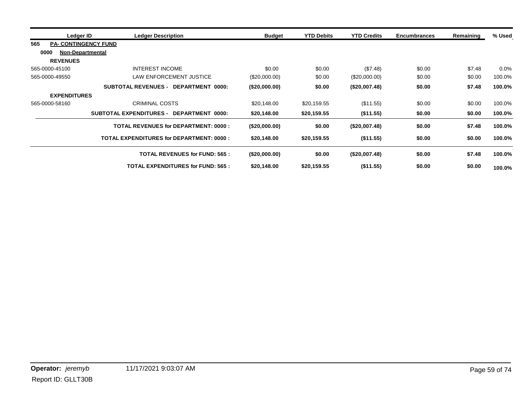| Ledger ID                          | <b>Ledger Description</b>                       | <b>Budget</b> | <b>YTD Debits</b> | <b>YTD Credits</b> | <b>Encumbrances</b> | Remaining | % Used  |
|------------------------------------|-------------------------------------------------|---------------|-------------------|--------------------|---------------------|-----------|---------|
| <b>PA- CONTINGENCY FUND</b><br>565 |                                                 |               |                   |                    |                     |           |         |
| 0000<br><b>Non-Departmental</b>    |                                                 |               |                   |                    |                     |           |         |
| <b>REVENUES</b>                    |                                                 |               |                   |                    |                     |           |         |
| 565-0000-45100                     | <b>INTEREST INCOME</b>                          | \$0.00        | \$0.00            | (\$7.48)           | \$0.00              | \$7.48    | $0.0\%$ |
| 565-0000-49550                     | <b>LAW ENFORCEMENT JUSTICE</b>                  | (\$20,000.00) | \$0.00            | (\$20,000.00)      | \$0.00              | \$0.00    | 100.0%  |
|                                    | SUBTOTAL REVENUES - DEPARTMENT 0000:            | (\$20,000.00) | \$0.00            | (\$20,007.48)      | \$0.00              | \$7.48    | 100.0%  |
| <b>EXPENDITURES</b>                |                                                 |               |                   |                    |                     |           |         |
| 565-0000-58160                     | <b>CRIMINAL COSTS</b>                           | \$20,148.00   | \$20,159.55       | (\$11.55)          | \$0.00              | \$0.00    | 100.0%  |
|                                    | SUBTOTAL EXPENDITURES - DEPARTMENT 0000:        | \$20,148.00   | \$20,159.55       | (\$11.55)          | \$0.00              | \$0.00    | 100.0%  |
|                                    | <b>TOTAL REVENUES for DEPARTMENT: 0000:</b>     | (\$20,000.00) | \$0.00            | (\$20,007.48)      | \$0.00              | \$7.48    | 100.0%  |
|                                    | <b>TOTAL EXPENDITURES for DEPARTMENT: 0000:</b> | \$20,148.00   | \$20,159.55       | (\$11.55)          | \$0.00              | \$0.00    | 100.0%  |
|                                    | <b>TOTAL REVENUES for FUND: 565:</b>            | (\$20,000.00) | \$0.00            | (\$20,007.48)      | \$0.00              | \$7.48    | 100.0%  |
|                                    | <b>TOTAL EXPENDITURES for FUND: 565:</b>        | \$20,148.00   | \$20,159.55       | (\$11.55)          | \$0.00              | \$0.00    | 100.0%  |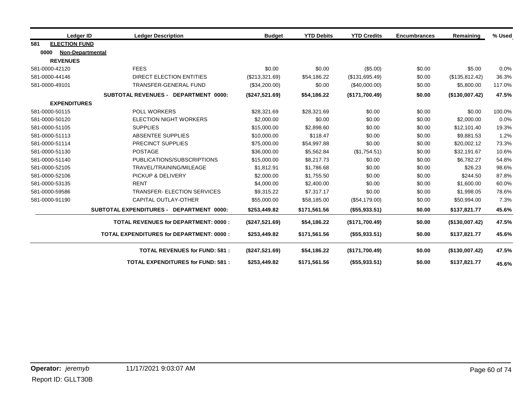|     | Ledger ID                       | <b>Ledger Description</b>                       | <b>Budget</b>  | <b>YTD Debits</b> | <b>YTD Credits</b> | <b>Encumbrances</b> | Remaining      | % Used |
|-----|---------------------------------|-------------------------------------------------|----------------|-------------------|--------------------|---------------------|----------------|--------|
| 581 | <b>ELECTION FUND</b>            |                                                 |                |                   |                    |                     |                |        |
|     | 0000<br><b>Non-Departmental</b> |                                                 |                |                   |                    |                     |                |        |
|     | <b>REVENUES</b>                 |                                                 |                |                   |                    |                     |                |        |
|     | 581-0000-42120                  | <b>FEES</b>                                     | \$0.00         | \$0.00            | (\$5.00)           | \$0.00              | \$5.00         | 0.0%   |
|     | 581-0000-44146                  | <b>DIRECT ELECTION ENTITIES</b>                 | (\$213,321.69) | \$54,186.22       | (\$131,695.49)     | \$0.00              | (\$135,812.42) | 36.3%  |
|     | 581-0000-49101                  | TRANSFER-GENERAL FUND                           | (\$34,200.00)  | \$0.00            | (\$40,000.00)      | \$0.00              | \$5,800.00     | 117.0% |
|     |                                 | SUBTOTAL REVENUES - DEPARTMENT 0000:            | (\$247,521.69) | \$54,186.22       | (\$171,700.49)     | \$0.00              | (\$130,007.42) | 47.5%  |
|     | <b>EXPENDITURES</b>             |                                                 |                |                   |                    |                     |                |        |
|     | 581-0000-50115                  | POLL WORKERS                                    | \$28,321.69    | \$28,321.69       | \$0.00             | \$0.00              | \$0.00         | 100.0% |
|     | 581-0000-50120                  | <b>ELECTION NIGHT WORKERS</b>                   | \$2,000.00     | \$0.00            | \$0.00             | \$0.00              | \$2,000.00     | 0.0%   |
|     | 581-0000-51105                  | <b>SUPPLIES</b>                                 | \$15,000.00    | \$2,898.60        | \$0.00             | \$0.00              | \$12,101.40    | 19.3%  |
|     | 581-0000-51113                  | ABSENTEE SUPPLIES                               | \$10,000.00    | \$118.47          | \$0.00             | \$0.00              | \$9,881.53     | 1.2%   |
|     | 581-0000-51114                  | PRECINCT SUPPLIES                               | \$75,000.00    | \$54,997.88       | \$0.00             | \$0.00              | \$20,002.12    | 73.3%  |
|     | 581-0000-51130                  | <b>POSTAGE</b>                                  | \$36,000.00    | \$5,562.84        | (\$1,754.51)       | \$0.00              | \$32,191.67    | 10.6%  |
|     | 581-0000-51140                  | PUBLICATIONS/SUBSCRIPTIONS                      | \$15,000.00    | \$8,217.73        | \$0.00             | \$0.00              | \$6,782.27     | 54.8%  |
|     | 581-0000-52105                  | TRAVEL/TRAINING/MILEAGE                         | \$1,812.91     | \$1,786.68        | \$0.00             | \$0.00              | \$26.23        | 98.6%  |
|     | 581-0000-52106                  | PICKUP & DELIVERY                               | \$2,000.00     | \$1,755.50        | \$0.00             | \$0.00              | \$244.50       | 87.8%  |
|     | 581-0000-53135                  | <b>RENT</b>                                     | \$4,000.00     | \$2,400.00        | \$0.00             | \$0.00              | \$1,600.00     | 60.0%  |
|     | 581-0000-59586                  | <b>TRANSFER- ELECTION SERVICES</b>              | \$9,315.22     | \$7,317.17        | \$0.00             | \$0.00              | \$1,998.05     | 78.6%  |
|     | 581-0000-91190                  | <b>CAPITAL OUTLAY-OTHER</b>                     | \$55,000.00    | \$58,185.00       | (\$54,179.00)      | \$0.00              | \$50,994.00    | 7.3%   |
|     |                                 | SUBTOTAL EXPENDITURES - DEPARTMENT 0000:        | \$253,449.82   | \$171,561.56      | (\$55,933.51)      | \$0.00              | \$137,821.77   | 45.6%  |
|     |                                 | <b>TOTAL REVENUES for DEPARTMENT: 0000:</b>     | (\$247,521.69) | \$54,186.22       | (\$171,700.49)     | \$0.00              | (\$130,007.42) | 47.5%  |
|     |                                 | <b>TOTAL EXPENDITURES for DEPARTMENT: 0000:</b> | \$253,449.82   | \$171,561.56      | (\$55,933.51)      | \$0.00              | \$137,821.77   | 45.6%  |
|     |                                 | <b>TOTAL REVENUES for FUND: 581:</b>            | (\$247,521.69) | \$54,186.22       | (\$171,700.49)     | \$0.00              | (\$130,007.42) | 47.5%  |
|     |                                 | <b>TOTAL EXPENDITURES for FUND: 581:</b>        | \$253,449.82   | \$171,561.56      | (\$55,933.51)      | \$0.00              | \$137,821.77   | 45.6%  |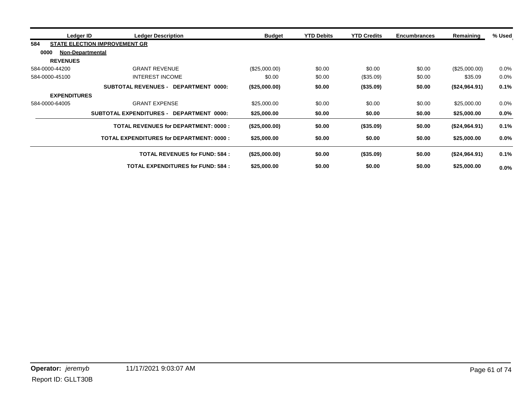|                     | <b>Ledger Description</b><br>Ledger ID          | <b>Budget</b> | <b>YTD Debits</b> | <b>YTD Credits</b> | <b>Encumbrances</b> | Remaining     | % Used  |
|---------------------|-------------------------------------------------|---------------|-------------------|--------------------|---------------------|---------------|---------|
| 584                 | <b>STATE ELECTION IMPROVEMENT GR</b>            |               |                   |                    |                     |               |         |
| 0000                | <b>Non-Departmental</b>                         |               |                   |                    |                     |               |         |
| <b>REVENUES</b>     |                                                 |               |                   |                    |                     |               |         |
| 584-0000-44200      | <b>GRANT REVENUE</b>                            | (\$25,000.00) | \$0.00            | \$0.00             | \$0.00              | (\$25,000.00) | $0.0\%$ |
| 584-0000-45100      | <b>INTEREST INCOME</b>                          | \$0.00        | \$0.00            | $(\$35.09)$        | \$0.00              | \$35.09       | 0.0%    |
|                     | SUBTOTAL REVENUES - DEPARTMENT 0000:            | (\$25,000.00) | \$0.00            | (\$35.09)          | \$0.00              | (\$24,964.91) | 0.1%    |
| <b>EXPENDITURES</b> |                                                 |               |                   |                    |                     |               |         |
| 584-0000-64005      | <b>GRANT EXPENSE</b>                            | \$25,000.00   | \$0.00            | \$0.00             | \$0.00              | \$25,000.00   | $0.0\%$ |
|                     | SUBTOTAL EXPENDITURES - DEPARTMENT 0000:        | \$25,000.00   | \$0.00            | \$0.00             | \$0.00              | \$25,000.00   | $0.0\%$ |
|                     | <b>TOTAL REVENUES for DEPARTMENT: 0000:</b>     | (\$25,000.00) | \$0.00            | (\$35.09)          | \$0.00              | (\$24,964.91) | 0.1%    |
|                     | <b>TOTAL EXPENDITURES for DEPARTMENT: 0000:</b> | \$25,000.00   | \$0.00            | \$0.00             | \$0.00              | \$25,000.00   | $0.0\%$ |
|                     | <b>TOTAL REVENUES for FUND: 584:</b>            | (\$25,000.00) | \$0.00            | (\$35.09)          | \$0.00              | (\$24,964.91) | 0.1%    |
|                     | <b>TOTAL EXPENDITURES for FUND: 584:</b>        | \$25,000.00   | \$0.00            | \$0.00             | \$0.00              | \$25,000.00   | $0.0\%$ |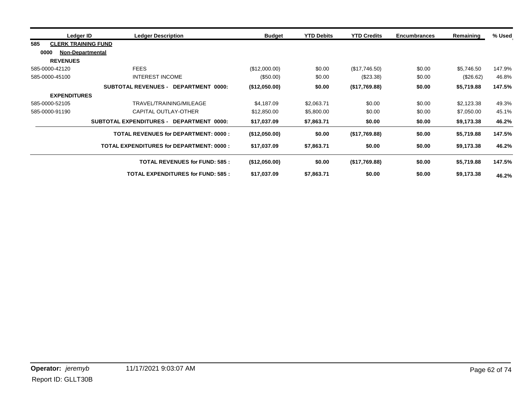| Ledger ID           | <b>Ledger Description</b>                          | <b>Budget</b> | <b>YTD Debits</b> | <b>YTD Credits</b> | <b>Encumbrances</b> | Remaining  | % Used |
|---------------------|----------------------------------------------------|---------------|-------------------|--------------------|---------------------|------------|--------|
| 585                 | <b>CLERK TRAINING FUND</b>                         |               |                   |                    |                     |            |        |
| 0000                | Non-Departmental                                   |               |                   |                    |                     |            |        |
| <b>REVENUES</b>     |                                                    |               |                   |                    |                     |            |        |
| 585-0000-42120      | <b>FEES</b>                                        | (\$12,000.00) | \$0.00            | (\$17,746.50)      | \$0.00              | \$5,746.50 | 147.9% |
| 585-0000-45100      | <b>INTEREST INCOME</b>                             | (\$50.00)     | \$0.00            | (S23.38)           | \$0.00              | (\$26.62)  | 46.8%  |
|                     | <b>SUBTOTAL REVENUES -</b><br>DEPARTMENT 0000:     | (\$12,050.00) | \$0.00            | (\$17,769.88)      | \$0.00              | \$5,719.88 | 147.5% |
| <b>EXPENDITURES</b> |                                                    |               |                   |                    |                     |            |        |
| 585-0000-52105      | TRAVEL/TRAINING/MILEAGE                            | \$4,187.09    | \$2,063.71        | \$0.00             | \$0.00              | \$2,123.38 | 49.3%  |
| 585-0000-91190      | CAPITAL OUTLAY-OTHER                               | \$12,850.00   | \$5,800.00        | \$0.00             | \$0.00              | \$7,050.00 | 45.1%  |
|                     | <b>SUBTOTAL EXPENDITURES -</b><br>DEPARTMENT 0000: | \$17,037.09   | \$7,863.71        | \$0.00             | \$0.00              | \$9,173.38 | 46.2%  |
|                     | <b>TOTAL REVENUES for DEPARTMENT: 0000:</b>        | (\$12,050.00) | \$0.00            | (\$17,769.88)      | \$0.00              | \$5,719.88 | 147.5% |
|                     | <b>TOTAL EXPENDITURES for DEPARTMENT: 0000:</b>    | \$17,037.09   | \$7,863.71        | \$0.00             | \$0.00              | \$9,173.38 | 46.2%  |
|                     | <b>TOTAL REVENUES for FUND: 585:</b>               | (\$12,050.00) | \$0.00            | (\$17,769.88)      | \$0.00              | \$5,719.88 | 147.5% |
|                     | <b>TOTAL EXPENDITURES for FUND: 585:</b>           | \$17,037.09   | \$7,863.71        | \$0.00             | \$0.00              | \$9,173.38 | 46.2%  |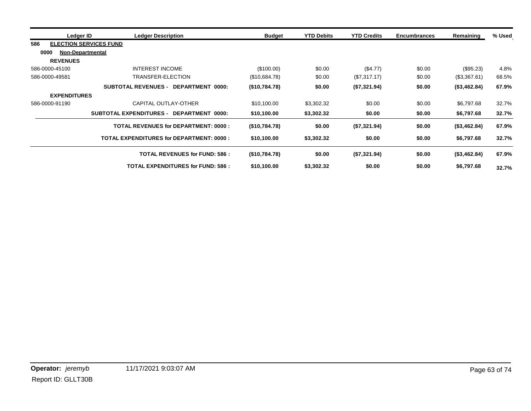| Ledger ID                            | <b>Ledger Description</b>                       | <b>Budget</b> | <b>YTD Debits</b> | <b>YTD Credits</b> | <b>Encumbrances</b> | Remaining    | % Used |
|--------------------------------------|-------------------------------------------------|---------------|-------------------|--------------------|---------------------|--------------|--------|
| 586<br><b>ELECTION SERVICES FUND</b> |                                                 |               |                   |                    |                     |              |        |
| 0000<br><b>Non-Departmental</b>      |                                                 |               |                   |                    |                     |              |        |
| <b>REVENUES</b>                      |                                                 |               |                   |                    |                     |              |        |
| 586-0000-45100                       | INTEREST INCOME                                 | (\$100.00)    | \$0.00            | (\$4.77)           | \$0.00              | (\$95.23)    | 4.8%   |
| 586-0000-49581                       | TRANSFER-ELECTION                               | (\$10,684.78) | \$0.00            | (\$7,317.17)       | \$0.00              | (\$3,367.61) | 68.5%  |
|                                      | <b>SUBTOTAL REVENUES - DEPARTMENT 0000:</b>     | (\$10,784.78) | \$0.00            | (\$7,321.94)       | \$0.00              | (\$3,462.84) | 67.9%  |
| <b>EXPENDITURES</b>                  |                                                 |               |                   |                    |                     |              |        |
| 586-0000-91190                       | CAPITAL OUTLAY-OTHER                            | \$10,100.00   | \$3,302.32        | \$0.00             | \$0.00              | \$6,797.68   | 32.7%  |
|                                      | SUBTOTAL EXPENDITURES - DEPARTMENT 0000:        | \$10,100.00   | \$3,302.32        | \$0.00             | \$0.00              | \$6,797.68   | 32.7%  |
|                                      | <b>TOTAL REVENUES for DEPARTMENT: 0000:</b>     | (\$10,784.78) | \$0.00            | (\$7,321.94)       | \$0.00              | (S3, 462.84) | 67.9%  |
|                                      | <b>TOTAL EXPENDITURES for DEPARTMENT: 0000:</b> | \$10,100.00   | \$3,302.32        | \$0.00             | \$0.00              | \$6,797.68   | 32.7%  |
|                                      | <b>TOTAL REVENUES for FUND: 586 :</b>           | (\$10,784.78) | \$0.00            | (\$7,321.94)       | \$0.00              | (\$3,462.84) | 67.9%  |
|                                      | <b>TOTAL EXPENDITURES for FUND: 586:</b>        | \$10,100.00   | \$3,302.32        | \$0.00             | \$0.00              | \$6,797.68   | 32.7%  |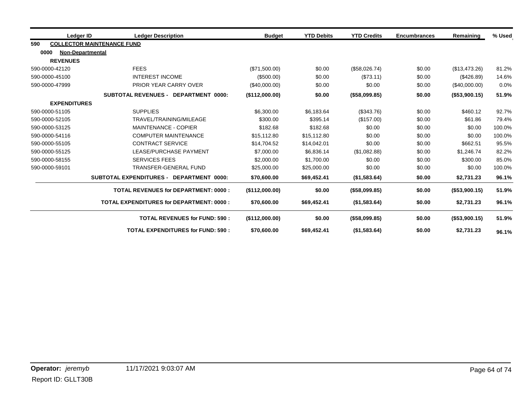|     | Ledger ID                | <b>Ledger Description</b>                       | <b>Budget</b>   | <b>YTD Debits</b> | <b>YTD Credits</b> | <b>Encumbrances</b> | Remaining     | % Used |
|-----|--------------------------|-------------------------------------------------|-----------------|-------------------|--------------------|---------------------|---------------|--------|
| 590 |                          | <b>COLLECTOR MAINTENANCE FUND</b>               |                 |                   |                    |                     |               |        |
|     | 0000<br>Non-Departmental |                                                 |                 |                   |                    |                     |               |        |
|     | <b>REVENUES</b>          |                                                 |                 |                   |                    |                     |               |        |
|     | 590-0000-42120           | <b>FEES</b>                                     | (\$71,500.00)   | \$0.00            | (\$58,026.74)      | \$0.00              | (\$13,473.26) | 81.2%  |
|     | 590-0000-45100           | <b>INTEREST INCOME</b>                          | (\$500.00)      | \$0.00            | (\$73.11)          | \$0.00              | (\$426.89)    | 14.6%  |
|     | 590-0000-47999           | PRIOR YEAR CARRY OVER                           | $(\$40,000.00)$ | \$0.00            | \$0.00             | \$0.00              | (\$40,000.00) | 0.0%   |
|     |                          | SUBTOTAL REVENUES - DEPARTMENT 0000:            | (\$112,000.00)  | \$0.00            | (\$58,099.85)      | \$0.00              | (\$53,900.15) | 51.9%  |
|     | <b>EXPENDITURES</b>      |                                                 |                 |                   |                    |                     |               |        |
|     | 590-0000-51105           | <b>SUPPLIES</b>                                 | \$6,300.00      | \$6,183.64        | (\$343.76)         | \$0.00              | \$460.12      | 92.7%  |
|     | 590-0000-52105           | TRAVEL/TRAINING/MILEAGE                         | \$300.00        | \$395.14          | (\$157.00)         | \$0.00              | \$61.86       | 79.4%  |
|     | 590-0000-53125           | <b>MAINTENANCE - COPIER</b>                     | \$182.68        | \$182.68          | \$0.00             | \$0.00              | \$0.00        | 100.0% |
|     | 590-0000-54116           | <b>COMPUTER MAINTENANCE</b>                     | \$15.112.80     | \$15.112.80       | \$0.00             | \$0.00              | \$0.00        | 100.0% |
|     | 590-0000-55105           | <b>CONTRACT SERVICE</b>                         | \$14,704.52     | \$14,042.01       | \$0.00             | \$0.00              | \$662.51      | 95.5%  |
|     | 590-0000-55125           | <b>LEASE/PURCHASE PAYMENT</b>                   | \$7,000.00      | \$6,836,14        | (\$1,082.88)       | \$0.00              | \$1,246.74    | 82.2%  |
|     | 590-0000-58155           | <b>SERVICES FEES</b>                            | \$2,000.00      | \$1,700.00        | \$0.00             | \$0.00              | \$300.00      | 85.0%  |
|     | 590-0000-59101           | <b>TRANSFER-GENERAL FUND</b>                    | \$25,000.00     | \$25,000.00       | \$0.00             | \$0.00              | \$0.00        | 100.0% |
|     |                          | SUBTOTAL EXPENDITURES - DEPARTMENT 0000:        | \$70,600.00     | \$69,452.41       | (\$1,583.64)       | \$0.00              | \$2,731.23    | 96.1%  |
|     |                          | <b>TOTAL REVENUES for DEPARTMENT: 0000:</b>     | (\$112,000.00)  | \$0.00            | $($ \$58,099.85)   | \$0.00              | (\$53,900.15) | 51.9%  |
|     |                          | <b>TOTAL EXPENDITURES for DEPARTMENT: 0000:</b> | \$70,600.00     | \$69,452.41       | (\$1,583.64)       | \$0.00              | \$2,731.23    | 96.1%  |
|     |                          | <b>TOTAL REVENUES for FUND: 590:</b>            | (\$112,000.00)  | \$0.00            | (\$58,099.85)      | \$0.00              | (\$53,900.15) | 51.9%  |
|     |                          | <b>TOTAL EXPENDITURES for FUND: 590:</b>        | \$70,600.00     | \$69,452.41       | (\$1,583.64)       | \$0.00              | \$2,731.23    | 96.1%  |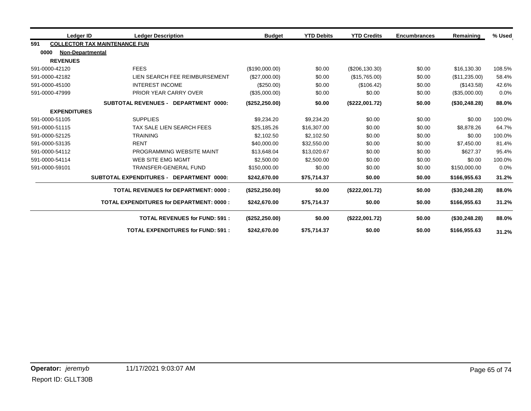|     | Ledger ID                       | <b>Ledger Description</b>                       | <b>Budget</b>   | <b>YTD Debits</b> | <b>YTD Credits</b> | <b>Encumbrances</b> | Remaining     | % Used |
|-----|---------------------------------|-------------------------------------------------|-----------------|-------------------|--------------------|---------------------|---------------|--------|
| 591 |                                 | <b>COLLECTOR TAX MAINTENANCE FUN</b>            |                 |                   |                    |                     |               |        |
|     | 0000<br><b>Non-Departmental</b> |                                                 |                 |                   |                    |                     |               |        |
|     | <b>REVENUES</b>                 |                                                 |                 |                   |                    |                     |               |        |
|     | 591-0000-42120                  | <b>FEES</b>                                     | (\$190,000.00)  | \$0.00            | (\$206, 130.30)    | \$0.00              | \$16,130.30   | 108.5% |
|     | 591-0000-42182                  | LIEN SEARCH FEE REIMBURSEMENT                   | (\$27,000.00)   | \$0.00            | (\$15,765.00)      | \$0.00              | (\$11,235.00) | 58.4%  |
|     | 591-0000-45100                  | <b>INTEREST INCOME</b>                          | (\$250.00)      | \$0.00            | (\$106.42)         | \$0.00              | (\$143.58)    | 42.6%  |
|     | 591-0000-47999                  | <b>PRIOR YEAR CARRY OVER</b>                    | (\$35,000.00)   | \$0.00            | \$0.00             | \$0.00              | (\$35,000.00) | 0.0%   |
|     |                                 | <b>SUBTOTAL REVENUES - DEPARTMENT 0000:</b>     | (\$252, 250.00) | \$0.00            | (\$222,001.72)     | \$0.00              | (\$30,248.28) | 88.0%  |
|     | <b>EXPENDITURES</b>             |                                                 |                 |                   |                    |                     |               |        |
|     | 591-0000-51105                  | <b>SUPPLIES</b>                                 | \$9,234.20      | \$9,234.20        | \$0.00             | \$0.00              | \$0.00        | 100.0% |
|     | 591-0000-51115                  | TAX SALE LIEN SEARCH FEES                       | \$25,185.26     | \$16,307.00       | \$0.00             | \$0.00              | \$8,878.26    | 64.7%  |
|     | 591-0000-52125                  | <b>TRAINING</b>                                 | \$2,102.50      | \$2,102.50        | \$0.00             | \$0.00              | \$0.00        | 100.0% |
|     | 591-0000-53135                  | <b>RENT</b>                                     | \$40,000.00     | \$32,550.00       | \$0.00             | \$0.00              | \$7,450.00    | 81.4%  |
|     | 591-0000-54112                  | PROGRAMMING WEBSITE MAINT                       | \$13,648.04     | \$13,020.67       | \$0.00             | \$0.00              | \$627.37      | 95.4%  |
|     | 591-0000-54114                  | <b>WEB SITE EMG MGMT</b>                        | \$2,500.00      | \$2,500.00        | \$0.00             | \$0.00              | \$0.00        | 100.0% |
|     | 591-0000-59101                  | TRANSFER-GENERAL FUND                           | \$150,000.00    | \$0.00            | \$0.00             | \$0.00              | \$150,000.00  | 0.0%   |
|     |                                 | SUBTOTAL EXPENDITURES - DEPARTMENT 0000:        | \$242,670.00    | \$75,714.37       | \$0.00             | \$0.00              | \$166,955.63  | 31.2%  |
|     |                                 | <b>TOTAL REVENUES for DEPARTMENT: 0000:</b>     | (\$252, 250.00) | \$0.00            | (\$222,001.72)     | \$0.00              | (\$30,248.28) | 88.0%  |
|     |                                 | <b>TOTAL EXPENDITURES for DEPARTMENT: 0000:</b> | \$242,670.00    | \$75,714.37       | \$0.00             | \$0.00              | \$166,955.63  | 31.2%  |
|     |                                 | <b>TOTAL REVENUES for FUND: 591:</b>            | (\$252, 250.00) | \$0.00            | (\$222,001.72)     | \$0.00              | (\$30,248.28) | 88.0%  |
|     |                                 | <b>TOTAL EXPENDITURES for FUND: 591:</b>        | \$242,670.00    | \$75,714.37       | \$0.00             | \$0.00              | \$166,955.63  | 31.2%  |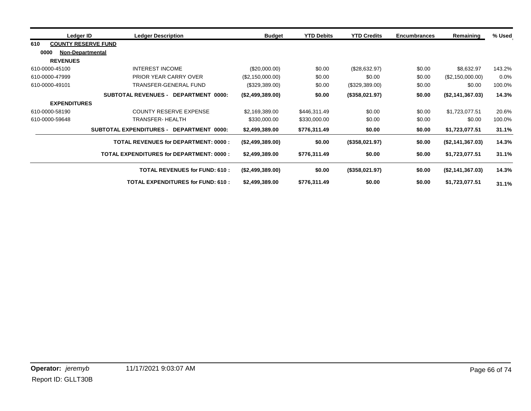| Ledger ID                         | <b>Ledger Description</b>                          | <b>Budget</b>    | <b>YTD Debits</b> | <b>YTD Credits</b> | <b>Encumbrances</b> | Remaining        | % Used  |
|-----------------------------------|----------------------------------------------------|------------------|-------------------|--------------------|---------------------|------------------|---------|
| <b>COUNTY RESERVE FUND</b><br>610 |                                                    |                  |                   |                    |                     |                  |         |
| 0000<br><b>Non-Departmental</b>   |                                                    |                  |                   |                    |                     |                  |         |
| <b>REVENUES</b>                   |                                                    |                  |                   |                    |                     |                  |         |
| 610-0000-45100                    | <b>INTEREST INCOME</b>                             | $(\$20,000.00)$  | \$0.00            | (\$28,632.97)      | \$0.00              | \$8,632.97       | 143.2%  |
| 610-0000-47999                    | PRIOR YEAR CARRY OVER                              | (\$2,150,000.00) | \$0.00            | \$0.00             | \$0.00              | (\$2,150,000.00) | $0.0\%$ |
| 610-0000-49101                    | TRANSFER-GENERAL FUND                              | (\$329,389.00)   | \$0.00            | (\$329,389.00)     | \$0.00              | \$0.00           | 100.0%  |
|                                   | <b>SUBTOTAL REVENUES -</b><br>DEPARTMENT 0000:     | (\$2,499,389.00) | \$0.00            | (\$358,021.97)     | \$0.00              | (\$2,141,367.03) | 14.3%   |
| <b>EXPENDITURES</b>               |                                                    |                  |                   |                    |                     |                  |         |
| 610-0000-58190                    | <b>COUNTY RESERVE EXPENSE</b>                      | \$2,169,389.00   | \$446,311.49      | \$0.00             | \$0.00              | \$1,723,077.51   | 20.6%   |
| 610-0000-59648                    | TRANSFER- HEALTH                                   | \$330,000.00     | \$330,000.00      | \$0.00             | \$0.00              | \$0.00           | 100.0%  |
|                                   | <b>SUBTOTAL EXPENDITURES -</b><br>DEPARTMENT 0000: | \$2,499,389.00   | \$776,311.49      | \$0.00             | \$0.00              | \$1,723,077.51   | 31.1%   |
|                                   | <b>TOTAL REVENUES for DEPARTMENT: 0000:</b>        | (\$2,499,389.00) | \$0.00            | (\$358,021.97)     | \$0.00              | (\$2,141,367.03) | 14.3%   |
|                                   | <b>TOTAL EXPENDITURES for DEPARTMENT: 0000:</b>    | \$2,499,389.00   | \$776,311.49      | \$0.00             | \$0.00              | \$1,723,077.51   | 31.1%   |
|                                   | <b>TOTAL REVENUES for FUND: 610:</b>               | (\$2,499,389.00) | \$0.00            | (\$358,021.97)     | \$0.00              | (\$2,141,367.03) | 14.3%   |
|                                   | <b>TOTAL EXPENDITURES for FUND: 610:</b>           | \$2,499,389.00   | \$776,311.49      | \$0.00             | \$0.00              | \$1,723,077.51   | 31.1%   |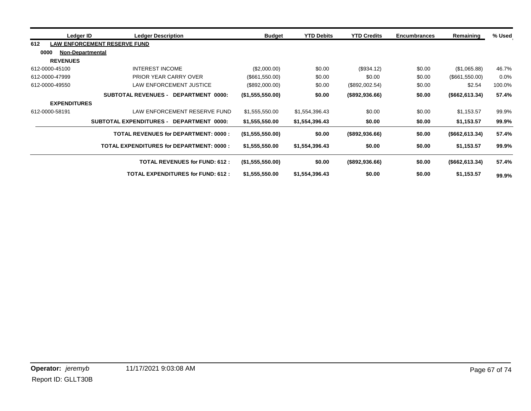| Ledger ID                       | <b>Ledger Description</b>                          | <b>Budget</b>    | <b>YTD Debits</b> | <b>YTD Credits</b> | <b>Encumbrances</b> | Remaining       | % Used |
|---------------------------------|----------------------------------------------------|------------------|-------------------|--------------------|---------------------|-----------------|--------|
| 612                             | <b>LAW ENFORCEMENT RESERVE FUND</b>                |                  |                   |                    |                     |                 |        |
| 0000<br><b>Non-Departmental</b> |                                                    |                  |                   |                    |                     |                 |        |
| <b>REVENUES</b>                 |                                                    |                  |                   |                    |                     |                 |        |
| 612-0000-45100                  | <b>INTEREST INCOME</b>                             | (\$2,000.00)     | \$0.00            | (\$934.12)         | \$0.00              | (\$1,065.88)    | 46.7%  |
| 612-0000-47999                  | PRIOR YEAR CARRY OVER                              | (\$661,550.00)   | \$0.00            | \$0.00             | \$0.00              | (\$661,550.00)  | 0.0%   |
| 612-0000-49550                  | LAW ENFORCEMENT JUSTICE                            | (\$892,000.00)   | \$0.00            | (\$892,002.54)     | \$0.00              | \$2.54          | 100.0% |
|                                 | <b>SUBTOTAL REVENUES -</b><br>DEPARTMENT 0000:     | (\$1,555,550.00) | \$0.00            | (\$892,936.66)     | \$0.00              | (\$662, 613.34) | 57.4%  |
| <b>EXPENDITURES</b>             |                                                    |                  |                   |                    |                     |                 |        |
| 612-0000-58191                  | LAW ENFORCEMENT RESERVE FUND                       | \$1,555,550.00   | \$1,554,396.43    | \$0.00             | \$0.00              | \$1,153.57      | 99.9%  |
|                                 | <b>SUBTOTAL EXPENDITURES -</b><br>DEPARTMENT 0000: | \$1,555,550.00   | \$1,554,396.43    | \$0.00             | \$0.00              | \$1,153.57      | 99.9%  |
|                                 | <b>TOTAL REVENUES for DEPARTMENT: 0000:</b>        | (\$1,555,550.00) | \$0.00            | (\$892,936.66)     | \$0.00              | (\$662, 613.34) | 57.4%  |
|                                 | <b>TOTAL EXPENDITURES for DEPARTMENT: 0000:</b>    | \$1,555,550.00   | \$1,554,396.43    | \$0.00             | \$0.00              | \$1,153.57      | 99.9%  |
|                                 | <b>TOTAL REVENUES for FUND: 612:</b>               | (\$1,555,550.00) | \$0.00            | (\$892,936.66)     | \$0.00              | (\$662, 613.34) | 57.4%  |
|                                 | <b>TOTAL EXPENDITURES for FUND: 612:</b>           | \$1,555,550.00   | \$1,554,396.43    | \$0.00             | \$0.00              | \$1,153.57      | 99.9%  |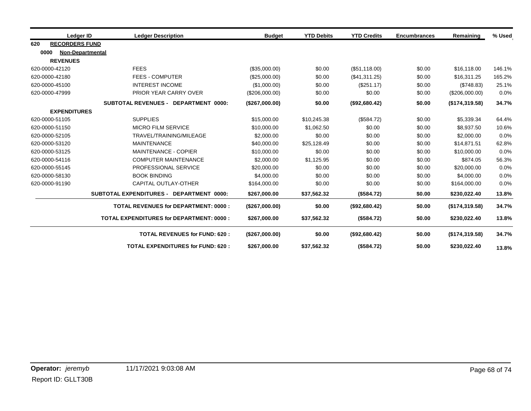|      | Ledger ID             | <b>Ledger Description</b>                       | <b>Budget</b>  | <b>YTD Debits</b> | <b>YTD Credits</b> | <b>Encumbrances</b> | Remaining      | % Used |
|------|-----------------------|-------------------------------------------------|----------------|-------------------|--------------------|---------------------|----------------|--------|
| 620  | <b>RECORDERS FUND</b> |                                                 |                |                   |                    |                     |                |        |
| 0000 | Non-Departmental      |                                                 |                |                   |                    |                     |                |        |
|      | <b>REVENUES</b>       |                                                 |                |                   |                    |                     |                |        |
|      | 620-0000-42120        | <b>FEES</b>                                     | (\$35,000.00)  | \$0.00            | (\$51,118.00)      | \$0.00              | \$16,118.00    | 146.1% |
|      | 620-0000-42180        | <b>FEES - COMPUTER</b>                          | (\$25,000.00)  | \$0.00            | (\$41,311.25)      | \$0.00              | \$16,311.25    | 165.2% |
|      | 620-0000-45100        | <b>INTEREST INCOME</b>                          | (\$1,000.00)   | \$0.00            | (\$251.17)         | \$0.00              | (\$748.83)     | 25.1%  |
|      | 620-0000-47999        | PRIOR YEAR CARRY OVER                           | (\$206,000.00) | \$0.00            | \$0.00             | \$0.00              | (\$206,000.00) | 0.0%   |
|      |                       | SUBTOTAL REVENUES - DEPARTMENT 0000:            | (\$267,000.00) | \$0.00            | (\$92,680.42)      | \$0.00              | (\$174,319.58) | 34.7%  |
|      | <b>EXPENDITURES</b>   |                                                 |                |                   |                    |                     |                |        |
|      | 620-0000-51105        | <b>SUPPLIES</b>                                 | \$15,000.00    | \$10,245.38       | (\$584.72)         | \$0.00              | \$5,339.34     | 64.4%  |
|      | 620-0000-51150        | <b>MICRO FILM SERVICE</b>                       | \$10,000.00    | \$1,062.50        | \$0.00             | \$0.00              | \$8,937.50     | 10.6%  |
|      | 620-0000-52105        | TRAVEL/TRAINING/MILEAGE                         | \$2,000.00     | \$0.00            | \$0.00             | \$0.00              | \$2,000.00     | 0.0%   |
|      | 620-0000-53120        | <b>MAINTENANCE</b>                              | \$40,000.00    | \$25,128.49       | \$0.00             | \$0.00              | \$14,871.51    | 62.8%  |
|      | 620-0000-53125        | <b>MAINTENANCE - COPIER</b>                     | \$10,000.00    | \$0.00            | \$0.00             | \$0.00              | \$10,000.00    | 0.0%   |
|      | 620-0000-54116        | <b>COMPUTER MAINTENANCE</b>                     | \$2,000.00     | \$1,125.95        | \$0.00             | \$0.00              | \$874.05       | 56.3%  |
|      | 620-0000-55145        | PROFESSIONAL SERVICE                            | \$20,000.00    | \$0.00            | \$0.00             | \$0.00              | \$20,000.00    | 0.0%   |
|      | 620-0000-58130        | <b>BOOK BINDING</b>                             | \$4,000.00     | \$0.00            | \$0.00             | \$0.00              | \$4,000.00     | 0.0%   |
|      | 620-0000-91190        | CAPITAL OUTLAY-OTHER                            | \$164,000.00   | \$0.00            | \$0.00             | \$0.00              | \$164,000.00   | 0.0%   |
|      |                       | SUBTOTAL EXPENDITURES - DEPARTMENT 0000:        | \$267,000.00   | \$37,562.32       | (\$584.72)         | \$0.00              | \$230,022.40   | 13.8%  |
|      |                       | <b>TOTAL REVENUES for DEPARTMENT: 0000:</b>     | (\$267,000.00) | \$0.00            | (\$92,680.42)      | \$0.00              | (\$174,319.58) | 34.7%  |
|      |                       | <b>TOTAL EXPENDITURES for DEPARTMENT: 0000:</b> | \$267,000.00   | \$37,562.32       | (\$584.72)         | \$0.00              | \$230,022.40   | 13.8%  |
|      |                       | <b>TOTAL REVENUES for FUND: 620:</b>            | (\$267,000.00) | \$0.00            | (\$92,680.42)      | \$0.00              | (\$174,319.58) | 34.7%  |
|      |                       | <b>TOTAL EXPENDITURES for FUND: 620:</b>        | \$267,000.00   | \$37,562.32       | (\$584.72)         | \$0.00              | \$230,022.40   | 13.8%  |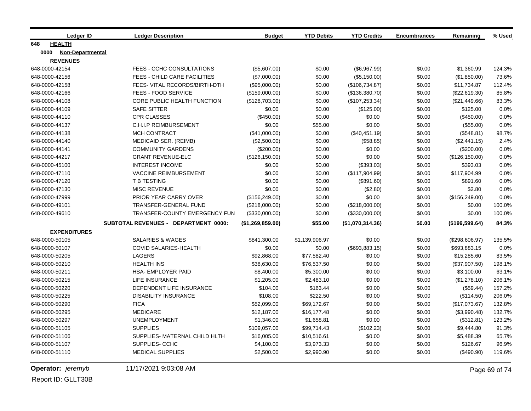| Ledger ID                | <b>Ledger Description</b>            | <b>Budget</b>    | <b>YTD Debits</b> | <b>YTD Credits</b> | <b>Encumbrances</b> | Remaining       | % Used |
|--------------------------|--------------------------------------|------------------|-------------------|--------------------|---------------------|-----------------|--------|
| <b>HEALTH</b><br>648     |                                      |                  |                   |                    |                     |                 |        |
| 0000<br>Non-Departmental |                                      |                  |                   |                    |                     |                 |        |
| <b>REVENUES</b>          |                                      |                  |                   |                    |                     |                 |        |
| 648-0000-42154           | FEES - CCHC CONSULTATIONS            | (\$5,607.00)     | \$0.00            | (\$6,967.99)       | \$0.00              | \$1,360.99      | 124.3% |
| 648-0000-42156           | FEES - CHILD CARE FACILITIES         | (\$7,000.00)     | \$0.00            | (\$5,150.00)       | \$0.00              | (\$1,850.00)    | 73.6%  |
| 648-0000-42158           | FEES- VITAL RECORDS/BIRTH-DTH        | (\$95,000.00)    | \$0.00            | (\$106,734.87)     | \$0.00              | \$11,734.87     | 112.4% |
| 648-0000-42166           | <b>FEES - FOOD SERVICE</b>           | (\$159,000.00)   | \$0.00            | (\$136,380.70)     | \$0.00              | (\$22,619.30)   | 85.8%  |
| 648-0000-44108           | CORE PUBLIC HEALTH FUNCTION          | (\$128,703.00)   | \$0.00            | (\$107, 253.34)    | \$0.00              | (\$21,449.66)   | 83.3%  |
| 648-0000-44109           | <b>SAFE SITTER</b>                   | \$0.00           | \$0.00            | (\$125.00)         | \$0.00              | \$125.00        | 0.0%   |
| 648-0000-44110           | <b>CPR CLASSES</b>                   | $(\$450.00)$     | \$0.00            | \$0.00             | \$0.00              | $(\$450.00)$    | 0.0%   |
| 648-0000-44137           | <b>C.H.I.P REIMBURSEMENT</b>         | \$0.00           | \$55.00           | \$0.00             | \$0.00              | (\$55.00)       | 0.0%   |
| 648-0000-44138           | <b>MCH CONTRACT</b>                  | (\$41,000.00)    | \$0.00            | (\$40,451.19)      | \$0.00              | (\$548.81)      | 98.7%  |
| 648-0000-44140           | MEDICAID SER. (REIMB)                | (\$2,500.00)     | \$0.00            | (\$58.85)          | \$0.00              | (\$2,441.15)    | 2.4%   |
| 648-0000-44141           | <b>COMMUNITY GARDENS</b>             | (\$200.00)       | \$0.00            | \$0.00             | \$0.00              | $(\$200.00)$    | 0.0%   |
| 648-0000-44217           | <b>GRANT REVENUE-ELC</b>             | (\$126, 150.00)  | \$0.00            | \$0.00             | \$0.00              | (\$126,150.00)  | 0.0%   |
| 648-0000-45100           | <b>INTEREST INCOME</b>               | \$0.00           | \$0.00            | (\$393.03)         | \$0.00              | \$393.03        | 0.0%   |
| 648-0000-47110           | <b>VACCINE REIMBURSEMENT</b>         | \$0.00           | \$0.00            | (\$117,904.99)     | \$0.00              | \$117,904.99    | 0.0%   |
| 648-0000-47120           | T B TESTING                          | \$0.00           | \$0.00            | (\$891.60)         | \$0.00              | \$891.60        | 0.0%   |
| 648-0000-47130           | <b>MISC REVENUE</b>                  | \$0.00           | \$0.00            | (\$2.80)           | \$0.00              | \$2.80          | 0.0%   |
| 648-0000-47999           | PRIOR YEAR CARRY OVER                | (\$156, 249.00)  | \$0.00            | \$0.00             | \$0.00              | (\$156, 249.00) | 0.0%   |
| 648-0000-49101           | TRANSFER-GENERAL FUND                | (\$218,000.00)   | \$0.00            | (\$218,000.00)     | \$0.00              | \$0.00          | 100.0% |
| 648-0000-49610           | <b>TRANSFER-COUNTY EMERGENCY FUN</b> | (\$330,000.00)   | \$0.00            | (\$330,000.00)     | \$0.00              | \$0.00          | 100.0% |
|                          | SUBTOTAL REVENUES - DEPARTMENT 0000: | (\$1,269,859.00) | \$55.00           | (\$1,070,314.36)   | \$0.00              | (\$199,599.64)  | 84.3%  |
| <b>EXPENDITURES</b>      |                                      |                  |                   |                    |                     |                 |        |
| 648-0000-50105           | <b>SALARIES &amp; WAGES</b>          | \$841,300.00     | \$1,139,906.97    | \$0.00             | \$0.00              | (\$298,606.97)  | 135.5% |
| 648-0000-50107           | COVID SALARIES-HEALTH                | \$0.00           | \$0.00            | (\$693, 883.15)    | \$0.00              | \$693,883.15    | 0.0%   |
| 648-0000-50205           | <b>LAGERS</b>                        | \$92,868.00      | \$77,582.40       | \$0.00             | \$0.00              | \$15,285.60     | 83.5%  |
| 648-0000-50210           | <b>HEALTH INS</b>                    | \$38,630.00      | \$76,537.50       | \$0.00             | \$0.00              | (\$37,907.50)   | 198.1% |
| 648-0000-50211           | <b>HSA- EMPLOYER PAID</b>            | \$8,400.00       | \$5,300.00        | \$0.00             | \$0.00              | \$3,100.00      | 63.1%  |
| 648-0000-50215           | <b>LIFE INSURANCE</b>                | \$1,205.00       | \$2,483.10        | \$0.00             | \$0.00              | (\$1,278.10)    | 206.1% |
| 648-0000-50220           | DEPENDENT LIFE INSURANCE             | \$104.00         | \$163.44          | \$0.00             | \$0.00              | (\$59.44)       | 157.2% |
| 648-0000-50225           | <b>DISABILITY INSURANCE</b>          | \$108.00         | \$222.50          | \$0.00             | \$0.00              | (\$114.50)      | 206.0% |
| 648-0000-50290           | <b>FICA</b>                          | \$52,099.00      | \$69,172.67       | \$0.00             | \$0.00              | (\$17,073.67)   | 132.8% |
| 648-0000-50295           | <b>MEDICARE</b>                      | \$12,187.00      | \$16,177.48       | \$0.00             | \$0.00              | (\$3,990.48)    | 132.7% |
| 648-0000-50297           | <b>UNEMPLOYMENT</b>                  | \$1,346.00       | \$1,658.81        | \$0.00             | \$0.00              | (\$312.81)      | 123.2% |
| 648-0000-51105           | <b>SUPPLIES</b>                      | \$109,057.00     | \$99,714.43       | (\$102.23)         | \$0.00              | \$9,444.80      | 91.3%  |
| 648-0000-51106           | SUPPLIES- MATERNAL CHILD HLTH        | \$16,005.00      | \$10,516.61       | \$0.00             | \$0.00              | \$5,488.39      | 65.7%  |
| 648-0000-51107           | SUPPLIES- CCHC                       | \$4,100.00       | \$3,973.33        | \$0.00             | \$0.00              | \$126.67        | 96.9%  |
| 648-0000-51110           | <b>MEDICAL SUPPLIES</b>              | \$2,500.00       | \$2,990.90        | \$0.00             | \$0.00              | $(\$490.90)$    | 119.6% |

**Operator:** *jeremyb* 11/17/2021 9:03:08 AM Page 69 of 74

Report ID: GLLT30B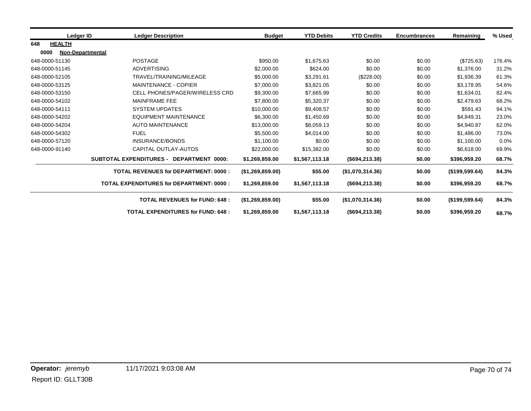|                      | Ledger ID<br><b>Ledger Description</b>             | <b>Budget</b>    | <b>YTD Debits</b> | <b>YTD Credits</b> | <b>Encumbrances</b> | Remaining      | % Used |
|----------------------|----------------------------------------------------|------------------|-------------------|--------------------|---------------------|----------------|--------|
| 648<br><b>HEALTH</b> |                                                    |                  |                   |                    |                     |                |        |
| 0000                 | <b>Non-Departmental</b>                            |                  |                   |                    |                     |                |        |
| 648-0000-51130       | <b>POSTAGE</b>                                     | \$950.00         | \$1,675.63        | \$0.00             | \$0.00              | (\$725.63)     | 176.4% |
| 648-0000-51145       | <b>ADVERTISING</b>                                 | \$2,000.00       | \$624.00          | \$0.00             | \$0.00              | \$1,376.00     | 31.2%  |
| 648-0000-52105       | TRAVEL/TRAINING/MILEAGE                            | \$5,000.00       | \$3,291.61        | (\$228.00)         | \$0.00              | \$1,936.39     | 61.3%  |
| 648-0000-53125       | <b>MAINTENANCE - COPIER</b>                        | \$7,000.00       | \$3,821.05        | \$0.00             | \$0.00              | \$3,178.95     | 54.6%  |
| 648-0000-53150       | <b>CELL PHONES/PAGER/WIRELESS CRD</b>              | \$9,300.00       | \$7,665.99        | \$0.00             | \$0.00              | \$1.634.01     | 82.4%  |
| 648-0000-54102       | <b>MAINFRAME FEE</b>                               | \$7,800.00       | \$5,320.37        | \$0.00             | \$0.00              | \$2,479.63     | 68.2%  |
| 648-0000-54111       | <b>SYSTEM UPDATES</b>                              |                  | \$9,408.57        | \$0.00             | \$0.00              | \$591.43       | 94.1%  |
| 648-0000-54202       | <b>EQUIPMENT MAINTENANCE</b>                       |                  | \$1,450.69        | \$0.00             | \$0.00              | \$4,849.31     | 23.0%  |
| 648-0000-54204       | <b>AUTO MAINTENANCE</b>                            | \$13,000.00      | \$8,059.13        | \$0.00             | \$0.00              | \$4,940.87     | 62.0%  |
| 648-0000-54302       | <b>FUEL</b>                                        | \$5,500.00       | \$4,014.00        | \$0.00             | \$0.00              | \$1.486.00     | 73.0%  |
| 648-0000-57120       | <b>INSURANCE/BONDS</b>                             | \$1,100.00       | \$0.00            | \$0.00             | \$0.00              | \$1,100.00     | 0.0%   |
| 648-0000-91140       | CAPITAL OUTLAY-AUTOS                               | \$22,000.00      | \$15,382.00       | \$0.00             | \$0.00              | \$6,618.00     | 69.9%  |
|                      | <b>SUBTOTAL EXPENDITURES -</b><br>DEPARTMENT 0000: | \$1,269,859.00   | \$1,567,113.18    | $($ \$694,213.38)  | \$0.00              | \$396,959.20   | 68.7%  |
|                      | <b>TOTAL REVENUES for DEPARTMENT: 0000:</b>        | (\$1,269,859.00) | \$55.00           | (\$1,070,314.36)   | \$0.00              | (\$199,599.64) | 84.3%  |
|                      | <b>TOTAL EXPENDITURES for DEPARTMENT: 0000:</b>    | \$1,269,859.00   | \$1,567,113.18    | (\$694, 213.38)    | \$0.00              | \$396,959.20   | 68.7%  |
|                      | <b>TOTAL REVENUES for FUND: 648:</b>               |                  | \$55.00           | (\$1,070,314.36)   | \$0.00              | (\$199,599.64) | 84.3%  |
|                      | <b>TOTAL EXPENDITURES for FUND: 648:</b>           | \$1,269,859.00   | \$1,567,113.18    | (\$694, 213.38)    | \$0.00              | \$396,959.20   | 68.7%  |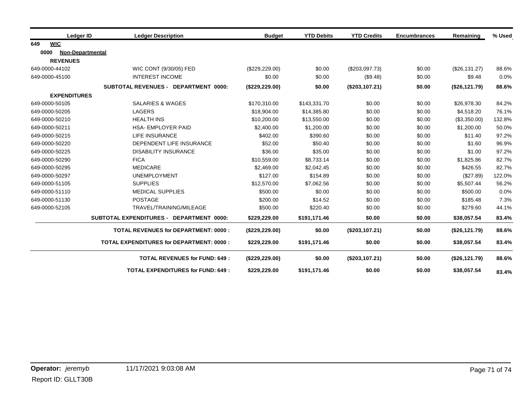| Ledger ID                | <b>Ledger Description</b>                       | <b>Budget</b>   | <b>YTD Debits</b> | <b>YTD Credits</b> | <b>Encumbrances</b> | Remaining     | % Used |
|--------------------------|-------------------------------------------------|-----------------|-------------------|--------------------|---------------------|---------------|--------|
| <b>WIC</b><br>649        |                                                 |                 |                   |                    |                     |               |        |
| 0000<br>Non-Departmental |                                                 |                 |                   |                    |                     |               |        |
| <b>REVENUES</b>          |                                                 |                 |                   |                    |                     |               |        |
| 649-0000-44102           | WIC CONT (9/30/05) FED                          | (\$229, 229.00) | \$0.00            | (\$203,097.73)     | \$0.00              | (\$26,131.27) | 88.6%  |
| 649-0000-45100           | <b>INTEREST INCOME</b>                          | \$0.00          | \$0.00            | (\$9.48)           | \$0.00              | \$9.48        | 0.0%   |
|                          | <b>SUBTOTAL REVENUES - DEPARTMENT 0000:</b>     | (\$229, 229.00) | \$0.00            | (\$203,107.21)     | \$0.00              | (\$26,121.79) | 88.6%  |
| <b>EXPENDITURES</b>      |                                                 |                 |                   |                    |                     |               |        |
| 649-0000-50105           | <b>SALARIES &amp; WAGES</b>                     | \$170,310.00    | \$143,331.70      | \$0.00             | \$0.00              | \$26,978.30   | 84.2%  |
| 649-0000-50205           | <b>LAGERS</b>                                   | \$18,904.00     | \$14,385.80       | \$0.00             | \$0.00              | \$4,518.20    | 76.1%  |
| 649-0000-50210           | <b>HEALTH INS</b>                               | \$10,200.00     | \$13,550.00       | \$0.00             | \$0.00              | (\$3,350.00)  | 132.8% |
| 649-0000-50211           | <b>HSA- EMPLOYER PAID</b>                       | \$2,400.00      | \$1,200.00        | \$0.00             | \$0.00              | \$1,200.00    | 50.0%  |
| 649-0000-50215           | <b>LIFE INSURANCE</b>                           | \$402.00        | \$390.60          | \$0.00             | \$0.00              | \$11.40       | 97.2%  |
| 649-0000-50220           | DEPENDENT LIFE INSURANCE                        | \$52.00         | \$50.40           | \$0.00             | \$0.00              | \$1.60        | 96.9%  |
| 649-0000-50225           | <b>DISABILITY INSURANCE</b>                     | \$36.00         | \$35.00           | \$0.00             | \$0.00              | \$1.00        | 97.2%  |
| 649-0000-50290           | <b>FICA</b>                                     | \$10,559.00     | \$8,733.14        | \$0.00             | \$0.00              | \$1,825.86    | 82.7%  |
| 649-0000-50295           | <b>MEDICARE</b>                                 | \$2,469.00      | \$2,042.45        | \$0.00             | \$0.00              | \$426.55      | 82.7%  |
| 649-0000-50297           | <b>UNEMPLOYMENT</b>                             | \$127.00        | \$154.89          | \$0.00             | \$0.00              | (\$27.89)     | 122.0% |
| 649-0000-51105           | <b>SUPPLIES</b>                                 | \$12,570.00     | \$7,062.56        | \$0.00             | \$0.00              | \$5,507.44    | 56.2%  |
| 649-0000-51110           | <b>MEDICAL SUPPLIES</b>                         | \$500.00        | \$0.00            | \$0.00             | \$0.00              | \$500.00      | 0.0%   |
| 649-0000-51130           | <b>POSTAGE</b>                                  | \$200.00        | \$14.52           | \$0.00             | \$0.00              | \$185.48      | 7.3%   |
| 649-0000-52105           | TRAVEL/TRAINING/MILEAGE                         | \$500.00        | \$220.40          | \$0.00             | \$0.00              | \$279.60      | 44.1%  |
|                          | SUBTOTAL EXPENDITURES - DEPARTMENT 0000:        | \$229,229.00    | \$191,171.46      | \$0.00             | \$0.00              | \$38,057.54   | 83.4%  |
|                          | <b>TOTAL REVENUES for DEPARTMENT: 0000:</b>     | (\$229,229.00)  | \$0.00            | (\$203,107.21)     | \$0.00              | (\$26,121.79) | 88.6%  |
|                          | <b>TOTAL EXPENDITURES for DEPARTMENT: 0000:</b> | \$229,229.00    | \$191,171.46      | \$0.00             | \$0.00              | \$38,057.54   | 83.4%  |
|                          | <b>TOTAL REVENUES for FUND: 649:</b>            | (\$229, 229.00) | \$0.00            | (\$203,107.21)     | \$0.00              | (\$26,121.79) | 88.6%  |
|                          | <b>TOTAL EXPENDITURES for FUND: 649:</b>        | \$229,229.00    | \$191,171.46      | \$0.00             | \$0.00              | \$38,057.54   | 83.4%  |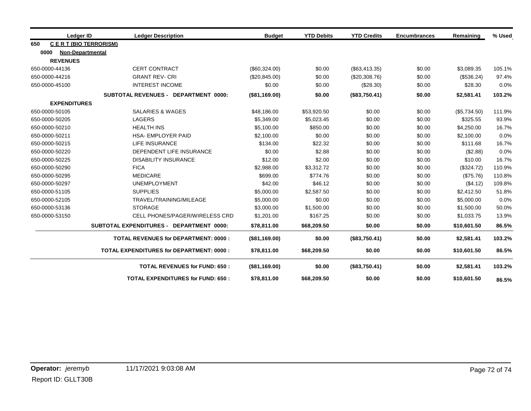|      | Ledger ID                   | <b>Ledger Description</b>                       | <b>Budget</b> | <b>YTD Debits</b> | <b>YTD Credits</b> | <b>Encumbrances</b> | Remaining    | % Used |
|------|-----------------------------|-------------------------------------------------|---------------|-------------------|--------------------|---------------------|--------------|--------|
| 650  | <b>CERT (BIO TERRORISM)</b> |                                                 |               |                   |                    |                     |              |        |
| 0000 | <b>Non-Departmental</b>     |                                                 |               |                   |                    |                     |              |        |
|      | <b>REVENUES</b>             |                                                 |               |                   |                    |                     |              |        |
|      | 650-0000-44136              | <b>CERT CONTRACT</b>                            | (\$60,324.00) | \$0.00            | (\$63,413.35)      | \$0.00              | \$3,089.35   | 105.1% |
|      | 650-0000-44216              | <b>GRANT REV-CRI</b>                            | (\$20,845.00) | \$0.00            | (\$20,308.76)      | \$0.00              | (\$536.24)   | 97.4%  |
|      | 650-0000-45100              | <b>INTEREST INCOME</b>                          | \$0.00        | \$0.00            | (\$28.30)          | \$0.00              | \$28.30      | 0.0%   |
|      |                             | SUBTOTAL REVENUES - DEPARTMENT 0000:            | (\$81,169.00) | \$0.00            | (\$83,750.41)      | \$0.00              | \$2,581.41   | 103.2% |
|      | <b>EXPENDITURES</b>         |                                                 |               |                   |                    |                     |              |        |
|      | 650-0000-50105              | <b>SALARIES &amp; WAGES</b>                     | \$48,186.00   | \$53,920.50       | \$0.00             | \$0.00              | (\$5,734.50) | 111.9% |
|      | 650-0000-50205              | <b>LAGERS</b>                                   | \$5,349.00    | \$5,023.45        | \$0.00             | \$0.00              | \$325.55     | 93.9%  |
|      | 650-0000-50210              | <b>HEALTH INS</b>                               | \$5,100.00    | \$850.00          | \$0.00             | \$0.00              | \$4,250.00   | 16.7%  |
|      | 650-0000-50211              | <b>HSA- EMPLOYER PAID</b>                       | \$2,100.00    | \$0.00            | \$0.00             | \$0.00              | \$2,100.00   | 0.0%   |
|      | 650-0000-50215              | <b>LIFE INSURANCE</b>                           | \$134.00      | \$22.32           | \$0.00             | \$0.00              | \$111.68     | 16.7%  |
|      | 650-0000-50220              | DEPENDENT LIFE INSURANCE                        | \$0.00        | \$2.88            | \$0.00             | \$0.00              | (\$2.88)     | 0.0%   |
|      | 650-0000-50225              | <b>DISABILITY INSURANCE</b>                     | \$12.00       | \$2.00            | \$0.00             | \$0.00              | \$10.00      | 16.7%  |
|      | 650-0000-50290              | <b>FICA</b>                                     | \$2,988.00    | \$3,312.72        | \$0.00             | \$0.00              | (\$324.72)   | 110.9% |
|      | 650-0000-50295              | <b>MEDICARE</b>                                 | \$699.00      | \$774.76          | \$0.00             | \$0.00              | (\$75.76)    | 110.8% |
|      | 650-0000-50297              | <b>UNEMPLOYMENT</b>                             | \$42.00       | \$46.12           | \$0.00             | \$0.00              | (\$4.12)     | 109.8% |
|      | 650-0000-51105              | <b>SUPPLIES</b>                                 | \$5,000.00    | \$2,587.50        | \$0.00             | \$0.00              | \$2,412.50   | 51.8%  |
|      | 650-0000-52105              | TRAVEL/TRAINING/MILEAGE                         | \$5,000.00    | \$0.00            | \$0.00             | \$0.00              | \$5,000.00   | 0.0%   |
|      | 650-0000-53136              | <b>STORAGE</b>                                  | \$3,000.00    | \$1,500.00        | \$0.00             | \$0.00              | \$1,500.00   | 50.0%  |
|      | 650-0000-53150              | CELL PHONES/PAGER/WIRELESS CRD                  | \$1,201.00    | \$167.25          | \$0.00             | \$0.00              | \$1,033.75   | 13.9%  |
|      |                             | SUBTOTAL EXPENDITURES - DEPARTMENT 0000:        | \$78,811.00   | \$68,209.50       | \$0.00             | \$0.00              | \$10,601.50  | 86.5%  |
|      |                             | <b>TOTAL REVENUES for DEPARTMENT: 0000:</b>     | (\$81,169.00) | \$0.00            | (\$83,750.41)      | \$0.00              | \$2,581.41   | 103.2% |
|      |                             | <b>TOTAL EXPENDITURES for DEPARTMENT: 0000:</b> | \$78,811.00   | \$68,209.50       | \$0.00             | \$0.00              | \$10,601.50  | 86.5%  |
|      |                             | <b>TOTAL REVENUES for FUND: 650:</b>            | (\$81,169.00) | \$0.00            | (\$83,750.41)      | \$0.00              | \$2,581.41   | 103.2% |
|      |                             | <b>TOTAL EXPENDITURES for FUND: 650:</b>        | \$78,811.00   | \$68,209.50       | \$0.00             | \$0.00              | \$10,601.50  | 86.5%  |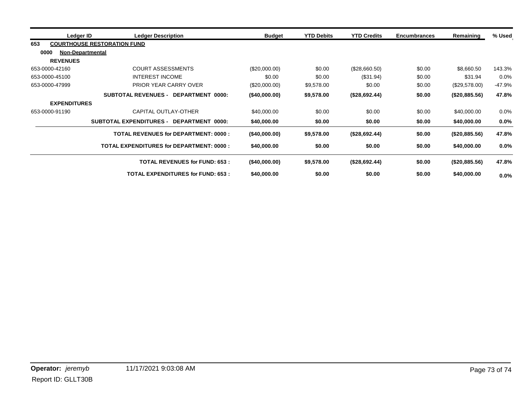|                     | <b>Ledger Description</b><br>Ledger ID          |                                             | <b>Budget</b> | <b>YTD Debits</b> | <b>YTD Credits</b> | <b>Encumbrances</b> | Remaining     | % Used  |
|---------------------|-------------------------------------------------|---------------------------------------------|---------------|-------------------|--------------------|---------------------|---------------|---------|
| 653                 | <b>COURTHOUSE RESTORATION FUND</b>              |                                             |               |                   |                    |                     |               |         |
| 0000                | <b>Non-Departmental</b>                         |                                             |               |                   |                    |                     |               |         |
| <b>REVENUES</b>     |                                                 |                                             |               |                   |                    |                     |               |         |
| 653-0000-42160      | <b>COURT ASSESSMENTS</b>                        |                                             | (\$20,000.00) | \$0.00            | (\$28,660.50)      | \$0.00              | \$8,660.50    | 143.3%  |
| 653-0000-45100      | <b>INTEREST INCOME</b>                          |                                             | \$0.00        | \$0.00            | (\$31.94)          | \$0.00              | \$31.94       | $0.0\%$ |
| 653-0000-47999      | PRIOR YEAR CARRY OVER                           |                                             | (\$20,000.00) | \$9,578.00        | \$0.00             | \$0.00              | (\$29,578.00) | -47.9%  |
|                     | SUBTOTAL REVENUES - DEPARTMENT 0000:            |                                             | (\$40,000.00) | \$9,578.00        | (\$28,692.44)      | \$0.00              | (\$20,885.56) | 47.8%   |
| <b>EXPENDITURES</b> |                                                 |                                             |               |                   |                    |                     |               |         |
| 653-0000-91190      | CAPITAL OUTLAY-OTHER                            |                                             | \$40,000.00   | \$0.00            | \$0.00             | \$0.00              | \$40,000.00   | 0.0%    |
|                     | <b>SUBTOTAL EXPENDITURES -</b>                  | DEPARTMENT 0000:                            | \$40,000.00   | \$0.00            | \$0.00             | \$0.00              | \$40,000.00   | 0.0%    |
|                     |                                                 | <b>TOTAL REVENUES for DEPARTMENT: 0000:</b> | (S40,000.00)  | \$9,578.00        | (\$28,692.44)      | \$0.00              | (\$20,885.56) | 47.8%   |
|                     | <b>TOTAL EXPENDITURES for DEPARTMENT: 0000:</b> |                                             | \$40,000.00   | \$0.00            | \$0.00             | \$0.00              | \$40,000.00   | 0.0%    |
|                     |                                                 | <b>TOTAL REVENUES for FUND: 653:</b>        | (\$40,000.00) | \$9,578.00        | (\$28,692.44)      | \$0.00              | (\$20,885.56) | 47.8%   |
|                     |                                                 | <b>TOTAL EXPENDITURES for FUND: 653:</b>    | \$40,000.00   | \$0.00            | \$0.00             | \$0.00              | \$40,000.00   | 0.0%    |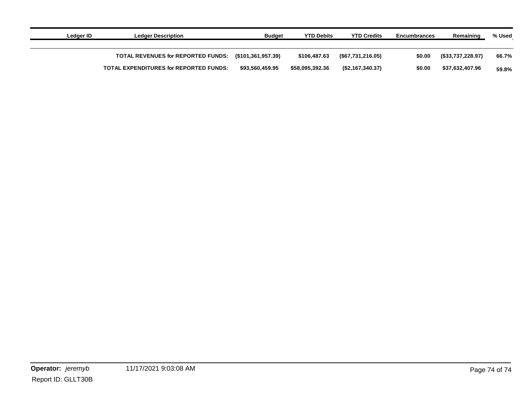| Ledger ID<br><b>Ledger Description</b>        | Budget             | <b>YTD Debits</b> | <b>YTD Credits</b> | <b>Encumbrances</b> | Remaining            | % Used |
|-----------------------------------------------|--------------------|-------------------|--------------------|---------------------|----------------------|--------|
| TOTAL REVENUES for REPORTED FUNDS:            | (\$101,361,957.39) | \$106,487,63      | (\$67,731,216.05)  | \$0.00              | $($ \$33,737,228.97) | 66.7%  |
| <b>TOTAL EXPENDITURES for REPORTED FUNDS:</b> | \$93,560,459.95    | \$58.095.392.36   | (\$2,167,340.37)   | \$0.00              | \$37,632,407.96      | 59.8%  |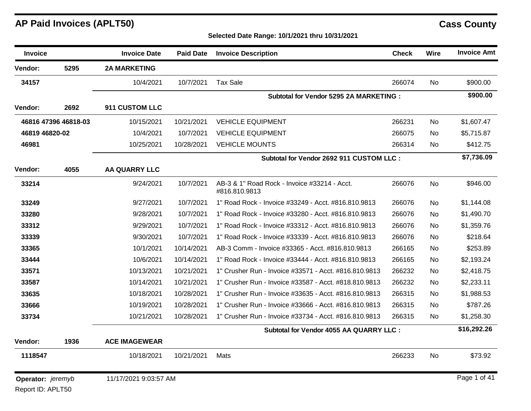**Selected Date Range: 10/1/2021 thru 10/31/2021**

| <b>Invoice</b>    |                      | <b>Invoice Date</b>   | <b>Paid Date</b> | <b>Invoice Description</b>                                    | <b>Check</b> | <b>Wire</b> | <b>Invoice Amt</b> |
|-------------------|----------------------|-----------------------|------------------|---------------------------------------------------------------|--------------|-------------|--------------------|
| Vendor:           | 5295                 | <b>2A MARKETING</b>   |                  |                                                               |              |             |                    |
| 34157             |                      | 10/4/2021             | 10/7/2021        | <b>Tax Sale</b>                                               | 266074       | No.         | \$900.00           |
|                   |                      |                       |                  | Subtotal for Vendor 5295 2A MARKETING :                       |              |             | \$900.00           |
| Vendor:           | 2692                 | 911 CUSTOM LLC        |                  |                                                               |              |             |                    |
|                   | 46816 47396 46818-03 | 10/15/2021            | 10/21/2021       | <b>VEHICLE EQUIPMENT</b>                                      | 266231       | <b>No</b>   | \$1,607.47         |
| 46819 46820-02    |                      | 10/4/2021             | 10/7/2021        | <b>VEHICLE EQUIPMENT</b>                                      | 266075       | No          | \$5,715.87         |
| 46981             |                      | 10/25/2021            | 10/28/2021       | <b>VEHICLE MOUNTS</b>                                         | 266314       | No          | \$412.75           |
|                   |                      |                       |                  | Subtotal for Vendor 2692 911 CUSTOM LLC :                     |              |             | \$7,736.09         |
| Vendor:           | 4055                 | AA QUARRY LLC         |                  |                                                               |              |             |                    |
| 33214             |                      | 9/24/2021             | 10/7/2021        | AB-3 & 1" Road Rock - Invoice #33214 - Acct.<br>#816.810.9813 | 266076       | <b>No</b>   | \$946.00           |
| 33249             |                      | 9/27/2021             | 10/7/2021        | 1" Road Rock - Invoice #33249 - Acct. #816.810.9813           | 266076       | No          | \$1,144.08         |
| 33280             |                      | 9/28/2021             | 10/7/2021        | 1" Road Rock - Invoice #33280 - Acct. #816.810.9813           | 266076       | No          | \$1,490.70         |
| 33312             |                      | 9/29/2021             | 10/7/2021        | 1" Road Rock - Invoice #33312 - Acct. #816.810.9813           | 266076       | No          | \$1,359.76         |
| 33339             |                      | 9/30/2021             | 10/7/2021        | 1" Road Rock - Invoice #33339 - Acct. #816.810.9813           | 266076       | No          | \$218.64           |
| 33365             |                      | 10/1/2021             | 10/14/2021       | AB-3 Comm - Invoice #33365 - Acct. #816.810.9813              | 266165       | No          | \$253.89           |
| 33444             |                      | 10/6/2021             | 10/14/2021       | 1" Road Rock - Invoice #33444 - Acct. #816.810.9813           | 266165       | No          | \$2,193.24         |
| 33571             |                      | 10/13/2021            | 10/21/2021       | 1" Crusher Run - Invoice #33571 - Acct. #816.810.9813         | 266232       | No          | \$2,418.75         |
| 33587             |                      | 10/14/2021            | 10/21/2021       | 1" Crusher Run - Invoice #33587 - Acct. #818.810.9813         | 266232       | No          | \$2,233.11         |
| 33635             |                      | 10/18/2021            | 10/28/2021       | 1" Crusher Run - Invoice #33635 - Acct. #816.810.9813         | 266315       | No.         | \$1,988.53         |
| 33666             |                      | 10/19/2021            | 10/28/2021       | 1" Crusher Run - Invoice #33666 - Acct. #816.810.9813         | 266315       | No          | \$787.26           |
| 33734             |                      | 10/21/2021            | 10/28/2021       | 1" Crusher Run - Invoice #33734 - Acct. #816.810.9813         | 266315       | No.         | \$1,258.30         |
|                   |                      |                       |                  | Subtotal for Vendor 4055 AA QUARRY LLC :                      |              |             | \$16,292.26        |
| Vendor:           | 1936                 | <b>ACE IMAGEWEAR</b>  |                  |                                                               |              |             |                    |
| 1118547           |                      | 10/18/2021            | 10/21/2021       | Mats                                                          | 266233       | <b>No</b>   | \$73.92            |
| Operator: jeremyb |                      | 11/17/2021 9:03:57 AM |                  |                                                               |              |             | Page 1 of 41       |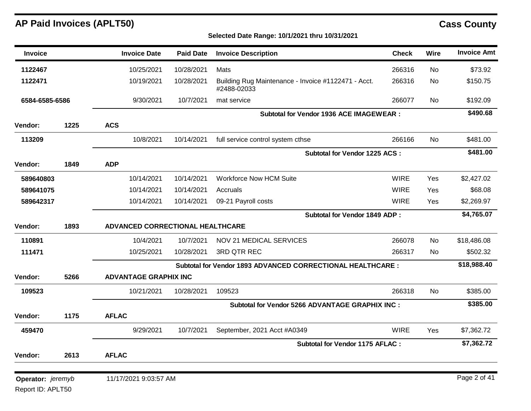### **Selected Date Range: 10/1/2021 thru 10/31/2021**

| Invoice           |      | <b>Invoice Date</b>              | <b>Paid Date</b> | <b>Invoice Description</b>                                         | <b>Check</b> | Wire      | <b>Invoice Amt</b> |
|-------------------|------|----------------------------------|------------------|--------------------------------------------------------------------|--------------|-----------|--------------------|
| 1122467           |      | 10/25/2021                       | 10/28/2021       | Mats                                                               | 266316       | <b>No</b> | \$73.92            |
| 1122471           |      | 10/19/2021                       | 10/28/2021       | Building Rug Maintenance - Invoice #1122471 - Acct.<br>#2488-02033 | 266316       | <b>No</b> | \$150.75           |
| 6584-6585-6586    |      | 9/30/2021                        | 10/7/2021        | mat service                                                        | 266077       | No.       | \$192.09           |
|                   |      |                                  |                  | <b>Subtotal for Vendor 1936 ACE IMAGEWEAR :</b>                    |              |           | \$490.68           |
| Vendor:           | 1225 | <b>ACS</b>                       |                  |                                                                    |              |           |                    |
| 113209            |      | 10/8/2021                        | 10/14/2021       | full service control system cthse                                  | 266166       | No        | \$481.00           |
|                   |      |                                  |                  | <b>Subtotal for Vendor 1225 ACS:</b>                               |              |           | \$481.00           |
| Vendor:           | 1849 | <b>ADP</b>                       |                  |                                                                    |              |           |                    |
| 589640803         |      | 10/14/2021                       | 10/14/2021       | <b>Workforce Now HCM Suite</b>                                     | <b>WIRE</b>  | Yes       | \$2,427.02         |
| 589641075         |      | 10/14/2021                       | 10/14/2021       | Accruals                                                           | <b>WIRE</b>  | Yes       | \$68.08            |
| 589642317         |      | 10/14/2021                       | 10/14/2021       | 09-21 Payroll costs                                                | <b>WIRE</b>  | Yes       | \$2,269.97         |
|                   |      |                                  |                  | <b>Subtotal for Vendor 1849 ADP:</b>                               |              |           | \$4,765.07         |
| Vendor:           | 1893 | ADVANCED CORRECTIONAL HEALTHCARE |                  |                                                                    |              |           |                    |
| 110891            |      | 10/4/2021                        | 10/7/2021        | <b>NOV 21 MEDICAL SERVICES</b>                                     | 266078       | <b>No</b> | \$18,486.08        |
| 111471            |      | 10/25/2021                       | 10/28/2021       | 3RD QTR REC                                                        | 266317       | No        | \$502.32           |
|                   |      |                                  |                  | <b>Subtotal for Vendor 1893 ADVANCED CORRECTIONAL HEALTHCARE:</b>  |              |           | \$18,988.40        |
| Vendor:           | 5266 | <b>ADVANTAGE GRAPHIX INC</b>     |                  |                                                                    |              |           |                    |
| 109523            |      | 10/21/2021                       | 10/28/2021       | 109523                                                             | 266318       | <b>No</b> | \$385.00           |
|                   |      |                                  |                  | Subtotal for Vendor 5266 ADVANTAGE GRAPHIX INC :                   |              |           | \$385.00           |
| Vendor:           | 1175 | <b>AFLAC</b>                     |                  |                                                                    |              |           |                    |
| 459470            |      | 9/29/2021                        | 10/7/2021        | September, 2021 Acct #A0349                                        | <b>WIRE</b>  | Yes       | \$7,362.72         |
|                   |      |                                  |                  | <b>Subtotal for Vendor 1175 AFLAC:</b>                             |              |           | \$7,362.72         |
| Vendor:           | 2613 | <b>AFLAC</b>                     |                  |                                                                    |              |           |                    |
|                   |      |                                  |                  |                                                                    |              |           | Page 2 of 41       |
| Operator: jeremyb |      | 11/17/2021 9:03:57 AM            |                  |                                                                    |              |           |                    |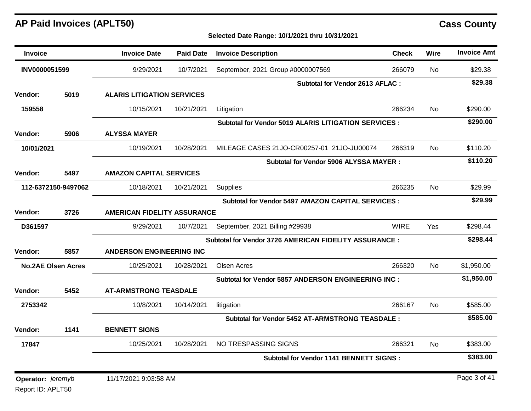| <b>Invoice</b>                  |                     | <b>Invoice Date</b>                | <b>Paid Date</b> | <b>Invoice Description</b>                                  | <b>Check</b> | Wire      | <b>Invoice Amt</b> |
|---------------------------------|---------------------|------------------------------------|------------------|-------------------------------------------------------------|--------------|-----------|--------------------|
| INV0000051599                   |                     | 9/29/2021                          | 10/7/2021        | September, 2021 Group #0000007569                           | 266079       | No.       | \$29.38            |
|                                 |                     |                                    |                  | <b>Subtotal for Vendor 2613 AFLAC:</b>                      |              |           | \$29.38            |
| Vendor:                         | 5019                | <b>ALARIS LITIGATION SERVICES</b>  |                  |                                                             |              |           |                    |
| 159558                          |                     | 10/15/2021                         | 10/21/2021       | Litigation                                                  | 266234       | No        | \$290.00           |
|                                 |                     |                                    |                  | <b>Subtotal for Vendor 5019 ALARIS LITIGATION SERVICES:</b> |              |           | \$290.00           |
| Vendor:                         | 5906                | <b>ALYSSA MAYER</b>                |                  |                                                             |              |           |                    |
| 10/01/2021                      |                     | 10/19/2021                         | 10/28/2021       | MILEAGE CASES 21JO-CR00257-01 21JO-JU00074                  | 266319       | <b>No</b> | \$110.20           |
|                                 |                     |                                    |                  | Subtotal for Vendor 5906 ALYSSA MAYER:                      |              |           | \$110.20           |
| Vendor:                         | 5497                | <b>AMAZON CAPITAL SERVICES</b>     |                  |                                                             |              |           |                    |
|                                 | 112-6372150-9497062 | 10/18/2021                         | 10/21/2021       | Supplies                                                    | 266235       | No.       | \$29.99            |
|                                 |                     |                                    |                  | <b>Subtotal for Vendor 5497 AMAZON CAPITAL SERVICES :</b>   |              |           | \$29.99            |
| Vendor:                         | 3726                | <b>AMERICAN FIDELITY ASSURANCE</b> |                  |                                                             |              |           |                    |
| D361597                         |                     | 9/29/2021                          | 10/7/2021        | September, 2021 Billing #29938                              | <b>WIRE</b>  | Yes       | \$298.44           |
|                                 |                     |                                    |                  | Subtotal for Vendor 3726 AMERICAN FIDELITY ASSURANCE :      |              |           | \$298.44           |
| Vendor:                         | 5857                | <b>ANDERSON ENGINEERING INC</b>    |                  |                                                             |              |           |                    |
| <b>No.2AE Olsen Acres</b>       |                     | 10/25/2021                         | 10/28/2021       | <b>Olsen Acres</b>                                          | 266320       | No        | \$1,950.00         |
|                                 |                     |                                    |                  | Subtotal for Vendor 5857 ANDERSON ENGINEERING INC :         |              |           | \$1,950.00         |
| Vendor:                         | 5452                | <b>AT-ARMSTRONG TEASDALE</b>       |                  |                                                             |              |           |                    |
| 2753342                         |                     | 10/8/2021                          | 10/14/2021       | litigation                                                  | 266167       | No        | \$585.00           |
|                                 |                     |                                    |                  | Subtotal for Vendor 5452 AT-ARMSTRONG TEASDALE :            |              |           | \$585.00           |
| Vendor:                         | 1141                | <b>BENNETT SIGNS</b>               |                  |                                                             |              |           |                    |
| 17847                           |                     | 10/25/2021                         | 10/28/2021       | NO TRESPASSING SIGNS                                        | 266321       | <b>No</b> | \$383.00           |
|                                 |                     |                                    |                  | <b>Subtotal for Vendor 1141 BENNETT SIGNS:</b>              |              |           | \$383.00           |
| <b>Operator:</b> <i>jeremyb</i> |                     | 11/17/2021 9:03:58 AM              |                  |                                                             |              |           | Page 3 of 41       |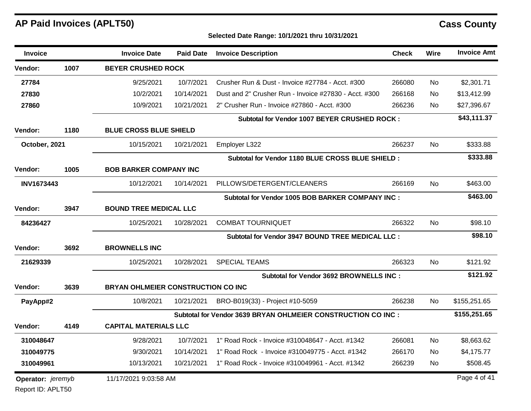### **Selected Date Range: 10/1/2021 thru 10/31/2021**

| <b>Invoice</b>    |      | <b>Invoice Date</b>                | <b>Paid Date</b> | <b>Invoice Description</b>                                   | <b>Check</b> | <b>Wire</b> | <b>Invoice Amt</b> |
|-------------------|------|------------------------------------|------------------|--------------------------------------------------------------|--------------|-------------|--------------------|
| Vendor:           | 1007 | <b>BEYER CRUSHED ROCK</b>          |                  |                                                              |              |             |                    |
| 27784             |      | 9/25/2021                          | 10/7/2021        | Crusher Run & Dust - Invoice #27784 - Acct. #300             | 266080       | No.         | \$2,301.71         |
| 27830             |      | 10/2/2021                          | 10/14/2021       | Dust and 2" Crusher Run - Invoice #27830 - Acct. #300        | 266168       | No.         | \$13,412.99        |
| 27860             |      | 10/9/2021                          | 10/21/2021       | 2" Crusher Run - Invoice #27860 - Acct. #300                 | 266236       | No          | \$27,396.67        |
|                   |      |                                    |                  | Subtotal for Vendor 1007 BEYER CRUSHED ROCK:                 |              |             | \$43,111.37        |
| Vendor:           | 1180 | <b>BLUE CROSS BLUE SHIELD</b>      |                  |                                                              |              |             |                    |
| October, 2021     |      | 10/15/2021                         | 10/21/2021       | Employer L322                                                | 266237       | <b>No</b>   | \$333.88           |
|                   |      |                                    |                  | Subtotal for Vendor 1180 BLUE CROSS BLUE SHIELD:             |              |             | \$333.88           |
| Vendor:           | 1005 | <b>BOB BARKER COMPANY INC</b>      |                  |                                                              |              |             |                    |
| <b>INV1673443</b> |      | 10/12/2021                         | 10/14/2021       | PILLOWS/DETERGENT/CLEANERS                                   | 266169       | No.         | \$463.00           |
|                   |      |                                    |                  | Subtotal for Vendor 1005 BOB BARKER COMPANY INC :            |              |             | \$463.00           |
| Vendor:           | 3947 | <b>BOUND TREE MEDICAL LLC</b>      |                  |                                                              |              |             |                    |
| 84236427          |      | 10/25/2021                         | 10/28/2021       | <b>COMBAT TOURNIQUET</b>                                     | 266322       | <b>No</b>   | \$98.10            |
|                   |      |                                    |                  | Subtotal for Vendor 3947 BOUND TREE MEDICAL LLC :            |              |             | \$98.10            |
| Vendor:           | 3692 | <b>BROWNELLS INC</b>               |                  |                                                              |              |             |                    |
| 21629339          |      | 10/25/2021                         | 10/28/2021       | <b>SPECIAL TEAMS</b>                                         | 266323       | <b>No</b>   | \$121.92           |
|                   |      |                                    |                  | <b>Subtotal for Vendor 3692 BROWNELLS INC:</b>               |              |             | \$121.92           |
| Vendor:           | 3639 | BRYAN OHLMEIER CONSTRUCTION CO INC |                  |                                                              |              |             |                    |
| PayApp#2          |      | 10/8/2021                          | 10/21/2021       | BRO-B019(33) - Project #10-5059                              | 266238       | No.         | \$155,251.65       |
|                   |      |                                    |                  | Subtotal for Vendor 3639 BRYAN OHLMEIER CONSTRUCTION CO INC: |              |             | \$155,251.65       |
| Vendor:           | 4149 | <b>CAPITAL MATERIALS LLC</b>       |                  |                                                              |              |             |                    |
| 310048647         |      | 9/28/2021                          | 10/7/2021        | 1" Road Rock - Invoice #310048647 - Acct. #1342              | 266081       | No.         | \$8,663.62         |
| 310049775         |      | 9/30/2021                          | 10/14/2021       | 1" Road Rock - Invoice #310049775 - Acct. #1342              | 266170       | No.         | \$4,175.77         |
| 310049961         |      | 10/13/2021                         | 10/21/2021       | 1" Road Rock - Invoice #310049961 - Acct. #1342              | 266239       | No          | \$508.45           |
| Operator: jeremyb |      | 11/17/2021 9:03:58 AM              |                  |                                                              |              |             | Page 4 of 41       |
| $\sqrt{2}$        |      |                                    |                  |                                                              |              |             |                    |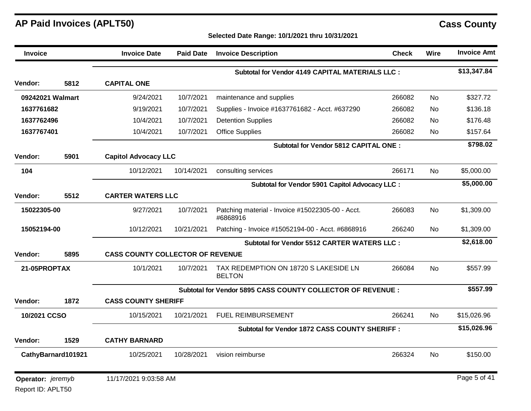Report ID: APLT50

| <b>Invoice</b>                  |                    | <b>Invoice Date</b>                     | <b>Paid Date</b> | <b>Invoice Description</b>                                   | <b>Check</b> | Wire      | <b>Invoice Amt</b> |
|---------------------------------|--------------------|-----------------------------------------|------------------|--------------------------------------------------------------|--------------|-----------|--------------------|
|                                 |                    |                                         |                  | <b>Subtotal for Vendor 4149 CAPITAL MATERIALS LLC:</b>       |              |           | \$13,347.84        |
| Vendor:                         | 5812               | <b>CAPITAL ONE</b>                      |                  |                                                              |              |           |                    |
| 09242021 Walmart                |                    | 9/24/2021                               | 10/7/2021        | maintenance and supplies                                     | 266082       | <b>No</b> | \$327.72           |
| 1637761682                      |                    | 9/19/2021                               | 10/7/2021        | Supplies - Invoice #1637761682 - Acct. #637290               | 266082       | <b>No</b> | \$136.18           |
| 1637762496                      |                    | 10/4/2021                               | 10/7/2021        | <b>Detention Supplies</b>                                    | 266082       | <b>No</b> | \$176.48           |
| 1637767401                      |                    | 10/4/2021                               | 10/7/2021        | <b>Office Supplies</b>                                       | 266082       | <b>No</b> | \$157.64           |
|                                 |                    |                                         |                  | Subtotal for Vendor 5812 CAPITAL ONE :                       |              |           | \$798.02           |
| Vendor:                         | 5901               | <b>Capitol Advocacy LLC</b>             |                  |                                                              |              |           |                    |
| 104                             |                    | 10/12/2021                              | 10/14/2021       | consulting services                                          | 266171       | No.       | \$5,000.00         |
|                                 |                    |                                         |                  | <b>Subtotal for Vendor 5901 Capitol Advocacy LLC :</b>       |              |           | \$5,000.00         |
| Vendor:                         | 5512               | <b>CARTER WATERS LLC</b>                |                  |                                                              |              |           |                    |
| 15022305-00                     |                    | 9/27/2021                               | 10/7/2021        | Patching material - Invoice #15022305-00 - Acct.<br>#6868916 | 266083       | <b>No</b> | \$1,309.00         |
| 15052194-00                     |                    | 10/12/2021                              | 10/21/2021       | Patching - Invoice #15052194-00 - Acct. #6868916             | 266240       | No.       | \$1,309.00         |
|                                 |                    |                                         |                  | <b>Subtotal for Vendor 5512 CARTER WATERS LLC:</b>           |              |           | \$2,618.00         |
| Vendor:                         | 5895               | <b>CASS COUNTY COLLECTOR OF REVENUE</b> |                  |                                                              |              |           |                    |
| 21-05PROPTAX                    |                    | 10/1/2021                               | 10/7/2021        | TAX REDEMPTION ON 18720 S LAKESIDE LN<br><b>BELTON</b>       | 266084       | No.       | \$557.99           |
|                                 |                    |                                         |                  | Subtotal for Vendor 5895 CASS COUNTY COLLECTOR OF REVENUE :  |              |           | \$557.99           |
| Vendor:                         | 1872               | <b>CASS COUNTY SHERIFF</b>              |                  |                                                              |              |           |                    |
| 10/2021 CCSO                    |                    | 10/15/2021                              | 10/21/2021       | FUEL REIMBURSEMENT                                           | 266241       | No.       | \$15,026.96        |
|                                 |                    |                                         |                  | Subtotal for Vendor 1872 CASS COUNTY SHERIFF :               |              |           | \$15,026.96        |
| Vendor:                         | 1529               | <b>CATHY BARNARD</b>                    |                  |                                                              |              |           |                    |
|                                 | CathyBarnard101921 | 10/25/2021                              | 10/28/2021       | vision reimburse                                             | 266324       | <b>No</b> | \$150.00           |
| <b>Operator:</b> <i>jeremyb</i> |                    | 11/17/2021 9:03:58 AM                   |                  |                                                              |              |           | Page 5 of 41       |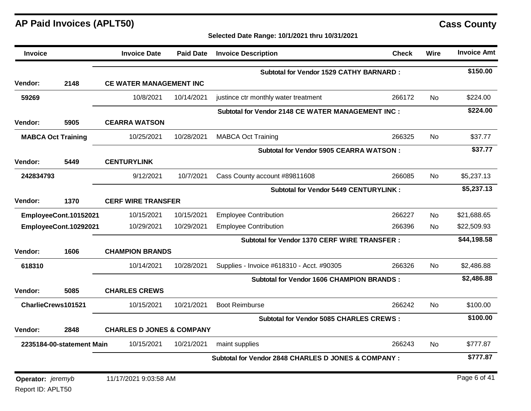| Invoice           |                           | <b>Invoice Date</b>                  | <b>Paid Date</b> | <b>Invoice Description</b>                           | <b>Check</b> | Wire           | <b>Invoice Amt</b> |
|-------------------|---------------------------|--------------------------------------|------------------|------------------------------------------------------|--------------|----------------|--------------------|
|                   |                           |                                      |                  | Subtotal for Vendor 1529 CATHY BARNARD:              |              |                | \$150.00           |
| Vendor:           | 2148                      | <b>CE WATER MANAGEMENT INC</b>       |                  |                                                      |              |                |                    |
| 59269             |                           | 10/8/2021                            | 10/14/2021       | justince ctr monthly water treatment                 | 266172       | <b>No</b>      | \$224.00           |
|                   |                           |                                      |                  | Subtotal for Vendor 2148 CE WATER MANAGEMENT INC :   |              |                | \$224.00           |
| Vendor:           | 5905                      | <b>CEARRA WATSON</b>                 |                  |                                                      |              |                |                    |
|                   | <b>MABCA Oct Training</b> | 10/25/2021                           | 10/28/2021       | <b>MABCA Oct Training</b>                            | 266325       | No.            | \$37.77            |
|                   |                           |                                      |                  | <b>Subtotal for Vendor 5905 CEARRA WATSON:</b>       |              |                | \$37.77            |
| Vendor:           | 5449                      | <b>CENTURYLINK</b>                   |                  |                                                      |              |                |                    |
| 242834793         |                           | 9/12/2021                            | 10/7/2021        | Cass County account #89811608                        | 266085       | No.            | \$5,237.13         |
|                   |                           |                                      |                  | <b>Subtotal for Vendor 5449 CENTURYLINK:</b>         |              |                | \$5,237.13         |
| Vendor:           | 1370                      | <b>CERF WIRE TRANSFER</b>            |                  |                                                      |              |                |                    |
|                   | EmployeeCont.10152021     | 10/15/2021                           | 10/15/2021       | <b>Employee Contribution</b>                         | 266227       | <b>No</b>      | \$21,688.65        |
|                   | EmployeeCont.10292021     | 10/29/2021                           | 10/29/2021       | <b>Employee Contribution</b>                         | 266396       | No.            | \$22,509.93        |
|                   |                           |                                      |                  | Subtotal for Vendor 1370 CERF WIRE TRANSFER :        |              |                | \$44,198.58        |
| Vendor:           | 1606                      | <b>CHAMPION BRANDS</b>               |                  |                                                      |              |                |                    |
| 618310            |                           | 10/14/2021                           | 10/28/2021       | Supplies - Invoice #618310 - Acct. #90305            | 266326       | No.            | \$2,486.88         |
|                   |                           |                                      |                  | <b>Subtotal for Vendor 1606 CHAMPION BRANDS:</b>     |              |                | \$2,486.88         |
| Vendor:           | 5085                      | <b>CHARLES CREWS</b>                 |                  |                                                      |              |                |                    |
|                   | CharlieCrews101521        | 10/15/2021                           | 10/21/2021       | <b>Boot Reimburse</b>                                | 266242       | <b>No</b>      | \$100.00           |
|                   |                           |                                      |                  | <b>Subtotal for Vendor 5085 CHARLES CREWS:</b>       |              |                | \$100.00           |
| Vendor:           | 2848                      | <b>CHARLES D JONES &amp; COMPANY</b> |                  |                                                      |              |                |                    |
|                   | 2235184-00-statement Main | 10/15/2021                           | 10/21/2021       | maint supplies                                       | 266243       | N <sub>o</sub> | \$777.87           |
|                   |                           |                                      |                  | Subtotal for Vendor 2848 CHARLES D JONES & COMPANY : |              |                | \$777.87           |
| Operator: jeremyb |                           | 11/17/2021 9:03:58 AM                |                  |                                                      |              |                | Page 6 of 41       |
| Report ID: APLT50 |                           |                                      |                  |                                                      |              |                |                    |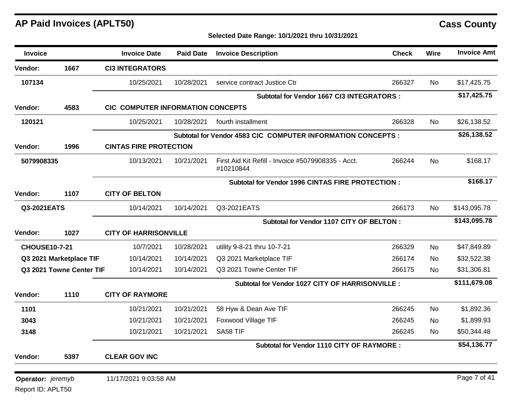**Selected Date Range: 10/1/2021 thru 10/31/2021**

| <b>Invoice</b>       |                          | <b>Invoice Date</b>               | <b>Paid Date</b> | <b>Invoice Description</b>                                      | <b>Check</b> | <b>Wire</b> | <b>Invoice Amt</b> |
|----------------------|--------------------------|-----------------------------------|------------------|-----------------------------------------------------------------|--------------|-------------|--------------------|
| Vendor:              | 1667                     | <b>CI3 INTEGRATORS</b>            |                  |                                                                 |              |             |                    |
| 107134               |                          | 10/25/2021                        | 10/28/2021       | service contract Justice Ctr                                    | 266327       | No          | \$17,425.75        |
|                      |                          |                                   |                  | <b>Subtotal for Vendor 1667 CI3 INTEGRATORS :</b>               |              |             | \$17,425.75        |
| Vendor:              | 4583                     | CIC COMPUTER INFORMATION CONCEPTS |                  |                                                                 |              |             |                    |
| 120121               |                          | 10/25/2021                        | 10/28/2021       | fourth installment                                              | 266328       | <b>No</b>   | \$26,138.52        |
|                      |                          |                                   |                  | Subtotal for Vendor 4583 CIC COMPUTER INFORMATION CONCEPTS :    |              |             | \$26,138.52        |
| <b>Vendor:</b>       | 1996                     | <b>CINTAS FIRE PROTECTION</b>     |                  |                                                                 |              |             |                    |
| 5079908335           |                          | 10/13/2021                        | 10/21/2021       | First Aid Kit Refill - Invoice #5079908335 - Acct.<br>#10210844 | 266244       | <b>No</b>   | \$168.17           |
|                      |                          |                                   |                  | Subtotal for Vendor 1996 CINTAS FIRE PROTECTION :               |              |             | \$168.17           |
| <b>Vendor:</b>       | 1107                     | <b>CITY OF BELTON</b>             |                  |                                                                 |              |             |                    |
| Q3-2021EATS          |                          | 10/14/2021                        | 10/14/2021       | Q3-2021EATS                                                     | 266173       | No.         | \$143,095.78       |
|                      |                          |                                   |                  | Subtotal for Vendor 1107 CITY OF BELTON :                       |              |             | \$143,095.78       |
| <b>Vendor:</b>       | 1027                     | <b>CITY OF HARRISONVILLE</b>      |                  |                                                                 |              |             |                    |
| <b>CHOUSE10-7-21</b> |                          | 10/7/2021                         | 10/28/2021       | utility 9-8-21 thru 10-7-21                                     | 266329       | <b>No</b>   | \$47,849.89        |
|                      | Q3 2021 Marketplace TIF  | 10/14/2021                        | 10/14/2021       | Q3 2021 Marketplace TIF                                         | 266174       | No          | \$32,522.38        |
|                      | Q3 2021 Towne Center TIF | 10/14/2021                        | 10/14/2021       | Q3 2021 Towne Center TIF                                        | 266175       | No.         | \$31,306.81        |
|                      |                          |                                   |                  | Subtotal for Vendor 1027 CITY OF HARRISONVILLE :                |              |             | \$111,679.08       |
| <b>Vendor:</b>       | 1110                     | <b>CITY OF RAYMORE</b>            |                  |                                                                 |              |             |                    |
| 1101                 |                          | 10/21/2021                        | 10/21/2021       | 58 Hyw & Dean Ave TIF                                           | 266245       | No          | \$1,892.36         |
| 3043                 |                          | 10/21/2021                        | 10/21/2021       | Foxwood Village TIF                                             | 266245       | No          | \$1,899.93         |
| 3148                 |                          | 10/21/2021                        | 10/21/2021       | SA58 TIF                                                        | 266245       | No          | \$50,344.48        |
|                      |                          |                                   |                  | Subtotal for Vendor 1110 CITY OF RAYMORE :                      |              |             | \$54,136.77        |
| Vendor:              | 5397                     | <b>CLEAR GOV INC</b>              |                  |                                                                 |              |             |                    |
| Operator: jeremyb    |                          | 11/17/2021 9:03:58 AM             |                  |                                                                 |              |             | Page 7 of 41       |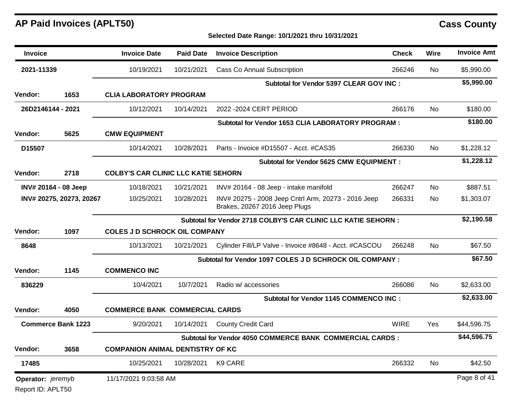| <b>Invoice</b>           |                           | <b>Invoice Date</b>                                      | <b>Paid Date</b>                           | <b>Invoice Description</b>                                                           | <b>Check</b> | Wire      | <b>Invoice Amt</b> |
|--------------------------|---------------------------|----------------------------------------------------------|--------------------------------------------|--------------------------------------------------------------------------------------|--------------|-----------|--------------------|
| 2021-11339               |                           | 10/19/2021                                               | 10/21/2021                                 | <b>Cass Co Annual Subscription</b>                                                   | 266246       | No        | \$5,990.00         |
|                          |                           |                                                          |                                            | Subtotal for Vendor 5397 CLEAR GOV INC :                                             |              |           | \$5,990.00         |
| Vendor:                  | 1653                      | <b>CLIA LABORATORY PROGRAM</b>                           |                                            |                                                                                      |              |           |                    |
| 26D2146144 - 2021        |                           | 10/12/2021                                               | 10/14/2021                                 | 2022 - 2024 CERT PERIOD                                                              | 266176       | No        | \$180.00           |
|                          |                           |                                                          |                                            | Subtotal for Vendor 1653 CLIA LABORATORY PROGRAM :                                   |              |           | \$180.00           |
| Vendor:                  | 5625                      | <b>CMW EQUIPMENT</b>                                     |                                            |                                                                                      |              |           |                    |
| D15507                   |                           | 10/14/2021                                               | 10/28/2021                                 | Parts - Invoice #D15507 - Acct. #CAS35                                               | 266330       | No        | \$1,228.12         |
|                          |                           |                                                          |                                            | <b>Subtotal for Vendor 5625 CMW EQUIPMENT:</b>                                       |              |           | \$1,228.12         |
| Vendor:                  | 2718                      |                                                          | <b>COLBY'S CAR CLINIC LLC KATIE SEHORN</b> |                                                                                      |              |           |                    |
|                          | INV# 20164 - 08 Jeep      | 10/18/2021                                               | 10/21/2021                                 | INV# 20164 - 08 Jeep - intake manifold                                               | 266247       | No        | \$887.51           |
| INV# 20275, 20273, 20267 |                           | 10/25/2021                                               | 10/28/2021                                 | INV# 20275 - 2008 Jeep Cntrl Arm, 20273 - 2016 Jeep<br>Brakes, 20267 2016 Jeep Plugs | 266331       | No        | \$1,303.07         |
|                          |                           |                                                          |                                            | Subtotal for Vendor 2718 COLBY'S CAR CLINIC LLC KATIE SEHORN :                       |              |           | \$2,190.58         |
| Vendor:                  | 1097                      | <b>COLES J D SCHROCK OIL COMPANY</b>                     |                                            |                                                                                      |              |           |                    |
| 8648                     |                           | 10/13/2021                                               | 10/21/2021                                 | Cylinder Fill/LP Valve - Invoice #8648 - Acct. #CASCOU                               | 266248       | <b>No</b> | \$67.50            |
|                          |                           | Subtotal for Vendor 1097 COLES J D SCHROCK OIL COMPANY : |                                            |                                                                                      |              |           |                    |
| <b>Vendor:</b>           | 1145                      | <b>COMMENCO INC</b>                                      |                                            |                                                                                      |              |           |                    |
| 836229                   |                           | 10/4/2021                                                | 10/7/2021                                  | Radio w/ accessories                                                                 | 266086       | No        | \$2,633.00         |
|                          |                           |                                                          |                                            | <b>Subtotal for Vendor 1145 COMMENCO INC:</b>                                        |              |           | \$2,633.00         |
| <b>Vendor:</b>           | 4050                      | <b>COMMERCE BANK COMMERCIAL CARDS</b>                    |                                            |                                                                                      |              |           |                    |
|                          | <b>Commerce Bank 1223</b> | 9/20/2021                                                | 10/14/2021                                 | <b>County Credit Card</b>                                                            | <b>WIRE</b>  | Yes       | \$44,596.75        |
|                          |                           |                                                          |                                            | Subtotal for Vendor 4050 COMMERCE BANK COMMERCIAL CARDS :                            |              |           | \$44,596.75        |
| <b>Vendor:</b>           | 3658                      | <b>COMPANION ANIMAL DENTISTRY OF KC</b>                  |                                            |                                                                                      |              |           |                    |
| 17485                    |                           | 10/25/2021                                               | 10/28/2021                                 | K9 CARE                                                                              | 266332       | No        | \$42.50            |
| Operator: jeremyb        |                           | 11/17/2021 9:03:58 AM                                    |                                            |                                                                                      |              |           | Page 8 of 41       |
| Report ID: APLT50        |                           |                                                          |                                            |                                                                                      |              |           |                    |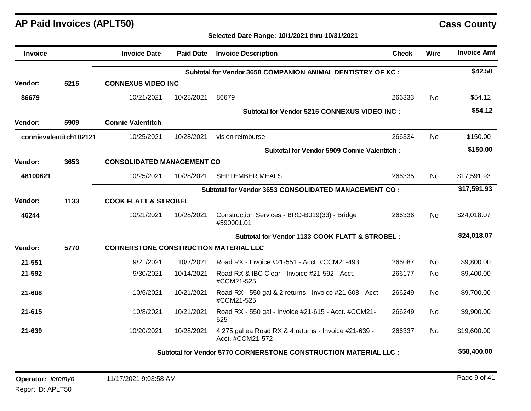| Invoice    |                        | <b>Invoice Date</b>                          | <b>Paid Date</b> | <b>Invoice Description</b>                                               | <b>Check</b> | <b>Wire</b> | <b>Invoice Amt</b> |
|------------|------------------------|----------------------------------------------|------------------|--------------------------------------------------------------------------|--------------|-------------|--------------------|
|            |                        |                                              |                  | Subtotal for Vendor 3658 COMPANION ANIMAL DENTISTRY OF KC:               |              |             | \$42.50            |
| Vendor:    | 5215                   | <b>CONNEXUS VIDEO INC</b>                    |                  |                                                                          |              |             |                    |
| 86679      |                        | 10/21/2021                                   | 10/28/2021       | 86679                                                                    | 266333       | No.         | \$54.12            |
|            |                        |                                              |                  | Subtotal for Vendor 5215 CONNEXUS VIDEO INC :                            |              |             | \$54.12            |
| Vendor:    | 5909                   | <b>Connie Valentitch</b>                     |                  |                                                                          |              |             |                    |
|            | connievalentitch102121 | 10/25/2021                                   | 10/28/2021       | vision reimburse                                                         | 266334       | No          | \$150.00           |
|            |                        |                                              |                  | Subtotal for Vendor 5909 Connie Valentitch:                              |              |             | \$150.00           |
| Vendor:    | 3653                   | <b>CONSOLIDATED MANAGEMENT CO</b>            |                  |                                                                          |              |             |                    |
| 48100621   |                        | 10/25/2021                                   | 10/28/2021       | <b>SEPTEMBER MEALS</b>                                                   | 266335       | No          | \$17,591.93        |
|            |                        |                                              |                  | Subtotal for Vendor 3653 CONSOLIDATED MANAGEMENT CO:                     |              |             | \$17,591.93        |
| Vendor:    | 1133                   | <b>COOK FLATT &amp; STROBEL</b>              |                  |                                                                          |              |             |                    |
| 46244      |                        | 10/21/2021                                   | 10/28/2021       | Construction Services - BRO-B019(33) - Bridge<br>#590001.01              | 266336       | <b>No</b>   | \$24,018.07        |
|            |                        |                                              |                  | Subtotal for Vendor 1133 COOK FLATT & STROBEL :                          |              |             | \$24,018.07        |
| Vendor:    | 5770                   | <b>CORNERSTONE CONSTRUCTION MATERIAL LLC</b> |                  |                                                                          |              |             |                    |
| 21-551     |                        | 9/21/2021                                    | 10/7/2021        | Road RX - Invoice #21-551 - Acct. #CCM21-493                             | 266087       | <b>No</b>   | \$9,800.00         |
| 21-592     |                        | 9/30/2021                                    | 10/14/2021       | Road RX & IBC Clear - Invoice #21-592 - Acct.<br>#CCM21-525              | 266177       | No.         | \$9,400.00         |
| 21-608     |                        | 10/6/2021                                    | 10/21/2021       | Road RX - 550 gal & 2 returns - Invoice #21-608 - Acct.<br>#CCM21-525    | 266249       | No.         | \$9,700.00         |
| $21 - 615$ |                        | 10/8/2021                                    | 10/21/2021       | Road RX - 550 gal - Invoice #21-615 - Acct. #CCM21-<br>525               | 266249       | No.         | \$9,900.00         |
| 21-639     |                        | 10/20/2021                                   | 10/28/2021       | 4 275 gal ea Road RX & 4 returns - Invoice #21-639 -<br>Acct. #CCM21-572 | 266337       | No.         | \$19,600.00        |
|            |                        |                                              |                  | <b>Subtotal for Vendor 5770 CORNERSTONE CONSTRUCTION MATERIAL LLC:</b>   |              |             | \$58,400.00        |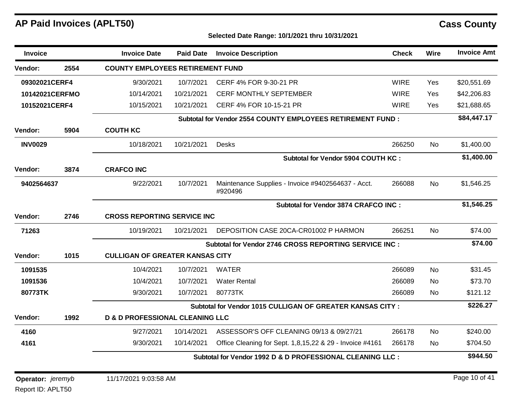## Invoice Invoice Date Paid Date Invoice Description Check Wire Invoice Amt **AP Paid Invoices (APLT50) Cass County Selected Date Range: 10/1/2021 thru 10/31/2021 Vendor: 2554 COUNTY EMPLOYEES RETIREMENT FUND 09302021CERF4** 9/30/2021 10/7/2021 CERF 4% FOR 9-30-21 PR WIRE Yes \$20,551.69 **10142021CERFMO** 10/14/2021 10/21/2021 CERF MONTHLY SEPTEMBER WIRE Yes \$42,206.83 10152021CERF4 10/15/2021 10/21/2021 CERF 4% FOR 10-15-21 PR WIRE Yes \$21,688.65 **Subtotal for Vendor 2554 COUNTY EMPLOYEES RETIREMENT FUND : \$84,447.17**

| Vendor:        | 5904 | <b>COUTH KC</b>                            |            |                                                               |        |           |            |
|----------------|------|--------------------------------------------|------------|---------------------------------------------------------------|--------|-----------|------------|
| <b>INV0029</b> |      | 10/18/2021                                 | 10/21/2021 | Desks                                                         | 266250 | <b>No</b> | \$1,400.00 |
|                |      |                                            |            | Subtotal for Vendor 5904 COUTH KC:                            |        |           | \$1,400.00 |
| Vendor:        | 3874 | <b>CRAFCO INC</b>                          |            |                                                               |        |           |            |
| 9402564637     |      | 9/22/2021                                  | 10/7/2021  | Maintenance Supplies - Invoice #9402564637 - Acct.<br>#920496 | 266088 | No        | \$1,546.25 |
|                |      |                                            |            | Subtotal for Vendor 3874 CRAFCO INC:                          |        |           | \$1,546.25 |
| Vendor:        | 2746 | <b>CROSS REPORTING SERVICE INC</b>         |            |                                                               |        |           |            |
| 71263          |      | 10/19/2021                                 | 10/21/2021 | DEPOSITION CASE 20CA-CR01002 P HARMON                         | 266251 | <b>No</b> | \$74.00    |
|                |      |                                            |            | Subtotal for Vendor 2746 CROSS REPORTING SERVICE INC:         |        |           | \$74.00    |
| Vendor:        | 1015 | <b>CULLIGAN OF GREATER KANSAS CITY</b>     |            |                                                               |        |           |            |
| 1091535        |      | 10/4/2021                                  | 10/7/2021  | <b>WATER</b>                                                  | 266089 | <b>No</b> | \$31.45    |
| 1091536        |      | 10/4/2021                                  | 10/7/2021  | <b>Water Rental</b>                                           | 266089 | No.       | \$73.70    |
| 80773TK        |      | 9/30/2021                                  | 10/7/2021  | 80773TK                                                       | 266089 | <b>No</b> | \$121.12   |
|                |      |                                            |            | Subtotal for Vendor 1015 CULLIGAN OF GREATER KANSAS CITY :    |        |           | \$226.27   |
| Vendor:        | 1992 | <b>D &amp; D PROFESSIONAL CLEANING LLC</b> |            |                                                               |        |           |            |
| 4160           |      | 9/27/2021                                  | 10/14/2021 | ASSESSOR'S OFF CLEANING 09/13 & 09/27/21                      | 266178 | No        | \$240.00   |
| 4161           |      | 9/30/2021                                  | 10/14/2021 | Office Cleaning for Sept. 1,8,15,22 & 29 - Invoice #4161      | 266178 | No.       | \$704.50   |
|                |      |                                            |            | Subtotal for Vendor 1992 D & D PROFESSIONAL CLEANING LLC :    |        |           | \$944.50   |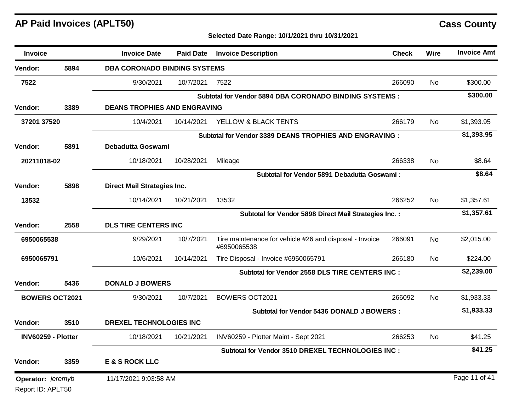**Selected Date Range: 10/1/2021 thru 10/31/2021**

| Invoice               |      | <b>Invoice Date</b>                 | <b>Paid Date</b>            | <b>Invoice Description</b>                                             | <b>Check</b> | <b>Wire</b> | <b>Invoice Amt</b> |  |
|-----------------------|------|-------------------------------------|-----------------------------|------------------------------------------------------------------------|--------------|-------------|--------------------|--|
| Vendor:               | 5894 | <b>DBA CORONADO BINDING SYSTEMS</b> |                             |                                                                        |              |             |                    |  |
| 7522                  |      | 9/30/2021                           | 10/7/2021                   | 7522                                                                   | 266090       | <b>No</b>   | \$300.00           |  |
|                       |      |                                     |                             | Subtotal for Vendor 5894 DBA CORONADO BINDING SYSTEMS :                |              |             | \$300.00           |  |
| Vendor:               | 3389 | <b>DEANS TROPHIES AND ENGRAVING</b> |                             |                                                                        |              |             |                    |  |
| 37201 37520           |      | 10/4/2021                           | 10/14/2021                  | YELLOW & BLACK TENTS                                                   | 266179       | <b>No</b>   | \$1,393.95         |  |
|                       |      |                                     |                             | Subtotal for Vendor 3389 DEANS TROPHIES AND ENGRAVING :                |              |             | \$1,393.95         |  |
| Vendor:               | 5891 | Debadutta Goswami                   |                             |                                                                        |              |             |                    |  |
| 20211018-02           |      | 10/18/2021                          | 10/28/2021                  | Mileage                                                                | 266338       | <b>No</b>   | \$8.64             |  |
|                       |      |                                     |                             | Subtotal for Vendor 5891 Debadutta Goswami:                            |              |             | \$8.64             |  |
| <b>Vendor:</b>        | 5898 | <b>Direct Mail Strategies Inc.</b>  |                             |                                                                        |              |             |                    |  |
| 13532                 |      | 10/14/2021                          | 10/21/2021                  | 13532                                                                  | 266252       | <b>No</b>   | \$1,357.61         |  |
|                       |      |                                     |                             | Subtotal for Vendor 5898 Direct Mail Strategies Inc. :                 |              |             | \$1,357.61         |  |
| <b>Vendor:</b>        | 2558 |                                     | <b>DLS TIRE CENTERS INC</b> |                                                                        |              |             |                    |  |
| 6950065538            |      | 9/29/2021                           | 10/7/2021                   | Tire maintenance for vehicle #26 and disposal - Invoice<br>#6950065538 | 266091       | No.         | \$2,015.00         |  |
| 6950065791            |      | 10/6/2021                           | 10/14/2021                  | Tire Disposal - Invoice #6950065791                                    | 266180       | No          | \$224.00           |  |
|                       |      |                                     |                             | Subtotal for Vendor 2558 DLS TIRE CENTERS INC :                        |              |             | \$2,239.00         |  |
| Vendor:               | 5436 | <b>DONALD J BOWERS</b>              |                             |                                                                        |              |             |                    |  |
| <b>BOWERS OCT2021</b> |      | 9/30/2021                           | 10/7/2021                   | <b>BOWERS OCT2021</b>                                                  | 266092       | No.         | \$1,933.33         |  |
|                       |      |                                     |                             | Subtotal for Vendor 5436 DONALD J BOWERS :                             |              |             | \$1,933.33         |  |
| Vendor:               | 3510 | DREXEL TECHNOLOGIES INC             |                             |                                                                        |              |             |                    |  |
| INV60259 - Plotter    |      | 10/18/2021                          | 10/21/2021                  | INV60259 - Plotter Maint - Sept 2021                                   | 266253       | <b>No</b>   | \$41.25            |  |
|                       |      |                                     |                             | Subtotal for Vendor 3510 DREXEL TECHNOLOGIES INC :                     |              |             | \$41.25            |  |
| Vendor:               | 3359 | <b>E &amp; S ROCK LLC</b>           |                             |                                                                        |              |             |                    |  |
| Operator: jeremyb     |      | 11/17/2021 9:03:58 AM               |                             |                                                                        |              |             | Page 11 of 41      |  |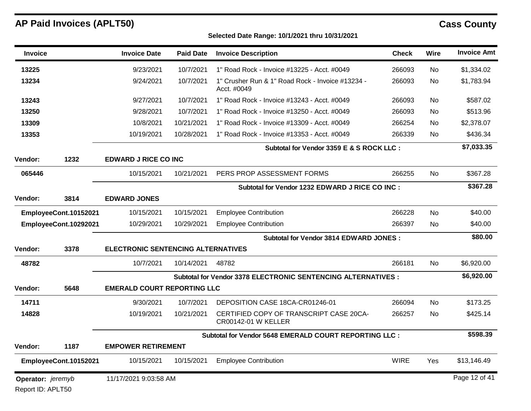| <b>Invoice</b>        |                       | <b>Invoice Date</b>                | <b>Paid Date</b> | <b>Invoice Description</b>                                            | <b>Check</b> | Wire      | <b>Invoice Amt</b> |
|-----------------------|-----------------------|------------------------------------|------------------|-----------------------------------------------------------------------|--------------|-----------|--------------------|
| 13225                 |                       | 9/23/2021                          | 10/7/2021        | 1" Road Rock - Invoice #13225 - Acct. #0049                           | 266093       | <b>No</b> | \$1,334.02         |
| 13234                 |                       | 9/24/2021                          | 10/7/2021        | 1" Crusher Run & 1" Road Rock - Invoice #13234 -<br>Acct. #0049       | 266093       | <b>No</b> | \$1,783.94         |
| 13243                 |                       | 9/27/2021                          | 10/7/2021        | 1" Road Rock - Invoice #13243 - Acct. #0049                           | 266093       | <b>No</b> | \$587.02           |
| 13250                 |                       | 9/28/2021                          | 10/7/2021        | 1" Road Rock - Invoice #13250 - Acct. #0049                           | 266093       | <b>No</b> | \$513.96           |
| 13309                 |                       | 10/8/2021                          | 10/21/2021       | 1" Road Rock - Invoice #13309 - Acct. #0049                           | 266254       | <b>No</b> | \$2,378.07         |
| 13353                 |                       | 10/19/2021                         | 10/28/2021       | 1" Road Rock - Invoice #13353 - Acct. #0049                           | 266339       | No.       | \$436.34           |
|                       |                       |                                    |                  | Subtotal for Vendor 3359 E & S ROCK LLC :                             |              |           | \$7,033.35         |
| Vendor:               | 1232                  | <b>EDWARD J RICE CO INC</b>        |                  |                                                                       |              |           |                    |
| 065446                |                       | 10/15/2021                         | 10/21/2021       | PERS PROP ASSESSMENT FORMS                                            | 266255       | <b>No</b> | \$367.28           |
|                       |                       |                                    |                  | Subtotal for Vendor 1232 EDWARD J RICE CO INC :                       |              |           | \$367.28           |
| Vendor:               | 3814                  | <b>EDWARD JONES</b>                |                  |                                                                       |              |           |                    |
| EmployeeCont.10152021 |                       | 10/15/2021                         | 10/15/2021       | <b>Employee Contribution</b>                                          | 266228       | <b>No</b> | \$40.00            |
|                       | EmployeeCont.10292021 | 10/29/2021                         | 10/29/2021       | <b>Employee Contribution</b>                                          | 266397       | No.       | \$40.00            |
|                       |                       |                                    |                  | Subtotal for Vendor 3814 EDWARD JONES :                               |              |           | \$80.00            |
| Vendor:               | 3378                  | ELECTRONIC SENTENCING ALTERNATIVES |                  |                                                                       |              |           |                    |
| 48782                 |                       | 10/7/2021                          | 10/14/2021       | 48782                                                                 | 266181       | <b>No</b> | \$6,920.00         |
|                       |                       |                                    |                  | <b>Subtotal for Vendor 3378 ELECTRONIC SENTENCING ALTERNATIVES :</b>  |              |           | \$6,920.00         |
| Vendor:               | 5648                  | <b>EMERALD COURT REPORTING LLC</b> |                  |                                                                       |              |           |                    |
| 14711                 |                       | 9/30/2021                          | 10/7/2021        | DEPOSITION CASE 18CA-CR01246-01                                       | 266094       | No.       | \$173.25           |
| 14828                 |                       | 10/19/2021                         | 10/21/2021       | CERTIFIED COPY OF TRANSCRIPT CASE 20CA-<br><b>CR00142-01 W KELLER</b> | 266257       | No        | \$425.14           |
|                       |                       |                                    |                  | Subtotal for Vendor 5648 EMERALD COURT REPORTING LLC :                |              |           | \$598.39           |
| Vendor:               | 1187                  | <b>EMPOWER RETIREMENT</b>          |                  |                                                                       |              |           |                    |
|                       | EmployeeCont.10152021 | 10/15/2021                         | 10/15/2021       | <b>Employee Contribution</b>                                          | <b>WIRE</b>  | Yes       | \$13,146.49        |
| Operator: jeremyb     |                       | 11/17/2021 9:03:58 AM              |                  |                                                                       |              |           | Page 12 of 41      |
| Report ID: APLT50     |                       |                                    |                  |                                                                       |              |           |                    |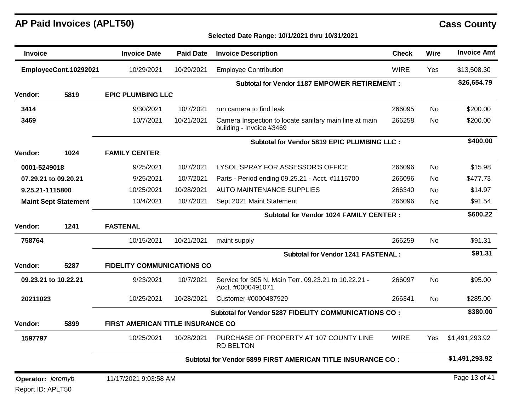| <b>Invoice</b>                  | <b>Invoice Date</b><br><b>Paid Date</b><br><b>Invoice Description</b><br><b>Check</b><br><b>Wire</b> |                                   | <b>Invoice Amt</b> |                                                                                    |             |           |                |
|---------------------------------|------------------------------------------------------------------------------------------------------|-----------------------------------|--------------------|------------------------------------------------------------------------------------|-------------|-----------|----------------|
|                                 | EmployeeCont.10292021                                                                                | 10/29/2021                        | 10/29/2021         | <b>Employee Contribution</b>                                                       | <b>WIRE</b> | Yes       | \$13,508.30    |
|                                 |                                                                                                      |                                   |                    | <b>Subtotal for Vendor 1187 EMPOWER RETIREMENT:</b>                                |             |           | \$26,654.79    |
| Vendor:                         | 5819                                                                                                 | <b>EPIC PLUMBING LLC</b>          |                    |                                                                                    |             |           |                |
| 3414                            |                                                                                                      | 9/30/2021                         | 10/7/2021          | run camera to find leak                                                            | 266095      | <b>No</b> | \$200.00       |
| 3469                            |                                                                                                      | 10/7/2021                         | 10/21/2021         | Camera Inspection to locate sanitary main line at main<br>building - Invoice #3469 | 266258      | No        | \$200.00       |
|                                 |                                                                                                      |                                   |                    | Subtotal for Vendor 5819 EPIC PLUMBING LLC :                                       |             |           | \$400.00       |
| Vendor:                         | 1024                                                                                                 | <b>FAMILY CENTER</b>              |                    |                                                                                    |             |           |                |
| 0001-5249018                    |                                                                                                      | 9/25/2021                         | 10/7/2021          | LYSOL SPRAY FOR ASSESSOR'S OFFICE                                                  | 266096      | <b>No</b> | \$15.98        |
| 07.29.21 to 09.20.21            |                                                                                                      | 9/25/2021                         | 10/7/2021          | Parts - Period ending 09.25.21 - Acct. #1115700                                    | 266096      | <b>No</b> | \$477.73       |
| 9.25.21-1115800                 |                                                                                                      | 10/25/2021                        | 10/28/2021         | <b>AUTO MAINTENANCE SUPPLIES</b>                                                   | 266340      | <b>No</b> | \$14.97        |
| <b>Maint Sept Statement</b>     |                                                                                                      | 10/4/2021                         | 10/7/2021          | Sept 2021 Maint Statement                                                          | 266096      | No        | \$91.54        |
|                                 |                                                                                                      |                                   |                    | <b>Subtotal for Vendor 1024 FAMILY CENTER:</b>                                     |             |           | \$600.22       |
| Vendor:                         | 1241                                                                                                 | <b>FASTENAL</b>                   |                    |                                                                                    |             |           |                |
| 758764                          |                                                                                                      | 10/15/2021                        | 10/21/2021         | maint supply                                                                       | 266259      | No        | \$91.31        |
|                                 |                                                                                                      |                                   |                    | <b>Subtotal for Vendor 1241 FASTENAL:</b>                                          |             |           | \$91.31        |
| Vendor:                         | 5287                                                                                                 | <b>FIDELITY COMMUNICATIONS CO</b> |                    |                                                                                    |             |           |                |
| 09.23.21 to 10.22.21            |                                                                                                      | 9/23/2021                         | 10/7/2021          | Service for 305 N. Main Terr. 09.23.21 to 10.22.21 -<br>Acct. #0000491071          | 266097      | <b>No</b> | \$95.00        |
| 20211023                        |                                                                                                      | 10/25/2021                        | 10/28/2021         | Customer #0000487929                                                               | 266341      | <b>No</b> | \$285.00       |
|                                 |                                                                                                      |                                   |                    | Subtotal for Vendor 5287 FIDELITY COMMUNICATIONS CO:                               |             |           | \$380.00       |
| Vendor:                         | 5899                                                                                                 | FIRST AMERICAN TITLE INSURANCE CO |                    |                                                                                    |             |           |                |
| 1597797                         |                                                                                                      | 10/25/2021                        | 10/28/2021         | PURCHASE OF PROPERTY AT 107 COUNTY LINE<br><b>RD BELTON</b>                        | <b>WIRE</b> | Yes       | \$1,491,293.92 |
|                                 |                                                                                                      |                                   |                    | Subtotal for Vendor 5899 FIRST AMERICAN TITLE INSURANCE CO:                        |             |           | \$1,491,293.92 |
| <b>Operator:</b> <i>jeremyb</i> |                                                                                                      | 11/17/2021 9:03:58 AM             |                    |                                                                                    |             |           | Page 13 of 41  |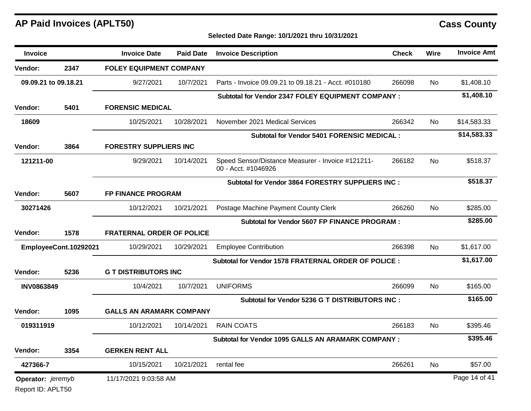| <b>Invoice</b>                         |                       | <b>Invoice Date</b>              | <b>Paid Date</b> | <b>Invoice Description</b>                                               | <b>Check</b> | Wire      | <b>Invoice Amt</b> |  |
|----------------------------------------|-----------------------|----------------------------------|------------------|--------------------------------------------------------------------------|--------------|-----------|--------------------|--|
| Vendor:                                | 2347                  | <b>FOLEY EQUIPMENT COMPANY</b>   |                  |                                                                          |              |           |                    |  |
| 09.09.21 to 09.18.21                   |                       | 9/27/2021                        | 10/7/2021        | Parts - Invoice 09.09.21 to 09.18.21 - Acct. #010180                     | 266098       | No        | \$1,408.10         |  |
|                                        |                       |                                  |                  | <b>Subtotal for Vendor 2347 FOLEY EQUIPMENT COMPANY :</b>                |              |           | \$1,408.10         |  |
| Vendor:                                | 5401                  | <b>FORENSIC MEDICAL</b>          |                  |                                                                          |              |           |                    |  |
| 18609                                  |                       | 10/25/2021                       | 10/28/2021       | November 2021 Medical Services                                           | 266342       | No        | \$14,583.33        |  |
|                                        |                       |                                  |                  | <b>Subtotal for Vendor 5401 FORENSIC MEDICAL:</b>                        |              |           | \$14,583.33        |  |
| Vendor:                                | 3864                  | <b>FORESTRY SUPPLIERS INC</b>    |                  |                                                                          |              |           |                    |  |
| 121211-00                              |                       | 9/29/2021                        | 10/14/2021       | Speed Sensor/Distance Measurer - Invoice #121211-<br>00 - Acct. #1046926 | 266182       | <b>No</b> | \$518.37           |  |
|                                        |                       |                                  |                  | Subtotal for Vendor 3864 FORESTRY SUPPLIERS INC :                        |              |           | \$518.37           |  |
| <b>Vendor:</b>                         | 5607                  | FP FINANCE PROGRAM               |                  |                                                                          |              |           |                    |  |
| 30271426                               |                       | 10/12/2021                       | 10/21/2021       | Postage Machine Payment County Clerk                                     | 266260       | <b>No</b> | \$285.00           |  |
|                                        |                       |                                  |                  | Subtotal for Vendor 5607 FP FINANCE PROGRAM :                            |              |           | \$285.00           |  |
| Vendor:                                | 1578                  | <b>FRATERNAL ORDER OF POLICE</b> |                  |                                                                          |              |           |                    |  |
|                                        | EmployeeCont.10292021 | 10/29/2021                       | 10/29/2021       | <b>Employee Contribution</b>                                             | 266398       | No        | \$1,617.00         |  |
|                                        |                       |                                  |                  | Subtotal for Vendor 1578 FRATERNAL ORDER OF POLICE :                     |              |           | \$1,617.00         |  |
| Vendor:                                | 5236                  | <b>G T DISTRIBUTORS INC</b>      |                  |                                                                          |              |           |                    |  |
| <b>INV0863849</b>                      |                       | 10/4/2021                        | 10/7/2021        | <b>UNIFORMS</b>                                                          | 266099       | <b>No</b> | \$165.00           |  |
|                                        |                       |                                  |                  | Subtotal for Vendor 5236 G T DISTRIBUTORS INC :                          |              |           | \$165.00           |  |
| Vendor:                                | 1095                  | <b>GALLS AN ARAMARK COMPANY</b>  |                  |                                                                          |              |           |                    |  |
| 019311919                              |                       | 10/12/2021                       | 10/14/2021       | <b>RAIN COATS</b>                                                        | 266183       | No        | \$395.46           |  |
|                                        |                       |                                  |                  | Subtotal for Vendor 1095 GALLS AN ARAMARK COMPANY:                       |              |           | \$395.46           |  |
| Vendor:                                | 3354                  | <b>GERKEN RENT ALL</b>           |                  |                                                                          |              |           |                    |  |
| 427366-7                               |                       | 10/15/2021                       | 10/21/2021       | rental fee                                                               | 266261       | <b>No</b> | \$57.00            |  |
| Operator: jeremyb<br>Report ID: APLT50 |                       | 11/17/2021 9:03:58 AM            |                  |                                                                          |              |           | Page 14 of 41      |  |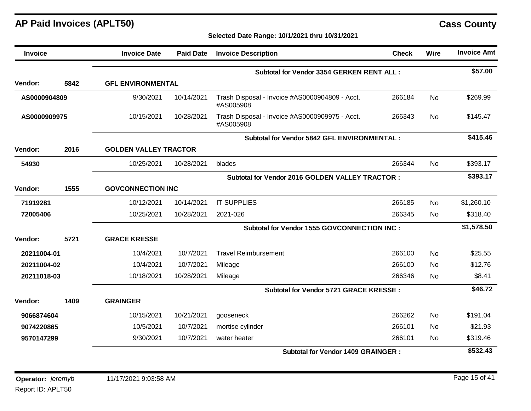| <b>Invoice</b> |      | <b>Invoice Date</b>          | <b>Paid Date</b>         | <b>Invoice Description</b>                                  | <b>Check</b> | <b>Wire</b> | <b>Invoice Amt</b> |  |
|----------------|------|------------------------------|--------------------------|-------------------------------------------------------------|--------------|-------------|--------------------|--|
|                |      |                              |                          | Subtotal for Vendor 3354 GERKEN RENT ALL :                  |              |             | \$57.00            |  |
| Vendor:        | 5842 | <b>GFL ENVIRONMENTAL</b>     |                          |                                                             |              |             |                    |  |
| AS0000904809   |      | 9/30/2021                    | 10/14/2021               | Trash Disposal - Invoice #AS0000904809 - Acct.<br>#AS005908 | 266184       | No          | \$269.99           |  |
| AS0000909975   |      | 10/15/2021                   | 10/28/2021               | Trash Disposal - Invoice #AS0000909975 - Acct.<br>#AS005908 | 266343       | No          | \$145.47           |  |
|                |      |                              |                          | <b>Subtotal for Vendor 5842 GFL ENVIRONMENTAL:</b>          |              |             | \$415.46           |  |
| Vendor:        | 2016 | <b>GOLDEN VALLEY TRACTOR</b> |                          |                                                             |              |             |                    |  |
| 54930          |      | 10/25/2021                   | 10/28/2021               | blades                                                      | 266344       | <b>No</b>   | \$393.17           |  |
|                |      |                              |                          | <b>Subtotal for Vendor 2016 GOLDEN VALLEY TRACTOR:</b>      |              |             | \$393.17           |  |
| Vendor:        | 1555 |                              | <b>GOVCONNECTION INC</b> |                                                             |              |             |                    |  |
| 71919281       |      | 10/12/2021                   | 10/14/2021               | <b>IT SUPPLIES</b>                                          | 266185       | No          | \$1,260.10         |  |
| 72005406       |      | 10/25/2021                   | 10/28/2021               | 2021-026                                                    | 266345       | <b>No</b>   | \$318.40           |  |
|                |      |                              |                          | Subtotal for Vendor 1555 GOVCONNECTION INC :                |              |             | \$1,578.50         |  |
| Vendor:        | 5721 | <b>GRACE KRESSE</b>          |                          |                                                             |              |             |                    |  |
| 20211004-01    |      | 10/4/2021                    | 10/7/2021                | <b>Travel Reimbursement</b>                                 | 266100       | <b>No</b>   | \$25.55            |  |
| 20211004-02    |      | 10/4/2021                    | 10/7/2021                | Mileage                                                     | 266100       | No          | \$12.76            |  |
| 20211018-03    |      | 10/18/2021                   | 10/28/2021               | Mileage                                                     | 266346       | No          | \$8.41             |  |
|                |      |                              |                          | Subtotal for Vendor 5721 GRACE KRESSE :                     |              |             | \$46.72            |  |
| Vendor:        | 1409 | <b>GRAINGER</b>              |                          |                                                             |              |             |                    |  |
| 9066874604     |      | 10/15/2021                   | 10/21/2021               | gooseneck                                                   | 266262       | <b>No</b>   | \$191.04           |  |
| 9074220865     |      | 10/5/2021                    | 10/7/2021                | mortise cylinder                                            | 266101       | <b>No</b>   | \$21.93            |  |
| 9570147299     |      | 9/30/2021                    | 10/7/2021                | water heater                                                | 266101       | No          | \$319.46           |  |
|                |      |                              |                          | <b>Subtotal for Vendor 1409 GRAINGER:</b>                   |              |             | \$532.43           |  |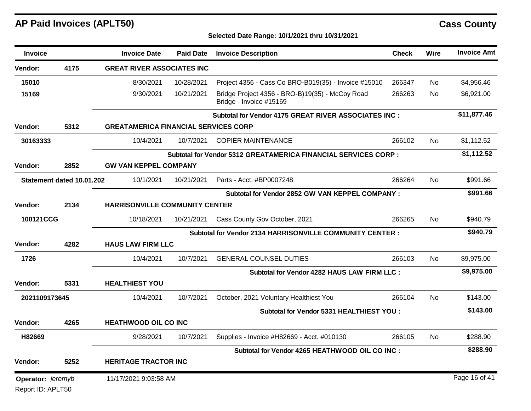Report ID: APLT50

| Invoice           |                           | <b>Invoice Date</b>                         | <b>Paid Date</b> | <b>Invoice Description</b>                                                 | <b>Check</b> | <b>Wire</b>    | <b>Invoice Amt</b> |
|-------------------|---------------------------|---------------------------------------------|------------------|----------------------------------------------------------------------------|--------------|----------------|--------------------|
| Vendor:           | 4175                      | <b>GREAT RIVER ASSOCIATES INC</b>           |                  |                                                                            |              |                |                    |
| 15010             |                           | 8/30/2021                                   | 10/28/2021       | Project 4356 - Cass Co BRO-B019(35) - Invoice #15010                       | 266347       | No             | \$4,956.46         |
| 15169             |                           | 9/30/2021                                   | 10/21/2021       | Bridge Project 4356 - BRO-B)19(35) - McCoy Road<br>Bridge - Invoice #15169 | 266263       | No             | \$6,921.00         |
|                   |                           |                                             |                  | Subtotal for Vendor 4175 GREAT RIVER ASSOCIATES INC :                      |              |                | \$11,877.46        |
| <b>Vendor:</b>    | 5312                      | <b>GREATAMERICA FINANCIAL SERVICES CORP</b> |                  |                                                                            |              |                |                    |
| 30163333          |                           | 10/4/2021                                   | 10/7/2021        | <b>COPIER MAINTENANCE</b>                                                  | 266102       | No             | \$1,112.52         |
|                   |                           |                                             |                  | Subtotal for Vendor 5312 GREATAMERICA FINANCIAL SERVICES CORP:             |              |                | \$1,112.52         |
| Vendor:           | 2852                      | <b>GW VAN KEPPEL COMPANY</b>                |                  |                                                                            |              |                |                    |
|                   | Statement dated 10.01.202 | 10/1/2021                                   | 10/21/2021       | Parts - Acct. #BP0007248                                                   | 266264       | <b>No</b>      | \$991.66           |
|                   |                           |                                             |                  | Subtotal for Vendor 2852 GW VAN KEPPEL COMPANY :                           |              |                | \$991.66           |
| <b>Vendor:</b>    | 2134                      | <b>HARRISONVILLE COMMUNITY CENTER</b>       |                  |                                                                            |              |                |                    |
| 100121CCG         |                           | 10/18/2021                                  | 10/21/2021       | Cass County Gov October, 2021                                              | 266265       | No.            | \$940.79           |
|                   |                           |                                             |                  | Subtotal for Vendor 2134 HARRISONVILLE COMMUNITY CENTER :                  |              |                | \$940.79           |
| <b>Vendor:</b>    | 4282                      | <b>HAUS LAW FIRM LLC</b>                    |                  |                                                                            |              |                |                    |
| 1726              |                           | 10/4/2021                                   | 10/7/2021        | <b>GENERAL COUNSEL DUTIES</b>                                              | 266103       | N <sub>o</sub> | \$9,975.00         |
|                   |                           |                                             |                  | Subtotal for Vendor 4282 HAUS LAW FIRM LLC :                               |              |                | \$9,975.00         |
| <b>Vendor:</b>    | 5331                      | <b>HEALTHIEST YOU</b>                       |                  |                                                                            |              |                |                    |
| 2021109173645     |                           | 10/4/2021                                   | 10/7/2021        | October, 2021 Voluntary Healthiest You                                     | 266104       | N <sub>o</sub> | \$143.00           |
|                   |                           |                                             |                  | Subtotal for Vendor 5331 HEALTHIEST YOU :                                  |              |                | \$143.00           |
| <b>Vendor:</b>    | 4265                      | <b>HEATHWOOD OIL CO INC</b>                 |                  |                                                                            |              |                |                    |
| H82669            |                           | 9/28/2021                                   | 10/7/2021        | Supplies - Invoice #H82669 - Acct. #010130                                 | 266105       | No.            | \$288.90           |
|                   |                           |                                             |                  | Subtotal for Vendor 4265 HEATHWOOD OIL CO INC :                            |              |                | \$288.90           |
| Vendor:           | 5252                      | <b>HERITAGE TRACTOR INC</b>                 |                  |                                                                            |              |                |                    |
| Operator: jeremyb |                           | 11/17/2021 9:03:58 AM                       |                  |                                                                            |              |                | Page 16 of 41      |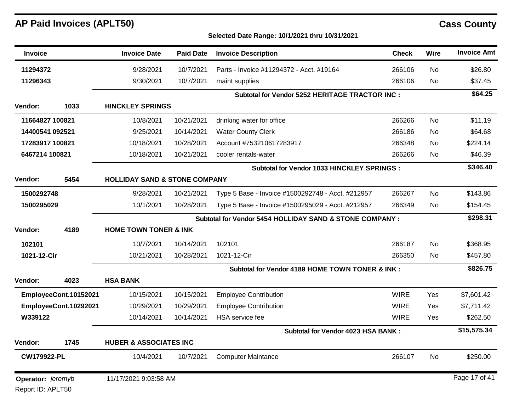Report ID: APLT50

| <b>Invoice</b>     |                       | <b>Invoice Date</b>                      | <b>Paid Date</b> | <b>Invoice Description</b>                               | <b>Check</b> | Wire      | <b>Invoice Amt</b> |
|--------------------|-----------------------|------------------------------------------|------------------|----------------------------------------------------------|--------------|-----------|--------------------|
| 11294372           |                       | 9/28/2021                                | 10/7/2021        | Parts - Invoice #11294372 - Acct. #19164                 | 266106       | No.       | \$26.80            |
| 11296343           |                       | 9/30/2021                                | 10/7/2021        | maint supplies                                           | 266106       | <b>No</b> | \$37.45            |
|                    |                       |                                          |                  | Subtotal for Vendor 5252 HERITAGE TRACTOR INC :          |              |           | \$64.25            |
| Vendor:            | 1033                  | <b>HINCKLEY SPRINGS</b>                  |                  |                                                          |              |           |                    |
| 11664827 100821    |                       | 10/8/2021                                | 10/21/2021       | drinking water for office                                | 266266       | <b>No</b> | \$11.19            |
| 14400541 092521    |                       | 9/25/2021                                | 10/14/2021       | <b>Water County Clerk</b>                                | 266186       | No        | \$64.68            |
| 17283917 100821    |                       | 10/18/2021                               | 10/28/2021       | Account #753210617283917                                 | 266348       | No        | \$224.14           |
| 6467214 100821     |                       | 10/18/2021                               | 10/21/2021       | cooler rentals-water                                     | 266266       | No        | \$46.39            |
|                    |                       |                                          |                  | <b>Subtotal for Vendor 1033 HINCKLEY SPRINGS:</b>        |              |           | \$346.40           |
| Vendor:            | 5454                  | <b>HOLLIDAY SAND &amp; STONE COMPANY</b> |                  |                                                          |              |           |                    |
| 1500292748         |                       | 9/28/2021                                | 10/21/2021       | Type 5 Base - Invoice #1500292748 - Acct. #212957        | 266267       | <b>No</b> | \$143.86           |
| 1500295029         |                       | 10/1/2021                                | 10/28/2021       | Type 5 Base - Invoice #1500295029 - Acct. #212957        | 266349       | No.       | \$154.45           |
|                    |                       |                                          |                  | Subtotal for Vendor 5454 HOLLIDAY SAND & STONE COMPANY : |              |           | \$298.31           |
| <b>Vendor:</b>     | 4189                  | <b>HOME TOWN TONER &amp; INK</b>         |                  |                                                          |              |           |                    |
| 102101             |                       | 10/7/2021                                | 10/14/2021       | 102101                                                   | 266187       | <b>No</b> | \$368.95           |
| 1021-12-Cir        |                       | 10/21/2021                               | 10/28/2021       | 1021-12-Cir                                              | 266350       | No        | \$457.80           |
|                    |                       |                                          |                  | Subtotal for Vendor 4189 HOME TOWN TONER & INK :         |              |           | \$826.75           |
| Vendor:            | 4023                  | <b>HSA BANK</b>                          |                  |                                                          |              |           |                    |
|                    | EmployeeCont.10152021 | 10/15/2021                               | 10/15/2021       | <b>Employee Contribution</b>                             | <b>WIRE</b>  | Yes       | \$7,601.42         |
|                    | EmployeeCont.10292021 | 10/29/2021                               | 10/29/2021       | <b>Employee Contribution</b>                             | <b>WIRE</b>  | Yes       | \$7,711.42         |
| W339122            |                       | 10/14/2021                               | 10/14/2021       | HSA service fee                                          | <b>WIRE</b>  | Yes       | \$262.50           |
|                    |                       |                                          |                  | <b>Subtotal for Vendor 4023 HSA BANK:</b>                |              |           | \$15,575.34        |
| Vendor:            | 1745                  | <b>HUBER &amp; ASSOCIATES INC</b>        |                  |                                                          |              |           |                    |
| <b>CW179922-PL</b> |                       | 10/4/2021                                | 10/7/2021        | <b>Computer Maintance</b>                                | 266107       | <b>No</b> | \$250.00           |
| Operator: jeremyb  |                       | 11/17/2021 9:03:58 AM                    |                  |                                                          |              |           | Page 17 of 41      |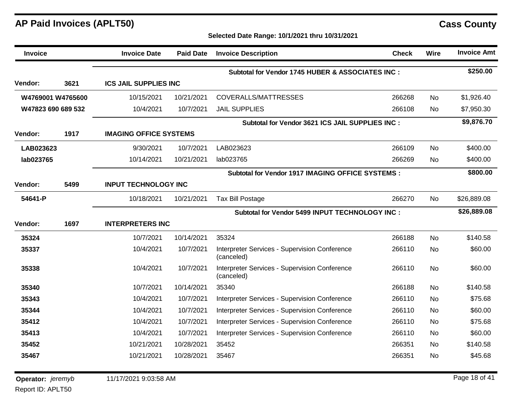| Invoice            |      | <b>Invoice Date</b>           | <b>Paid Date</b>            | <b>Invoice Description</b>                                  | <b>Check</b> | Wire      | <b>Invoice Amt</b> |  |  |
|--------------------|------|-------------------------------|-----------------------------|-------------------------------------------------------------|--------------|-----------|--------------------|--|--|
|                    |      |                               |                             | Subtotal for Vendor 1745 HUBER & ASSOCIATES INC :           |              |           | \$250.00           |  |  |
| Vendor:            | 3621 | <b>ICS JAIL SUPPLIES INC</b>  |                             |                                                             |              |           |                    |  |  |
| W4769001 W4765600  |      | 10/15/2021                    | 10/21/2021                  | COVERALLS/MATTRESSES                                        | 266268       | <b>No</b> | \$1,926.40         |  |  |
| W47823 690 689 532 |      | 10/4/2021                     | 10/7/2021                   | <b>JAIL SUPPLIES</b>                                        | 266108       | No        | \$7,950.30         |  |  |
|                    |      |                               |                             | Subtotal for Vendor 3621 ICS JAIL SUPPLIES INC :            |              |           | \$9,876.70         |  |  |
| Vendor:            | 1917 | <b>IMAGING OFFICE SYSTEMS</b> |                             |                                                             |              |           |                    |  |  |
| LAB023623          |      | 9/30/2021                     | 10/7/2021                   | LAB023623                                                   | 266109       | <b>No</b> | \$400.00           |  |  |
| lab023765          |      | 10/14/2021                    | 10/21/2021                  | lab023765                                                   | 266269       | No        | \$400.00           |  |  |
|                    |      |                               |                             | Subtotal for Vendor 1917 IMAGING OFFICE SYSTEMS :           |              |           | \$800.00           |  |  |
| Vendor:            | 5499 |                               | <b>INPUT TECHNOLOGY INC</b> |                                                             |              |           |                    |  |  |
| 54641-P            |      | 10/18/2021                    | 10/21/2021                  | <b>Tax Bill Postage</b>                                     | 266270       | No        | \$26,889.08        |  |  |
|                    |      |                               |                             | Subtotal for Vendor 5499 INPUT TECHNOLOGY INC :             |              |           | \$26,889.08        |  |  |
| Vendor:            | 1697 | <b>INTERPRETERS INC</b>       |                             |                                                             |              |           |                    |  |  |
| 35324              |      | 10/7/2021                     | 10/14/2021                  | 35324                                                       | 266188       | <b>No</b> | \$140.58           |  |  |
| 35337              |      | 10/4/2021                     | 10/7/2021                   | Interpreter Services - Supervision Conference<br>(canceled) | 266110       | <b>No</b> | \$60.00            |  |  |
| 35338              |      | 10/4/2021                     | 10/7/2021                   | Interpreter Services - Supervision Conference<br>(canceled) | 266110       | <b>No</b> | \$60.00            |  |  |
| 35340              |      | 10/7/2021                     | 10/14/2021                  | 35340                                                       | 266188       | <b>No</b> | \$140.58           |  |  |
| 35343              |      | 10/4/2021                     | 10/7/2021                   | Interpreter Services - Supervision Conference               | 266110       | No        | \$75.68            |  |  |
| 35344              |      | 10/4/2021                     | 10/7/2021                   | Interpreter Services - Supervision Conference               | 266110       | <b>No</b> | \$60.00            |  |  |
| 35412              |      | 10/4/2021                     | 10/7/2021                   | Interpreter Services - Supervision Conference               | 266110       | No        | \$75.68            |  |  |
| 35413              |      | 10/4/2021                     | 10/7/2021                   | Interpreter Services - Supervision Conference               | 266110       | No        | \$60.00            |  |  |
| 35452              |      | 10/21/2021                    | 10/28/2021                  | 35452                                                       | 266351       | No        | \$140.58           |  |  |
| 35467              |      | 10/21/2021                    | 10/28/2021                  | 35467                                                       | 266351       | No        | \$45.68            |  |  |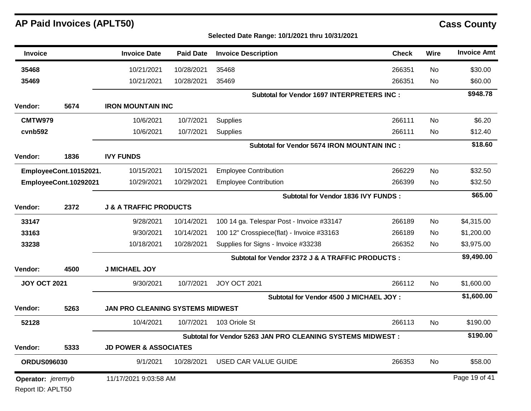| <b>Invoice</b>      |                        | <b>Invoice Date</b>               | <b>Paid Date</b> | <b>Invoice Description</b>                                  | <b>Check</b> | Wire      | <b>Invoice Amt</b> |
|---------------------|------------------------|-----------------------------------|------------------|-------------------------------------------------------------|--------------|-----------|--------------------|
| 35468               |                        | 10/21/2021                        | 10/28/2021       | 35468                                                       | 266351       | No        | \$30.00            |
| 35469               |                        | 10/21/2021                        | 10/28/2021       | 35469                                                       | 266351       | No        | \$60.00            |
|                     |                        |                                   |                  | Subtotal for Vendor 1697 INTERPRETERS INC :                 |              |           | \$948.78           |
| Vendor:             | 5674                   | <b>IRON MOUNTAIN INC</b>          |                  |                                                             |              |           |                    |
| <b>CMTW979</b>      |                        | 10/6/2021                         | 10/7/2021        | Supplies                                                    | 266111       | <b>No</b> | \$6.20             |
| cvnb592             |                        | 10/6/2021                         | 10/7/2021        | Supplies                                                    | 266111       | No        | \$12.40            |
|                     |                        |                                   |                  | Subtotal for Vendor 5674 IRON MOUNTAIN INC :                |              |           | \$18.60            |
| Vendor:             | 1836                   | <b>IVY FUNDS</b>                  |                  |                                                             |              |           |                    |
|                     | EmployeeCont.10152021. | 10/15/2021                        | 10/15/2021       | <b>Employee Contribution</b>                                | 266229       | <b>No</b> | \$32.50            |
|                     | EmployeeCont.10292021  | 10/29/2021                        | 10/29/2021       | <b>Employee Contribution</b>                                | 266399       | No        | \$32.50            |
|                     |                        |                                   |                  | Subtotal for Vendor 1836 IVY FUNDS :                        |              |           | \$65.00            |
| Vendor:             | 2372                   | <b>J &amp; A TRAFFIC PRODUCTS</b> |                  |                                                             |              |           |                    |
| 33147               |                        | 9/28/2021                         | 10/14/2021       | 100 14 ga. Telespar Post - Invoice #33147                   | 266189       | <b>No</b> | \$4,315.00         |
| 33163               |                        | 9/30/2021                         | 10/14/2021       | 100 12" Crosspiece(flat) - Invoice #33163                   | 266189       | No        | \$1,200.00         |
| 33238               |                        | 10/18/2021                        | 10/28/2021       | Supplies for Signs - Invoice #33238                         | 266352       | No        | \$3,975.00         |
|                     |                        |                                   |                  | Subtotal for Vendor 2372 J & A TRAFFIC PRODUCTS:            |              |           | \$9,490.00         |
| Vendor:             | 4500                   | <b>J MICHAEL JOY</b>              |                  |                                                             |              |           |                    |
| <b>JOY OCT 2021</b> |                        | 9/30/2021                         | 10/7/2021        | <b>JOY OCT 2021</b>                                         | 266112       | No        | \$1,600.00         |
|                     |                        |                                   |                  | Subtotal for Vendor 4500 J MICHAEL JOY :                    |              |           | \$1,600.00         |
| Vendor:             | 5263                   | JAN PRO CLEANING SYSTEMS MIDWEST  |                  |                                                             |              |           |                    |
| 52128               |                        | 10/4/2021                         | 10/7/2021        | 103 Oriole St                                               | 266113       | No        | \$190.00           |
|                     |                        |                                   |                  | Subtotal for Vendor 5263 JAN PRO CLEANING SYSTEMS MIDWEST : |              |           | \$190.00           |
| Vendor:             | 5333                   | <b>JD POWER &amp; ASSOCIATES</b>  |                  |                                                             |              |           |                    |
| <b>ORDUS096030</b>  |                        | 9/1/2021                          | 10/28/2021       | <b>USED CAR VALUE GUIDE</b>                                 | 266353       | <b>No</b> | \$58.00            |
| Operator: jeremyb   |                        | 11/17/2021 9:03:58 AM             |                  |                                                             |              |           | Page 19 of 41      |
| Report ID: APLT50   |                        |                                   |                  |                                                             |              |           |                    |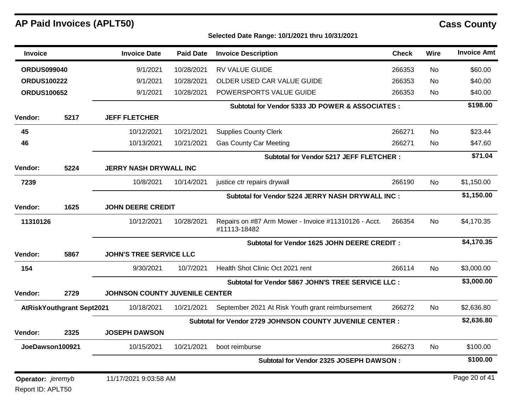Report ID: APLT50

| <b>Invoice</b>     |                                  | <b>Invoice Date</b>            | <b>Paid Date</b>                               | <b>Invoice Description</b>                                           | <b>Check</b> | Wire      | <b>Invoice Amt</b> |
|--------------------|----------------------------------|--------------------------------|------------------------------------------------|----------------------------------------------------------------------|--------------|-----------|--------------------|
| <b>ORDUS099040</b> |                                  | 9/1/2021                       | 10/28/2021                                     | <b>RV VALUE GUIDE</b>                                                | 266353       | <b>No</b> | \$60.00            |
| <b>ORDUS100222</b> |                                  | 9/1/2021                       | 10/28/2021                                     | OLDER USED CAR VALUE GUIDE                                           | 266353       | <b>No</b> | \$40.00            |
| <b>ORDUS100652</b> |                                  | 9/1/2021                       | 10/28/2021                                     | POWERSPORTS VALUE GUIDE                                              | 266353       | No        | \$40.00            |
|                    |                                  |                                |                                                | Subtotal for Vendor 5333 JD POWER & ASSOCIATES :                     |              |           | \$198.00           |
| <b>Vendor:</b>     | 5217                             | <b>JEFF FLETCHER</b>           |                                                |                                                                      |              |           |                    |
| 45                 |                                  | 10/12/2021                     | 10/21/2021                                     | <b>Supplies County Clerk</b>                                         | 266271       | <b>No</b> | \$23.44            |
| 46                 |                                  | 10/13/2021                     | 10/21/2021                                     | <b>Gas County Car Meeting</b>                                        | 266271       | <b>No</b> | \$47.60            |
|                    |                                  |                                | <b>Subtotal for Vendor 5217 JEFF FLETCHER:</b> |                                                                      |              | \$71.04   |                    |
| <b>Vendor:</b>     | 5224                             |                                | JERRY NASH DRYWALL INC                         |                                                                      |              |           |                    |
| 7239               |                                  | 10/8/2021                      | 10/14/2021                                     | justice ctr repairs drywall                                          | 266190       | No        | \$1,150.00         |
|                    |                                  |                                |                                                | Subtotal for Vendor 5224 JERRY NASH DRYWALL INC :                    |              |           | \$1,150.00         |
| <b>Vendor:</b>     | 1625                             | <b>JOHN DEERE CREDIT</b>       |                                                |                                                                      |              |           |                    |
| 11310126           |                                  | 10/12/2021                     | 10/28/2021                                     | Repairs on #87 Arm Mower - Invoice #11310126 - Acct.<br>#11113-18482 | 266354       | <b>No</b> | \$4,170.35         |
|                    |                                  |                                |                                                | Subtotal for Vendor 1625 JOHN DEERE CREDIT :                         |              |           | \$4,170.35         |
| Vendor:            | 5867                             | <b>JOHN'S TREE SERVICE LLC</b> |                                                |                                                                      |              |           |                    |
| 154                |                                  | 9/30/2021                      | 10/7/2021                                      | Health Shot Clinic Oct 2021 rent                                     | 266114       | No.       | \$3,000.00         |
|                    |                                  |                                |                                                | Subtotal for Vendor 5867 JOHN'S TREE SERVICE LLC :                   |              |           | \$3,000.00         |
| Vendor:            | 2729                             | JOHNSON COUNTY JUVENILE CENTER |                                                |                                                                      |              |           |                    |
|                    | <b>AtRiskYouthgrant Sept2021</b> | 10/18/2021                     | 10/21/2021                                     | September 2021 At Risk Youth grant reimbursement                     | 266272       | No.       | \$2,636.80         |
|                    |                                  |                                |                                                | Subtotal for Vendor 2729 JOHNSON COUNTY JUVENILE CENTER :            |              |           | \$2,636.80         |
| <b>Vendor:</b>     | 2325                             | <b>JOSEPH DAWSON</b>           |                                                |                                                                      |              |           |                    |
| JoeDawson100921    |                                  | 10/15/2021                     | 10/21/2021                                     | boot reimburse                                                       | 266273       | No.       | \$100.00           |
|                    |                                  |                                |                                                | Subtotal for Vendor 2325 JOSEPH DAWSON :                             |              |           | \$100.00           |
| Operator: jeremyb  |                                  | 11/17/2021 9:03:58 AM          |                                                |                                                                      |              |           | Page 20 of 41      |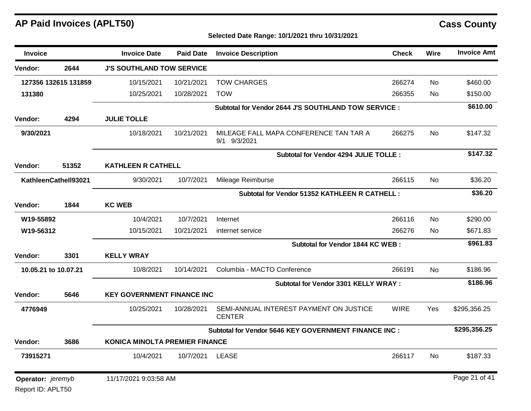**Selected Date Range: 10/1/2021 thru 10/31/2021**

| <b>Invoice</b>                  |                      | <b>Invoice Date</b>                   | <b>Paid Date</b> | <b>Invoice Description</b>                               | <b>Check</b> | Wire       | <b>Invoice Amt</b> |
|---------------------------------|----------------------|---------------------------------------|------------------|----------------------------------------------------------|--------------|------------|--------------------|
| Vendor:                         | 2644                 | <b>J'S SOUTHLAND TOW SERVICE</b>      |                  |                                                          |              |            |                    |
|                                 | 127356 132615 131859 | 10/15/2021                            | 10/21/2021       | <b>TOW CHARGES</b>                                       | 266274       | <b>No</b>  | \$460.00           |
| 131380                          |                      | 10/25/2021                            | 10/28/2021       | <b>TOW</b>                                               | 266355       | No.        | \$150.00           |
|                                 |                      |                                       |                  | Subtotal for Vendor 2644 J'S SOUTHLAND TOW SERVICE :     |              |            | \$610.00           |
| Vendor:                         | 4294                 | <b>JULIE TOLLE</b>                    |                  |                                                          |              |            |                    |
| 9/30/2021                       |                      | 10/18/2021                            | 10/21/2021       | MILEAGE FALL MAPA CONFERENCE TAN TAR A<br>9/1 9/3/2021   | 266275       | No.        | \$147.32           |
|                                 |                      |                                       |                  | Subtotal for Vendor 4294 JULIE TOLLE :                   |              |            | \$147.32           |
| Vendor:                         | 51352                | <b>KATHLEEN R CATHELL</b>             |                  |                                                          |              |            |                    |
|                                 | KathleenCathell93021 | 9/30/2021                             | 10/7/2021        | Mileage Reimburse                                        | 266115       | <b>No</b>  | \$36.20            |
|                                 |                      |                                       |                  | Subtotal for Vendor 51352 KATHLEEN R CATHELL :           |              |            | \$36.20            |
| Vendor:                         | 1844                 | <b>KC WEB</b>                         |                  |                                                          |              |            |                    |
| W19-55892                       |                      | 10/4/2021                             | 10/7/2021        | Internet                                                 | 266116       | No         | \$290.00           |
| W19-56312                       |                      | 10/15/2021                            | 10/21/2021       | internet service                                         | 266276       | No         | \$671.83           |
|                                 |                      |                                       |                  | Subtotal for Vendor 1844 KC WEB:                         |              |            | \$961.83           |
| Vendor:                         | 3301                 | <b>KELLY WRAY</b>                     |                  |                                                          |              |            |                    |
| 10.05.21 to 10.07.21            |                      | 10/8/2021                             | 10/14/2021       | Columbia - MACTO Conference                              | 266191       | No.        | \$186.96           |
|                                 |                      |                                       |                  | Subtotal for Vendor 3301 KELLY WRAY:                     |              |            | \$186.96           |
| Vendor:                         | 5646                 | <b>KEY GOVERNMENT FINANCE INC</b>     |                  |                                                          |              |            |                    |
| 4776949                         |                      | 10/25/2021                            | 10/28/2021       | SEMI-ANNUAL INTEREST PAYMENT ON JUSTICE<br><b>CENTER</b> | <b>WIRE</b>  | <b>Yes</b> | \$295,356.25       |
|                                 |                      |                                       |                  | Subtotal for Vendor 5646 KEY GOVERNMENT FINANCE INC :    |              |            | \$295,356.25       |
| Vendor:                         | 3686                 | <b>KONICA MINOLTA PREMIER FINANCE</b> |                  |                                                          |              |            |                    |
| 73915271                        |                      | 10/4/2021                             | 10/7/2021        | <b>LEASE</b>                                             | 266117       | <b>No</b>  | \$187.33           |
| <b>Operator:</b> <i>jeremyb</i> |                      | 11/17/2021 9:03:58 AM                 |                  |                                                          |              |            | Page 21 of 41      |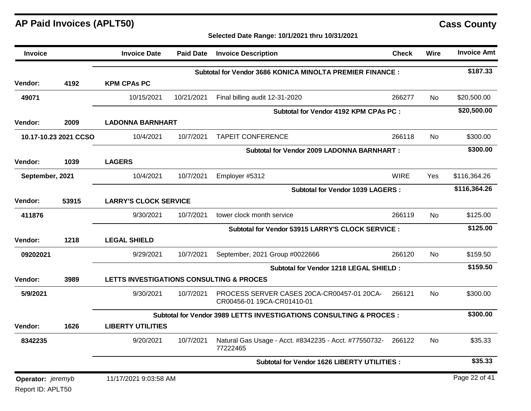| <b>Invoice</b>                         |                       | <b>Invoice Date</b>                      | <b>Paid Date</b>                                          | <b>Invoice Description</b>                                                     | Check       | Wire | <b>Invoice Amt</b> |  |
|----------------------------------------|-----------------------|------------------------------------------|-----------------------------------------------------------|--------------------------------------------------------------------------------|-------------|------|--------------------|--|
|                                        |                       |                                          | Subtotal for Vendor 3686 KONICA MINOLTA PREMIER FINANCE : |                                                                                |             |      |                    |  |
| <b>Vendor:</b>                         | 4192                  | <b>KPM CPAs PC</b>                       |                                                           |                                                                                |             |      |                    |  |
| 49071                                  |                       | 10/15/2021                               | 10/21/2021                                                | Final billing audit 12-31-2020                                                 | 266277      | No.  | \$20,500.00        |  |
|                                        |                       |                                          |                                                           | Subtotal for Vendor 4192 KPM CPAs PC :                                         |             |      | \$20,500.00        |  |
| Vendor:                                | 2009                  | <b>LADONNA BARNHART</b>                  |                                                           |                                                                                |             |      |                    |  |
|                                        | 10.17-10.23 2021 CCSO | 10/4/2021                                | 10/7/2021                                                 | <b>TAPEIT CONFERENCE</b>                                                       | 266118      | No.  | \$300.00           |  |
|                                        |                       |                                          |                                                           | <b>Subtotal for Vendor 2009 LADONNA BARNHART:</b>                              |             |      | \$300.00           |  |
| Vendor:                                | 1039                  | <b>LAGERS</b>                            |                                                           |                                                                                |             |      |                    |  |
| September, 2021                        |                       | 10/4/2021                                | 10/7/2021                                                 | Employer #5312                                                                 | <b>WIRE</b> | Yes  | \$116,364.26       |  |
|                                        |                       |                                          |                                                           | <b>Subtotal for Vendor 1039 LAGERS:</b>                                        |             |      | \$116,364.26       |  |
| <b>Vendor:</b>                         | 53915                 |                                          | <b>LARRY'S CLOCK SERVICE</b>                              |                                                                                |             |      |                    |  |
| 411876                                 |                       | 9/30/2021                                | 10/7/2021                                                 | tower clock month service                                                      | 266119      | No.  | \$125.00           |  |
|                                        |                       |                                          |                                                           | Subtotal for Vendor 53915 LARRY'S CLOCK SERVICE :                              |             |      | \$125.00           |  |
| <b>Vendor:</b>                         | 1218                  | <b>LEGAL SHIELD</b>                      |                                                           |                                                                                |             |      |                    |  |
| 09202021                               |                       | 9/29/2021                                | 10/7/2021                                                 | September, 2021 Group #0022666                                                 | 266120      | No   | \$159.50           |  |
|                                        |                       |                                          |                                                           | Subtotal for Vendor 1218 LEGAL SHIELD :                                        |             |      | \$159.50           |  |
| <b>Vendor:</b>                         | 3989                  | LETTS INVESTIGATIONS CONSULTING & PROCES |                                                           |                                                                                |             |      |                    |  |
| 5/9/2021                               |                       | 9/30/2021                                | 10/7/2021                                                 | PROCESS SERVER CASES 20CA-CR00457-01 20CA-<br>CR00456-01 19CA-CR01410-01       | 266121      | No.  | \$300.00           |  |
|                                        |                       |                                          |                                                           | <b>Subtotal for Vendor 3989 LETTS INVESTIGATIONS CONSULTING &amp; PROCES :</b> |             |      | \$300.00           |  |
| Vendor:                                | 1626                  | <b>LIBERTY UTILITIES</b>                 |                                                           |                                                                                |             |      |                    |  |
| 8342235                                |                       | 9/20/2021                                | 10/7/2021                                                 | Natural Gas Usage - Acct. #8342235 - Acct. #77550732-<br>77222465              | 266122      | No.  | \$35.33            |  |
|                                        |                       |                                          |                                                           | <b>Subtotal for Vendor 1626 LIBERTY UTILITIES :</b>                            |             |      | \$35.33            |  |
| Operator: jeremyb<br>Report ID: APLT50 |                       | 11/17/2021 9:03:58 AM                    |                                                           |                                                                                |             |      | Page 22 of 41      |  |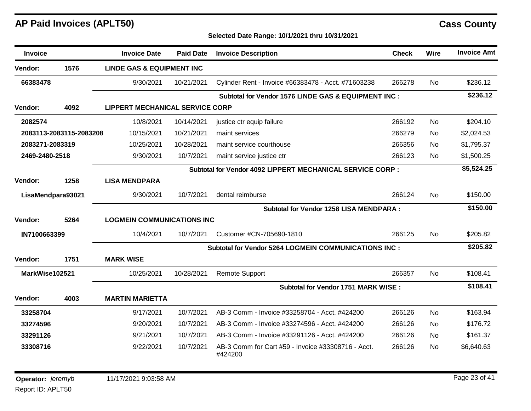| <b>Invoice</b>    |                         | <b>Invoice Date</b>                    | <b>Paid Date</b> | <b>Invoice Description</b>                                    | <b>Check</b> | Wire      | <b>Invoice Amt</b> |
|-------------------|-------------------------|----------------------------------------|------------------|---------------------------------------------------------------|--------------|-----------|--------------------|
| <b>Vendor:</b>    | 1576                    | <b>LINDE GAS &amp; EQUIPMENT INC</b>   |                  |                                                               |              |           |                    |
| 66383478          |                         | 9/30/2021                              | 10/21/2021       | Cylinder Rent - Invoice #66383478 - Acct. #71603238           | 266278       | <b>No</b> | \$236.12           |
|                   |                         |                                        |                  | Subtotal for Vendor 1576 LINDE GAS & EQUIPMENT INC :          |              |           | \$236.12           |
| <b>Vendor:</b>    | 4092                    | <b>LIPPERT MECHANICAL SERVICE CORP</b> |                  |                                                               |              |           |                    |
| 2082574           |                         | 10/8/2021                              | 10/14/2021       | justice ctr equip failure                                     | 266192       | <b>No</b> | \$204.10           |
|                   | 2083113-2083115-2083208 | 10/15/2021                             | 10/21/2021       | maint services                                                | 266279       | <b>No</b> | \$2,024.53         |
| 2083271-2083319   |                         | 10/25/2021                             | 10/28/2021       | maint service courthouse                                      | 266356       | No.       | \$1,795.37         |
| 2469-2480-2518    |                         | 9/30/2021                              | 10/7/2021        | maint service justice ctr                                     | 266123       | No.       | \$1,500.25         |
|                   |                         |                                        |                  | Subtotal for Vendor 4092 LIPPERT MECHANICAL SERVICE CORP :    |              |           | \$5,524.25         |
| <b>Vendor:</b>    | 1258                    | <b>LISA MENDPARA</b>                   |                  |                                                               |              |           |                    |
| LisaMendpara93021 |                         | 9/30/2021                              | 10/7/2021        | dental reimburse                                              | 266124       | <b>No</b> | \$150.00           |
|                   |                         |                                        |                  | <b>Subtotal for Vendor 1258 LISA MENDPARA:</b>                |              |           | \$150.00           |
| Vendor:           | 5264                    | <b>LOGMEIN COMMUNICATIONS INC</b>      |                  |                                                               |              |           |                    |
| IN7100663399      |                         | 10/4/2021                              | 10/7/2021        | Customer #CN-705690-1810                                      | 266125       | <b>No</b> | \$205.82           |
|                   |                         |                                        |                  | Subtotal for Vendor 5264 LOGMEIN COMMUNICATIONS INC:          |              |           | \$205.82           |
| Vendor:           | 1751                    | <b>MARK WISE</b>                       |                  |                                                               |              |           |                    |
| MarkWise102521    |                         | 10/25/2021                             | 10/28/2021       | <b>Remote Support</b>                                         | 266357       | <b>No</b> | \$108.41           |
|                   |                         |                                        |                  | Subtotal for Vendor 1751 MARK WISE:                           |              |           | \$108.41           |
| Vendor:           | 4003                    | <b>MARTIN MARIETTA</b>                 |                  |                                                               |              |           |                    |
| 33258704          |                         | 9/17/2021                              | 10/7/2021        | AB-3 Comm - Invoice #33258704 - Acct. #424200                 | 266126       | <b>No</b> | \$163.94           |
| 33274596          |                         | 9/20/2021                              | 10/7/2021        | AB-3 Comm - Invoice #33274596 - Acct. #424200                 | 266126       | No        | \$176.72           |
| 33291126          |                         | 9/21/2021                              | 10/7/2021        | AB-3 Comm - Invoice #33291126 - Acct. #424200                 | 266126       | <b>No</b> | \$161.37           |
| 33308716          |                         | 9/22/2021                              | 10/7/2021        | AB-3 Comm for Cart #59 - Invoice #33308716 - Acct.<br>#424200 | 266126       | <b>No</b> | \$6,640.63         |
|                   |                         |                                        |                  |                                                               |              |           |                    |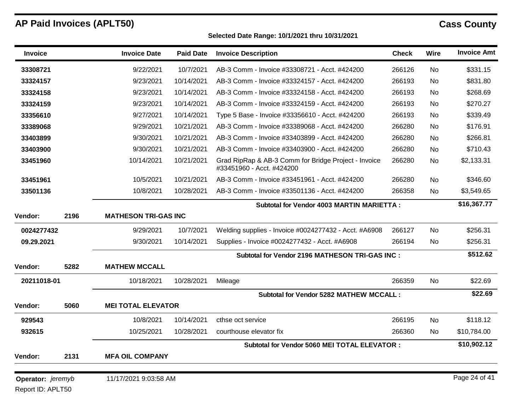Report ID: APLT50

| <b>Invoice</b>    |      | <b>Invoice Date</b>         | <b>Paid Date</b> | <b>Invoice Description</b>                                                        | <b>Check</b> | Wire      | <b>Invoice Amt</b> |
|-------------------|------|-----------------------------|------------------|-----------------------------------------------------------------------------------|--------------|-----------|--------------------|
| 33308721          |      | 9/22/2021                   | 10/7/2021        | AB-3 Comm - Invoice #33308721 - Acct. #424200                                     | 266126       | <b>No</b> | \$331.15           |
| 33324157          |      | 9/23/2021                   | 10/14/2021       | AB-3 Comm - Invoice #33324157 - Acct. #424200                                     | 266193       | <b>No</b> | \$831.80           |
| 33324158          |      | 9/23/2021                   | 10/14/2021       | AB-3 Comm - Invoice #33324158 - Acct. #424200                                     | 266193       | No        | \$268.69           |
| 33324159          |      | 9/23/2021                   | 10/14/2021       | AB-3 Comm - Invoice #33324159 - Acct. #424200                                     | 266193       | No        | \$270.27           |
| 33356610          |      | 9/27/2021                   | 10/14/2021       | Type 5 Base - Invoice #33356610 - Acct. #424200                                   | 266193       | No        | \$339.49           |
| 33389068          |      | 9/29/2021                   | 10/21/2021       | AB-3 Comm - Invoice #33389068 - Acct. #424200                                     | 266280       | <b>No</b> | \$176.91           |
| 33403899          |      | 9/30/2021                   | 10/21/2021       | AB-3 Comm - Invoice #33403899 - Acct. #424200                                     | 266280       | No.       | \$266.81           |
| 33403900          |      | 9/30/2021                   | 10/21/2021       | AB-3 Comm - Invoice #33403900 - Acct. #424200                                     | 266280       | No        | \$710.43           |
| 33451960          |      | 10/14/2021                  | 10/21/2021       | Grad RipRap & AB-3 Comm for Bridge Project - Invoice<br>#33451960 - Acct. #424200 | 266280       | No        | \$2,133.31         |
| 33451961          |      | 10/5/2021                   | 10/21/2021       | AB-3 Comm - Invoice #33451961 - Acct. #424200                                     | 266280       | No        | \$346.60           |
| 33501136          |      | 10/8/2021                   | 10/28/2021       | AB-3 Comm - Invoice #33501136 - Acct. #424200                                     | 266358       | No        | \$3,549.65         |
|                   |      |                             |                  | Subtotal for Vendor 4003 MARTIN MARIETTA:                                         |              |           | \$16,367.77        |
| Vendor:           | 2196 | <b>MATHESON TRI-GAS INC</b> |                  |                                                                                   |              |           |                    |
| 0024277432        |      | 9/29/2021                   | 10/7/2021        | Welding supplies - Invoice #0024277432 - Acct. #A6908                             | 266127       | No        | \$256.31           |
| 09.29.2021        |      | 9/30/2021                   | 10/14/2021       | Supplies - Invoice #0024277432 - Acct. #A6908                                     | 266194       | No        | \$256.31           |
|                   |      |                             |                  | Subtotal for Vendor 2196 MATHESON TRI-GAS INC :                                   |              |           | \$512.62           |
| Vendor:           | 5282 | <b>MATHEW MCCALL</b>        |                  |                                                                                   |              |           |                    |
| 20211018-01       |      | 10/18/2021                  | 10/28/2021       | Mileage                                                                           | 266359       | <b>No</b> | \$22.69            |
|                   |      |                             |                  | Subtotal for Vendor 5282 MATHEW MCCALL :                                          |              |           | \$22.69            |
| Vendor:           | 5060 | <b>MEI TOTAL ELEVATOR</b>   |                  |                                                                                   |              |           |                    |
| 929543            |      | 10/8/2021                   | 10/14/2021       | cthse oct service                                                                 | 266195       | No        | \$118.12           |
| 932615            |      | 10/25/2021                  | 10/28/2021       | courthouse elevator fix                                                           | 266360       | No.       | \$10,784.00        |
|                   |      |                             |                  | Subtotal for Vendor 5060 MEI TOTAL ELEVATOR :                                     |              |           | \$10,902.12        |
| Vendor:           | 2131 | <b>MFA OIL COMPANY</b>      |                  |                                                                                   |              |           |                    |
| Operator: jeremyb |      | 11/17/2021 9:03:58 AM       |                  |                                                                                   |              |           | Page 24 of 41      |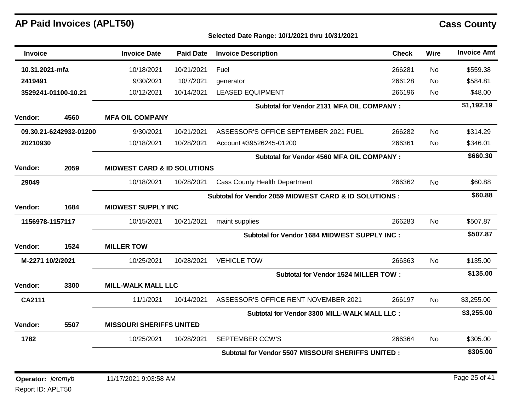| <b>Invoice</b>   |                        | <b>Invoice Date</b>                    | <b>Paid Date</b> | <b>Invoice Description</b>                             | <b>Check</b> | Wire | <b>Invoice Amt</b> |
|------------------|------------------------|----------------------------------------|------------------|--------------------------------------------------------|--------------|------|--------------------|
| 10.31.2021-mfa   |                        | 10/18/2021                             | 10/21/2021       | Fuel                                                   | 266281       | No   | \$559.38           |
| 2419491          |                        | 9/30/2021                              | 10/7/2021        | generator                                              | 266128       | No   | \$584.81           |
|                  | 3529241-01100-10.21    | 10/12/2021                             | 10/14/2021       | <b>LEASED EQUIPMENT</b>                                | 266196       | No   | \$48.00            |
|                  |                        |                                        |                  | Subtotal for Vendor 2131 MFA OIL COMPANY :             |              |      | \$1,192.19         |
| Vendor:          | 4560                   | <b>MFA OIL COMPANY</b>                 |                  |                                                        |              |      |                    |
|                  | 09.30.21-6242932-01200 | 9/30/2021                              | 10/21/2021       | ASSESSOR'S OFFICE SEPTEMBER 2021 FUEL                  | 266282       | No   | \$314.29           |
| 20210930         |                        | 10/18/2021                             | 10/28/2021       | Account #39526245-01200                                | 266361       | No   | \$346.01           |
|                  |                        |                                        |                  | <b>Subtotal for Vendor 4560 MFA OIL COMPANY:</b>       |              |      | \$660.30           |
| Vendor:          | 2059                   | <b>MIDWEST CARD &amp; ID SOLUTIONS</b> |                  |                                                        |              |      |                    |
| 29049            |                        | 10/18/2021                             | 10/28/2021       | <b>Cass County Health Department</b>                   | 266362       | No   | \$60.88            |
|                  |                        |                                        |                  | Subtotal for Vendor 2059 MIDWEST CARD & ID SOLUTIONS : |              |      | \$60.88            |
| <b>Vendor:</b>   | 1684                   | <b>MIDWEST SUPPLY INC</b>              |                  |                                                        |              |      |                    |
| 1156978-1157117  |                        | 10/15/2021                             | 10/21/2021       | maint supplies                                         | 266283       | No   | \$507.87           |
|                  |                        |                                        |                  | <b>Subtotal for Vendor 1684 MIDWEST SUPPLY INC:</b>    |              |      | \$507.87           |
| <b>Vendor:</b>   | 1524                   | <b>MILLER TOW</b>                      |                  |                                                        |              |      |                    |
| M-2271 10/2/2021 |                        | 10/25/2021                             | 10/28/2021       | <b>VEHICLE TOW</b>                                     | 266363       | No   | \$135.00           |
|                  |                        |                                        |                  | <b>Subtotal for Vendor 1524 MILLER TOW:</b>            |              |      | \$135.00           |
| <b>Vendor:</b>   | 3300                   | <b>MILL-WALK MALL LLC</b>              |                  |                                                        |              |      |                    |
| CA2111           |                        | 11/1/2021                              | 10/14/2021       | ASSESSOR'S OFFICE RENT NOVEMBER 2021                   | 266197       | No   | \$3,255.00         |
|                  |                        |                                        |                  | Subtotal for Vendor 3300 MILL-WALK MALL LLC :          |              |      | \$3,255.00         |
| Vendor:          | 5507                   | <b>MISSOURI SHERIFFS UNITED</b>        |                  |                                                        |              |      |                    |
| 1782             |                        | 10/25/2021                             | 10/28/2021       | SEPTEMBER CCW'S                                        | 266364       | No   | \$305.00           |
|                  |                        |                                        |                  | Subtotal for Vendor 5507 MISSOURI SHERIFFS UNITED:     |              |      | \$305.00           |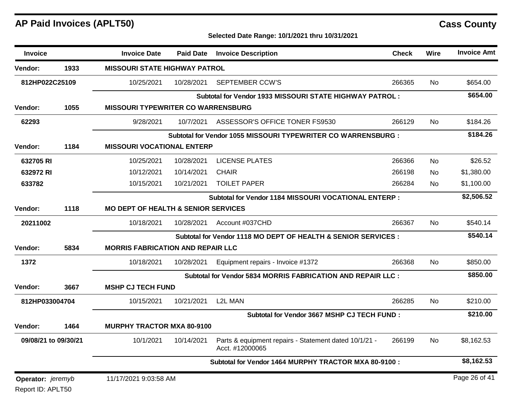| <b>Invoice</b>                         |      | <b>Invoice Date</b>                       | <b>Paid Date</b>                                              | <b>Invoice Description</b>                                               | <b>Check</b> | Wire      | <b>Invoice Amt</b> |  |
|----------------------------------------|------|-------------------------------------------|---------------------------------------------------------------|--------------------------------------------------------------------------|--------------|-----------|--------------------|--|
| Vendor:                                | 1933 | <b>MISSOURI STATE HIGHWAY PATROL</b>      |                                                               |                                                                          |              |           |                    |  |
| 812HP022C25109                         |      | 10/25/2021                                | 10/28/2021                                                    | <b>SEPTEMBER CCW'S</b>                                                   | 266365       | No.       | \$654.00           |  |
|                                        |      |                                           |                                                               | Subtotal for Vendor 1933 MISSOURI STATE HIGHWAY PATROL:                  |              |           | \$654.00           |  |
| Vendor:                                | 1055 | <b>MISSOURI TYPEWRITER CO WARRENSBURG</b> |                                                               |                                                                          |              |           |                    |  |
| 62293                                  |      | 9/28/2021                                 | 10/7/2021                                                     | ASSESSOR'S OFFICE TONER FS9530                                           | 266129       | <b>No</b> | \$184.26           |  |
|                                        |      |                                           | Subtotal for Vendor 1055 MISSOURI TYPEWRITER CO WARRENSBURG : |                                                                          |              |           |                    |  |
| Vendor:                                | 1184 | <b>MISSOURI VOCATIONAL ENTERP</b>         |                                                               |                                                                          |              |           |                    |  |
| 632705 RI                              |      | 10/25/2021                                | 10/28/2021                                                    | <b>LICENSE PLATES</b>                                                    | 266366       | <b>No</b> | \$26.52            |  |
| 632972 RI                              |      | 10/12/2021                                | 10/14/2021                                                    | <b>CHAIR</b>                                                             | 266198       | No        | \$1,380.00         |  |
| 633782                                 |      | 10/15/2021                                | 10/21/2021                                                    | <b>TOILET PAPER</b>                                                      | 266284       | No.       | \$1,100.00         |  |
|                                        |      |                                           |                                                               | Subtotal for Vendor 1184 MISSOURI VOCATIONAL ENTERP :                    |              |           | \$2,506.52         |  |
| Vendor:                                | 1118 |                                           | <b>MO DEPT OF HEALTH &amp; SENIOR SERVICES</b>                |                                                                          |              |           |                    |  |
| 20211002                               |      | 10/18/2021                                | 10/28/2021                                                    | Account #037CHD                                                          | 266367       | <b>No</b> | \$540.14           |  |
|                                        |      |                                           |                                                               | Subtotal for Vendor 1118 MO DEPT OF HEALTH & SENIOR SERVICES :           |              |           | \$540.14           |  |
| Vendor:                                | 5834 | <b>MORRIS FABRICATION AND REPAIR LLC</b>  |                                                               |                                                                          |              |           |                    |  |
| 1372                                   |      | 10/18/2021                                | 10/28/2021                                                    | Equipment repairs - Invoice #1372                                        | 266368       | <b>No</b> | \$850.00           |  |
|                                        |      |                                           |                                                               | Subtotal for Vendor 5834 MORRIS FABRICATION AND REPAIR LLC :             |              |           | \$850.00           |  |
| Vendor:                                | 3667 | <b>MSHP CJ TECH FUND</b>                  |                                                               |                                                                          |              |           |                    |  |
| 812HP033004704                         |      | 10/15/2021                                | 10/21/2021                                                    | <b>L2L MAN</b>                                                           | 266285       | <b>No</b> | \$210.00           |  |
|                                        |      |                                           |                                                               | Subtotal for Vendor 3667 MSHP CJ TECH FUND :                             |              |           | \$210.00           |  |
| Vendor:                                | 1464 | <b>MURPHY TRACTOR MXA 80-9100</b>         |                                                               |                                                                          |              |           |                    |  |
| 09/08/21 to 09/30/21                   |      | 10/1/2021                                 | 10/14/2021                                                    | Parts & equipment repairs - Statement dated 10/1/21 -<br>Acct. #12000065 | 266199       | No.       | \$8,162.53         |  |
|                                        |      |                                           |                                                               | Subtotal for Vendor 1464 MURPHY TRACTOR MXA 80-9100 :                    |              |           | \$8,162.53         |  |
| Operator: jeremyb<br>Report ID: APLT50 |      | 11/17/2021 9:03:58 AM                     |                                                               |                                                                          |              |           | Page 26 of 41      |  |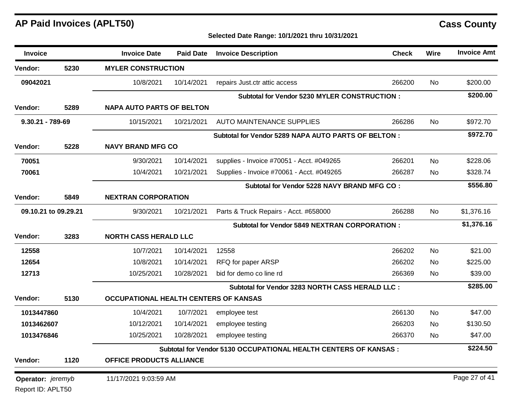**Selected Date Range: 10/1/2021 thru 10/31/2021**

| <b>Invoice</b>       |      | <b>Invoice Date</b>                   | <b>Paid Date</b>           | <b>Invoice Description</b>                                             | <b>Check</b> | Wire           | <b>Invoice Amt</b> |  |
|----------------------|------|---------------------------------------|----------------------------|------------------------------------------------------------------------|--------------|----------------|--------------------|--|
| <b>Vendor:</b>       | 5230 | <b>MYLER CONSTRUCTION</b>             |                            |                                                                        |              |                |                    |  |
| 09042021             |      | 10/8/2021                             | 10/14/2021                 | repairs Just.ctr attic access                                          | 266200       | <b>No</b>      | \$200.00           |  |
|                      |      |                                       |                            | <b>Subtotal for Vendor 5230 MYLER CONSTRUCTION:</b>                    |              |                | \$200.00           |  |
| <b>Vendor:</b>       | 5289 | <b>NAPA AUTO PARTS OF BELTON</b>      |                            |                                                                        |              |                |                    |  |
| $9.30.21 - 789 - 69$ |      | 10/15/2021                            | 10/21/2021                 | <b>AUTO MAINTENANCE SUPPLIES</b>                                       | 266286       | N <sub>o</sub> | \$972.70           |  |
|                      |      |                                       |                            | Subtotal for Vendor 5289 NAPA AUTO PARTS OF BELTON:                    |              |                | \$972.70           |  |
| <b>Vendor:</b>       | 5228 | <b>NAVY BRAND MFG CO</b>              |                            |                                                                        |              |                |                    |  |
| 70051                |      | 9/30/2021                             | 10/14/2021                 | supplies - Invoice #70051 - Acct. #049265                              | 266201       | N <sub>o</sub> | \$228.06           |  |
| 70061                |      | 10/4/2021                             | 10/21/2021                 | Supplies - Invoice #70061 - Acct. #049265                              | 266287       | <b>No</b>      | \$328.74           |  |
|                      |      |                                       |                            | Subtotal for Vendor 5228 NAVY BRAND MFG CO:                            |              |                | \$556.80           |  |
| <b>Vendor:</b>       | 5849 |                                       | <b>NEXTRAN CORPORATION</b> |                                                                        |              |                |                    |  |
| 09.10.21 to 09.29.21 |      | 9/30/2021                             | 10/21/2021                 | Parts & Truck Repairs - Acct. #658000                                  | 266288       | No             | \$1,376.16         |  |
|                      |      |                                       |                            | <b>Subtotal for Vendor 5849 NEXTRAN CORPORATION:</b>                   |              |                | \$1,376.16         |  |
| Vendor:              | 3283 | <b>NORTH CASS HERALD LLC</b>          |                            |                                                                        |              |                |                    |  |
| 12558                |      | 10/7/2021                             | 10/14/2021                 | 12558                                                                  | 266202       | No             | \$21.00            |  |
| 12654                |      | 10/8/2021                             | 10/14/2021                 | RFQ for paper ARSP                                                     | 266202       | No             | \$225.00           |  |
| 12713                |      | 10/25/2021                            | 10/28/2021                 | bid for demo co line rd                                                | 266369       | No.            | \$39.00            |  |
|                      |      |                                       |                            | Subtotal for Vendor 3283 NORTH CASS HERALD LLC :                       |              |                | \$285.00           |  |
| <b>Vendor:</b>       | 5130 | OCCUPATIONAL HEALTH CENTERS OF KANSAS |                            |                                                                        |              |                |                    |  |
| 1013447860           |      | 10/4/2021                             | 10/7/2021                  | employee test                                                          | 266130       | <b>No</b>      | \$47.00            |  |
| 1013462607           |      | 10/12/2021                            | 10/14/2021                 | employee testing                                                       | 266203       | No             | \$130.50           |  |
| 1013476846           |      | 10/25/2021                            | 10/28/2021                 | employee testing                                                       | 266370       | No.            | \$47.00            |  |
|                      |      |                                       |                            | <b>Subtotal for Vendor 5130 OCCUPATIONAL HEALTH CENTERS OF KANSAS:</b> |              |                | \$224.50           |  |
| <b>Vendor:</b>       | 1120 | OFFICE PRODUCTS ALLIANCE              |                            |                                                                        |              |                |                    |  |
| Operator: jeremyb    |      | 11/17/2021 9:03:59 AM                 |                            |                                                                        |              |                | Page 27 of 41      |  |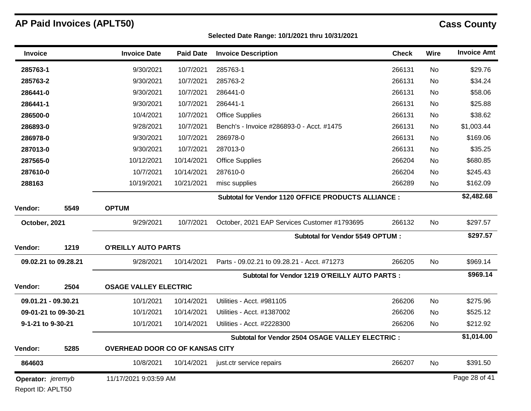### **Selected Date Range: 10/1/2021 thru 10/31/2021**

| <b>Invoice</b>       |                      | <b>Invoice Date</b>                    | <b>Paid Date</b>                 | <b>Invoice Description</b>                             | <b>Check</b> | Wire      | <b>Invoice Amt</b> |
|----------------------|----------------------|----------------------------------------|----------------------------------|--------------------------------------------------------|--------------|-----------|--------------------|
| 285763-1             |                      | 9/30/2021                              | 10/7/2021                        | 285763-1                                               | 266131       | No        | \$29.76            |
| 285763-2             |                      | 9/30/2021                              | 10/7/2021                        | 285763-2                                               | 266131       | No        | \$34.24            |
| 286441-0             |                      | 9/30/2021                              | 10/7/2021                        | 286441-0                                               | 266131       | No        | \$58.06            |
| 286441-1             |                      | 9/30/2021                              | 10/7/2021                        | 286441-1                                               | 266131       | No        | \$25.88            |
| 286500-0             |                      | 10/4/2021                              | 10/7/2021                        | <b>Office Supplies</b>                                 | 266131       | No        | \$38.62            |
| 286893-0             |                      | 9/28/2021                              | 10/7/2021                        | Bench's - Invoice #286893-0 - Acct. #1475              | 266131       | No        | \$1,003.44         |
| 286978-0             |                      | 9/30/2021                              | 10/7/2021                        | 286978-0                                               | 266131       | No        | \$169.06           |
| 287013-0             |                      | 9/30/2021                              | 10/7/2021                        | 287013-0                                               | 266131       | No        | \$35.25            |
| 287565-0             |                      | 10/12/2021                             | 10/14/2021                       | <b>Office Supplies</b>                                 | 266204       | <b>No</b> | \$680.85           |
| 287610-0             |                      | 10/7/2021                              | 10/14/2021                       | 287610-0                                               | 266204       | No        | \$245.43           |
| 288163               |                      | 10/19/2021                             | 10/21/2021                       | misc supplies                                          | 266289       | No        | \$162.09           |
|                      |                      |                                        |                                  | Subtotal for Vendor 1120 OFFICE PRODUCTS ALLIANCE :    |              |           | \$2,482.68         |
| Vendor:              | 5549                 | <b>OPTUM</b>                           |                                  |                                                        |              |           |                    |
| October, 2021        |                      | 9/29/2021                              | 10/7/2021                        | October, 2021 EAP Services Customer #1793695           | 266132       | No        | \$297.57           |
|                      |                      |                                        | Subtotal for Vendor 5549 OPTUM : |                                                        |              |           |                    |
| Vendor:              | 1219                 | <b>O'REILLY AUTO PARTS</b>             |                                  |                                                        |              |           |                    |
| 09.02.21 to 09.28.21 |                      | 9/28/2021                              | 10/14/2021                       | Parts - 09.02.21 to 09.28.21 - Acct. #71273            | 266205       | No        | \$969.14           |
|                      |                      |                                        |                                  | Subtotal for Vendor 1219 O'REILLY AUTO PARTS :         |              |           | \$969.14           |
| Vendor:              | 2504                 | <b>OSAGE VALLEY ELECTRIC</b>           |                                  |                                                        |              |           |                    |
| 09.01.21 - 09.30.21  |                      | 10/1/2021                              | 10/14/2021                       | Utilities - Acct. #981105                              | 266206       | No        | \$275.96           |
|                      | 09-01-21 to 09-30-21 | 10/1/2021                              | 10/14/2021                       | Utilities - Acct. #1387002                             | 266206       | No        | \$525.12           |
| 9-1-21 to 9-30-21    |                      | 10/1/2021                              | 10/14/2021                       | Utilities - Acct. #2228300                             | 266206       | No        | \$212.92           |
|                      |                      |                                        |                                  | <b>Subtotal for Vendor 2504 OSAGE VALLEY ELECTRIC:</b> |              |           | \$1,014.00         |
| Vendor:              | 5285                 | <b>OVERHEAD DOOR CO OF KANSAS CITY</b> |                                  |                                                        |              |           |                    |
| 864603               |                      | 10/8/2021                              | 10/14/2021                       | just.ctr service repairs                               | 266207       | No        | \$391.50           |
| Operator: jeremyb    |                      | 11/17/2021 9:03:59 AM                  |                                  |                                                        |              |           | Page 28 of 41      |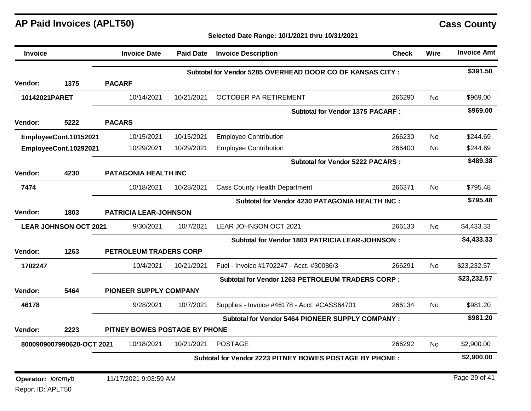| <b>Invoice</b>                  |                           | <b>Invoice Date</b>           | <b>Paid Date</b> | <b>Invoice Description</b>                                | <b>Check</b> | Wire      | <b>Invoice Amt</b> |
|---------------------------------|---------------------------|-------------------------------|------------------|-----------------------------------------------------------|--------------|-----------|--------------------|
|                                 |                           |                               |                  | Subtotal for Vendor 5285 OVERHEAD DOOR CO OF KANSAS CITY: |              |           | \$391.50           |
| <b>Vendor:</b>                  | 1375                      | <b>PACARF</b>                 |                  |                                                           |              |           |                    |
| 10142021PARET                   |                           | 10/14/2021                    | 10/21/2021       | OCTOBER PA RETIREMENT                                     | 266290       | No.       | \$969.00           |
|                                 |                           |                               |                  | <b>Subtotal for Vendor 1375 PACARF:</b>                   |              |           | \$969.00           |
| <b>Vendor:</b>                  | 5222                      | <b>PACARS</b>                 |                  |                                                           |              |           |                    |
|                                 | EmployeeCont.10152021     | 10/15/2021                    | 10/15/2021       | <b>Employee Contribution</b>                              | 266230       | <b>No</b> | \$244.69           |
|                                 | EmployeeCont.10292021     | 10/29/2021                    | 10/29/2021       | <b>Employee Contribution</b>                              | 266400       | No.       | \$244.69           |
|                                 |                           |                               |                  | <b>Subtotal for Vendor 5222 PACARS:</b>                   |              |           | \$489.38           |
| Vendor:                         | 4230                      | PATAGONIA HEALTH INC          |                  |                                                           |              |           |                    |
| 7474                            |                           | 10/18/2021                    | 10/28/2021       | <b>Cass County Health Department</b>                      | 266371       | <b>No</b> | \$795.48           |
|                                 |                           |                               |                  | Subtotal for Vendor 4230 PATAGONIA HEALTH INC :           |              |           | \$795.48           |
| Vendor:                         | 1803                      | <b>PATRICIA LEAR-JOHNSON</b>  |                  |                                                           |              |           |                    |
| <b>LEAR JOHNSON OCT 2021</b>    |                           | 9/30/2021                     | 10/7/2021        | <b>LEAR JOHNSON OCT 2021</b>                              | 266133       | No.       | \$4,433.33         |
|                                 |                           |                               |                  | Subtotal for Vendor 1803 PATRICIA LEAR-JOHNSON :          |              |           | \$4,433.33         |
| Vendor:                         | 1263                      | PETROLEUM TRADERS CORP        |                  |                                                           |              |           |                    |
| 1702247                         |                           | 10/4/2021                     | 10/21/2021       | Fuel - Invoice #1702247 - Acct. #30086/3                  | 266291       | <b>No</b> | \$23,232.57        |
|                                 |                           |                               |                  | <b>Subtotal for Vendor 1263 PETROLEUM TRADERS CORP:</b>   |              |           | \$23,232.57        |
| Vendor:                         | 5464                      | PIONEER SUPPLY COMPANY        |                  |                                                           |              |           |                    |
| 46178                           |                           | 9/28/2021                     | 10/7/2021        | Supplies - Invoice #46178 - Acct. #CASS64701              | 266134       | No.       | \$981.20           |
|                                 |                           |                               |                  | <b>Subtotal for Vendor 5464 PIONEER SUPPLY COMPANY:</b>   |              |           | \$981.20           |
| Vendor:                         | 2223                      | PITNEY BOWES POSTAGE BY PHONE |                  |                                                           |              |           |                    |
|                                 | 8000909007990620-OCT 2021 | 10/18/2021                    | 10/21/2021       | <b>POSTAGE</b>                                            | 266292       | No.       | \$2,900.00         |
|                                 |                           |                               |                  | Subtotal for Vendor 2223 PITNEY BOWES POSTAGE BY PHONE :  |              |           | \$2,900.00         |
| <b>Operator:</b> <i>jeremyb</i> |                           | 11/17/2021 9:03:59 AM         |                  |                                                           |              |           | Page 29 of 41      |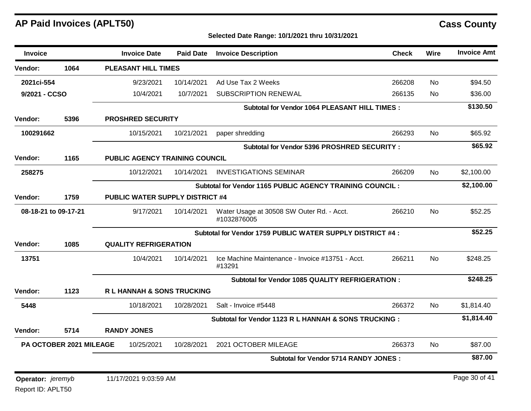| <b>Invoice</b>                  |                         | <b>Invoice Date</b>            | <b>Paid Date</b>                       | <b>Invoice Description</b>                                 | <b>Check</b> | Wire      | <b>Invoice Amt</b> |  |  |  |
|---------------------------------|-------------------------|--------------------------------|----------------------------------------|------------------------------------------------------------|--------------|-----------|--------------------|--|--|--|
| Vendor:                         | 1064                    | <b>PLEASANT HILL TIMES</b>     |                                        |                                                            |              |           |                    |  |  |  |
| 2021ci-554                      |                         | 9/23/2021                      | 10/14/2021                             | Ad Use Tax 2 Weeks                                         | 266208       | <b>No</b> | \$94.50            |  |  |  |
| 9/2021 - CCSO                   |                         | 10/4/2021                      | 10/7/2021                              | <b>SUBSCRIPTION RENEWAL</b>                                | 266135       | No        | \$36.00            |  |  |  |
|                                 |                         |                                |                                        | Subtotal for Vendor 1064 PLEASANT HILL TIMES :             |              |           | \$130.50           |  |  |  |
| Vendor:                         | 5396                    | <b>PROSHRED SECURITY</b>       |                                        |                                                            |              |           |                    |  |  |  |
| 100291662                       |                         | 10/15/2021                     | 10/21/2021                             | paper shredding                                            | 266293       | <b>No</b> | \$65.92            |  |  |  |
|                                 |                         |                                |                                        | Subtotal for Vendor 5396 PROSHRED SECURITY :               |              |           | \$65.92            |  |  |  |
| Vendor:                         | 1165                    | PUBLIC AGENCY TRAINING COUNCIL |                                        |                                                            |              |           |                    |  |  |  |
| 258275                          |                         | 10/12/2021                     | 10/14/2021                             | <b>INVESTIGATIONS SEMINAR</b>                              | 266209       | No.       | \$2,100.00         |  |  |  |
|                                 |                         |                                |                                        | Subtotal for Vendor 1165 PUBLIC AGENCY TRAINING COUNCIL :  |              |           | \$2,100.00         |  |  |  |
| Vendor:                         | 1759                    |                                | <b>PUBLIC WATER SUPPLY DISTRICT #4</b> |                                                            |              |           |                    |  |  |  |
| 08-18-21 to 09-17-21            |                         | 9/17/2021                      | 10/14/2021                             | Water Usage at 30508 SW Outer Rd. - Acct.<br>#1032876005   | 266210       | <b>No</b> | \$52.25            |  |  |  |
|                                 |                         |                                |                                        | Subtotal for Vendor 1759 PUBLIC WATER SUPPLY DISTRICT #4 : |              |           | \$52.25            |  |  |  |
| Vendor:                         | 1085                    | <b>QUALITY REFRIGERATION</b>   |                                        |                                                            |              |           |                    |  |  |  |
| 13751                           |                         | 10/4/2021                      | 10/14/2021                             | Ice Machine Maintenance - Invoice #13751 - Acct.<br>#13291 | 266211       | <b>No</b> | \$248.25           |  |  |  |
|                                 |                         |                                |                                        | <b>Subtotal for Vendor 1085 QUALITY REFRIGERATION:</b>     |              |           | \$248.25           |  |  |  |
| Vendor:                         | 1123                    | R L HANNAH & SONS TRUCKING     |                                        |                                                            |              |           |                    |  |  |  |
| 5448                            |                         | 10/18/2021                     | 10/28/2021                             | Salt - Invoice #5448                                       | 266372       | <b>No</b> | \$1,814.40         |  |  |  |
|                                 |                         |                                |                                        | Subtotal for Vendor 1123 R L HANNAH & SONS TRUCKING :      |              |           | \$1,814.40         |  |  |  |
| Vendor:                         | 5714                    | <b>RANDY JONES</b>             |                                        |                                                            |              |           |                    |  |  |  |
|                                 | PA OCTOBER 2021 MILEAGE | 10/25/2021                     | 10/28/2021                             | 2021 OCTOBER MILEAGE                                       | 266373       | <b>No</b> | \$87.00            |  |  |  |
|                                 |                         |                                |                                        | <b>Subtotal for Vendor 5714 RANDY JONES:</b>               |              |           | \$87.00            |  |  |  |
| <b>Operator:</b> <i>ieremvb</i> |                         | 11/17/2021 9:03:59 AM          |                                        |                                                            |              |           | Page 30 of 41      |  |  |  |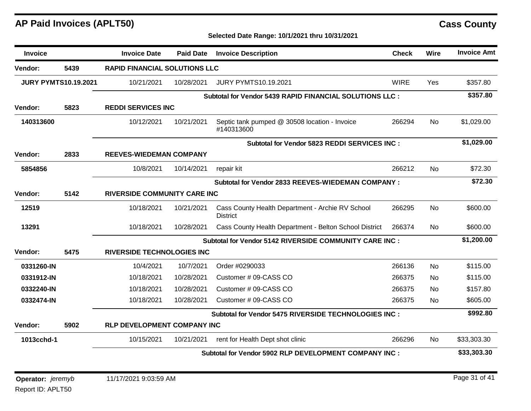| <b>Invoice</b>              |      | <b>Invoice Date</b>                                     | <b>Paid Date</b>                    | <b>Invoice Description</b>                                          | <b>Check</b> | <b>Wire</b> | <b>Invoice Amt</b> |  |  |
|-----------------------------|------|---------------------------------------------------------|-------------------------------------|---------------------------------------------------------------------|--------------|-------------|--------------------|--|--|
| Vendor:                     | 5439 | <b>RAPID FINANCIAL SOLUTIONS LLC</b>                    |                                     |                                                                     |              |             |                    |  |  |
| <b>JURY PYMTS10.19.2021</b> |      | 10/21/2021                                              | 10/28/2021                          | <b>JURY PYMTS10.19.2021</b>                                         | <b>WIRE</b>  | Yes         | \$357.80           |  |  |
|                             |      |                                                         |                                     | Subtotal for Vendor 5439 RAPID FINANCIAL SOLUTIONS LLC :            |              |             | \$357.80           |  |  |
| Vendor:                     | 5823 | <b>REDDI SERVICES INC</b>                               |                                     |                                                                     |              |             |                    |  |  |
| 140313600                   |      | 10/12/2021                                              | 10/21/2021                          | Septic tank pumped @ 30508 location - Invoice<br>#140313600         | 266294       | <b>No</b>   | \$1,029.00         |  |  |
|                             |      |                                                         |                                     | Subtotal for Vendor 5823 REDDI SERVICES INC :                       |              |             | \$1,029.00         |  |  |
| Vendor:                     | 2833 |                                                         | <b>REEVES-WIEDEMAN COMPANY</b>      |                                                                     |              |             |                    |  |  |
| 5854856                     |      | 10/8/2021                                               | 10/14/2021                          | repair kit                                                          | 266212       | No          | \$72.30            |  |  |
|                             |      |                                                         |                                     | Subtotal for Vendor 2833 REEVES-WIEDEMAN COMPANY :                  |              |             | \$72.30            |  |  |
| Vendor:                     | 5142 |                                                         | <b>RIVERSIDE COMMUNITY CARE INC</b> |                                                                     |              |             |                    |  |  |
| 12519                       |      | 10/18/2021                                              | 10/21/2021                          | Cass County Health Department - Archie RV School<br><b>District</b> | 266295       | <b>No</b>   | \$600.00           |  |  |
| 13291                       |      | 10/18/2021                                              | 10/28/2021                          | Cass County Health Department - Belton School District              | 266374       | No          | \$600.00           |  |  |
|                             |      | Subtotal for Vendor 5142 RIVERSIDE COMMUNITY CARE INC : |                                     |                                                                     |              |             | \$1,200.00         |  |  |
| Vendor:                     | 5475 | <b>RIVERSIDE TECHNOLOGIES INC</b>                       |                                     |                                                                     |              |             |                    |  |  |
| 0331260-IN                  |      | 10/4/2021                                               | 10/7/2021                           | Order #0290033                                                      | 266136       | <b>No</b>   | \$115.00           |  |  |
| 0331912-IN                  |      | 10/18/2021                                              | 10/28/2021                          | Customer # 09-CASS CO                                               | 266375       | No          | \$115.00           |  |  |
| 0332240-IN                  |      | 10/18/2021                                              | 10/28/2021                          | Customer # 09-CASS CO                                               | 266375       | <b>No</b>   | \$157.80           |  |  |
| 0332474-IN                  |      | 10/18/2021                                              | 10/28/2021                          | Customer # 09-CASS CO                                               | 266375       | No          | \$605.00           |  |  |
|                             |      | Subtotal for Vendor 5475 RIVERSIDE TECHNOLOGIES INC :   |                                     |                                                                     |              |             |                    |  |  |
| Vendor:                     | 5902 | <b>RLP DEVELOPMENT COMPANY INC</b>                      |                                     |                                                                     |              |             |                    |  |  |
| 1013cchd-1                  |      | 10/15/2021                                              | 10/21/2021                          | rent for Health Dept shot clinic                                    | 266296       | No          | \$33,303.30        |  |  |
|                             |      |                                                         |                                     | Subtotal for Vendor 5902 RLP DEVELOPMENT COMPANY INC :              |              |             | \$33,303.30        |  |  |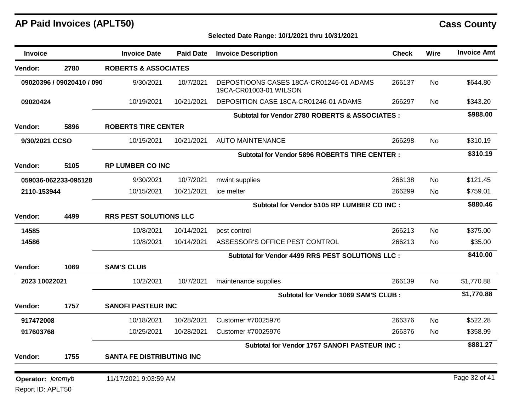**Selected Date Range: 10/1/2021 thru 10/31/2021**

| <b>Invoice</b>                  |                           | <b>Invoice Date</b>              | <b>Paid Date</b>              | <b>Invoice Description</b>                                        | <b>Check</b> | <b>Wire</b> | <b>Invoice Amt</b> |
|---------------------------------|---------------------------|----------------------------------|-------------------------------|-------------------------------------------------------------------|--------------|-------------|--------------------|
| Vendor:                         | 2780                      | <b>ROBERTS &amp; ASSOCIATES</b>  |                               |                                                                   |              |             |                    |
|                                 | 09020396 / 09020410 / 090 | 9/30/2021                        | 10/7/2021                     | DEPOSTIOONS CASES 18CA-CR01246-01 ADAMS<br>19CA-CR01003-01 WILSON | 266137       | <b>No</b>   | \$644.80           |
| 09020424                        |                           | 10/19/2021                       | 10/21/2021                    | DEPOSITION CASE 18CA-CR01246-01 ADAMS                             | 266297       | No.         | \$343.20           |
|                                 |                           |                                  |                               | Subtotal for Vendor 2780 ROBERTS & ASSOCIATES :                   |              |             | \$988.00           |
| <b>Vendor:</b>                  | 5896                      | <b>ROBERTS TIRE CENTER</b>       |                               |                                                                   |              |             |                    |
| 9/30/2021 CCSO                  |                           | 10/15/2021                       | 10/21/2021                    | <b>AUTO MAINTENANCE</b>                                           | 266298       | No.         | \$310.19           |
|                                 |                           |                                  |                               | <b>Subtotal for Vendor 5896 ROBERTS TIRE CENTER:</b>              |              |             | \$310.19           |
| Vendor:                         | 5105                      | <b>RP LUMBER CO INC</b>          |                               |                                                                   |              |             |                    |
| 059036-062233-095128            |                           | 9/30/2021                        | 10/7/2021                     | mwint supplies                                                    | 266138       | <b>No</b>   | \$121.45           |
| 2110-153944                     |                           | 10/15/2021                       | 10/21/2021                    | ice melter                                                        | 266299       | No.         | \$759.01           |
|                                 |                           |                                  |                               | Subtotal for Vendor 5105 RP LUMBER CO INC :                       |              |             | \$880.46           |
| Vendor:                         | 4499                      |                                  | <b>RRS PEST SOLUTIONS LLC</b> |                                                                   |              |             |                    |
| 14585                           |                           | 10/8/2021                        | 10/14/2021                    | pest control                                                      | 266213       | No          | \$375.00           |
| 14586                           |                           | 10/8/2021                        | 10/14/2021                    | ASSESSOR'S OFFICE PEST CONTROL                                    | 266213       | No.         | \$35.00            |
|                                 |                           |                                  |                               | Subtotal for Vendor 4499 RRS PEST SOLUTIONS LLC :                 |              |             | \$410.00           |
| <b>Vendor:</b>                  | 1069                      | <b>SAM'S CLUB</b>                |                               |                                                                   |              |             |                    |
| 2023 10022021                   |                           | 10/2/2021                        | 10/7/2021                     | maintenance supplies                                              | 266139       | No.         | \$1,770.88         |
|                                 |                           |                                  |                               | Subtotal for Vendor 1069 SAM'S CLUB :                             |              |             | \$1,770.88         |
| Vendor:                         | 1757                      | <b>SANOFI PASTEUR INC</b>        |                               |                                                                   |              |             |                    |
| 917472008                       |                           | 10/18/2021                       | 10/28/2021                    | Customer #70025976                                                | 266376       | No          | \$522.28           |
| 917603768                       |                           | 10/25/2021                       | 10/28/2021                    | Customer #70025976                                                | 266376       | No.         | \$358.99           |
|                                 |                           |                                  |                               | Subtotal for Vendor 1757 SANOFI PASTEUR INC :                     |              |             | \$881.27           |
| Vendor:                         | 1755                      | <b>SANTA FE DISTRIBUTING INC</b> |                               |                                                                   |              |             |                    |
| <b>Operator:</b> <i>ieremvb</i> |                           | 11/17/2021 9:03:59 AM            |                               |                                                                   |              |             | Page 32 of 41      |

**Operator:** *jeremyb*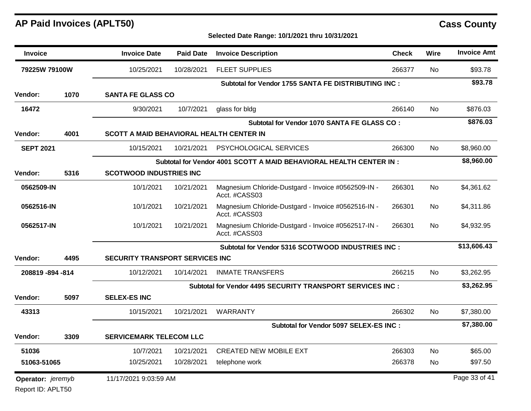## **Selected Date Range: 10/1/2021 thru 10/31/2021**

| <b>Invoice</b>    |      | <b>Invoice Date</b>                             | <b>Paid Date</b> | <b>Invoice Description</b>                                           | <b>Check</b> | Wire      | <b>Invoice Amt</b> |
|-------------------|------|-------------------------------------------------|------------------|----------------------------------------------------------------------|--------------|-----------|--------------------|
| 79225W 79100W     |      | 10/25/2021                                      | 10/28/2021       | <b>FLEET SUPPLIES</b>                                                | 266377       | <b>No</b> | \$93.78            |
|                   |      |                                                 |                  | Subtotal for Vendor 1755 SANTA FE DISTRIBUTING INC:                  |              |           | \$93.78            |
| Vendor:           | 1070 | <b>SANTA FE GLASS CO</b>                        |                  |                                                                      |              |           |                    |
| 16472             |      | 9/30/2021                                       | 10/7/2021        | glass for bldg                                                       | 266140       | <b>No</b> | \$876.03           |
|                   |      |                                                 |                  | Subtotal for Vendor 1070 SANTA FE GLASS CO:                          |              |           | \$876.03           |
| Vendor:           | 4001 | <b>SCOTT A MAID BEHAVIORAL HEALTH CENTER IN</b> |                  |                                                                      |              |           |                    |
| <b>SEPT 2021</b>  |      | 10/15/2021                                      | 10/21/2021       | PSYCHOLOGICAL SERVICES                                               | 266300       | <b>No</b> | \$8,960.00         |
|                   |      |                                                 |                  | Subtotal for Vendor 4001 SCOTT A MAID BEHAVIORAL HEALTH CENTER IN :  |              |           | \$8,960.00         |
| <b>Vendor:</b>    | 5316 | <b>SCOTWOOD INDUSTRIES INC</b>                  |                  |                                                                      |              |           |                    |
| 0562509-IN        |      | 10/1/2021                                       | 10/21/2021       | Magnesium Chloride-Dustgard - Invoice #0562509-IN -<br>Acct. #CASS03 | 266301       | <b>No</b> | \$4,361.62         |
| 0562516-IN        |      | 10/1/2021                                       | 10/21/2021       | Magnesium Chloride-Dustgard - Invoice #0562516-IN -<br>Acct. #CASS03 | 266301       | No        | \$4,311.86         |
| 0562517-IN        |      | 10/1/2021                                       | 10/21/2021       | Magnesium Chloride-Dustgard - Invoice #0562517-IN -<br>Acct. #CASS03 | 266301       | No        | \$4,932.95         |
|                   |      |                                                 |                  | Subtotal for Vendor 5316 SCOTWOOD INDUSTRIES INC :                   |              |           | \$13,606.43        |
| <b>Vendor:</b>    | 4495 | <b>SECURITY TRANSPORT SERVICES INC</b>          |                  |                                                                      |              |           |                    |
| 208819 -894 -814  |      | 10/12/2021                                      | 10/14/2021       | <b>INMATE TRANSFERS</b>                                              | 266215       | No.       | \$3,262.95         |
|                   |      |                                                 |                  | Subtotal for Vendor 4495 SECURITY TRANSPORT SERVICES INC :           |              |           | \$3,262.95         |
| Vendor:           | 5097 | <b>SELEX-ES INC</b>                             |                  |                                                                      |              |           |                    |
| 43313             |      | 10/15/2021                                      | 10/21/2021       | <b>WARRANTY</b>                                                      | 266302       | <b>No</b> | \$7,380.00         |
|                   |      |                                                 |                  | Subtotal for Vendor 5097 SELEX-ES INC :                              |              |           | \$7,380.00         |
| Vendor:           | 3309 | <b>SERVICEMARK TELECOM LLC</b>                  |                  |                                                                      |              |           |                    |
| 51036             |      | 10/7/2021                                       | 10/21/2021       | <b>CREATED NEW MOBILE EXT</b>                                        | 266303       | <b>No</b> | \$65.00            |
| 51063-51065       |      | 10/25/2021                                      | 10/28/2021       | telephone work                                                       | 266378       | No        | \$97.50            |
| Operator: jeremyb |      | 11/17/2021 9:03:59 AM                           |                  |                                                                      |              |           | Page 33 of 41      |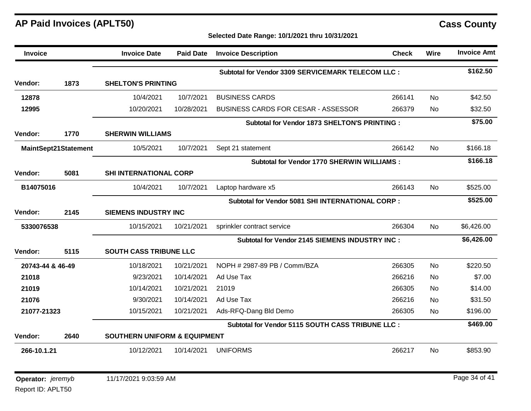| Invoice          |                      | <b>Invoice Date</b>                     | <b>Paid Date</b>            | <b>Invoice Description</b>                               | <b>Check</b> | <b>Wire</b>    | <b>Invoice Amt</b> |  |  |
|------------------|----------------------|-----------------------------------------|-----------------------------|----------------------------------------------------------|--------------|----------------|--------------------|--|--|
|                  |                      |                                         |                             | <b>Subtotal for Vendor 3309 SERVICEMARK TELECOM LLC:</b> |              |                | \$162.50           |  |  |
| Vendor:          | 1873                 | <b>SHELTON'S PRINTING</b>               |                             |                                                          |              |                |                    |  |  |
| 12878            |                      | 10/4/2021                               | 10/7/2021                   | <b>BUSINESS CARDS</b>                                    | 266141       | N <sub>o</sub> | \$42.50            |  |  |
| 12995            |                      | 10/20/2021                              | 10/28/2021                  | <b>BUSINESS CARDS FOR CESAR - ASSESSOR</b>               | 266379       | No.            | \$32.50            |  |  |
|                  |                      |                                         |                             | Subtotal for Vendor 1873 SHELTON'S PRINTING :            |              |                | \$75.00            |  |  |
| Vendor:          | 1770                 | <b>SHERWIN WILLIAMS</b>                 |                             |                                                          |              |                |                    |  |  |
|                  | MaintSept21Statement | 10/5/2021                               | 10/7/2021                   | Sept 21 statement                                        | 266142       | No.            | \$166.18           |  |  |
|                  |                      |                                         |                             | <b>Subtotal for Vendor 1770 SHERWIN WILLIAMS:</b>        |              |                | \$166.18           |  |  |
| Vendor:          | 5081                 | <b>SHI INTERNATIONAL CORP</b>           |                             |                                                          |              |                |                    |  |  |
| B14075016        |                      | 10/4/2021                               | 10/7/2021                   | Laptop hardware x5                                       | 266143       | <b>No</b>      | \$525.00           |  |  |
|                  |                      |                                         |                             | Subtotal for Vendor 5081 SHI INTERNATIONAL CORP:         |              |                | \$525.00           |  |  |
| Vendor:          | 2145                 |                                         | <b>SIEMENS INDUSTRY INC</b> |                                                          |              |                |                    |  |  |
| 5330076538       |                      | 10/15/2021                              | 10/21/2021                  | sprinkler contract service                               | 266304       | <b>No</b>      | \$6,426.00         |  |  |
|                  |                      |                                         |                             | Subtotal for Vendor 2145 SIEMENS INDUSTRY INC :          |              |                | \$6,426.00         |  |  |
| Vendor:          | 5115                 | SOUTH CASS TRIBUNE LLC                  |                             |                                                          |              |                |                    |  |  |
| 20743-44 & 46-49 |                      | 10/18/2021                              | 10/21/2021                  | NOPH # 2987-89 PB / Comm/BZA                             | 266305       | <b>No</b>      | \$220.50           |  |  |
| 21018            |                      | 9/23/2021                               | 10/14/2021                  | Ad Use Tax                                               | 266216       | No.            | \$7.00             |  |  |
| 21019            |                      | 10/14/2021                              | 10/21/2021                  | 21019                                                    | 266305       | No             | \$14.00            |  |  |
| 21076            |                      | 9/30/2021                               | 10/14/2021                  | Ad Use Tax                                               | 266216       | No.            | \$31.50            |  |  |
| 21077-21323      |                      | 10/15/2021                              | 10/21/2021                  | Ads-RFQ-Dang Bld Demo                                    | 266305       | No.            | \$196.00           |  |  |
|                  |                      |                                         |                             | Subtotal for Vendor 5115 SOUTH CASS TRIBUNE LLC :        |              |                | \$469.00           |  |  |
| Vendor:          | 2640                 | <b>SOUTHERN UNIFORM &amp; EQUIPMENT</b> |                             |                                                          |              |                |                    |  |  |
| 266-10.1.21      |                      | 10/12/2021                              | 10/14/2021                  | <b>UNIFORMS</b>                                          | 266217       | No.            | \$853.90           |  |  |
|                  |                      |                                         |                             |                                                          |              |                |                    |  |  |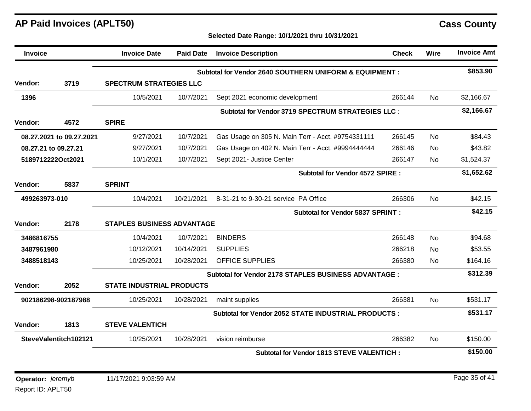| Invoice              |                          | <b>Invoice Date</b>               | <b>Paid Date</b> | <b>Invoice Description</b>                              | <b>Check</b> | Wire      | <b>Invoice Amt</b> |
|----------------------|--------------------------|-----------------------------------|------------------|---------------------------------------------------------|--------------|-----------|--------------------|
|                      |                          |                                   |                  | Subtotal for Vendor 2640 SOUTHERN UNIFORM & EQUIPMENT : |              |           | \$853.90           |
| <b>Vendor:</b>       | 3719                     | <b>SPECTRUM STRATEGIES LLC</b>    |                  |                                                         |              |           |                    |
| 1396                 |                          | 10/5/2021                         | 10/7/2021        | Sept 2021 economic development                          | 266144       | No        | \$2,166.67         |
|                      |                          |                                   |                  | Subtotal for Vendor 3719 SPECTRUM STRATEGIES LLC :      |              |           | \$2,166.67         |
| Vendor:              | 4572                     | <b>SPIRE</b>                      |                  |                                                         |              |           |                    |
|                      | 08.27.2021 to 09.27.2021 | 9/27/2021                         | 10/7/2021        | Gas Usage on 305 N. Main Terr - Acct. #9754331111       | 266145       | <b>No</b> | \$84.43            |
| 08.27.21 to 09.27.21 |                          | 9/27/2021                         | 10/7/2021        | Gas Usage on 402 N. Main Terr - Acct. #9994444444       | 266146       | <b>No</b> | \$43.82            |
| 5189712222Oct2021    |                          | 10/1/2021                         | 10/7/2021        | Sept 2021- Justice Center                               | 266147       | No.       | \$1,524.37         |
|                      |                          |                                   |                  | <b>Subtotal for Vendor 4572 SPIRE:</b>                  |              |           | \$1,652.62         |
| <b>Vendor:</b>       | 5837                     | <b>SPRINT</b>                     |                  |                                                         |              |           |                    |
| 499263973-010        |                          | 10/4/2021                         | 10/21/2021       | 8-31-21 to 9-30-21 service PA Office                    | 266306       | No        | \$42.15            |
|                      |                          |                                   |                  | <b>Subtotal for Vendor 5837 SPRINT:</b>                 |              |           | \$42.15            |
| Vendor:              | 2178                     | <b>STAPLES BUSINESS ADVANTAGE</b> |                  |                                                         |              |           |                    |
| 3486816755           |                          | 10/4/2021                         | 10/7/2021        | <b>BINDERS</b>                                          | 266148       | <b>No</b> | \$94.68            |
| 3487961980           |                          | 10/12/2021                        | 10/14/2021       | <b>SUPPLIES</b>                                         | 266218       | <b>No</b> | \$53.55            |
| 3488518143           |                          | 10/25/2021                        | 10/28/2021       | <b>OFFICE SUPPLIES</b>                                  | 266380       | No        | \$164.16           |
|                      |                          |                                   |                  | Subtotal for Vendor 2178 STAPLES BUSINESS ADVANTAGE :   |              |           | \$312.39           |
| Vendor:              | 2052                     | <b>STATE INDUSTRIAL PRODUCTS</b>  |                  |                                                         |              |           |                    |
|                      | 902186298-902187988      | 10/25/2021                        | 10/28/2021       | maint supplies                                          | 266381       | No        | \$531.17           |
|                      |                          |                                   |                  | Subtotal for Vendor 2052 STATE INDUSTRIAL PRODUCTS :    |              |           | \$531.17           |
| Vendor:              | 1813                     | <b>STEVE VALENTICH</b>            |                  |                                                         |              |           |                    |
|                      | SteveValentitch102121    | 10/25/2021                        | 10/28/2021       | vision reimburse                                        | 266382       | <b>No</b> | \$150.00           |
|                      |                          |                                   |                  | <b>Subtotal for Vendor 1813 STEVE VALENTICH:</b>        |              |           | \$150.00           |
|                      |                          |                                   |                  |                                                         |              |           |                    |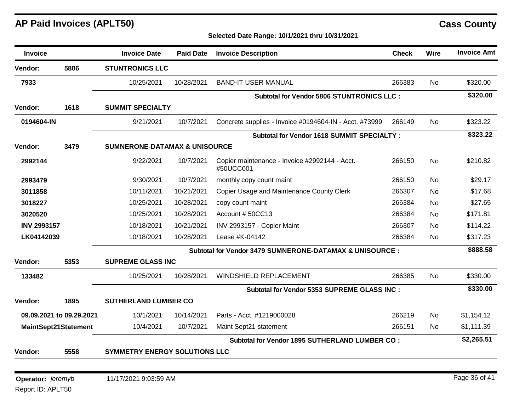| <b>Invoice</b>       |                          | <b>Invoice Date</b>                                      | <b>Paid Date</b> | <b>Invoice Description</b>                                 | <b>Check</b> | Wire      | <b>Invoice Amt</b> |
|----------------------|--------------------------|----------------------------------------------------------|------------------|------------------------------------------------------------|--------------|-----------|--------------------|
| Vendor:              | 5806                     | <b>STUNTRONICS LLC</b>                                   |                  |                                                            |              |           |                    |
| 7933                 |                          | 10/25/2021                                               | 10/28/2021       | <b>BAND-IT USER MANUAL</b>                                 | 266383       | <b>No</b> | \$320.00           |
|                      |                          |                                                          |                  | <b>Subtotal for Vendor 5806 STUNTRONICS LLC:</b>           |              |           | \$320.00           |
| <b>Vendor:</b>       | 1618                     | <b>SUMMIT SPECIALTY</b>                                  |                  |                                                            |              |           |                    |
| 0194604-IN           |                          | 9/21/2021                                                | 10/7/2021        | Concrete supplies - Invoice #0194604-IN - Acct. #73999     | 266149       | No.       | \$323.22           |
|                      |                          |                                                          |                  | Subtotal for Vendor 1618 SUMMIT SPECIALTY:                 |              |           | \$323.22           |
| <b>Vendor:</b>       | 3479                     | <b>SUMNERONE-DATAMAX &amp; UNISOURCE</b>                 |                  |                                                            |              |           |                    |
| 2992144              |                          | 9/22/2021                                                | 10/7/2021        | Copier maintenance - Invoice #2992144 - Acct.<br>#50UCC001 | 266150       | <b>No</b> | \$210.82           |
| 2993479              |                          | 9/30/2021                                                | 10/7/2021        | monthly copy count maint                                   | 266150       | <b>No</b> | \$29.17            |
| 3011858              |                          | 10/11/2021                                               | 10/21/2021       | Copier Usage and Maintenance County Clerk                  | 266307       | No        | \$17.68            |
| 3018227              |                          | 10/25/2021                                               | 10/28/2021       | copy count maint                                           | 266384       | <b>No</b> | \$27.65            |
| 3020520              |                          | 10/25/2021                                               | 10/28/2021       | Account #50CC13                                            | 266384       | No        | \$171.81           |
| <b>INV 2993157</b>   |                          | 10/18/2021                                               | 10/21/2021       | INV 2993157 - Copier Maint                                 | 266307       | No        | \$114.22           |
| LK04142039           |                          | 10/18/2021                                               | 10/28/2021       | Lease #K-04142                                             | 266384       | No        | \$317.23           |
|                      |                          | Subtotal for Vendor 3479 SUMNERONE-DATAMAX & UNISOURCE : |                  |                                                            |              |           | \$888.58           |
| <b>Vendor:</b>       | 5353                     | <b>SUPREME GLASS INC</b>                                 |                  |                                                            |              |           |                    |
| 133482               |                          | 10/25/2021                                               | 10/28/2021       | WINDSHIELD REPLACEMENT                                     | 266385       | No        | \$330.00           |
|                      |                          |                                                          |                  | Subtotal for Vendor 5353 SUPREME GLASS INC :               |              |           | \$330.00           |
| Vendor:              | 1895                     | <b>SUTHERLAND LUMBER CO</b>                              |                  |                                                            |              |           |                    |
|                      | 09.09.2021 to 09.29.2021 | 10/1/2021                                                | 10/14/2021       | Parts - Acct. #1219000028                                  | 266219       | No        | \$1,154.12         |
| MaintSept21Statement |                          | 10/4/2021                                                | 10/7/2021        | Maint Sept21 statement                                     | 266151       | No.       | \$1,111.39         |
|                      |                          |                                                          |                  | Subtotal for Vendor 1895 SUTHERLAND LUMBER CO:             |              |           | \$2,265.51         |
| <b>Vendor:</b>       | 5558                     | SYMMETRY ENERGY SOLUTIONS LLC                            |                  |                                                            |              |           |                    |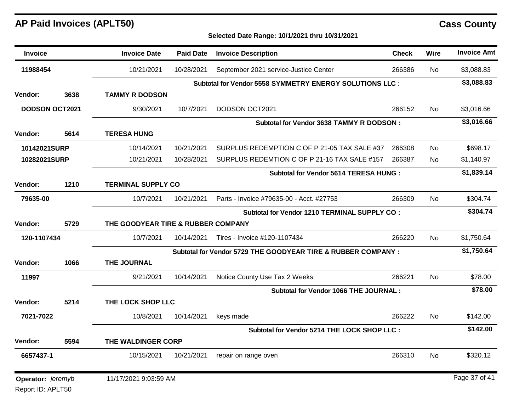## **Selected Date Range: 10/1/2021 thru 10/31/2021**

| Invoice               |      | <b>Invoice Date</b>                                           | <b>Paid Date</b>          | <b>Invoice Description</b>                               | <b>Check</b> | <b>Wire</b> | <b>Invoice Amt</b> |
|-----------------------|------|---------------------------------------------------------------|---------------------------|----------------------------------------------------------|--------------|-------------|--------------------|
| 11988454              |      | 10/21/2021                                                    | 10/28/2021                | September 2021 service-Justice Center                    | 266386       | No          | \$3,088.83         |
|                       |      |                                                               |                           | Subtotal for Vendor 5558 SYMMETRY ENERGY SOLUTIONS LLC : |              |             | \$3,088.83         |
| <b>Vendor:</b>        | 3638 | <b>TAMMY R DODSON</b>                                         |                           |                                                          |              |             |                    |
| <b>DODSON OCT2021</b> |      | 9/30/2021                                                     | 10/7/2021                 | DODSON OCT2021                                           | 266152       | No.         | \$3,016.66         |
|                       |      |                                                               |                           | Subtotal for Vendor 3638 TAMMY R DODSON :                |              |             | \$3,016.66         |
| Vendor:               | 5614 | <b>TERESA HUNG</b>                                            |                           |                                                          |              |             |                    |
| 10142021SURP          |      | 10/14/2021                                                    | 10/21/2021                | SURPLUS REDEMPTION C OF P 21-05 TAX SALE #37             | 266308       | <b>No</b>   | \$698.17           |
| 10282021SURP          |      | 10/21/2021                                                    | 10/28/2021                | SURPLUS REDEMTION C OF P 21-16 TAX SALE #157             | 266387       | No.         | \$1,140.97         |
|                       |      |                                                               |                           | Subtotal for Vendor 5614 TERESA HUNG:                    |              |             | \$1,839.14         |
| <b>Vendor:</b>        | 1210 |                                                               | <b>TERMINAL SUPPLY CO</b> |                                                          |              |             |                    |
| 79635-00              |      | 10/7/2021                                                     | 10/21/2021                | Parts - Invoice #79635-00 - Acct. #27753                 | 266309       | No.         | \$304.74           |
|                       |      |                                                               |                           | Subtotal for Vendor 1210 TERMINAL SUPPLY CO :            |              |             | \$304.74           |
| Vendor:               | 5729 | THE GOODYEAR TIRE & RUBBER COMPANY                            |                           |                                                          |              |             |                    |
| 120-1107434           |      | 10/7/2021                                                     | 10/14/2021                | Tires - Invoice #120-1107434                             | 266220       | <b>No</b>   | \$1,750.64         |
|                       |      | Subtotal for Vendor 5729 THE GOODYEAR TIRE & RUBBER COMPANY : |                           |                                                          |              |             | \$1,750.64         |
| <b>Vendor:</b>        | 1066 | THE JOURNAL                                                   |                           |                                                          |              |             |                    |
| 11997                 |      | 9/21/2021                                                     | 10/14/2021                | Notice County Use Tax 2 Weeks                            | 266221       | <b>No</b>   | \$78.00            |
|                       |      |                                                               |                           | Subtotal for Vendor 1066 THE JOURNAL :                   |              |             | \$78.00            |
| Vendor:               | 5214 | THE LOCK SHOP LLC                                             |                           |                                                          |              |             |                    |
| 7021-7022             |      | 10/8/2021                                                     | 10/14/2021                | keys made                                                | 266222       | <b>No</b>   | \$142.00           |
|                       |      |                                                               |                           | Subtotal for Vendor 5214 THE LOCK SHOP LLC :             |              |             | \$142.00           |
| <b>Vendor:</b>        | 5594 | THE WALDINGER CORP                                            |                           |                                                          |              |             |                    |
| 6657437-1             |      | 10/15/2021                                                    | 10/21/2021                | repair on range oven                                     | 266310       | No          | \$320.12           |
| Operator: jeremyb     |      | 11/17/2021 9:03:59 AM                                         |                           |                                                          |              |             | Page 37 of 41      |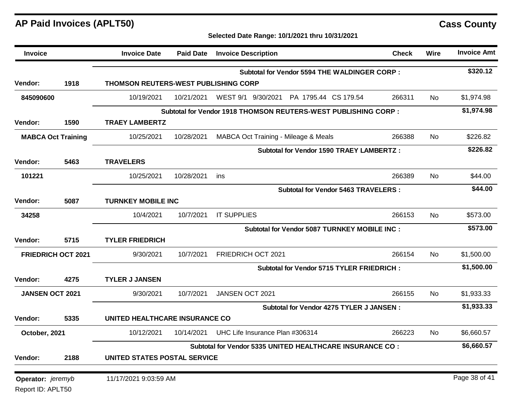**Selected Date Range: 10/1/2021 thru 10/31/2021**

| <b>Invoice</b>    |                           | <b>Invoice Date</b>                         | <b>Paid Date</b> | <b>Invoice Description</b>                                     | <b>Check</b> | <b>Wire</b> | <b>Invoice Amt</b> |  |
|-------------------|---------------------------|---------------------------------------------|------------------|----------------------------------------------------------------|--------------|-------------|--------------------|--|
|                   |                           |                                             |                  | Subtotal for Vendor 5594 THE WALDINGER CORP :                  |              |             | \$320.12           |  |
| Vendor:           | 1918                      | <b>THOMSON REUTERS-WEST PUBLISHING CORP</b> |                  |                                                                |              |             |                    |  |
| 845090600         |                           | 10/19/2021                                  | 10/21/2021       | WEST 9/1 9/30/2021 PA 1795.44 CS 179.54                        | 266311       | No.         | \$1,974.98         |  |
|                   |                           |                                             |                  | Subtotal for Vendor 1918 THOMSON REUTERS-WEST PUBLISHING CORP: |              |             | \$1,974.98         |  |
| Vendor:           | 1590                      | <b>TRAEY LAMBERTZ</b>                       |                  |                                                                |              |             |                    |  |
|                   | <b>MABCA Oct Training</b> | 10/25/2021                                  | 10/28/2021       | MABCA Oct Training - Mileage & Meals                           | 266388       | No.         | \$226.82           |  |
|                   |                           |                                             |                  | <b>Subtotal for Vendor 1590 TRAEY LAMBERTZ:</b>                |              |             | \$226.82           |  |
| Vendor:           | 5463                      | <b>TRAVELERS</b>                            |                  |                                                                |              |             |                    |  |
| 101221            |                           | 10/25/2021                                  | 10/28/2021       | ins                                                            | 266389       | <b>No</b>   | \$44.00            |  |
|                   |                           |                                             |                  | Subtotal for Vendor 5463 TRAVELERS :                           |              |             | \$44.00            |  |
| Vendor:           | 5087                      | <b>TURNKEY MOBILE INC</b>                   |                  |                                                                |              |             |                    |  |
| 34258             |                           | 10/4/2021                                   | 10/7/2021        | <b>IT SUPPLIES</b>                                             | 266153       | No.         | \$573.00           |  |
|                   |                           |                                             |                  | <b>Subtotal for Vendor 5087 TURNKEY MOBILE INC:</b>            |              |             | \$573.00           |  |
| Vendor:           | 5715                      | <b>TYLER FRIEDRICH</b>                      |                  |                                                                |              |             |                    |  |
|                   | <b>FRIEDRICH OCT 2021</b> | 9/30/2021                                   | 10/7/2021        | FRIEDRICH OCT 2021                                             | 266154       | No          | \$1,500.00         |  |
|                   |                           |                                             |                  | <b>Subtotal for Vendor 5715 TYLER FRIEDRICH:</b>               |              |             | \$1,500.00         |  |
| Vendor:           | 4275                      | <b>TYLER J JANSEN</b>                       |                  |                                                                |              |             |                    |  |
| JANSEN OCT 2021   |                           | 9/30/2021                                   | 10/7/2021        | JANSEN OCT 2021                                                | 266155       | <b>No</b>   | \$1,933.33         |  |
|                   |                           |                                             |                  | Subtotal for Vendor 4275 TYLER J JANSEN :                      |              |             | \$1,933.33         |  |
| Vendor:           | 5335                      | UNITED HEALTHCARE INSURANCE CO              |                  |                                                                |              |             |                    |  |
| October, 2021     |                           | 10/12/2021                                  | 10/14/2021       | UHC Life Insurance Plan #306314                                | 266223       | <b>No</b>   | \$6,660.57         |  |
|                   |                           |                                             |                  | Subtotal for Vendor 5335 UNITED HEALTHCARE INSURANCE CO:       |              |             | \$6,660.57         |  |
| Vendor:           | 2188                      | <b>UNITED STATES POSTAL SERVICE</b>         |                  |                                                                |              |             |                    |  |
| Operator: jeremyb |                           | 11/17/2021 9:03:59 AM                       |                  |                                                                |              |             | Page 38 of 41      |  |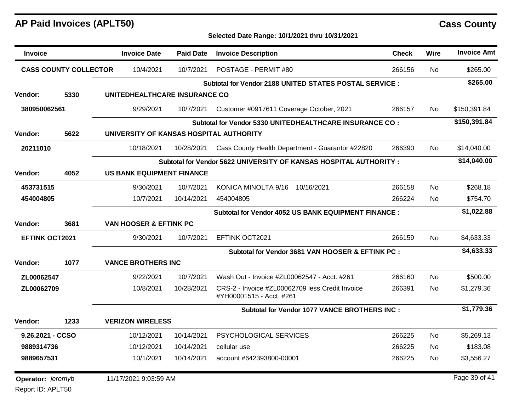| <b>Invoice</b>        |                              | <b>Invoice Date</b>                     | <b>Paid Date</b> | <b>Invoice Description</b>                                                  | <b>Check</b> | Wire      | <b>Invoice Amt</b> |
|-----------------------|------------------------------|-----------------------------------------|------------------|-----------------------------------------------------------------------------|--------------|-----------|--------------------|
|                       | <b>CASS COUNTY COLLECTOR</b> | 10/4/2021                               | 10/7/2021        | POSTAGE - PERMIT #80                                                        | 266156       | No.       | \$265.00           |
|                       |                              |                                         |                  | Subtotal for Vendor 2188 UNITED STATES POSTAL SERVICE :                     |              |           | \$265.00           |
| <b>Vendor:</b>        | 5330                         | UNITEDHEALTHCARE INSURANCE CO           |                  |                                                                             |              |           |                    |
| 380950062561          |                              | 9/29/2021                               | 10/7/2021        | Customer #0917611 Coverage October, 2021                                    | 266157       | No.       | \$150,391.84       |
|                       |                              |                                         |                  | Subtotal for Vendor 5330 UNITEDHEALTHCARE INSURANCE CO:                     |              |           | \$150,391.84       |
| Vendor:               | 5622                         | UNIVERSITY OF KANSAS HOSPITAL AUTHORITY |                  |                                                                             |              |           |                    |
| 20211010              |                              | 10/18/2021                              | 10/28/2021       | Cass County Health Department - Guarantor #22820                            | 266390       | No.       | \$14,040.00        |
|                       |                              |                                         |                  | Subtotal for Vendor 5622 UNIVERSITY OF KANSAS HOSPITAL AUTHORITY:           |              |           | \$14,040.00        |
| Vendor:               | 4052                         | <b>US BANK EQUIPMENT FINANCE</b>        |                  |                                                                             |              |           |                    |
| 453731515             |                              | 9/30/2021                               | 10/7/2021        | KONICA MINOLTA 9/16 10/16/2021                                              | 266158       | No.       | \$268.18           |
| 454004805             |                              | 10/7/2021                               | 10/14/2021       | 454004805                                                                   | 266224       | <b>No</b> | \$754.70           |
|                       |                              |                                         |                  | <b>Subtotal for Vendor 4052 US BANK EQUIPMENT FINANCE:</b>                  |              |           | \$1,022.88         |
| Vendor:               | 3681                         | <b>VAN HOOSER &amp; EFTINK PC</b>       |                  |                                                                             |              |           |                    |
| <b>EFTINK OCT2021</b> |                              | 9/30/2021                               | 10/7/2021        | EFTINK OCT2021                                                              | 266159       | No.       | \$4,633.33         |
|                       |                              |                                         |                  | Subtotal for Vendor 3681 VAN HOOSER & EFTINK PC :                           |              |           | \$4,633.33         |
| <b>Vendor:</b>        | 1077                         | <b>VANCE BROTHERS INC</b>               |                  |                                                                             |              |           |                    |
| ZL00062547            |                              | 9/22/2021                               | 10/7/2021        | Wash Out - Invoice #ZL00062547 - Acct. #261                                 | 266160       | <b>No</b> | \$500.00           |
| ZL00062709            |                              | 10/8/2021                               | 10/28/2021       | CRS-2 - Invoice #ZL00062709 less Credit Invoice<br>#YH00001515 - Acct. #261 | 266391       | No        | \$1,279.36         |
|                       |                              |                                         |                  | <b>Subtotal for Vendor 1077 VANCE BROTHERS INC:</b>                         |              |           | \$1,779.36         |
| <b>Vendor:</b>        | 1233                         | <b>VERIZON WIRELESS</b>                 |                  |                                                                             |              |           |                    |
| 9.26.2021 - CCSO      |                              | 10/12/2021                              | 10/14/2021       | PSYCHOLOGICAL SERVICES                                                      | 266225       | No.       | \$5,269.13         |
| 9889314736            |                              | 10/12/2021                              | 10/14/2021       | cellular use                                                                | 266225       | No.       | \$183.08           |
| 9889657531            |                              | 10/1/2021                               | 10/14/2021       | account #642393800-00001                                                    | 266225       | No.       | \$3,556.27         |
| Operator: jeremyb     |                              | 11/17/2021 9:03:59 AM                   |                  |                                                                             |              |           | Page 39 of 41      |
| Report ID: APLT50     |                              |                                         |                  |                                                                             |              |           |                    |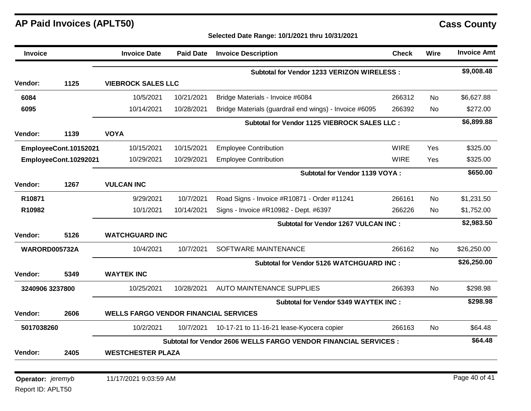## **Selected Date Range: 10/1/2021 thru 10/31/2021**

| <b>Invoice</b>                                           |                       | <b>Invoice Date</b>                                                     | <b>Paid Date</b> | <b>Invoice Description</b>                             | <b>Check</b>  | <b>Wire</b> | <b>Invoice Amt</b> |
|----------------------------------------------------------|-----------------------|-------------------------------------------------------------------------|------------------|--------------------------------------------------------|---------------|-------------|--------------------|
|                                                          |                       |                                                                         |                  | Subtotal for Vendor 1233 VERIZON WIRELESS :            |               |             | \$9,008.48         |
| <b>Vendor:</b>                                           | 1125                  | <b>VIEBROCK SALES LLC</b>                                               |                  |                                                        |               |             |                    |
| 6084                                                     |                       | 10/5/2021                                                               | 10/21/2021       | Bridge Materials - Invoice #6084                       | 266312        | No          | \$6,627.88         |
| 6095                                                     |                       | 10/14/2021                                                              | 10/28/2021       | Bridge Materials (guardrail end wings) - Invoice #6095 | 266392        | No          | \$272.00           |
|                                                          |                       |                                                                         |                  | Subtotal for Vendor 1125 VIEBROCK SALES LLC :          |               |             | \$6,899.88         |
| <b>Vendor:</b>                                           | 1139                  | <b>VOYA</b>                                                             |                  |                                                        |               |             |                    |
|                                                          | EmployeeCont.10152021 | 10/15/2021                                                              | 10/15/2021       | <b>Employee Contribution</b>                           | <b>WIRE</b>   | Yes         | \$325.00           |
|                                                          | EmployeeCont.10292021 | 10/29/2021                                                              | 10/29/2021       | <b>Employee Contribution</b>                           | <b>WIRE</b>   | Yes         | \$325.00           |
|                                                          |                       |                                                                         |                  | Subtotal for Vendor 1139 VOYA :                        |               |             | \$650.00           |
| <b>Vendor:</b>                                           | 1267                  | <b>VULCAN INC</b>                                                       |                  |                                                        |               |             |                    |
| R10871                                                   |                       | 9/29/2021                                                               | 10/7/2021        | Road Signs - Invoice #R10871 - Order #11241            | 266161        | <b>No</b>   | \$1,231.50         |
| R10982                                                   |                       | 10/1/2021                                                               | 10/14/2021       | Signs - Invoice #R10982 - Dept. #6397                  | 266226        | No.         | \$1,752.00         |
|                                                          |                       |                                                                         |                  | <b>Subtotal for Vendor 1267 VULCAN INC:</b>            |               |             | \$2,983.50         |
| Vendor:                                                  | 5126                  | <b>WATCHGUARD INC</b>                                                   |                  |                                                        |               |             |                    |
| WARORD005732A                                            |                       | 10/4/2021                                                               | 10/7/2021        | SOFTWARE MAINTENANCE                                   | 266162        | <b>No</b>   | \$26,250.00        |
|                                                          |                       |                                                                         |                  | <b>Subtotal for Vendor 5126 WATCHGUARD INC:</b>        |               |             | \$26,250.00        |
| <b>Vendor:</b>                                           | 5349                  | <b>WAYTEK INC</b>                                                       |                  |                                                        |               |             |                    |
| 3240906 3237800                                          |                       | 10/25/2021                                                              | 10/28/2021       | <b>AUTO MAINTENANCE SUPPLIES</b>                       | 266393        | <b>No</b>   | \$298.98           |
|                                                          |                       |                                                                         |                  | <b>Subtotal for Vendor 5349 WAYTEK INC:</b>            |               |             | \$298.98           |
| <b>Vendor:</b>                                           | 2606                  | <b>WELLS FARGO VENDOR FINANCIAL SERVICES</b>                            |                  |                                                        |               |             |                    |
| 5017038260                                               |                       | 10/2/2021                                                               | 10/7/2021        | 10-17-21 to 11-16-21 lease-Kyocera copier              | 266163        | <b>No</b>   | \$64.48            |
|                                                          |                       | <b>Subtotal for Vendor 2606 WELLS FARGO VENDOR FINANCIAL SERVICES :</b> |                  |                                                        |               |             | \$64.48            |
| <b>Vendor:</b>                                           | 2405                  | <b>WESTCHESTER PLAZA</b>                                                |                  |                                                        |               |             |                    |
|                                                          |                       |                                                                         |                  |                                                        |               |             |                    |
| 11/17/2021 9:03:59 AM<br><b>Operator:</b> <i>jeremyb</i> |                       |                                                                         |                  |                                                        | Page 40 of 41 |             |                    |